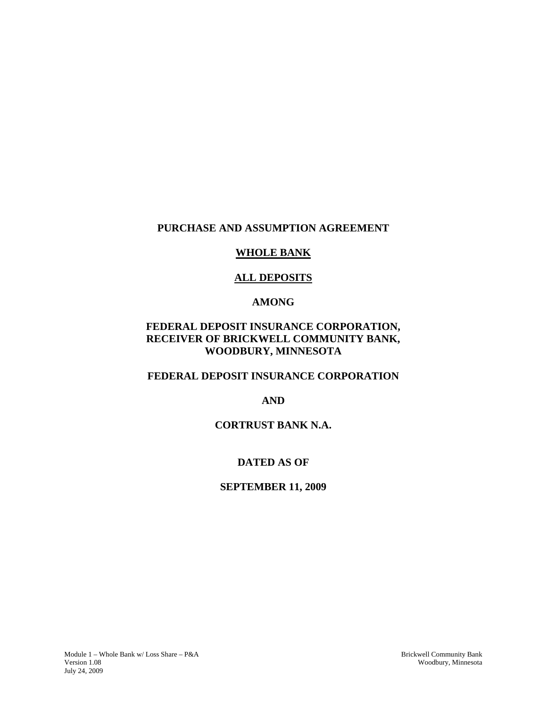## **PURCHASE AND ASSUMPTION AGREEMENT**

#### **WHOLE BANK**

### **ALL DEPOSITS**

#### **AMONG**

#### **FEDERAL DEPOSIT INSURANCE CORPORATION, RECEIVER OF BRICKWELL COMMUNITY BANK, WOODBURY, MINNESOTA**

#### **FEDERAL DEPOSIT INSURANCE CORPORATION**

#### **AND**

### **CORTRUST BANK N.A.**

### **DATED AS OF**

#### **SEPTEMBER 11, 2009**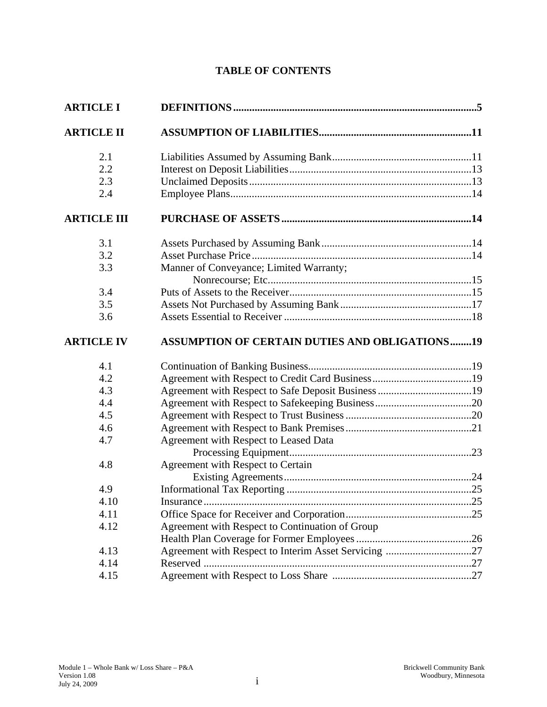# **TABLE OF CONTENTS**

| <b>ARTICLE I</b>   |                                                       |  |
|--------------------|-------------------------------------------------------|--|
| <b>ARTICLE II</b>  |                                                       |  |
| 2.1                |                                                       |  |
| 2.2                |                                                       |  |
| 2.3                |                                                       |  |
| 2.4                |                                                       |  |
| <b>ARTICLE III</b> |                                                       |  |
| 3.1                |                                                       |  |
| 3.2                |                                                       |  |
| 3.3                | Manner of Conveyance; Limited Warranty;               |  |
|                    |                                                       |  |
| 3.4                |                                                       |  |
| 3.5                |                                                       |  |
| 3.6                |                                                       |  |
| <b>ARTICLE IV</b>  | <b>ASSUMPTION OF CERTAIN DUTIES AND OBLIGATIONS19</b> |  |
| 4.1                |                                                       |  |
| 4.2                |                                                       |  |
| 4.3                |                                                       |  |
| 4.4                |                                                       |  |
| 4.5                |                                                       |  |
| 4.6                |                                                       |  |
| 4.7                | Agreement with Respect to Leased Data                 |  |
|                    |                                                       |  |
| 4.8                | Agreement with Respect to Certain                     |  |
|                    |                                                       |  |
| 4.9                |                                                       |  |
| 4.10               |                                                       |  |
| 4.11               |                                                       |  |
| 4.12               | Agreement with Respect to Continuation of Group       |  |
|                    |                                                       |  |
| 4.13               | Agreement with Respect to Interim Asset Servicing 27  |  |
| 4.14               | Reserved                                              |  |
| 4.15               |                                                       |  |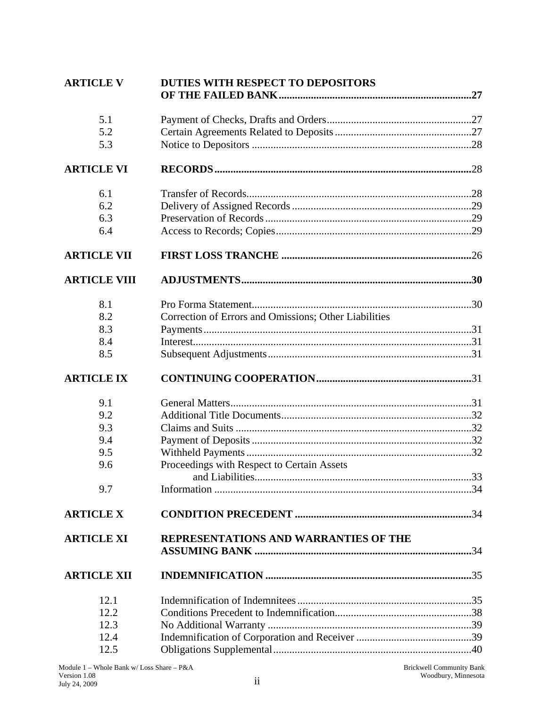| <b>ARTICLE V</b>    | <b>DUTIES WITH RESPECT TO DEPOSITORS</b>              |  |
|---------------------|-------------------------------------------------------|--|
|                     |                                                       |  |
| 5.1                 |                                                       |  |
| 5.2                 |                                                       |  |
| 5.3                 |                                                       |  |
|                     |                                                       |  |
| <b>ARTICLE VI</b>   |                                                       |  |
| 6.1                 |                                                       |  |
| 6.2                 |                                                       |  |
| 6.3                 |                                                       |  |
| 6.4                 |                                                       |  |
| <b>ARTICLE VII</b>  |                                                       |  |
| <b>ARTICLE VIII</b> |                                                       |  |
| 8.1                 |                                                       |  |
| 8.2                 | Correction of Errors and Omissions; Other Liabilities |  |
| 8.3                 |                                                       |  |
| 8.4                 |                                                       |  |
| 8.5                 |                                                       |  |
| <b>ARTICLE IX</b>   |                                                       |  |
| 9.1                 |                                                       |  |
| 9.2                 |                                                       |  |
| 9.3                 |                                                       |  |
| 9.4                 |                                                       |  |
| 9.5                 |                                                       |  |
| 9.6                 | Proceedings with Respect to Certain Assets            |  |
|                     |                                                       |  |
| 9.7                 |                                                       |  |
| <b>ARTICLE X</b>    |                                                       |  |
| <b>ARTICLE XI</b>   | <b>REPRESENTATIONS AND WARRANTIES OF THE</b>          |  |
| <b>ARTICLE XII</b>  |                                                       |  |
|                     |                                                       |  |
| 12.1                |                                                       |  |
| 12.2                |                                                       |  |
| 12.3                |                                                       |  |
| 12.4                |                                                       |  |
| 12.5                |                                                       |  |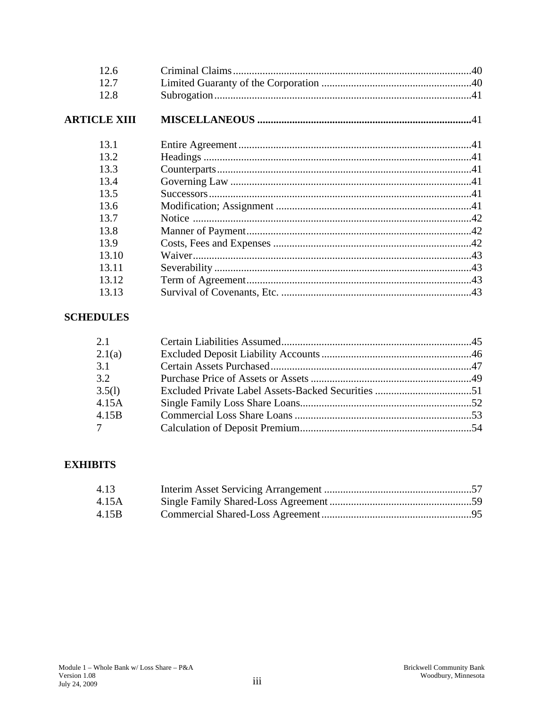| 12.6                |  |
|---------------------|--|
| 12.7                |  |
| 12.8                |  |
| <b>ARTICLE XIII</b> |  |
| 13.1                |  |
| 13.2                |  |
| 13.3                |  |
| 13.4                |  |
| 13.5                |  |
| 13.6                |  |
| 13.7                |  |
| 13.8                |  |
| 13.9                |  |
| 13.10               |  |
| 13.11               |  |
| 13.12               |  |
| 13.13               |  |

## **SCHEDULES**

| 2.1              |  |
|------------------|--|
| 2.1(a)           |  |
| 3.1              |  |
| 3.2              |  |
| 3.5(l)           |  |
| 4.15A            |  |
| 4.15B            |  |
| $7 \overline{ }$ |  |

# **EXHIBITS**

| 4.13  |  |
|-------|--|
| 4.15A |  |
| 4.15B |  |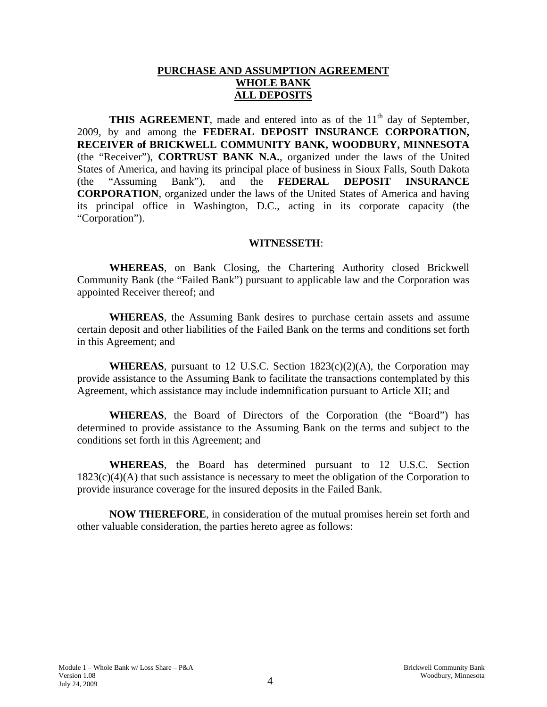### **PURCHASE AND ASSUMPTION AGREEMENT WHOLE BANK ALL DEPOSITS**

**THIS AGREEMENT**, made and entered into as of the 11<sup>th</sup> day of September, 2009, by and among the **FEDERAL DEPOSIT INSURANCE CORPORATION, RECEIVER of BRICKWELL COMMUNITY BANK, WOODBURY, MINNESOTA**  (the "Receiver"), **CORTRUST BANK N.A.**, organized under the laws of the United States of America, and having its principal place of business in Sioux Falls, South Dakota (the "Assuming Bank"), and the **FEDERAL DEPOSIT INSURANCE CORPORATION**, organized under the laws of the United States of America and having its principal office in Washington, D.C., acting in its corporate capacity (the "Corporation").

#### **WITNESSETH**:

**WHEREAS**, on Bank Closing, the Chartering Authority closed Brickwell Community Bank (the "Failed Bank") pursuant to applicable law and the Corporation was appointed Receiver thereof; and

**WHEREAS**, the Assuming Bank desires to purchase certain assets and assume certain deposit and other liabilities of the Failed Bank on the terms and conditions set forth in this Agreement; and

**WHEREAS**, pursuant to 12 U.S.C. Section 1823(c)(2)(A), the Corporation may provide assistance to the Assuming Bank to facilitate the transactions contemplated by this Agreement, which assistance may include indemnification pursuant to Article XII; and

 **WHEREAS**, the Board of Directors of the Corporation (the "Board") has determined to provide assistance to the Assuming Bank on the terms and subject to the conditions set forth in this Agreement; and

**WHEREAS**, the Board has determined pursuant to 12 U.S.C. Section 1823(c)(4)(A) that such assistance is necessary to meet the obligation of the Corporation to provide insurance coverage for the insured deposits in the Failed Bank.

 **NOW THEREFORE**, in consideration of the mutual promises herein set forth and other valuable consideration, the parties hereto agree as follows: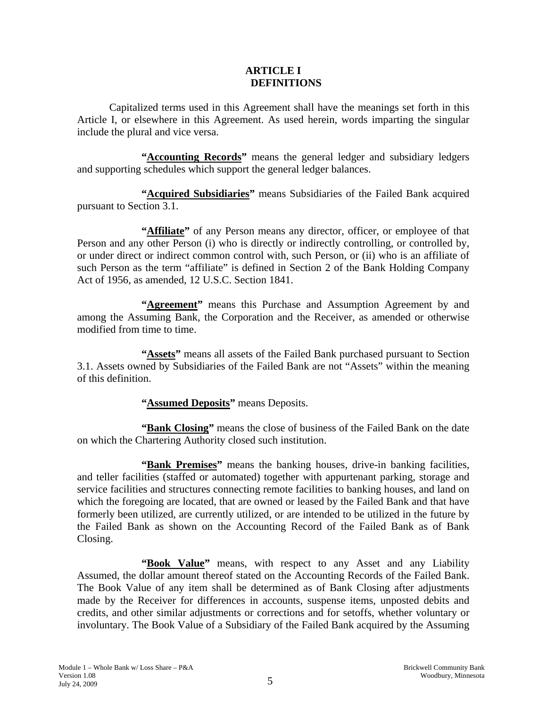#### **ARTICLE I DEFINITIONS**

<span id="page-5-0"></span>Capitalized terms used in this Agreement shall have the meanings set forth in this Article I, or elsewhere in this Agreement. As used herein, words imparting the singular include the plural and vice versa.

"**Accounting Records**" means the general ledger and subsidiary ledgers and supporting schedules which support the general ledger balances.

**"Acquired Subsidiaries"** means Subsidiaries of the Failed Bank acquired pursuant to Section 3.1.

"**Affiliate**" of any Person means any director, officer, or employee of that Person and any other Person (i) who is directly or indirectly controlling, or controlled by, or under direct or indirect common control with, such Person, or (ii) who is an affiliate of such Person as the term "affiliate" is defined in Section 2 of the Bank Holding Company Act of 1956, as amended, 12 U.S.C. Section 1841.

**"Agreement"** means this Purchase and Assumption Agreement by and among the Assuming Bank, the Corporation and the Receiver, as amended or otherwise modified from time to time.

**"Assets"** means all assets of the Failed Bank purchased pursuant to Section 3.1. Assets owned by Subsidiaries of the Failed Bank are not "Assets" within the meaning of this definition.

**"Assumed Deposits"** means Deposits.

 **"Bank Closing"** means the close of business of the Failed Bank on the date on which the Chartering Authority closed such institution.

**"Bank Premises"** means the banking houses, drive-in banking facilities, and teller facilities (staffed or automated) together with appurtenant parking, storage and service facilities and structures connecting remote facilities to banking houses, and land on which the foregoing are located, that are owned or leased by the Failed Bank and that have formerly been utilized, are currently utilized, or are intended to be utilized in the future by the Failed Bank as shown on the Accounting Record of the Failed Bank as of Bank Closing.

"Book Value" means, with respect to any Asset and any Liability Assumed, the dollar amount thereof stated on the Accounting Records of the Failed Bank. The Book Value of any item shall be determined as of Bank Closing after adjustments made by the Receiver for differences in accounts, suspense items, unposted debits and credits, and other similar adjustments or corrections and for setoffs, whether voluntary or involuntary. The Book Value of a Subsidiary of the Failed Bank acquired by the Assuming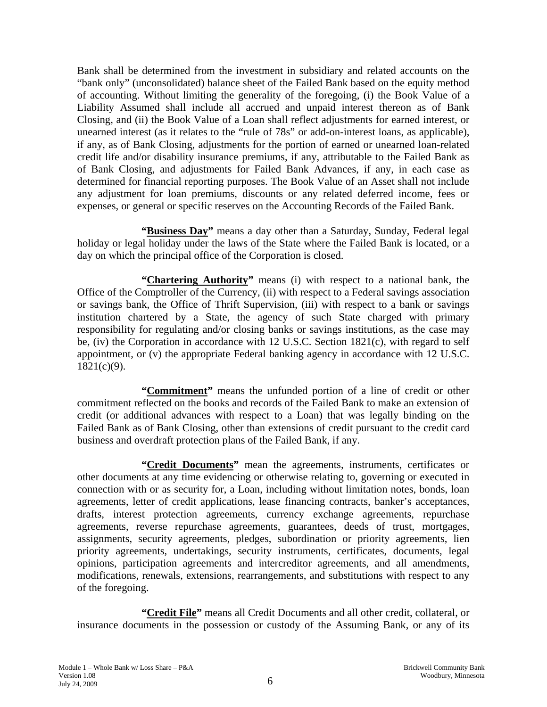<span id="page-6-0"></span>Bank shall be determined from the investment in subsidiary and related accounts on the "bank only" (unconsolidated) balance sheet of the Failed Bank based on the equity method of accounting. Without limiting the generality of the foregoing, (i) the Book Value of a Liability Assumed shall include all accrued and unpaid interest thereon as of Bank Closing, and (ii) the Book Value of a Loan shall reflect adjustments for earned interest, or unearned interest (as it relates to the "rule of 78s" or add-on-interest loans, as applicable), if any, as of Bank Closing, adjustments for the portion of earned or unearned loan-related credit life and/or disability insurance premiums, if any, attributable to the Failed Bank as of Bank Closing, and adjustments for Failed Bank Advances, if any, in each case as determined for financial reporting purposes. The Book Value of an Asset shall not include any adjustment for loan premiums, discounts or any related deferred income, fees or expenses, or general or specific reserves on the Accounting Records of the Failed Bank.

**"Business Day"** means a day other than a Saturday, Sunday, Federal legal holiday or legal holiday under the laws of the State where the Failed Bank is located, or a day on which the principal office of the Corporation is closed.

**"Chartering Authority"** means (i) with respect to a national bank, the Office of the Comptroller of the Currency, (ii) with respect to a Federal savings association or savings bank, the Office of Thrift Supervision, (iii) with respect to a bank or savings institution chartered by a State, the agency of such State charged with primary responsibility for regulating and/or closing banks or savings institutions, as the case may be, (iv) the Corporation in accordance with 12 U.S.C. Section 1821(c), with regard to self appointment, or (v) the appropriate Federal banking agency in accordance with 12 U.S.C.  $1821(c)(9)$ .

**"Commitment"** means the unfunded portion of a line of credit or other commitment reflected on the books and records of the Failed Bank to make an extension of credit (or additional advances with respect to a Loan) that was legally binding on the Failed Bank as of Bank Closing, other than extensions of credit pursuant to the credit card business and overdraft protection plans of the Failed Bank, if any.

**"Credit Documents"** mean the agreements, instruments, certificates or other documents at any time evidencing or otherwise relating to, governing or executed in connection with or as security for, a Loan, including without limitation notes, bonds, loan agreements, letter of credit applications, lease financing contracts, banker's acceptances, drafts, interest protection agreements, currency exchange agreements, repurchase agreements, reverse repurchase agreements, guarantees, deeds of trust, mortgages, assignments, security agreements, pledges, subordination or priority agreements, lien priority agreements, undertakings, security instruments, certificates, documents, legal opinions, participation agreements and intercreditor agreements, and all amendments, modifications, renewals, extensions, rearrangements, and substitutions with respect to any of the foregoing.

**"Credit File"** means all Credit Documents and all other credit, collateral, or insurance documents in the possession or custody of the Assuming Bank, or any of its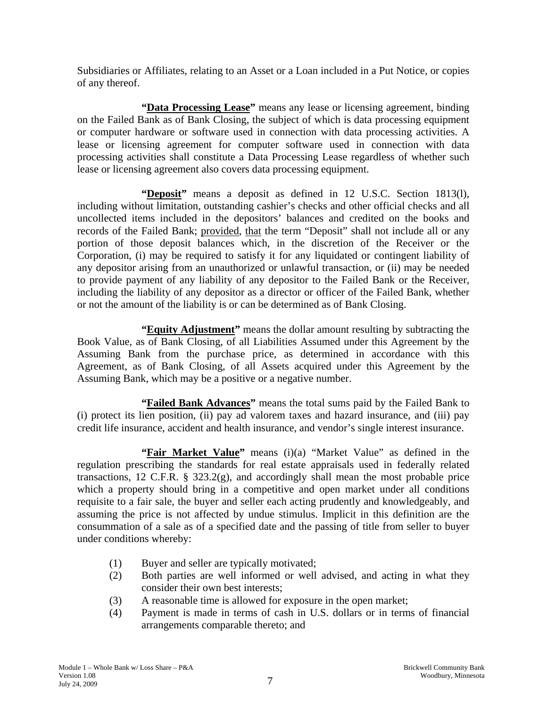<span id="page-7-0"></span>Subsidiaries or Affiliates, relating to an Asset or a Loan included in a Put Notice, or copies of any thereof.

**"Data Processing Lease"** means any lease or licensing agreement, binding on the Failed Bank as of Bank Closing, the subject of which is data processing equipment or computer hardware or software used in connection with data processing activities. A lease or licensing agreement for computer software used in connection with data processing activities shall constitute a Data Processing Lease regardless of whether such lease or licensing agreement also covers data processing equipment.

**"Deposit"** means a deposit as defined in 12 U.S.C. Section 1813(l), including without limitation, outstanding cashier's checks and other official checks and all uncollected items included in the depositors' balances and credited on the books and records of the Failed Bank; provided, that the term "Deposit" shall not include all or any portion of those deposit balances which, in the discretion of the Receiver or the Corporation, (i) may be required to satisfy it for any liquidated or contingent liability of any depositor arising from an unauthorized or unlawful transaction, or (ii) may be needed to provide payment of any liability of any depositor to the Failed Bank or the Receiver, including the liability of any depositor as a director or officer of the Failed Bank, whether or not the amount of the liability is or can be determined as of Bank Closing.

**"Equity Adjustment"** means the dollar amount resulting by subtracting the Book Value, as of Bank Closing, of all Liabilities Assumed under this Agreement by the Assuming Bank from the purchase price, as determined in accordance with this Agreement, as of Bank Closing, of all Assets acquired under this Agreement by the Assuming Bank, which may be a positive or a negative number.

**"Failed Bank Advances"** means the total sums paid by the Failed Bank to (i) protect its lien position, (ii) pay ad valorem taxes and hazard insurance, and (iii) pay credit life insurance, accident and health insurance, and vendor's single interest insurance.

**"Fair Market Value"** means (i)(a) "Market Value" as defined in the regulation prescribing the standards for real estate appraisals used in federally related transactions, 12 C.F.R.  $\S$  323.2(g), and accordingly shall mean the most probable price which a property should bring in a competitive and open market under all conditions requisite to a fair sale, the buyer and seller each acting prudently and knowledgeably, and assuming the price is not affected by undue stimulus. Implicit in this definition are the consummation of a sale as of a specified date and the passing of title from seller to buyer under conditions whereby:

- (1) Buyer and seller are typically motivated;
- consider their own best interests; (2) Both parties are well informed or well advised, and acting in what they
- $\alpha$  A reasonable time is allowed for exposure in the open market;
- (4) Payment is made in terms of cash in U.S. dollars or in terms of financial arrangements comparable thereto; and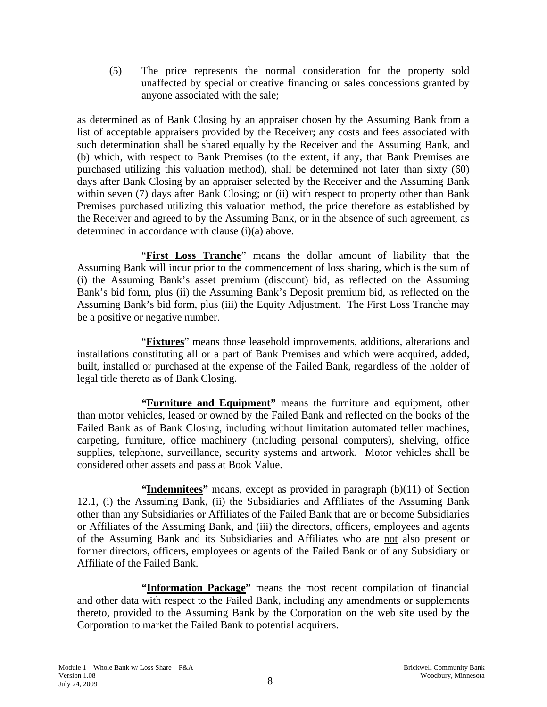(5) The price represents the normal consideration for the property sold unaffected by special or creative financing or sales concessions granted by anyone associated with the sale;

as determined as of Bank Closing by an appraiser chosen by the Assuming Bank from a list of acceptable appraisers provided by the Receiver; any costs and fees associated with such determination shall be shared equally by the Receiver and the Assuming Bank, and (b) which, with respect to Bank Premises (to the extent, if any, that Bank Premises are purchased utilizing this valuation method), shall be determined not later than sixty (60) days after Bank Closing by an appraiser selected by the Receiver and the Assuming Bank within seven (7) days after Bank Closing; or (ii) with respect to property other than Bank Premises purchased utilizing this valuation method, the price therefore as established by the Receiver and agreed to by the Assuming Bank, or in the absence of such agreement, as determined in accordance with clause (i)(a) above.

"**First Loss Tranche**" means the dollar amount of liability that the Assuming Bank will incur prior to the commencement of loss sharing, which is the sum of (i) the Assuming Bank's asset premium (discount) bid, as reflected on the Assuming Bank's bid form, plus (ii) the Assuming Bank's Deposit premium bid, as reflected on the Assuming Bank's bid form, plus (iii) the Equity Adjustment. The First Loss Tranche may be a positive or negative number.

"**Fixtures**" means those leasehold improvements, additions, alterations and installations constituting all or a part of Bank Premises and which were acquired, added, built, installed or purchased at the expense of the Failed Bank, regardless of the holder of legal title thereto as of Bank Closing.

**"Furniture and Equipment"** means the furniture and equipment, other than motor vehicles, leased or owned by the Failed Bank and reflected on the books of the Failed Bank as of Bank Closing, including without limitation automated teller machines, carpeting, furniture, office machinery (including personal computers), shelving, office supplies, telephone, surveillance, security systems and artwork. Motor vehicles shall be considered other assets and pass at Book Value.

**"Indemnitees"** means, except as provided in paragraph (b)(11) of Section 12.1, (i) the Assuming Bank, (ii) the Subsidiaries and Affiliates of the Assuming Bank other than any Subsidiaries or Affiliates of the Failed Bank that are or become Subsidiaries or Affiliates of the Assuming Bank, and (iii) the directors, officers, employees and agents of the Assuming Bank and its Subsidiaries and Affiliates who are not also present or former directors, officers, employees or agents of the Failed Bank or of any Subsidiary or Affiliate of the Failed Bank.

**"Information Package"** means the most recent compilation of financial and other data with respect to the Failed Bank, including any amendments or supplements thereto, provided to the Assuming Bank by the Corporation on the web site used by the Corporation to market the Failed Bank to potential acquirers.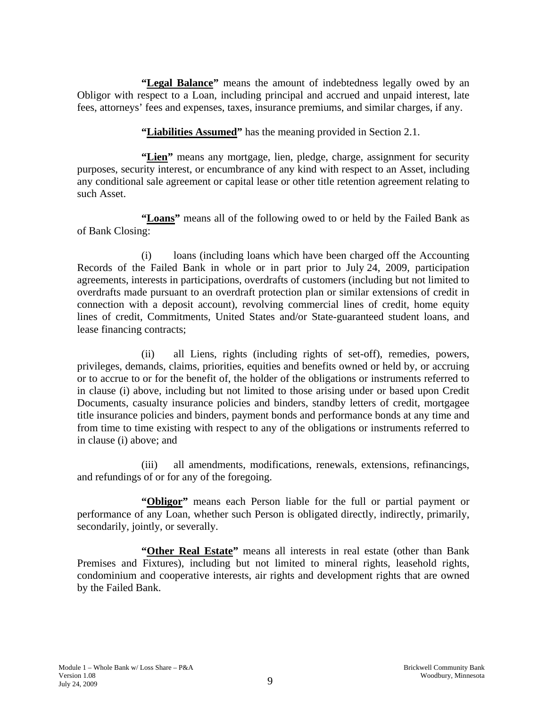**"Legal Balance"** means the amount of indebtedness legally owed by an Obligor with respect to a Loan, including principal and accrued and unpaid interest, late fees, attorneys' fees and expenses, taxes, insurance premiums, and similar charges, if any.

**"Liabilities Assumed"** has the meaning provided in Section 2.1.

"Lien" means any mortgage, lien, pledge, charge, assignment for security purposes, security interest, or encumbrance of any kind with respect to an Asset, including any conditional sale agreement or capital lease or other title retention agreement relating to such Asset.

**"Loans"** means all of the following owed to or held by the Failed Bank as of Bank Closing:

(i) loans (including loans which have been charged off the Accounting Records of the Failed Bank in whole or in part prior to July 24, 2009, participation agreements, interests in participations, overdrafts of customers (including but not limited to overdrafts made pursuant to an overdraft protection plan or similar extensions of credit in connection with a deposit account), revolving commercial lines of credit, home equity lines of credit, Commitments, United States and/or State-guaranteed student loans, and lease financing contracts;

(ii) all Liens, rights (including rights of set-off), remedies, powers, privileges, demands, claims, priorities, equities and benefits owned or held by, or accruing or to accrue to or for the benefit of, the holder of the obligations or instruments referred to in clause (i) above, including but not limited to those arising under or based upon Credit Documents, casualty insurance policies and binders, standby letters of credit, mortgagee title insurance policies and binders, payment bonds and performance bonds at any time and from time to time existing with respect to any of the obligations or instruments referred to in clause (i) above; and

(iii) all amendments, modifications, renewals, extensions, refinancings, and refundings of or for any of the foregoing.

**"Obligor"** means each Person liable for the full or partial payment or performance of any Loan, whether such Person is obligated directly, indirectly, primarily, secondarily, jointly, or severally.

"Other Real Estate" means all interests in real estate (other than Bank Premises and Fixtures), including but not limited to mineral rights, leasehold rights, condominium and cooperative interests, air rights and development rights that are owned by the Failed Bank.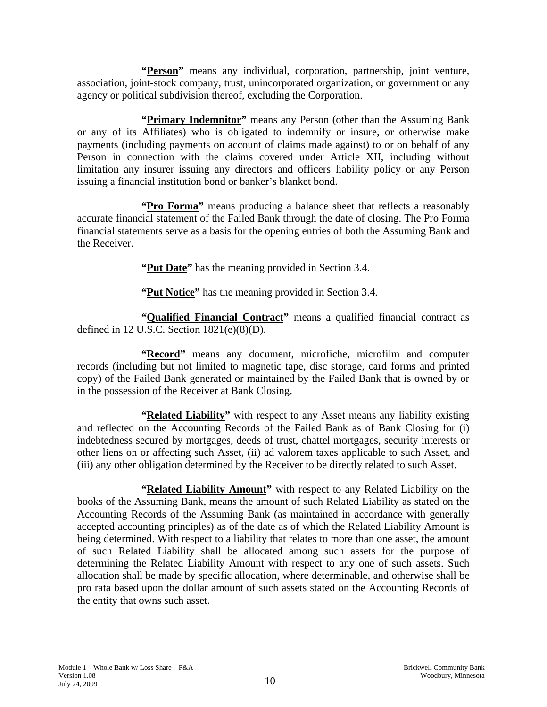**"Person"** means any individual, corporation, partnership, joint venture, association, joint-stock company, trust, unincorporated organization, or government or any agency or political subdivision thereof, excluding the Corporation.

**"Primary Indemnitor"** means any Person (other than the Assuming Bank or any of its Affiliates) who is obligated to indemnify or insure, or otherwise make payments (including payments on account of claims made against) to or on behalf of any Person in connection with the claims covered under Article XII, including without limitation any insurer issuing any directors and officers liability policy or any Person issuing a financial institution bond or banker's blanket bond.

**"Pro Forma"** means producing a balance sheet that reflects a reasonably accurate financial statement of the Failed Bank through the date of closing. The Pro Forma financial statements serve as a basis for the opening entries of both the Assuming Bank and the Receiver.

**"Put Date"** has the meaning provided in Section 3.4.

**"Put Notice"** has the meaning provided in Section 3.4.

**"Qualified Financial Contract"** means a qualified financial contract as defined in 12 U.S.C. Section 1821(e)(8)(D).

**"Record"** means any document, microfiche, microfilm and computer records (including but not limited to magnetic tape, disc storage, card forms and printed copy) of the Failed Bank generated or maintained by the Failed Bank that is owned by or in the possession of the Receiver at Bank Closing.

**"Related Liability"** with respect to any Asset means any liability existing and reflected on the Accounting Records of the Failed Bank as of Bank Closing for (i) indebtedness secured by mortgages, deeds of trust, chattel mortgages, security interests or other liens on or affecting such Asset, (ii) ad valorem taxes applicable to such Asset, and (iii) any other obligation determined by the Receiver to be directly related to such Asset.

"Related Liability Amount" with respect to any Related Liability on the books of the Assuming Bank, means the amount of such Related Liability as stated on the Accounting Records of the Assuming Bank (as maintained in accordance with generally accepted accounting principles) as of the date as of which the Related Liability Amount is being determined. With respect to a liability that relates to more than one asset, the amount of such Related Liability shall be allocated among such assets for the purpose of determining the Related Liability Amount with respect to any one of such assets. Such allocation shall be made by specific allocation, where determinable, and otherwise shall be pro rata based upon the dollar amount of such assets stated on the Accounting Records of the entity that owns such asset.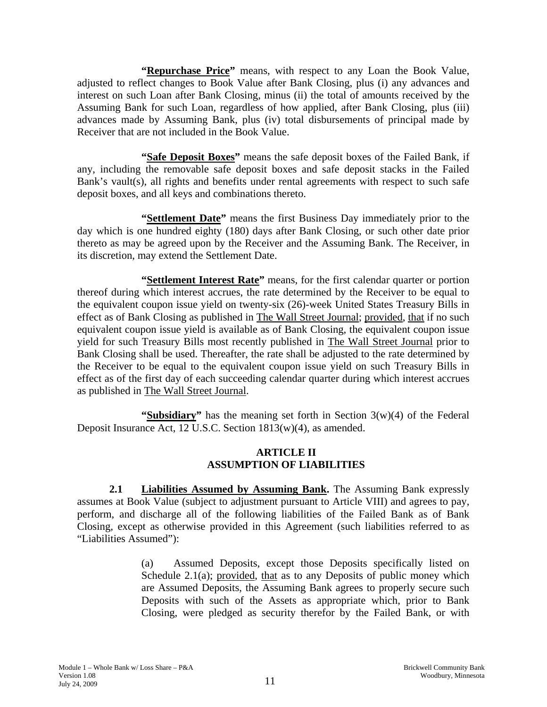**"Repurchase Price"** means, with respect to any Loan the Book Value, adjusted to reflect changes to Book Value after Bank Closing, plus (i) any advances and interest on such Loan after Bank Closing, minus (ii) the total of amounts received by the Assuming Bank for such Loan, regardless of how applied, after Bank Closing, plus (iii) advances made by Assuming Bank, plus (iv) total disbursements of principal made by Receiver that are not included in the Book Value.

**"Safe Deposit Boxes"** means the safe deposit boxes of the Failed Bank, if any, including the removable safe deposit boxes and safe deposit stacks in the Failed Bank's vault(s), all rights and benefits under rental agreements with respect to such safe deposit boxes, and all keys and combinations thereto.

**"Settlement Date"** means the first Business Day immediately prior to the day which is one hundred eighty (180) days after Bank Closing, or such other date prior thereto as may be agreed upon by the Receiver and the Assuming Bank. The Receiver, in its discretion, may extend the Settlement Date.

**"Settlement Interest Rate"** means, for the first calendar quarter or portion thereof during which interest accrues, the rate determined by the Receiver to be equal to the equivalent coupon issue yield on twenty-six (26)-week United States Treasury Bills in effect as of Bank Closing as published in The Wall Street Journal; provided, that if no such equivalent coupon issue yield is available as of Bank Closing, the equivalent coupon issue yield for such Treasury Bills most recently published in The Wall Street Journal prior to Bank Closing shall be used. Thereafter, the rate shall be adjusted to the rate determined by the Receiver to be equal to the equivalent coupon issue yield on such Treasury Bills in effect as of the first day of each succeeding calendar quarter during which interest accrues as published in The Wall Street Journal.

**"Subsidiary"** has the meaning set forth in Section 3(w)(4) of the Federal Deposit Insurance Act, 12 U.S.C. Section 1813(w)(4), as amended.

### **ARTICLE II ASSUMPTION OF LIABILITIES**

 **2.1 Liabilities Assumed by Assuming Bank.** The Assuming Bank expressly assumes at Book Value (subject to adjustment pursuant to Article VIII) and agrees to pay, perform, and discharge all of the following liabilities of the Failed Bank as of Bank Closing, except as otherwise provided in this Agreement (such liabilities referred to as "Liabilities Assumed"):

> (a) Assumed Deposits, except those Deposits specifically listed on Schedule 2.1(a); provided, that as to any Deposits of public money which are Assumed Deposits, the Assuming Bank agrees to properly secure such Deposits with such of the Assets as appropriate which, prior to Bank Closing, were pledged as security therefor by the Failed Bank, or with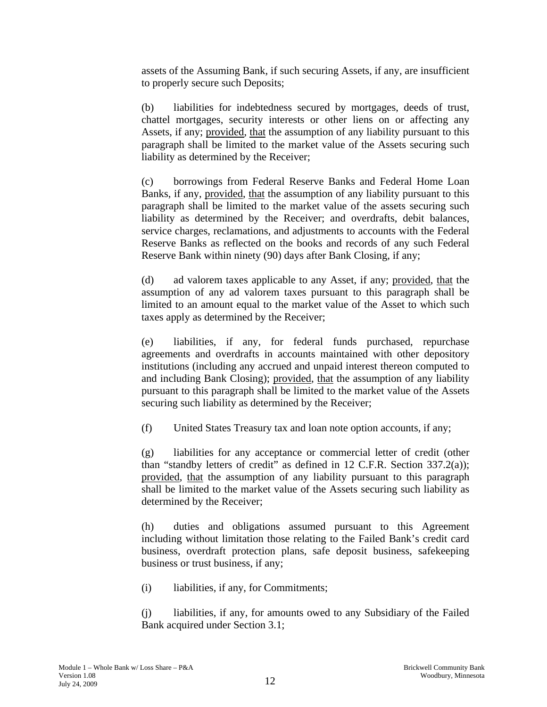assets of the Assuming Bank, if such securing Assets, if any, are insufficient to properly secure such Deposits;

(b) liabilities for indebtedness secured by mortgages, deeds of trust, chattel mortgages, security interests or other liens on or affecting any Assets, if any; provided, that the assumption of any liability pursuant to this paragraph shall be limited to the market value of the Assets securing such liability as determined by the Receiver;

(c) borrowings from Federal Reserve Banks and Federal Home Loan Banks, if any, provided, that the assumption of any liability pursuant to this paragraph shall be limited to the market value of the assets securing such liability as determined by the Receiver; and overdrafts, debit balances, service charges, reclamations, and adjustments to accounts with the Federal Reserve Banks as reflected on the books and records of any such Federal Reserve Bank within ninety (90) days after Bank Closing, if any;

(d) ad valorem taxes applicable to any Asset, if any; provided, that the assumption of any ad valorem taxes pursuant to this paragraph shall be limited to an amount equal to the market value of the Asset to which such taxes apply as determined by the Receiver;

(e) liabilities, if any, for federal funds purchased, repurchase agreements and overdrafts in accounts maintained with other depository institutions (including any accrued and unpaid interest thereon computed to and including Bank Closing); provided, that the assumption of any liability pursuant to this paragraph shall be limited to the market value of the Assets securing such liability as determined by the Receiver;

(f) United States Treasury tax and loan note option accounts, if any;

(g) liabilities for any acceptance or commercial letter of credit (other than "standby letters of credit" as defined in  $12$  C.F.R. Section 337.2(a)); provided, that the assumption of any liability pursuant to this paragraph shall be limited to the market value of the Assets securing such liability as determined by the Receiver;

(h) duties and obligations assumed pursuant to this Agreement including without limitation those relating to the Failed Bank's credit card business, overdraft protection plans, safe deposit business, safekeeping business or trust business, if any;

(i) liabilities, if any, for Commitments;

(j) liabilities, if any, for amounts owed to any Subsidiary of the Failed Bank acquired under Section 3.1;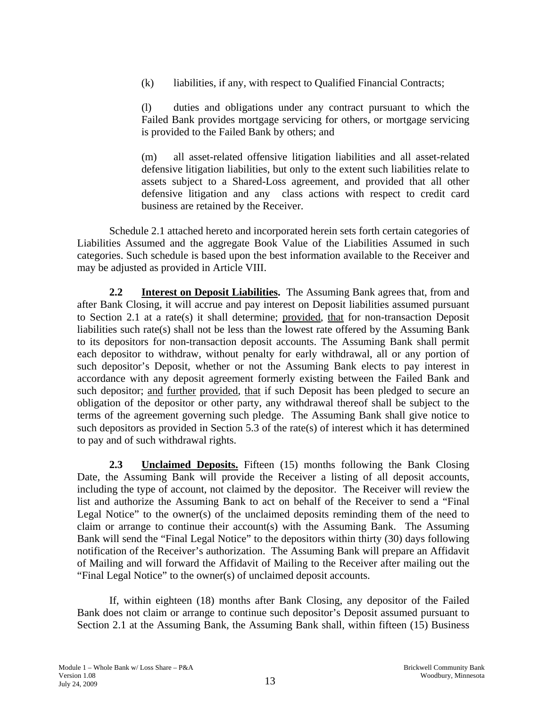(k) liabilities, if any, with respect to Qualified Financial Contracts;

(l) duties and obligations under any contract pursuant to which the Failed Bank provides mortgage servicing for others, or mortgage servicing is provided to the Failed Bank by others; and

business are retained by the Receiver. (m) all asset-related offensive litigation liabilities and all asset-related defensive litigation liabilities, but only to the extent such liabilities relate to assets subject to a Shared-Loss agreement, and provided that all other defensive litigation and any class actions with respect to credit card

Schedule 2.1 attached hereto and incorporated herein sets forth certain categories of Liabilities Assumed and the aggregate Book Value of the Liabilities Assumed in such categories. Such schedule is based upon the best information available to the Receiver and may be adjusted as provided in Article VIII.

**2.2** Interest on Deposit Liabilities. The Assuming Bank agrees that, from and after Bank Closing, it will accrue and pay interest on Deposit liabilities assumed pursuant to Section 2.1 at a rate(s) it shall determine; provided, that for non-transaction Deposit liabilities such rate(s) shall not be less than the lowest rate offered by the Assuming Bank to its depositors for non-transaction deposit accounts. The Assuming Bank shall permit each depositor to withdraw, without penalty for early withdrawal, all or any portion of such depositor's Deposit, whether or not the Assuming Bank elects to pay interest in accordance with any deposit agreement formerly existing between the Failed Bank and such depositor; and further provided, that if such Deposit has been pledged to secure an obligation of the depositor or other party, any withdrawal thereof shall be subject to the terms of the agreement governing such pledge. The Assuming Bank shall give notice to such depositors as provided in Section 5.3 of the rate(s) of interest which it has determined to pay and of such withdrawal rights.

**2.3 Unclaimed Deposits.** Fifteen (15) months following the Bank Closing Date, the Assuming Bank will provide the Receiver a listing of all deposit accounts, including the type of account, not claimed by the depositor. The Receiver will review the list and authorize the Assuming Bank to act on behalf of the Receiver to send a "Final Legal Notice" to the owner(s) of the unclaimed deposits reminding them of the need to claim or arrange to continue their account(s) with the Assuming Bank. The Assuming Bank will send the "Final Legal Notice" to the depositors within thirty (30) days following notification of the Receiver's authorization. The Assuming Bank will prepare an Affidavit of Mailing and will forward the Affidavit of Mailing to the Receiver after mailing out the "Final Legal Notice" to the owner(s) of unclaimed deposit accounts.

If, within eighteen (18) months after Bank Closing, any depositor of the Failed Bank does not claim or arrange to continue such depositor's Deposit assumed pursuant to Section 2.1 at the Assuming Bank, the Assuming Bank shall, within fifteen (15) Business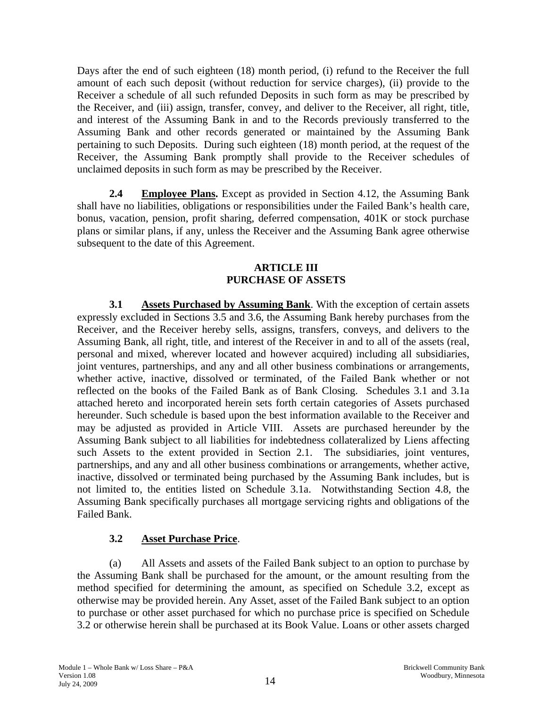Days after the end of such eighteen (18) month period, (i) refund to the Receiver the full amount of each such deposit (without reduction for service charges), (ii) provide to the Receiver a schedule of all such refunded Deposits in such form as may be prescribed by the Receiver, and (iii) assign, transfer, convey, and deliver to the Receiver, all right, title, and interest of the Assuming Bank in and to the Records previously transferred to the Assuming Bank and other records generated or maintained by the Assuming Bank pertaining to such Deposits. During such eighteen (18) month period, at the request of the Receiver, the Assuming Bank promptly shall provide to the Receiver schedules of unclaimed deposits in such form as may be prescribed by the Receiver.

**2.4 Employee Plans.** Except as provided in Section 4.12, the Assuming Bank shall have no liabilities, obligations or responsibilities under the Failed Bank's health care, bonus, vacation, pension, profit sharing, deferred compensation, 401K or stock purchase plans or similar plans, if any, unless the Receiver and the Assuming Bank agree otherwise subsequent to the date of this Agreement.

### **ARTICLE III PURCHASE OF ASSETS**

 not limited to, the entities listed on Schedule 3.1a. Notwithstanding Section 4.8, the  **3.1 Assets Purchased by Assuming Bank**. With the exception of certain assets expressly excluded in Sections 3.5 and 3.6, the Assuming Bank hereby purchases from the Receiver, and the Receiver hereby sells, assigns, transfers, conveys, and delivers to the Assuming Bank, all right, title, and interest of the Receiver in and to all of the assets (real, personal and mixed, wherever located and however acquired) including all subsidiaries, joint ventures, partnerships, and any and all other business combinations or arrangements, whether active, inactive, dissolved or terminated, of the Failed Bank whether or not reflected on the books of the Failed Bank as of Bank Closing. Schedules 3.1 and 3.1a attached hereto and incorporated herein sets forth certain categories of Assets purchased hereunder. Such schedule is based upon the best information available to the Receiver and may be adjusted as provided in Article VIII. Assets are purchased hereunder by the Assuming Bank subject to all liabilities for indebtedness collateralized by Liens affecting such Assets to the extent provided in Section 2.1. The subsidiaries, joint ventures, partnerships, and any and all other business combinations or arrangements, whether active, inactive, dissolved or terminated being purchased by the Assuming Bank includes, but is Assuming Bank specifically purchases all mortgage servicing rights and obligations of the Failed Bank.

## **3.2 Asset Purchase Price**.

(a) All Assets and assets of the Failed Bank subject to an option to purchase by the Assuming Bank shall be purchased for the amount, or the amount resulting from the method specified for determining the amount, as specified on Schedule 3.2, except as otherwise may be provided herein. Any Asset, asset of the Failed Bank subject to an option to purchase or other asset purchased for which no purchase price is specified on Schedule 3.2 or otherwise herein shall be purchased at its Book Value. Loans or other assets charged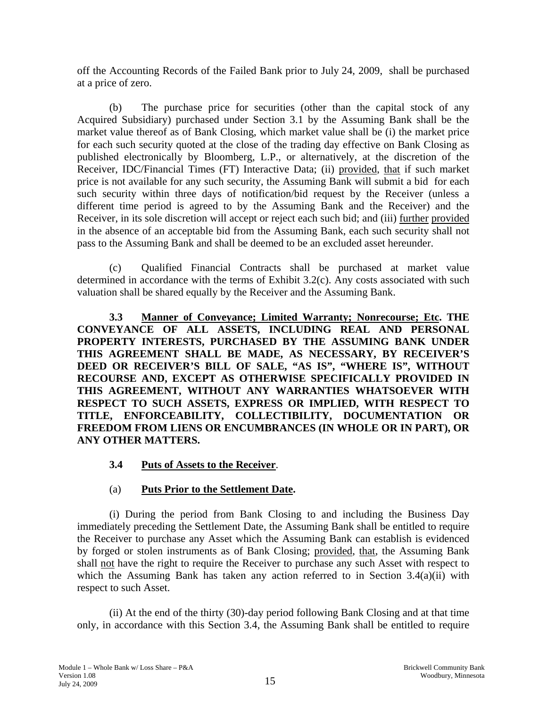off the Accounting Records of the Failed Bank prior to July 24, 2009, shall be purchased at a price of zero.

(b) The purchase price for securities (other than the capital stock of any Acquired Subsidiary) purchased under Section 3.1 by the Assuming Bank shall be the market value thereof as of Bank Closing, which market value shall be (i) the market price for each such security quoted at the close of the trading day effective on Bank Closing as published electronically by Bloomberg, L.P., or alternatively, at the discretion of the Receiver, IDC/Financial Times (FT) Interactive Data; (ii) provided, that if such market price is not available for any such security, the Assuming Bank will submit a bid for each such security within three days of notification/bid request by the Receiver (unless a different time period is agreed to by the Assuming Bank and the Receiver) and the Receiver, in its sole discretion will accept or reject each such bid; and (iii) further provided in the absence of an acceptable bid from the Assuming Bank, each such security shall not pass to the Assuming Bank and shall be deemed to be an excluded asset hereunder.

(c) Qualified Financial Contracts shall be purchased at market value determined in accordance with the terms of Exhibit 3.2(c). Any costs associated with such valuation shall be shared equally by the Receiver and the Assuming Bank.

**3.3 Manner of Conveyance; Limited Warranty; Nonrecourse; Etc. THE CONVEYANCE OF ALL ASSETS, INCLUDING REAL AND PERSONAL PROPERTY INTERESTS, PURCHASED BY THE ASSUMING BANK UNDER THIS AGREEMENT SHALL BE MADE, AS NECESSARY, BY RECEIVER'S DEED OR RECEIVER'S BILL OF SALE, "AS IS", "WHERE IS", WITHOUT RECOURSE AND, EXCEPT AS OTHERWISE SPECIFICALLY PROVIDED IN THIS AGREEMENT, WITHOUT ANY WARRANTIES WHATSOEVER WITH RESPECT TO SUCH ASSETS, EXPRESS OR IMPLIED, WITH RESPECT TO TITLE, ENFORCEABILITY, COLLECTIBILITY, DOCUMENTATION OR FREEDOM FROM LIENS OR ENCUMBRANCES (IN WHOLE OR IN PART), OR ANY OTHER MATTERS.** 

**3.4 Puts of Assets to the Receiver**.

## (a) **Puts Prior to the Settlement Date.**

(i) During the period from Bank Closing to and including the Business Day immediately preceding the Settlement Date, the Assuming Bank shall be entitled to require the Receiver to purchase any Asset which the Assuming Bank can establish is evidenced by forged or stolen instruments as of Bank Closing; provided, that, the Assuming Bank shall not have the right to require the Receiver to purchase any such Asset with respect to which the Assuming Bank has taken any action referred to in Section  $3.4(a)(ii)$  with respect to such Asset.

(ii) At the end of the thirty (30)-day period following Bank Closing and at that time only, in accordance with this Section 3.4, the Assuming Bank shall be entitled to require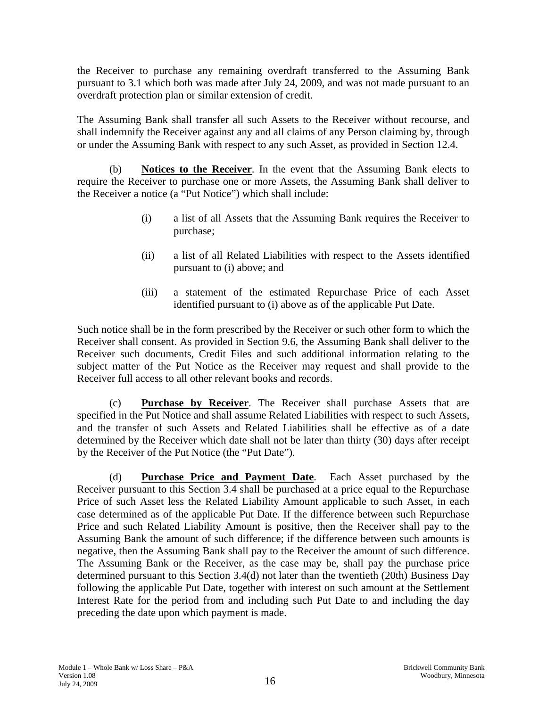the Receiver to purchase any remaining overdraft transferred to the Assuming Bank pursuant to 3.1 which both was made after July 24, 2009, and was not made pursuant to an overdraft protection plan or similar extension of credit.

The Assuming Bank shall transfer all such Assets to the Receiver without recourse, and shall indemnify the Receiver against any and all claims of any Person claiming by, through or under the Assuming Bank with respect to any such Asset, as provided in Section 12.4.

(b) **Notices to the Receiver**. In the event that the Assuming Bank elects to require the Receiver to purchase one or more Assets, the Assuming Bank shall deliver to the Receiver a notice (a "Put Notice") which shall include:

- (i) a list of all Assets that the Assuming Bank requires the Receiver to purchase;
- (ii) a list of all Related Liabilities with respect to the Assets identified pursuant to (i) above; and
- (iii) a statement of the estimated Repurchase Price of each Asset identified pursuant to (i) above as of the applicable Put Date.

Such notice shall be in the form prescribed by the Receiver or such other form to which the Receiver shall consent. As provided in Section 9.6, the Assuming Bank shall deliver to the Receiver such documents, Credit Files and such additional information relating to the subject matter of the Put Notice as the Receiver may request and shall provide to the Receiver full access to all other relevant books and records.

(c) **Purchase by Receiver**. The Receiver shall purchase Assets that are specified in the Put Notice and shall assume Related Liabilities with respect to such Assets, and the transfer of such Assets and Related Liabilities shall be effective as of a date determined by the Receiver which date shall not be later than thirty (30) days after receipt by the Receiver of the Put Notice (the "Put Date").

(d) **Purchase Price and Payment Date**. Each Asset purchased by the Receiver pursuant to this Section 3.4 shall be purchased at a price equal to the Repurchase Price of such Asset less the Related Liability Amount applicable to such Asset, in each case determined as of the applicable Put Date. If the difference between such Repurchase Price and such Related Liability Amount is positive, then the Receiver shall pay to the Assuming Bank the amount of such difference; if the difference between such amounts is negative, then the Assuming Bank shall pay to the Receiver the amount of such difference. The Assuming Bank or the Receiver, as the case may be, shall pay the purchase price determined pursuant to this Section 3.4(d) not later than the twentieth (20th) Business Day following the applicable Put Date, together with interest on such amount at the Settlement Interest Rate for the period from and including such Put Date to and including the day preceding the date upon which payment is made.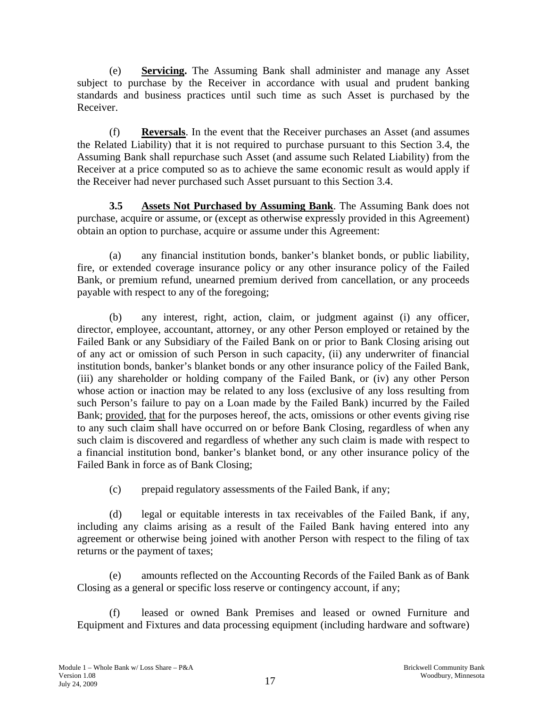(e) **Servicing.** The Assuming Bank shall administer and manage any Asset subject to purchase by the Receiver in accordance with usual and prudent banking standards and business practices until such time as such Asset is purchased by the Receiver.

(f) **Reversals**. In the event that the Receiver purchases an Asset (and assumes the Related Liability) that it is not required to purchase pursuant to this Section 3.4, the Assuming Bank shall repurchase such Asset (and assume such Related Liability) from the Receiver at a price computed so as to achieve the same economic result as would apply if the Receiver had never purchased such Asset pursuant to this Section 3.4.

 **3.5 Assets Not Purchased by Assuming Bank**. The Assuming Bank does not purchase, acquire or assume, or (except as otherwise expressly provided in this Agreement) obtain an option to purchase, acquire or assume under this Agreement:

(a) any financial institution bonds, banker's blanket bonds, or public liability, fire, or extended coverage insurance policy or any other insurance policy of the Failed Bank, or premium refund, unearned premium derived from cancellation, or any proceeds payable with respect to any of the foregoing;

(b) any interest, right, action, claim, or judgment against (i) any officer, director, employee, accountant, attorney, or any other Person employed or retained by the Failed Bank or any Subsidiary of the Failed Bank on or prior to Bank Closing arising out of any act or omission of such Person in such capacity, (ii) any underwriter of financial institution bonds, banker's blanket bonds or any other insurance policy of the Failed Bank, (iii) any shareholder or holding company of the Failed Bank, or (iv) any other Person whose action or inaction may be related to any loss (exclusive of any loss resulting from such Person's failure to pay on a Loan made by the Failed Bank) incurred by the Failed Bank; provided, that for the purposes hereof, the acts, omissions or other events giving rise to any such claim shall have occurred on or before Bank Closing, regardless of when any such claim is discovered and regardless of whether any such claim is made with respect to a financial institution bond, banker's blanket bond, or any other insurance policy of the Failed Bank in force as of Bank Closing;

(c) prepaid regulatory assessments of the Failed Bank, if any;

(d) legal or equitable interests in tax receivables of the Failed Bank, if any, including any claims arising as a result of the Failed Bank having entered into any agreement or otherwise being joined with another Person with respect to the filing of tax returns or the payment of taxes;

(e) amounts reflected on the Accounting Records of the Failed Bank as of Bank Closing as a general or specific loss reserve or contingency account, if any;

(f) leased or owned Bank Premises and leased or owned Furniture and Equipment and Fixtures and data processing equipment (including hardware and software)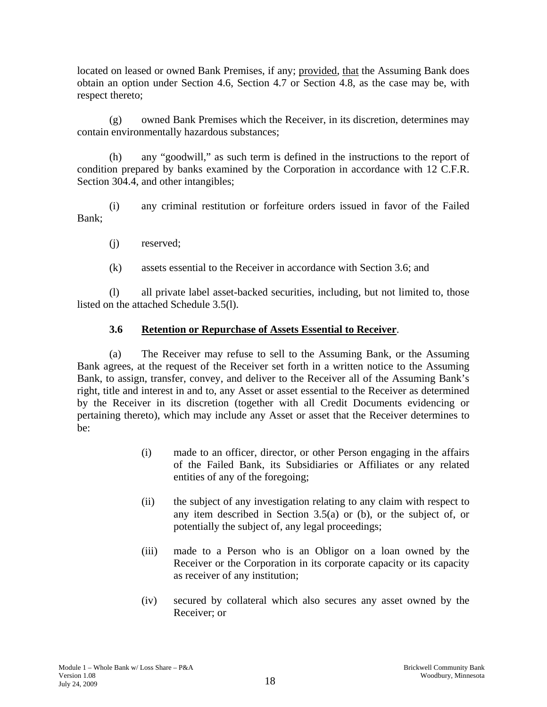located on leased or owned Bank Premises, if any; provided, that the Assuming Bank does obtain an option under Section 4.6, Section 4.7 or Section 4.8, as the case may be, with respect thereto;

(g) owned Bank Premises which the Receiver, in its discretion, determines may contain environmentally hazardous substances;

(h) any "goodwill," as such term is defined in the instructions to the report of condition prepared by banks examined by the Corporation in accordance with 12 C.F.R. Section 304.4, and other intangibles;

Bank; (i) any criminal restitution or forfeiture orders issued in favor of the Failed

- (j) reserved;
- (k) assets essential to the Receiver in accordance with Section 3.6; and

(l) all private label asset-backed securities, including, but not limited to, those listed on the attached Schedule 3.5(l).

### **3.6 Retention or Repurchase of Assets Essential to Receiver**.

(a) The Receiver may refuse to sell to the Assuming Bank, or the Assuming Bank agrees, at the request of the Receiver set forth in a written notice to the Assuming Bank, to assign, transfer, convey, and deliver to the Receiver all of the Assuming Bank's right, title and interest in and to, any Asset or asset essential to the Receiver as determined by the Receiver in its discretion (together with all Credit Documents evidencing or pertaining thereto), which may include any Asset or asset that the Receiver determines to be:

- (i) made to an officer, director, or other Person engaging in the affairs of the Failed Bank, its Subsidiaries or Affiliates or any related entities of any of the foregoing;
- (ii) the subject of any investigation relating to any claim with respect to any item described in Section 3.5(a) or (b), or the subject of, or potentially the subject of, any legal proceedings;
- (iii) made to a Person who is an Obligor on a loan owned by the Receiver or the Corporation in its corporate capacity or its capacity as receiver of any institution;
- (iv) secured by collateral which also secures any asset owned by the Receiver; or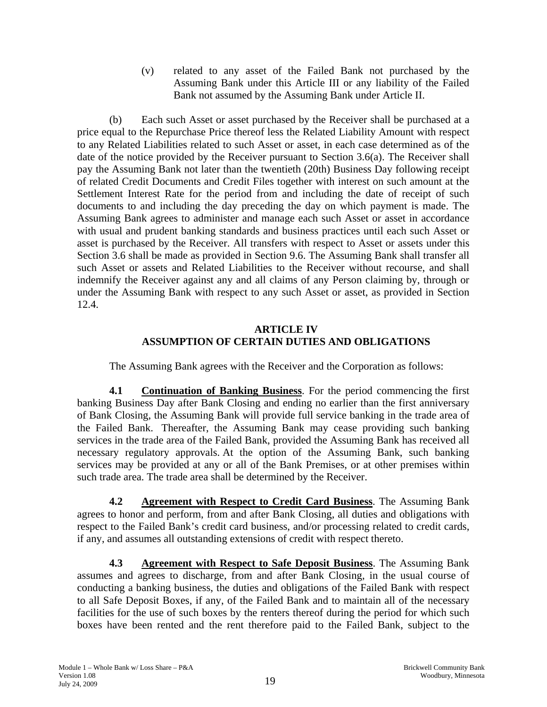(v) related to any asset of the Failed Bank not purchased by the Assuming Bank under this Article III or any liability of the Failed Bank not assumed by the Assuming Bank under Article II.

(b) Each such Asset or asset purchased by the Receiver shall be purchased at a price equal to the Repurchase Price thereof less the Related Liability Amount with respect to any Related Liabilities related to such Asset or asset, in each case determined as of the date of the notice provided by the Receiver pursuant to Section 3.6(a). The Receiver shall pay the Assuming Bank not later than the twentieth (20th) Business Day following receipt of related Credit Documents and Credit Files together with interest on such amount at the Settlement Interest Rate for the period from and including the date of receipt of such documents to and including the day preceding the day on which payment is made. The Assuming Bank agrees to administer and manage each such Asset or asset in accordance with usual and prudent banking standards and business practices until each such Asset or asset is purchased by the Receiver. All transfers with respect to Asset or assets under this Section 3.6 shall be made as provided in Section 9.6. The Assuming Bank shall transfer all such Asset or assets and Related Liabilities to the Receiver without recourse, and shall indemnify the Receiver against any and all claims of any Person claiming by, through or under the Assuming Bank with respect to any such Asset or asset, as provided in Section 12.4.

### **ARTICLE IV ASSUMPTION OF CERTAIN DUTIES AND OBLIGATIONS**

The Assuming Bank agrees with the Receiver and the Corporation as follows:

**4.1 Continuation of Banking Business.** For the period commencing the first banking Business Day after Bank Closing and ending no earlier than the first anniversary of Bank Closing, the Assuming Bank will provide full service banking in the trade area of the Failed Bank. Thereafter, the Assuming Bank may cease providing such banking services in the trade area of the Failed Bank, provided the Assuming Bank has received all necessary regulatory approvals. At the option of the Assuming Bank, such banking services may be provided at any or all of the Bank Premises, or at other premises within such trade area. The trade area shall be determined by the Receiver.

**4.2 Agreement with Respect to Credit Card Business**. The Assuming Bank agrees to honor and perform, from and after Bank Closing, all duties and obligations with respect to the Failed Bank's credit card business, and/or processing related to credit cards, if any, and assumes all outstanding extensions of credit with respect thereto.

**4.3 Agreement with Respect to Safe Deposit Business**. The Assuming Bank assumes and agrees to discharge, from and after Bank Closing, in the usual course of conducting a banking business, the duties and obligations of the Failed Bank with respect to all Safe Deposit Boxes, if any, of the Failed Bank and to maintain all of the necessary facilities for the use of such boxes by the renters thereof during the period for which such boxes have been rented and the rent therefore paid to the Failed Bank, subject to the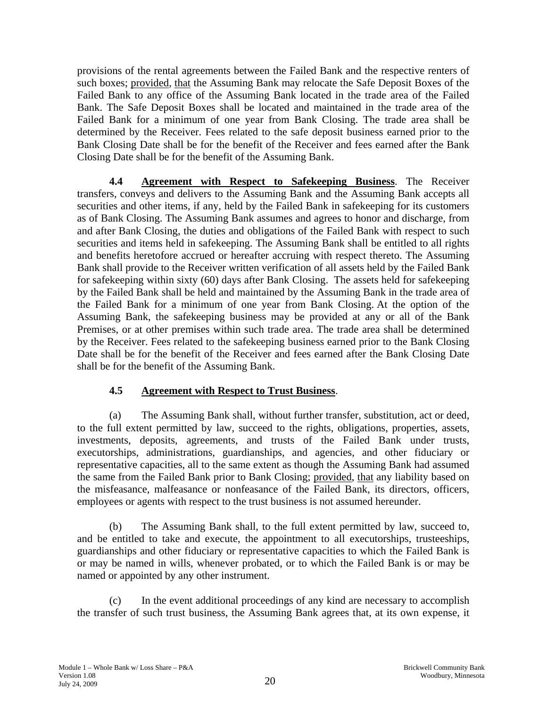provisions of the rental agreements between the Failed Bank and the respective renters of such boxes; provided, that the Assuming Bank may relocate the Safe Deposit Boxes of the Failed Bank to any office of the Assuming Bank located in the trade area of the Failed Bank. The Safe Deposit Boxes shall be located and maintained in the trade area of the Failed Bank for a minimum of one year from Bank Closing. The trade area shall be determined by the Receiver. Fees related to the safe deposit business earned prior to the Bank Closing Date shall be for the benefit of the Receiver and fees earned after the Bank Closing Date shall be for the benefit of the Assuming Bank.

**4.4 Agreement with Respect to Safekeeping Business**. The Receiver transfers, conveys and delivers to the Assuming Bank and the Assuming Bank accepts all securities and other items, if any, held by the Failed Bank in safekeeping for its customers as of Bank Closing. The Assuming Bank assumes and agrees to honor and discharge, from and after Bank Closing, the duties and obligations of the Failed Bank with respect to such securities and items held in safekeeping. The Assuming Bank shall be entitled to all rights and benefits heretofore accrued or hereafter accruing with respect thereto. The Assuming Bank shall provide to the Receiver written verification of all assets held by the Failed Bank for safekeeping within sixty (60) days after Bank Closing. The assets held for safekeeping by the Failed Bank shall be held and maintained by the Assuming Bank in the trade area of the Failed Bank for a minimum of one year from Bank Closing. At the option of the Assuming Bank, the safekeeping business may be provided at any or all of the Bank Premises, or at other premises within such trade area. The trade area shall be determined by the Receiver. Fees related to the safekeeping business earned prior to the Bank Closing Date shall be for the benefit of the Receiver and fees earned after the Bank Closing Date shall be for the benefit of the Assuming Bank.

## **4.5 Agreement with Respect to Trust Business**.

(a) The Assuming Bank shall, without further transfer, substitution, act or deed, to the full extent permitted by law, succeed to the rights, obligations, properties, assets, investments, deposits, agreements, and trusts of the Failed Bank under trusts, executorships, administrations, guardianships, and agencies, and other fiduciary or representative capacities, all to the same extent as though the Assuming Bank had assumed the same from the Failed Bank prior to Bank Closing; provided, that any liability based on the misfeasance, malfeasance or nonfeasance of the Failed Bank, its directors, officers, employees or agents with respect to the trust business is not assumed hereunder.

(b) The Assuming Bank shall, to the full extent permitted by law, succeed to, and be entitled to take and execute, the appointment to all executorships, trusteeships, guardianships and other fiduciary or representative capacities to which the Failed Bank is or may be named in wills, whenever probated, or to which the Failed Bank is or may be named or appointed by any other instrument.

(c) In the event additional proceedings of any kind are necessary to accomplish the transfer of such trust business, the Assuming Bank agrees that, at its own expense, it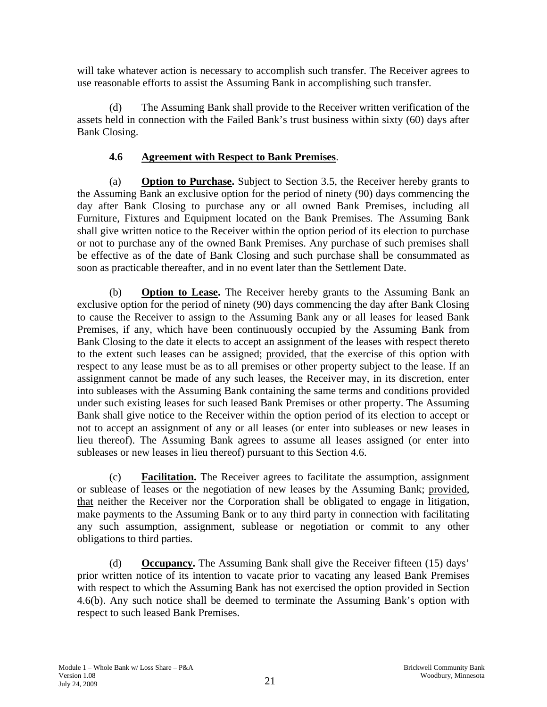will take whatever action is necessary to accomplish such transfer. The Receiver agrees to use reasonable efforts to assist the Assuming Bank in accomplishing such transfer.

(d) The Assuming Bank shall provide to the Receiver written verification of the assets held in connection with the Failed Bank's trust business within sixty (60) days after Bank Closing.

## **4.6 Agreement with Respect to Bank Premises**.

(a) **Option to Purchase.** Subject to Section 3.5, the Receiver hereby grants to the Assuming Bank an exclusive option for the period of ninety (90) days commencing the day after Bank Closing to purchase any or all owned Bank Premises, including all Furniture, Fixtures and Equipment located on the Bank Premises. The Assuming Bank shall give written notice to the Receiver within the option period of its election to purchase or not to purchase any of the owned Bank Premises. Any purchase of such premises shall be effective as of the date of Bank Closing and such purchase shall be consummated as soon as practicable thereafter, and in no event later than the Settlement Date.

(b) **Option to Lease.** The Receiver hereby grants to the Assuming Bank an exclusive option for the period of ninety (90) days commencing the day after Bank Closing to cause the Receiver to assign to the Assuming Bank any or all leases for leased Bank Premises, if any, which have been continuously occupied by the Assuming Bank from Bank Closing to the date it elects to accept an assignment of the leases with respect thereto to the extent such leases can be assigned; provided, that the exercise of this option with respect to any lease must be as to all premises or other property subject to the lease. If an assignment cannot be made of any such leases, the Receiver may, in its discretion, enter into subleases with the Assuming Bank containing the same terms and conditions provided under such existing leases for such leased Bank Premises or other property. The Assuming Bank shall give notice to the Receiver within the option period of its election to accept or not to accept an assignment of any or all leases (or enter into subleases or new leases in lieu thereof). The Assuming Bank agrees to assume all leases assigned (or enter into subleases or new leases in lieu thereof) pursuant to this Section 4.6.

(c) **Facilitation.** The Receiver agrees to facilitate the assumption, assignment or sublease of leases or the negotiation of new leases by the Assuming Bank; provided, that neither the Receiver nor the Corporation shall be obligated to engage in litigation, make payments to the Assuming Bank or to any third party in connection with facilitating any such assumption, assignment, sublease or negotiation or commit to any other obligations to third parties.

(d) **Occupancy.** The Assuming Bank shall give the Receiver fifteen (15) days' prior written notice of its intention to vacate prior to vacating any leased Bank Premises with respect to which the Assuming Bank has not exercised the option provided in Section 4.6(b). Any such notice shall be deemed to terminate the Assuming Bank's option with respect to such leased Bank Premises.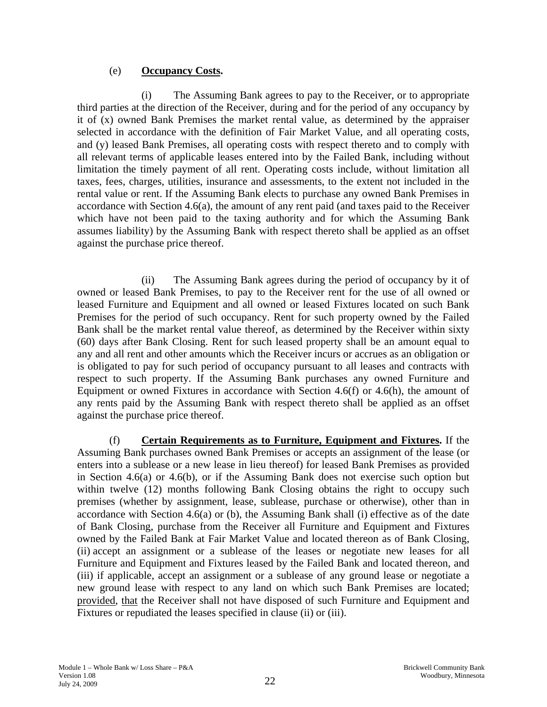### (e) **Occupancy Costs.**

(i) The Assuming Bank agrees to pay to the Receiver, or to appropriate third parties at the direction of the Receiver, during and for the period of any occupancy by it of (x) owned Bank Premises the market rental value, as determined by the appraiser selected in accordance with the definition of Fair Market Value, and all operating costs, and (y) leased Bank Premises, all operating costs with respect thereto and to comply with all relevant terms of applicable leases entered into by the Failed Bank, including without limitation the timely payment of all rent. Operating costs include, without limitation all taxes, fees, charges, utilities, insurance and assessments, to the extent not included in the rental value or rent. If the Assuming Bank elects to purchase any owned Bank Premises in accordance with Section 4.6(a), the amount of any rent paid (and taxes paid to the Receiver which have not been paid to the taxing authority and for which the Assuming Bank assumes liability) by the Assuming Bank with respect thereto shall be applied as an offset against the purchase price thereof.

(ii) The Assuming Bank agrees during the period of occupancy by it of owned or leased Bank Premises, to pay to the Receiver rent for the use of all owned or leased Furniture and Equipment and all owned or leased Fixtures located on such Bank Premises for the period of such occupancy. Rent for such property owned by the Failed Bank shall be the market rental value thereof, as determined by the Receiver within sixty (60) days after Bank Closing. Rent for such leased property shall be an amount equal to any and all rent and other amounts which the Receiver incurs or accrues as an obligation or is obligated to pay for such period of occupancy pursuant to all leases and contracts with respect to such property. If the Assuming Bank purchases any owned Furniture and Equipment or owned Fixtures in accordance with Section 4.6(f) or 4.6(h), the amount of any rents paid by the Assuming Bank with respect thereto shall be applied as an offset against the purchase price thereof.

(f) **Certain Requirements as to Furniture, Equipment and Fixtures.** If the Assuming Bank purchases owned Bank Premises or accepts an assignment of the lease (or enters into a sublease or a new lease in lieu thereof) for leased Bank Premises as provided in Section 4.6(a) or 4.6(b), or if the Assuming Bank does not exercise such option but within twelve (12) months following Bank Closing obtains the right to occupy such premises (whether by assignment, lease, sublease, purchase or otherwise), other than in accordance with Section 4.6(a) or (b), the Assuming Bank shall (i) effective as of the date of Bank Closing, purchase from the Receiver all Furniture and Equipment and Fixtures owned by the Failed Bank at Fair Market Value and located thereon as of Bank Closing, (ii) accept an assignment or a sublease of the leases or negotiate new leases for all Furniture and Equipment and Fixtures leased by the Failed Bank and located thereon, and (iii) if applicable, accept an assignment or a sublease of any ground lease or negotiate a new ground lease with respect to any land on which such Bank Premises are located; provided, that the Receiver shall not have disposed of such Furniture and Equipment and Fixtures or repudiated the leases specified in clause (ii) or (iii).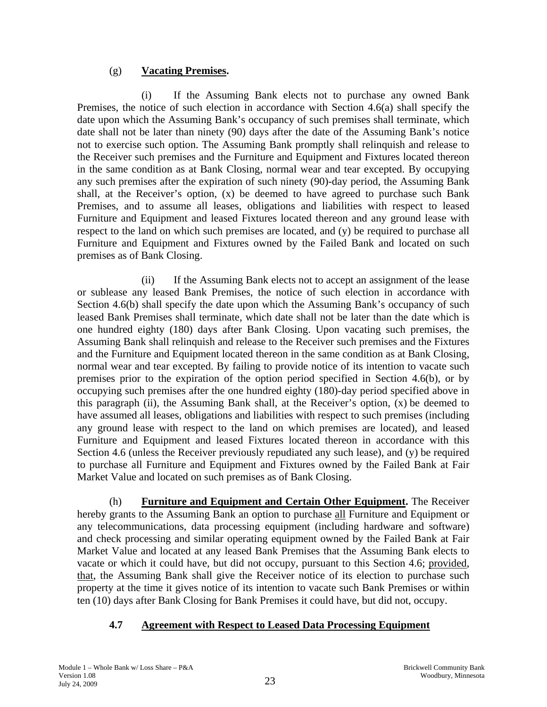#### (g) **Vacating Premises.**

(i) If the Assuming Bank elects not to purchase any owned Bank Premises, the notice of such election in accordance with Section 4.6(a) shall specify the date upon which the Assuming Bank's occupancy of such premises shall terminate, which date shall not be later than ninety (90) days after the date of the Assuming Bank's notice not to exercise such option. The Assuming Bank promptly shall relinquish and release to the Receiver such premises and the Furniture and Equipment and Fixtures located thereon in the same condition as at Bank Closing, normal wear and tear excepted. By occupying any such premises after the expiration of such ninety (90)-day period, the Assuming Bank shall, at the Receiver's option, (x) be deemed to have agreed to purchase such Bank Premises, and to assume all leases, obligations and liabilities with respect to leased Furniture and Equipment and leased Fixtures located thereon and any ground lease with respect to the land on which such premises are located, and (y) be required to purchase all Furniture and Equipment and Fixtures owned by the Failed Bank and located on such premises as of Bank Closing.

(ii) If the Assuming Bank elects not to accept an assignment of the lease or sublease any leased Bank Premises, the notice of such election in accordance with Section 4.6(b) shall specify the date upon which the Assuming Bank's occupancy of such leased Bank Premises shall terminate, which date shall not be later than the date which is one hundred eighty (180) days after Bank Closing. Upon vacating such premises, the Assuming Bank shall relinquish and release to the Receiver such premises and the Fixtures and the Furniture and Equipment located thereon in the same condition as at Bank Closing, normal wear and tear excepted. By failing to provide notice of its intention to vacate such premises prior to the expiration of the option period specified in Section 4.6(b), or by occupying such premises after the one hundred eighty (180)-day period specified above in this paragraph (ii), the Assuming Bank shall, at the Receiver's option, (x) be deemed to have assumed all leases, obligations and liabilities with respect to such premises (including any ground lease with respect to the land on which premises are located), and leased Furniture and Equipment and leased Fixtures located thereon in accordance with this Section 4.6 (unless the Receiver previously repudiated any such lease), and (y) be required to purchase all Furniture and Equipment and Fixtures owned by the Failed Bank at Fair Market Value and located on such premises as of Bank Closing.

(h) **Furniture and Equipment and Certain Other Equipment.** The Receiver hereby grants to the Assuming Bank an option to purchase all Furniture and Equipment or any telecommunications, data processing equipment (including hardware and software) and check processing and similar operating equipment owned by the Failed Bank at Fair Market Value and located at any leased Bank Premises that the Assuming Bank elects to vacate or which it could have, but did not occupy, pursuant to this Section 4.6; provided, that, the Assuming Bank shall give the Receiver notice of its election to purchase such property at the time it gives notice of its intention to vacate such Bank Premises or within ten (10) days after Bank Closing for Bank Premises it could have, but did not, occupy.

### **4.7 Agreement with Respect to Leased Data Processing Equipment**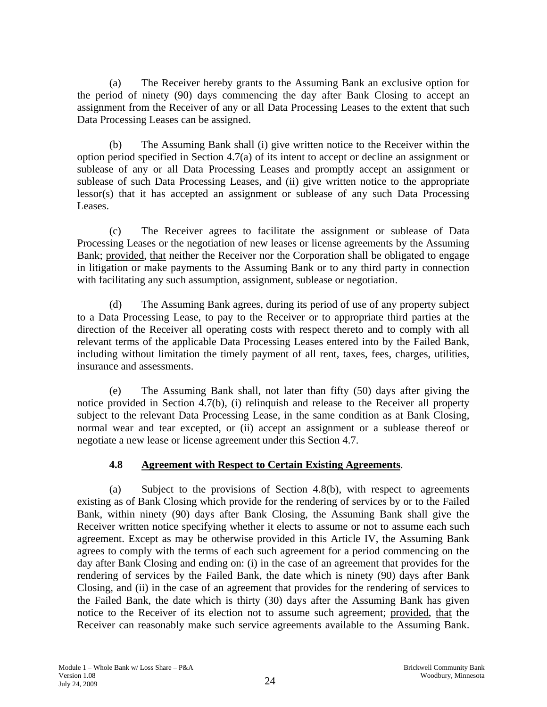(a) The Receiver hereby grants to the Assuming Bank an exclusive option for the period of ninety (90) days commencing the day after Bank Closing to accept an assignment from the Receiver of any or all Data Processing Leases to the extent that such Data Processing Leases can be assigned.

(b) The Assuming Bank shall (i) give written notice to the Receiver within the option period specified in Section 4.7(a) of its intent to accept or decline an assignment or sublease of any or all Data Processing Leases and promptly accept an assignment or sublease of such Data Processing Leases, and (ii) give written notice to the appropriate lessor(s) that it has accepted an assignment or sublease of any such Data Processing Leases.

(c) The Receiver agrees to facilitate the assignment or sublease of Data Processing Leases or the negotiation of new leases or license agreements by the Assuming Bank; provided, that neither the Receiver nor the Corporation shall be obligated to engage in litigation or make payments to the Assuming Bank or to any third party in connection with facilitating any such assumption, assignment, sublease or negotiation.

(d) The Assuming Bank agrees, during its period of use of any property subject to a Data Processing Lease, to pay to the Receiver or to appropriate third parties at the direction of the Receiver all operating costs with respect thereto and to comply with all relevant terms of the applicable Data Processing Leases entered into by the Failed Bank, including without limitation the timely payment of all rent, taxes, fees, charges, utilities, insurance and assessments.

(e) The Assuming Bank shall, not later than fifty (50) days after giving the notice provided in Section 4.7(b), (i) relinquish and release to the Receiver all property subject to the relevant Data Processing Lease, in the same condition as at Bank Closing, normal wear and tear excepted, or (ii) accept an assignment or a sublease thereof or negotiate a new lease or license agreement under this Section 4.7.

## **4.8 Agreement with Respect to Certain Existing Agreements**.

(a) Subject to the provisions of Section 4.8(b), with respect to agreements existing as of Bank Closing which provide for the rendering of services by or to the Failed Bank, within ninety (90) days after Bank Closing, the Assuming Bank shall give the Receiver written notice specifying whether it elects to assume or not to assume each such agreement. Except as may be otherwise provided in this Article IV, the Assuming Bank agrees to comply with the terms of each such agreement for a period commencing on the day after Bank Closing and ending on: (i) in the case of an agreement that provides for the rendering of services by the Failed Bank, the date which is ninety (90) days after Bank Closing, and (ii) in the case of an agreement that provides for the rendering of services to the Failed Bank, the date which is thirty (30) days after the Assuming Bank has given notice to the Receiver of its election not to assume such agreement; provided, that the Receiver can reasonably make such service agreements available to the Assuming Bank.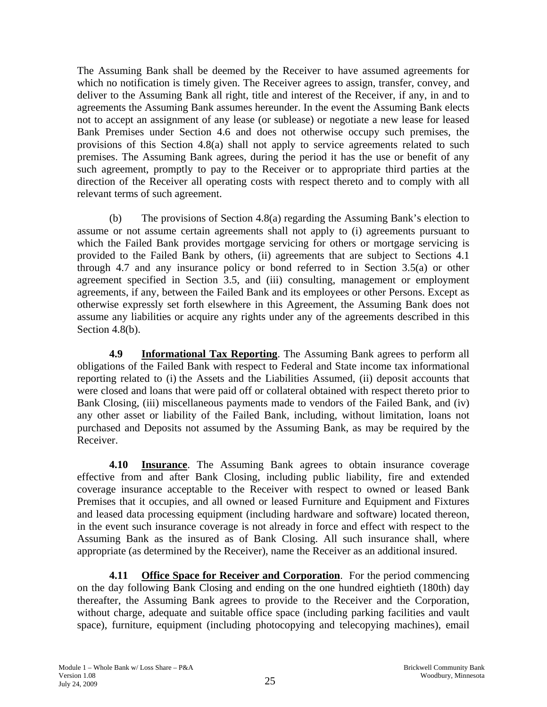The Assuming Bank shall be deemed by the Receiver to have assumed agreements for which no notification is timely given. The Receiver agrees to assign, transfer, convey, and deliver to the Assuming Bank all right, title and interest of the Receiver, if any, in and to agreements the Assuming Bank assumes hereunder. In the event the Assuming Bank elects not to accept an assignment of any lease (or sublease) or negotiate a new lease for leased Bank Premises under Section 4.6 and does not otherwise occupy such premises, the provisions of this Section 4.8(a) shall not apply to service agreements related to such premises. The Assuming Bank agrees, during the period it has the use or benefit of any such agreement, promptly to pay to the Receiver or to appropriate third parties at the direction of the Receiver all operating costs with respect thereto and to comply with all relevant terms of such agreement.

(b) The provisions of Section 4.8(a) regarding the Assuming Bank's election to assume or not assume certain agreements shall not apply to (i) agreements pursuant to which the Failed Bank provides mortgage servicing for others or mortgage servicing is provided to the Failed Bank by others, (ii) agreements that are subject to Sections 4.1 through 4.7 and any insurance policy or bond referred to in Section 3.5(a) or other agreement specified in Section 3.5, and (iii) consulting, management or employment agreements, if any, between the Failed Bank and its employees or other Persons. Except as otherwise expressly set forth elsewhere in this Agreement, the Assuming Bank does not assume any liabilities or acquire any rights under any of the agreements described in this Section 4.8(b).

**4.9 Informational Tax Reporting**. The Assuming Bank agrees to perform all obligations of the Failed Bank with respect to Federal and State income tax informational reporting related to (i) the Assets and the Liabilities Assumed, (ii) deposit accounts that were closed and loans that were paid off or collateral obtained with respect thereto prior to Bank Closing, (iii) miscellaneous payments made to vendors of the Failed Bank, and (iv) any other asset or liability of the Failed Bank, including, without limitation, loans not purchased and Deposits not assumed by the Assuming Bank, as may be required by the Receiver.

**4.10 Insurance**. The Assuming Bank agrees to obtain insurance coverage effective from and after Bank Closing, including public liability, fire and extended coverage insurance acceptable to the Receiver with respect to owned or leased Bank Premises that it occupies, and all owned or leased Furniture and Equipment and Fixtures and leased data processing equipment (including hardware and software) located thereon, in the event such insurance coverage is not already in force and effect with respect to the Assuming Bank as the insured as of Bank Closing. All such insurance shall, where appropriate (as determined by the Receiver), name the Receiver as an additional insured.

**4.11** Office Space for Receiver and Corporation. For the period commencing on the day following Bank Closing and ending on the one hundred eightieth (180th) day thereafter, the Assuming Bank agrees to provide to the Receiver and the Corporation, without charge, adequate and suitable office space (including parking facilities and vault space), furniture, equipment (including photocopying and telecopying machines), email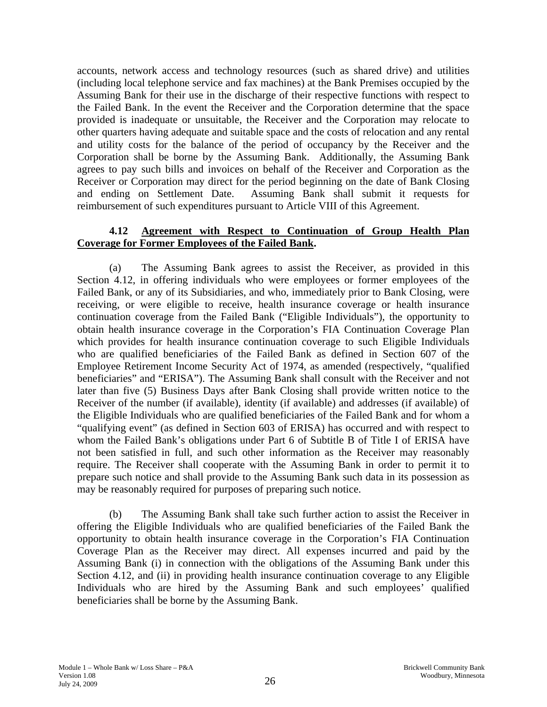accounts, network access and technology resources (such as shared drive) and utilities (including local telephone service and fax machines) at the Bank Premises occupied by the Assuming Bank for their use in the discharge of their respective functions with respect to the Failed Bank. In the event the Receiver and the Corporation determine that the space provided is inadequate or unsuitable, the Receiver and the Corporation may relocate to other quarters having adequate and suitable space and the costs of relocation and any rental and utility costs for the balance of the period of occupancy by the Receiver and the Corporation shall be borne by the Assuming Bank. Additionally, the Assuming Bank agrees to pay such bills and invoices on behalf of the Receiver and Corporation as the Receiver or Corporation may direct for the period beginning on the date of Bank Closing and ending on Settlement Date. Assuming Bank shall submit it requests for reimbursement of such expenditures pursuant to Article VIII of this Agreement.

#### **4.12 Agreement with Respect to Continuation of Group Health Plan Coverage for Former Employees of the Failed Bank.**

(a) The Assuming Bank agrees to assist the Receiver, as provided in this Section 4.12, in offering individuals who were employees or former employees of the Failed Bank, or any of its Subsidiaries, and who, immediately prior to Bank Closing, were receiving, or were eligible to receive, health insurance coverage or health insurance continuation coverage from the Failed Bank ("Eligible Individuals"), the opportunity to obtain health insurance coverage in the Corporation's FIA Continuation Coverage Plan which provides for health insurance continuation coverage to such Eligible Individuals who are qualified beneficiaries of the Failed Bank as defined in Section 607 of the Employee Retirement Income Security Act of 1974, as amended (respectively, "qualified beneficiaries" and "ERISA"). The Assuming Bank shall consult with the Receiver and not later than five (5) Business Days after Bank Closing shall provide written notice to the Receiver of the number (if available), identity (if available) and addresses (if available) of the Eligible Individuals who are qualified beneficiaries of the Failed Bank and for whom a "qualifying event" (as defined in Section 603 of ERISA) has occurred and with respect to whom the Failed Bank's obligations under Part 6 of Subtitle B of Title I of ERISA have not been satisfied in full, and such other information as the Receiver may reasonably require. The Receiver shall cooperate with the Assuming Bank in order to permit it to prepare such notice and shall provide to the Assuming Bank such data in its possession as may be reasonably required for purposes of preparing such notice.

(b) The Assuming Bank shall take such further action to assist the Receiver in offering the Eligible Individuals who are qualified beneficiaries of the Failed Bank the opportunity to obtain health insurance coverage in the Corporation's FIA Continuation Coverage Plan as the Receiver may direct. All expenses incurred and paid by the Assuming Bank (i) in connection with the obligations of the Assuming Bank under this Section 4.12, and (ii) in providing health insurance continuation coverage to any Eligible Individuals who are hired by the Assuming Bank and such employees' qualified beneficiaries shall be borne by the Assuming Bank.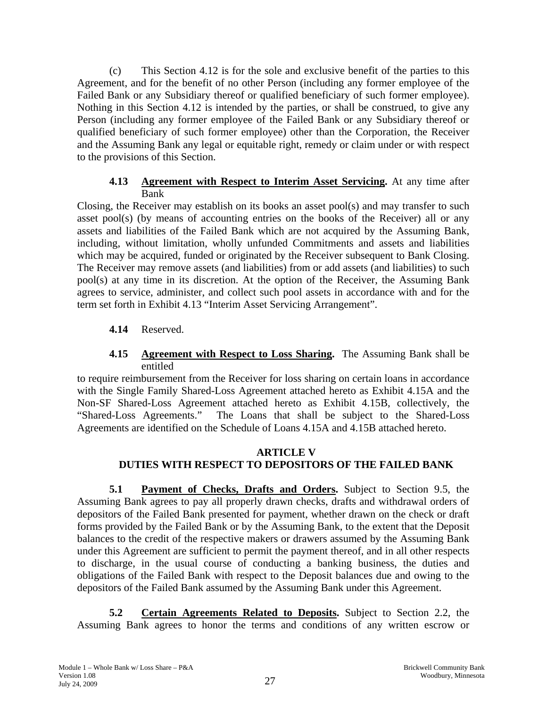(c) This Section 4.12 is for the sole and exclusive benefit of the parties to this Agreement, and for the benefit of no other Person (including any former employee of the Failed Bank or any Subsidiary thereof or qualified beneficiary of such former employee). Nothing in this Section 4.12 is intended by the parties, or shall be construed, to give any Person (including any former employee of the Failed Bank or any Subsidiary thereof or qualified beneficiary of such former employee) other than the Corporation, the Receiver and the Assuming Bank any legal or equitable right, remedy or claim under or with respect to the provisions of this Section.

### **4.13 Agreement with Respect to Interim Asset Servicing.** At any time after Bank

Closing, the Receiver may establish on its books an asset pool(s) and may transfer to such asset pool(s) (by means of accounting entries on the books of the Receiver) all or any assets and liabilities of the Failed Bank which are not acquired by the Assuming Bank, including, without limitation, wholly unfunded Commitments and assets and liabilities which may be acquired, funded or originated by the Receiver subsequent to Bank Closing. The Receiver may remove assets (and liabilities) from or add assets (and liabilities) to such pool(s) at any time in its discretion. At the option of the Receiver, the Assuming Bank agrees to service, administer, and collect such pool assets in accordance with and for the term set forth in Exhibit 4.13 "Interim Asset Servicing Arrangement".

# **4.14** Reserved.

### **4.15 Agreement with Respect to Loss Sharing.** The Assuming Bank shall be entitled

to require reimbursement from the Receiver for loss sharing on certain loans in accordance with the Single Family Shared-Loss Agreement attached hereto as Exhibit 4.15A and the Non-SF Shared-Loss Agreement attached hereto as Exhibit 4.15B, collectively, the "Shared-Loss Agreements." The Loans that shall be subject to the Shared-Loss Agreements are identified on the Schedule of Loans 4.15A and 4.15B attached hereto.

## **ARTICLE V DUTIES WITH RESPECT TO DEPOSITORS OF THE FAILED BANK**

**5.1 Payment of Checks, Drafts and Orders.** Subject to Section 9.5, the Assuming Bank agrees to pay all properly drawn checks, drafts and withdrawal orders of depositors of the Failed Bank presented for payment, whether drawn on the check or draft forms provided by the Failed Bank or by the Assuming Bank, to the extent that the Deposit balances to the credit of the respective makers or drawers assumed by the Assuming Bank under this Agreement are sufficient to permit the payment thereof, and in all other respects to discharge, in the usual course of conducting a banking business, the duties and obligations of the Failed Bank with respect to the Deposit balances due and owing to the depositors of the Failed Bank assumed by the Assuming Bank under this Agreement.

**5.2 Certain Agreements Related to Deposits.** Subject to Section 2.2, the Assuming Bank agrees to honor the terms and conditions of any written escrow or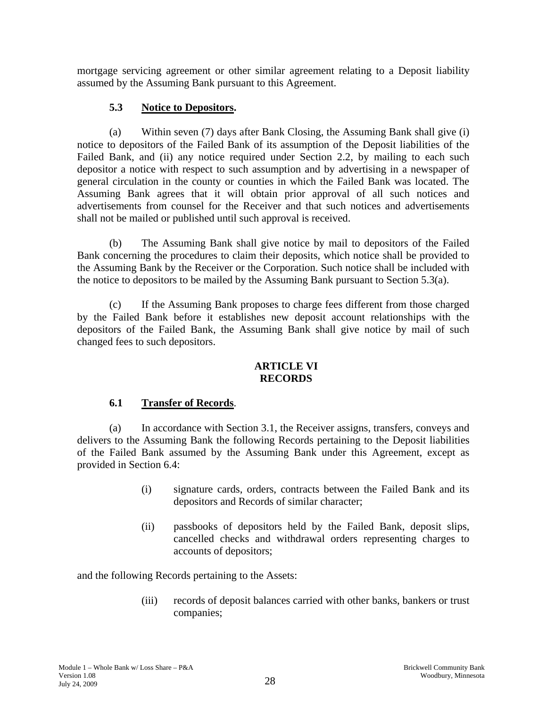mortgage servicing agreement or other similar agreement relating to a Deposit liability assumed by the Assuming Bank pursuant to this Agreement.

## **5.3 Notice to Depositors.**

(a) Within seven (7) days after Bank Closing, the Assuming Bank shall give (i) notice to depositors of the Failed Bank of its assumption of the Deposit liabilities of the Failed Bank, and (ii) any notice required under Section 2.2, by mailing to each such depositor a notice with respect to such assumption and by advertising in a newspaper of general circulation in the county or counties in which the Failed Bank was located. The Assuming Bank agrees that it will obtain prior approval of all such notices and advertisements from counsel for the Receiver and that such notices and advertisements shall not be mailed or published until such approval is received.

(b) The Assuming Bank shall give notice by mail to depositors of the Failed Bank concerning the procedures to claim their deposits, which notice shall be provided to the Assuming Bank by the Receiver or the Corporation. Such notice shall be included with the notice to depositors to be mailed by the Assuming Bank pursuant to Section 5.3(a).

(c) If the Assuming Bank proposes to charge fees different from those charged by the Failed Bank before it establishes new deposit account relationships with the depositors of the Failed Bank, the Assuming Bank shall give notice by mail of such changed fees to such depositors.

#### **ARTICLE VI RECORDS**

### **6.1 Transfer of Records**.

(a) In accordance with Section 3.1, the Receiver assigns, transfers, conveys and delivers to the Assuming Bank the following Records pertaining to the Deposit liabilities of the Failed Bank assumed by the Assuming Bank under this Agreement, except as provided in Section 6.4:

- (i) signature cards, orders, contracts between the Failed Bank and its depositors and Records of similar character;
- (ii) passbooks of depositors held by the Failed Bank, deposit slips, cancelled checks and withdrawal orders representing charges to accounts of depositors;

and the following Records pertaining to the Assets:

(iii) records of deposit balances carried with other banks, bankers or trust companies;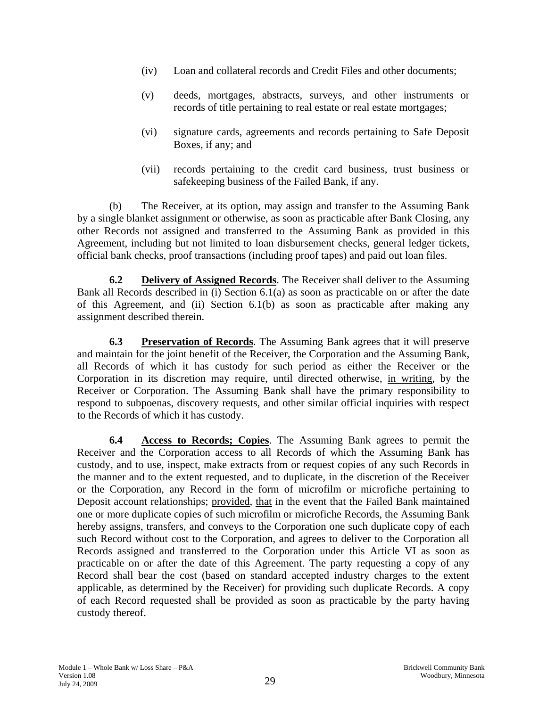- (iv) Loan and collateral records and Credit Files and other documents;
- (v) deeds, mortgages, abstracts, surveys, and other instruments or records of title pertaining to real estate or real estate mortgages;
- (vi) signature cards, agreements and records pertaining to Safe Deposit Boxes, if any; and
- (vii) records pertaining to the credit card business, trust business or safekeeping business of the Failed Bank, if any.

(b) The Receiver, at its option, may assign and transfer to the Assuming Bank by a single blanket assignment or otherwise, as soon as practicable after Bank Closing, any other Records not assigned and transferred to the Assuming Bank as provided in this Agreement, including but not limited to loan disbursement checks, general ledger tickets, official bank checks, proof transactions (including proof tapes) and paid out loan files.

**6.2 Delivery of Assigned Records**. The Receiver shall deliver to the Assuming Bank all Records described in (i) Section 6.1(a) as soon as practicable on or after the date of this Agreement, and (ii) Section 6.1(b) as soon as practicable after making any assignment described therein.

**6.3 Preservation of Records**. The Assuming Bank agrees that it will preserve and maintain for the joint benefit of the Receiver, the Corporation and the Assuming Bank, all Records of which it has custody for such period as either the Receiver or the Corporation in its discretion may require, until directed otherwise, in writing, by the Receiver or Corporation. The Assuming Bank shall have the primary responsibility to respond to subpoenas, discovery requests, and other similar official inquiries with respect to the Records of which it has custody.

**6.4 Access to Records; Copies**. The Assuming Bank agrees to permit the Receiver and the Corporation access to all Records of which the Assuming Bank has custody, and to use, inspect, make extracts from or request copies of any such Records in the manner and to the extent requested, and to duplicate, in the discretion of the Receiver or the Corporation, any Record in the form of microfilm or microfiche pertaining to Deposit account relationships; provided, that in the event that the Failed Bank maintained one or more duplicate copies of such microfilm or microfiche Records, the Assuming Bank hereby assigns, transfers, and conveys to the Corporation one such duplicate copy of each such Record without cost to the Corporation, and agrees to deliver to the Corporation all Records assigned and transferred to the Corporation under this Article VI as soon as practicable on or after the date of this Agreement. The party requesting a copy of any Record shall bear the cost (based on standard accepted industry charges to the extent applicable, as determined by the Receiver) for providing such duplicate Records. A copy of each Record requested shall be provided as soon as practicable by the party having custody thereof.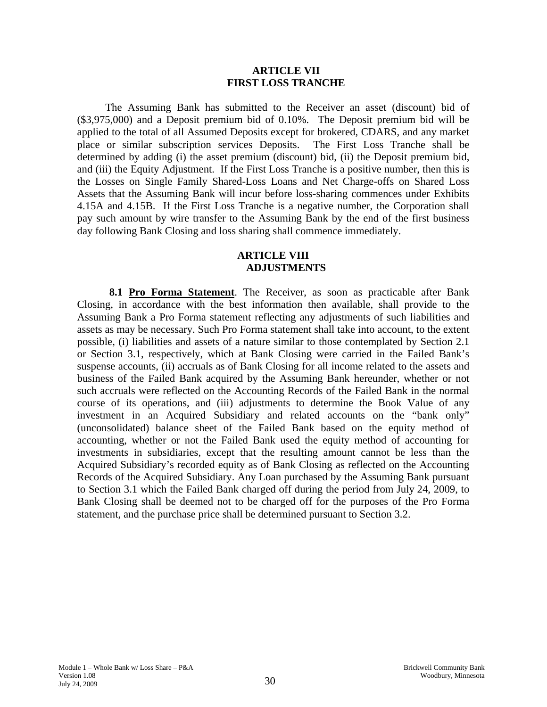#### **ARTICLE VII FIRST LOSS TRANCHE**

The Assuming Bank has submitted to the Receiver an asset (discount) bid of (\$3,975,000) and a Deposit premium bid of 0.10%. The Deposit premium bid will be applied to the total of all Assumed Deposits except for brokered, CDARS, and any market place or similar subscription services Deposits. The First Loss Tranche shall be determined by adding (i) the asset premium (discount) bid, (ii) the Deposit premium bid, and (iii) the Equity Adjustment. If the First Loss Tranche is a positive number, then this is the Losses on Single Family Shared-Loss Loans and Net Charge-offs on Shared Loss Assets that the Assuming Bank will incur before loss-sharing commences under Exhibits 4.15A and 4.15B. If the First Loss Tranche is a negative number, the Corporation shall pay such amount by wire transfer to the Assuming Bank by the end of the first business day following Bank Closing and loss sharing shall commence immediately.

#### **ARTICLE VIII ADJUSTMENTS**

**8.1 Pro Forma Statement**. The Receiver, as soon as practicable after Bank Closing, in accordance with the best information then available, shall provide to the Assuming Bank a Pro Forma statement reflecting any adjustments of such liabilities and assets as may be necessary. Such Pro Forma statement shall take into account, to the extent possible, (i) liabilities and assets of a nature similar to those contemplated by Section 2.1 or Section 3.1, respectively, which at Bank Closing were carried in the Failed Bank's suspense accounts, (ii) accruals as of Bank Closing for all income related to the assets and business of the Failed Bank acquired by the Assuming Bank hereunder, whether or not such accruals were reflected on the Accounting Records of the Failed Bank in the normal course of its operations, and (iii) adjustments to determine the Book Value of any investment in an Acquired Subsidiary and related accounts on the "bank only" (unconsolidated) balance sheet of the Failed Bank based on the equity method of accounting, whether or not the Failed Bank used the equity method of accounting for investments in subsidiaries, except that the resulting amount cannot be less than the Acquired Subsidiary's recorded equity as of Bank Closing as reflected on the Accounting Records of the Acquired Subsidiary. Any Loan purchased by the Assuming Bank pursuant to Section 3.1 which the Failed Bank charged off during the period from July 24, 2009, to Bank Closing shall be deemed not to be charged off for the purposes of the Pro Forma statement, and the purchase price shall be determined pursuant to Section 3.2.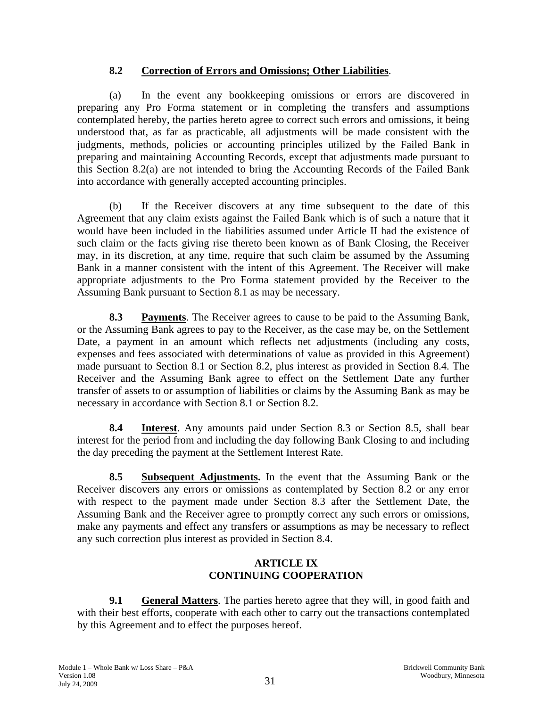## **8.2 Correction of Errors and Omissions; Other Liabilities**.

(a) In the event any bookkeeping omissions or errors are discovered in preparing any Pro Forma statement or in completing the transfers and assumptions contemplated hereby, the parties hereto agree to correct such errors and omissions, it being understood that, as far as practicable, all adjustments will be made consistent with the judgments, methods, policies or accounting principles utilized by the Failed Bank in preparing and maintaining Accounting Records, except that adjustments made pursuant to this Section 8.2(a) are not intended to bring the Accounting Records of the Failed Bank into accordance with generally accepted accounting principles.

(b) If the Receiver discovers at any time subsequent to the date of this Agreement that any claim exists against the Failed Bank which is of such a nature that it would have been included in the liabilities assumed under Article II had the existence of such claim or the facts giving rise thereto been known as of Bank Closing, the Receiver may, in its discretion, at any time, require that such claim be assumed by the Assuming Bank in a manner consistent with the intent of this Agreement. The Receiver will make appropriate adjustments to the Pro Forma statement provided by the Receiver to the Assuming Bank pursuant to Section 8.1 as may be necessary.

**8.3 Payments**. The Receiver agrees to cause to be paid to the Assuming Bank, or the Assuming Bank agrees to pay to the Receiver, as the case may be, on the Settlement Date, a payment in an amount which reflects net adjustments (including any costs, expenses and fees associated with determinations of value as provided in this Agreement) made pursuant to Section 8.1 or Section 8.2, plus interest as provided in Section 8.4. The Receiver and the Assuming Bank agree to effect on the Settlement Date any further transfer of assets to or assumption of liabilities or claims by the Assuming Bank as may be necessary in accordance with Section 8.1 or Section 8.2.

**8.4 Interest**. Any amounts paid under Section 8.3 or Section 8.5, shall bear interest for the period from and including the day following Bank Closing to and including the day preceding the payment at the Settlement Interest Rate.

**8.5 Subsequent Adjustments.** In the event that the Assuming Bank or the Receiver discovers any errors or omissions as contemplated by Section 8.2 or any error with respect to the payment made under Section 8.3 after the Settlement Date, the Assuming Bank and the Receiver agree to promptly correct any such errors or omissions, make any payments and effect any transfers or assumptions as may be necessary to reflect any such correction plus interest as provided in Section 8.4.

### **ARTICLE IX CONTINUING COOPERATION**

**9.1 General Matters**. The parties hereto agree that they will, in good faith and with their best efforts, cooperate with each other to carry out the transactions contemplated by this Agreement and to effect the purposes hereof.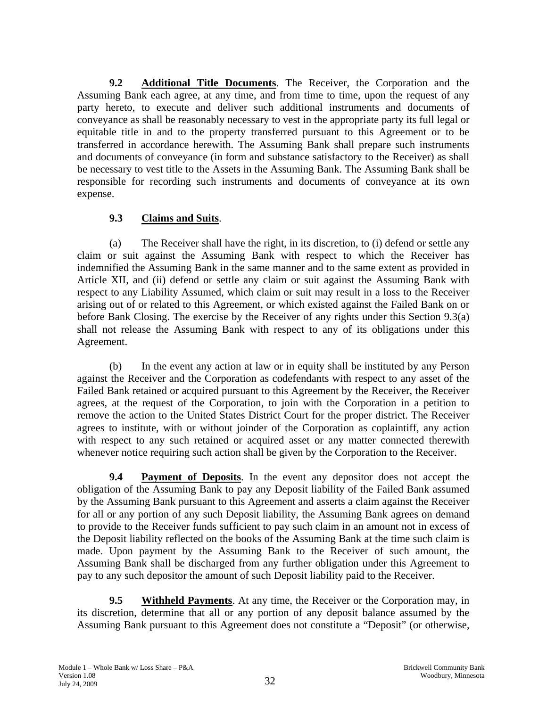**9.2 Additional Title Documents**. The Receiver, the Corporation and the Assuming Bank each agree, at any time, and from time to time, upon the request of any party hereto, to execute and deliver such additional instruments and documents of conveyance as shall be reasonably necessary to vest in the appropriate party its full legal or equitable title in and to the property transferred pursuant to this Agreement or to be transferred in accordance herewith. The Assuming Bank shall prepare such instruments and documents of conveyance (in form and substance satisfactory to the Receiver) as shall be necessary to vest title to the Assets in the Assuming Bank. The Assuming Bank shall be responsible for recording such instruments and documents of conveyance at its own expense.

### **9.3 Claims and Suits**.

(a) The Receiver shall have the right, in its discretion, to (i) defend or settle any claim or suit against the Assuming Bank with respect to which the Receiver has indemnified the Assuming Bank in the same manner and to the same extent as provided in Article XII, and (ii) defend or settle any claim or suit against the Assuming Bank with respect to any Liability Assumed, which claim or suit may result in a loss to the Receiver arising out of or related to this Agreement, or which existed against the Failed Bank on or before Bank Closing. The exercise by the Receiver of any rights under this Section 9.3(a) shall not release the Assuming Bank with respect to any of its obligations under this Agreement.

(b) In the event any action at law or in equity shall be instituted by any Person against the Receiver and the Corporation as codefendants with respect to any asset of the Failed Bank retained or acquired pursuant to this Agreement by the Receiver, the Receiver agrees, at the request of the Corporation, to join with the Corporation in a petition to remove the action to the United States District Court for the proper district. The Receiver agrees to institute, with or without joinder of the Corporation as coplaintiff, any action with respect to any such retained or acquired asset or any matter connected therewith whenever notice requiring such action shall be given by the Corporation to the Receiver.

**9.4 Payment of Deposits**. In the event any depositor does not accept the obligation of the Assuming Bank to pay any Deposit liability of the Failed Bank assumed by the Assuming Bank pursuant to this Agreement and asserts a claim against the Receiver for all or any portion of any such Deposit liability, the Assuming Bank agrees on demand to provide to the Receiver funds sufficient to pay such claim in an amount not in excess of the Deposit liability reflected on the books of the Assuming Bank at the time such claim is made. Upon payment by the Assuming Bank to the Receiver of such amount, the Assuming Bank shall be discharged from any further obligation under this Agreement to pay to any such depositor the amount of such Deposit liability paid to the Receiver.

**9.5 Withheld Payments**. At any time, the Receiver or the Corporation may, in its discretion, determine that all or any portion of any deposit balance assumed by the Assuming Bank pursuant to this Agreement does not constitute a "Deposit" (or otherwise,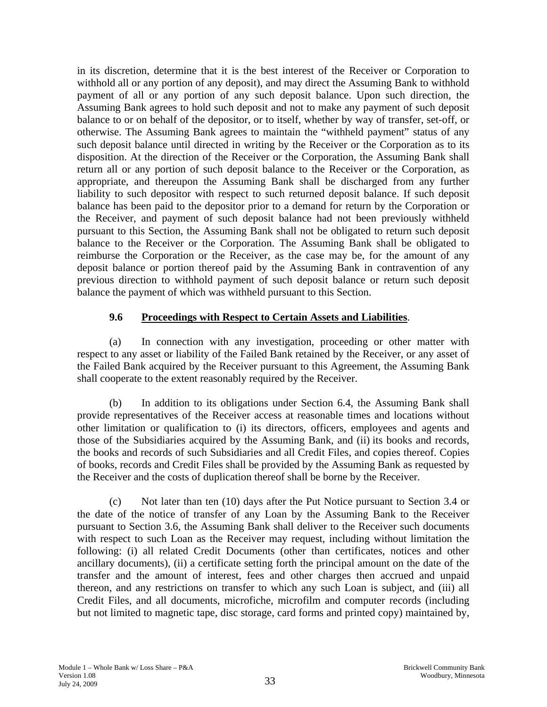in its discretion, determine that it is the best interest of the Receiver or Corporation to withhold all or any portion of any deposit), and may direct the Assuming Bank to withhold payment of all or any portion of any such deposit balance. Upon such direction, the Assuming Bank agrees to hold such deposit and not to make any payment of such deposit balance to or on behalf of the depositor, or to itself, whether by way of transfer, set-off, or otherwise. The Assuming Bank agrees to maintain the "withheld payment" status of any such deposit balance until directed in writing by the Receiver or the Corporation as to its disposition. At the direction of the Receiver or the Corporation, the Assuming Bank shall return all or any portion of such deposit balance to the Receiver or the Corporation, as appropriate, and thereupon the Assuming Bank shall be discharged from any further liability to such depositor with respect to such returned deposit balance. If such deposit balance has been paid to the depositor prior to a demand for return by the Corporation or the Receiver, and payment of such deposit balance had not been previously withheld pursuant to this Section, the Assuming Bank shall not be obligated to return such deposit balance to the Receiver or the Corporation. The Assuming Bank shall be obligated to reimburse the Corporation or the Receiver, as the case may be, for the amount of any deposit balance or portion thereof paid by the Assuming Bank in contravention of any previous direction to withhold payment of such deposit balance or return such deposit balance the payment of which was withheld pursuant to this Section.

### **9.6 Proceedings with Respect to Certain Assets and Liabilities**.

(a) In connection with any investigation, proceeding or other matter with respect to any asset or liability of the Failed Bank retained by the Receiver, or any asset of the Failed Bank acquired by the Receiver pursuant to this Agreement, the Assuming Bank shall cooperate to the extent reasonably required by the Receiver.

(b) In addition to its obligations under Section 6.4, the Assuming Bank shall provide representatives of the Receiver access at reasonable times and locations without other limitation or qualification to (i) its directors, officers, employees and agents and those of the Subsidiaries acquired by the Assuming Bank, and (ii) its books and records, the books and records of such Subsidiaries and all Credit Files, and copies thereof. Copies of books, records and Credit Files shall be provided by the Assuming Bank as requested by the Receiver and the costs of duplication thereof shall be borne by the Receiver.

(c) Not later than ten (10) days after the Put Notice pursuant to Section 3.4 or the date of the notice of transfer of any Loan by the Assuming Bank to the Receiver pursuant to Section 3.6, the Assuming Bank shall deliver to the Receiver such documents with respect to such Loan as the Receiver may request, including without limitation the following: (i) all related Credit Documents (other than certificates, notices and other ancillary documents), (ii) a certificate setting forth the principal amount on the date of the transfer and the amount of interest, fees and other charges then accrued and unpaid thereon, and any restrictions on transfer to which any such Loan is subject, and (iii) all Credit Files, and all documents, microfiche, microfilm and computer records (including but not limited to magnetic tape, disc storage, card forms and printed copy) maintained by,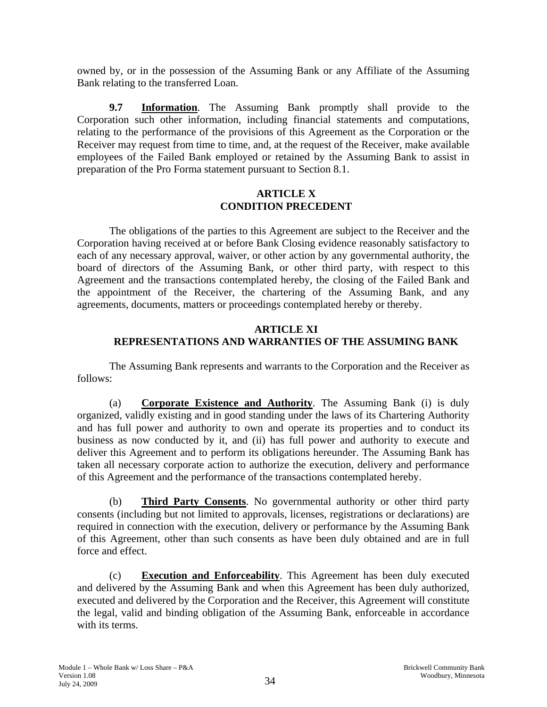owned by, or in the possession of the Assuming Bank or any Affiliate of the Assuming Bank relating to the transferred Loan.

**9.7 Information**. The Assuming Bank promptly shall provide to the Corporation such other information, including financial statements and computations, relating to the performance of the provisions of this Agreement as the Corporation or the Receiver may request from time to time, and, at the request of the Receiver, make available employees of the Failed Bank employed or retained by the Assuming Bank to assist in preparation of the Pro Forma statement pursuant to Section 8.1.

### **ARTICLE X CONDITION PRECEDENT**

The obligations of the parties to this Agreement are subject to the Receiver and the Corporation having received at or before Bank Closing evidence reasonably satisfactory to each of any necessary approval, waiver, or other action by any governmental authority, the board of directors of the Assuming Bank, or other third party, with respect to this Agreement and the transactions contemplated hereby, the closing of the Failed Bank and the appointment of the Receiver, the chartering of the Assuming Bank, and any agreements, documents, matters or proceedings contemplated hereby or thereby.

## **ARTICLE XI REPRESENTATIONS AND WARRANTIES OF THE ASSUMING BANK**

The Assuming Bank represents and warrants to the Corporation and the Receiver as follows:

(a) **Corporate Existence and Authority**. The Assuming Bank (i) is duly organized, validly existing and in good standing under the laws of its Chartering Authority and has full power and authority to own and operate its properties and to conduct its business as now conducted by it, and (ii) has full power and authority to execute and deliver this Agreement and to perform its obligations hereunder. The Assuming Bank has taken all necessary corporate action to authorize the execution, delivery and performance of this Agreement and the performance of the transactions contemplated hereby.

(b) **Third Party Consents**. No governmental authority or other third party consents (including but not limited to approvals, licenses, registrations or declarations) are required in connection with the execution, delivery or performance by the Assuming Bank of this Agreement, other than such consents as have been duly obtained and are in full force and effect.

(c) **Execution and Enforceability**. This Agreement has been duly executed and delivered by the Assuming Bank and when this Agreement has been duly authorized, executed and delivered by the Corporation and the Receiver, this Agreement will constitute the legal, valid and binding obligation of the Assuming Bank, enforceable in accordance with its terms.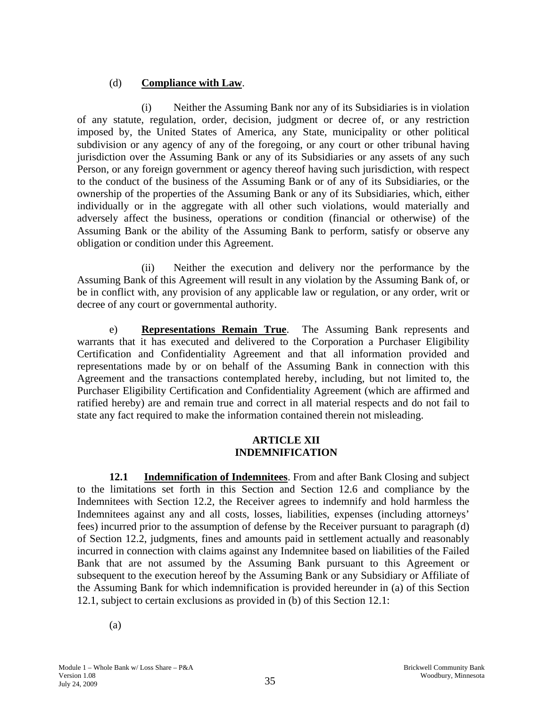#### (d) **Compliance with Law**.

(i) Neither the Assuming Bank nor any of its Subsidiaries is in violation of any statute, regulation, order, decision, judgment or decree of, or any restriction imposed by, the United States of America, any State, municipality or other political subdivision or any agency of any of the foregoing, or any court or other tribunal having jurisdiction over the Assuming Bank or any of its Subsidiaries or any assets of any such Person, or any foreign government or agency thereof having such jurisdiction, with respect to the conduct of the business of the Assuming Bank or of any of its Subsidiaries, or the ownership of the properties of the Assuming Bank or any of its Subsidiaries, which, either individually or in the aggregate with all other such violations, would materially and adversely affect the business, operations or condition (financial or otherwise) of the Assuming Bank or the ability of the Assuming Bank to perform, satisfy or observe any obligation or condition under this Agreement.

(ii) Neither the execution and delivery nor the performance by the Assuming Bank of this Agreement will result in any violation by the Assuming Bank of, or be in conflict with, any provision of any applicable law or regulation, or any order, writ or decree of any court or governmental authority.

e) **Representations Remain True**. The Assuming Bank represents and warrants that it has executed and delivered to the Corporation a Purchaser Eligibility Certification and Confidentiality Agreement and that all information provided and representations made by or on behalf of the Assuming Bank in connection with this Agreement and the transactions contemplated hereby, including, but not limited to, the Purchaser Eligibility Certification and Confidentiality Agreement (which are affirmed and ratified hereby) are and remain true and correct in all material respects and do not fail to state any fact required to make the information contained therein not misleading.

#### **ARTICLE XII INDEMNIFICATION**

**12.1 Indemnification of Indemnitees**. From and after Bank Closing and subject to the limitations set forth in this Section and Section 12.6 and compliance by the Indemnitees with Section 12.2, the Receiver agrees to indemnify and hold harmless the Indemnitees against any and all costs, losses, liabilities, expenses (including attorneys' fees) incurred prior to the assumption of defense by the Receiver pursuant to paragraph (d) of Section 12.2, judgments, fines and amounts paid in settlement actually and reasonably incurred in connection with claims against any Indemnitee based on liabilities of the Failed Bank that are not assumed by the Assuming Bank pursuant to this Agreement or subsequent to the execution hereof by the Assuming Bank or any Subsidiary or Affiliate of the Assuming Bank for which indemnification is provided hereunder in (a) of this Section 12.1, subject to certain exclusions as provided in (b) of this Section 12.1:

(a)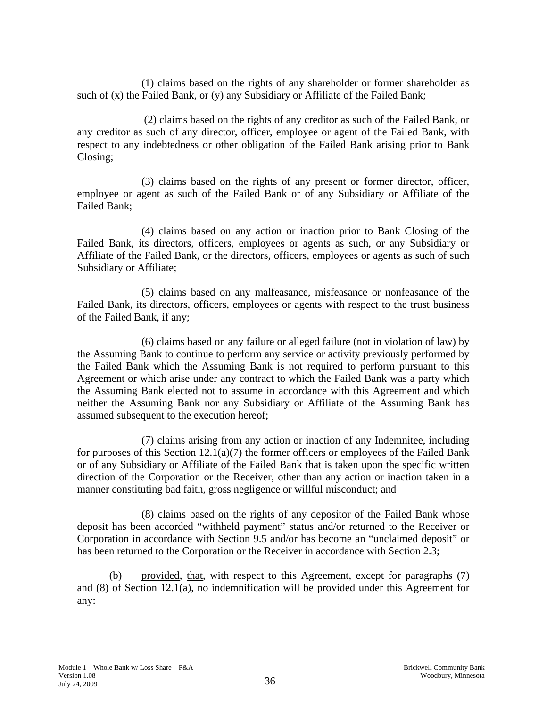(1) claims based on the rights of any shareholder or former shareholder as such of (x) the Failed Bank, or (y) any Subsidiary or Affiliate of the Failed Bank;

(2) claims based on the rights of any creditor as such of the Failed Bank, or any creditor as such of any director, officer, employee or agent of the Failed Bank, with respect to any indebtedness or other obligation of the Failed Bank arising prior to Bank Closing;

(3) claims based on the rights of any present or former director, officer, employee or agent as such of the Failed Bank or of any Subsidiary or Affiliate of the Failed Bank;

(4) claims based on any action or inaction prior to Bank Closing of the Failed Bank, its directors, officers, employees or agents as such, or any Subsidiary or Affiliate of the Failed Bank, or the directors, officers, employees or agents as such of such Subsidiary or Affiliate;

(5) claims based on any malfeasance, misfeasance or nonfeasance of the Failed Bank, its directors, officers, employees or agents with respect to the trust business of the Failed Bank, if any;

(6) claims based on any failure or alleged failure (not in violation of law) by the Assuming Bank to continue to perform any service or activity previously performed by the Failed Bank which the Assuming Bank is not required to perform pursuant to this Agreement or which arise under any contract to which the Failed Bank was a party which the Assuming Bank elected not to assume in accordance with this Agreement and which neither the Assuming Bank nor any Subsidiary or Affiliate of the Assuming Bank has assumed subsequent to the execution hereof;

(7) claims arising from any action or inaction of any Indemnitee, including for purposes of this Section  $12.1(a)(7)$  the former officers or employees of the Failed Bank or of any Subsidiary or Affiliate of the Failed Bank that is taken upon the specific written direction of the Corporation or the Receiver, other than any action or inaction taken in a manner constituting bad faith, gross negligence or willful misconduct; and

(8) claims based on the rights of any depositor of the Failed Bank whose deposit has been accorded "withheld payment" status and/or returned to the Receiver or Corporation in accordance with Section 9.5 and/or has become an "unclaimed deposit" or has been returned to the Corporation or the Receiver in accordance with Section 2.3;

(b) provided, that, with respect to this Agreement, except for paragraphs (7) and (8) of Section 12.1(a), no indemnification will be provided under this Agreement for any: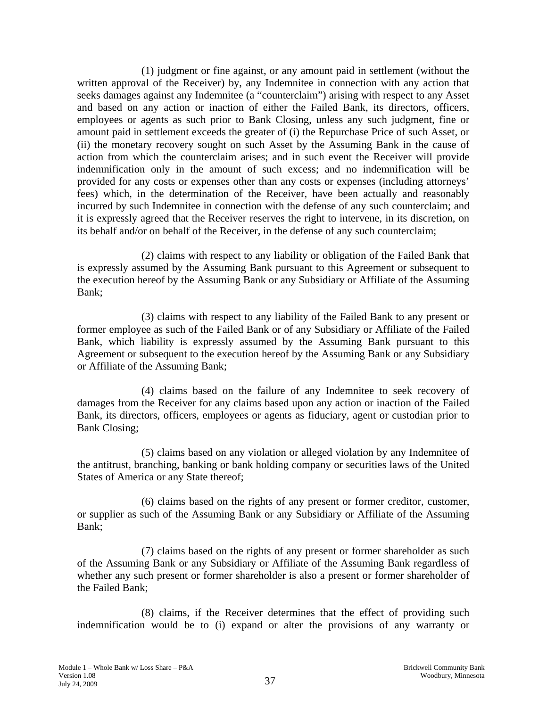(1) judgment or fine against, or any amount paid in settlement (without the written approval of the Receiver) by, any Indemnitee in connection with any action that seeks damages against any Indemnitee (a "counterclaim") arising with respect to any Asset and based on any action or inaction of either the Failed Bank, its directors, officers, employees or agents as such prior to Bank Closing, unless any such judgment, fine or amount paid in settlement exceeds the greater of (i) the Repurchase Price of such Asset, or (ii) the monetary recovery sought on such Asset by the Assuming Bank in the cause of action from which the counterclaim arises; and in such event the Receiver will provide indemnification only in the amount of such excess; and no indemnification will be provided for any costs or expenses other than any costs or expenses (including attorneys' fees) which, in the determination of the Receiver, have been actually and reasonably incurred by such Indemnitee in connection with the defense of any such counterclaim; and it is expressly agreed that the Receiver reserves the right to intervene, in its discretion, on its behalf and/or on behalf of the Receiver, in the defense of any such counterclaim;

(2) claims with respect to any liability or obligation of the Failed Bank that is expressly assumed by the Assuming Bank pursuant to this Agreement or subsequent to the execution hereof by the Assuming Bank or any Subsidiary or Affiliate of the Assuming Bank;

(3) claims with respect to any liability of the Failed Bank to any present or former employee as such of the Failed Bank or of any Subsidiary or Affiliate of the Failed Bank, which liability is expressly assumed by the Assuming Bank pursuant to this Agreement or subsequent to the execution hereof by the Assuming Bank or any Subsidiary or Affiliate of the Assuming Bank;

(4) claims based on the failure of any Indemnitee to seek recovery of damages from the Receiver for any claims based upon any action or inaction of the Failed Bank, its directors, officers, employees or agents as fiduciary, agent or custodian prior to Bank Closing;

(5) claims based on any violation or alleged violation by any Indemnitee of the antitrust, branching, banking or bank holding company or securities laws of the United States of America or any State thereof;

(6) claims based on the rights of any present or former creditor, customer, or supplier as such of the Assuming Bank or any Subsidiary or Affiliate of the Assuming Bank;

(7) claims based on the rights of any present or former shareholder as such of the Assuming Bank or any Subsidiary or Affiliate of the Assuming Bank regardless of whether any such present or former shareholder is also a present or former shareholder of the Failed Bank;

(8) claims, if the Receiver determines that the effect of providing such indemnification would be to (i) expand or alter the provisions of any warranty or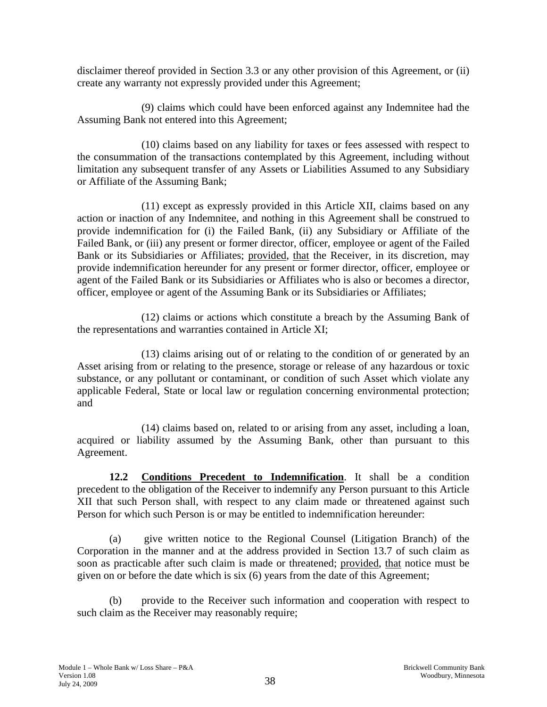disclaimer thereof provided in Section 3.3 or any other provision of this Agreement, or (ii) create any warranty not expressly provided under this Agreement;

(9) claims which could have been enforced against any Indemnitee had the Assuming Bank not entered into this Agreement;

(10) claims based on any liability for taxes or fees assessed with respect to the consummation of the transactions contemplated by this Agreement, including without limitation any subsequent transfer of any Assets or Liabilities Assumed to any Subsidiary or Affiliate of the Assuming Bank;

(11) except as expressly provided in this Article XII, claims based on any action or inaction of any Indemnitee, and nothing in this Agreement shall be construed to provide indemnification for (i) the Failed Bank, (ii) any Subsidiary or Affiliate of the Failed Bank, or (iii) any present or former director, officer, employee or agent of the Failed Bank or its Subsidiaries or Affiliates; provided, that the Receiver, in its discretion, may provide indemnification hereunder for any present or former director, officer, employee or agent of the Failed Bank or its Subsidiaries or Affiliates who is also or becomes a director, officer, employee or agent of the Assuming Bank or its Subsidiaries or Affiliates;

(12) claims or actions which constitute a breach by the Assuming Bank of the representations and warranties contained in Article XI;

(13) claims arising out of or relating to the condition of or generated by an Asset arising from or relating to the presence, storage or release of any hazardous or toxic substance, or any pollutant or contaminant, or condition of such Asset which violate any applicable Federal, State or local law or regulation concerning environmental protection; and

(14) claims based on, related to or arising from any asset, including a loan, acquired or liability assumed by the Assuming Bank, other than pursuant to this Agreement.

**12.2 Conditions Precedent to Indemnification**. It shall be a condition precedent to the obligation of the Receiver to indemnify any Person pursuant to this Article XII that such Person shall, with respect to any claim made or threatened against such Person for which such Person is or may be entitled to indemnification hereunder:

(a) give written notice to the Regional Counsel (Litigation Branch) of the Corporation in the manner and at the address provided in Section 13.7 of such claim as soon as practicable after such claim is made or threatened; provided, that notice must be given on or before the date which is six (6) years from the date of this Agreement;

(b) provide to the Receiver such information and cooperation with respect to such claim as the Receiver may reasonably require;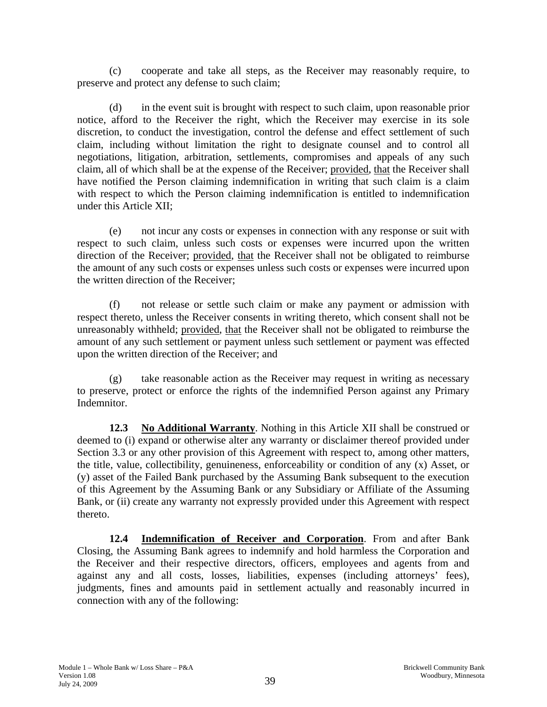(c) cooperate and take all steps, as the Receiver may reasonably require, to preserve and protect any defense to such claim;

(d) in the event suit is brought with respect to such claim, upon reasonable prior notice, afford to the Receiver the right, which the Receiver may exercise in its sole discretion, to conduct the investigation, control the defense and effect settlement of such claim, including without limitation the right to designate counsel and to control all negotiations, litigation, arbitration, settlements, compromises and appeals of any such claim, all of which shall be at the expense of the Receiver; provided, that the Receiver shall have notified the Person claiming indemnification in writing that such claim is a claim with respect to which the Person claiming indemnification is entitled to indemnification under this Article XII;

(e) not incur any costs or expenses in connection with any response or suit with respect to such claim, unless such costs or expenses were incurred upon the written direction of the Receiver; provided, that the Receiver shall not be obligated to reimburse the amount of any such costs or expenses unless such costs or expenses were incurred upon the written direction of the Receiver;

(f) not release or settle such claim or make any payment or admission with respect thereto, unless the Receiver consents in writing thereto, which consent shall not be unreasonably withheld; provided, that the Receiver shall not be obligated to reimburse the amount of any such settlement or payment unless such settlement or payment was effected upon the written direction of the Receiver; and

(g) take reasonable action as the Receiver may request in writing as necessary to preserve, protect or enforce the rights of the indemnified Person against any Primary Indemnitor.

**12.3 No Additional Warranty**. Nothing in this Article XII shall be construed or deemed to (i) expand or otherwise alter any warranty or disclaimer thereof provided under Section 3.3 or any other provision of this Agreement with respect to, among other matters, the title, value, collectibility, genuineness, enforceability or condition of any (x) Asset, or (y) asset of the Failed Bank purchased by the Assuming Bank subsequent to the execution of this Agreement by the Assuming Bank or any Subsidiary or Affiliate of the Assuming Bank, or (ii) create any warranty not expressly provided under this Agreement with respect thereto.

**12.4 Indemnification of Receiver and Corporation**. From and after Bank Closing, the Assuming Bank agrees to indemnify and hold harmless the Corporation and the Receiver and their respective directors, officers, employees and agents from and against any and all costs, losses, liabilities, expenses (including attorneys' fees), judgments, fines and amounts paid in settlement actually and reasonably incurred in connection with any of the following: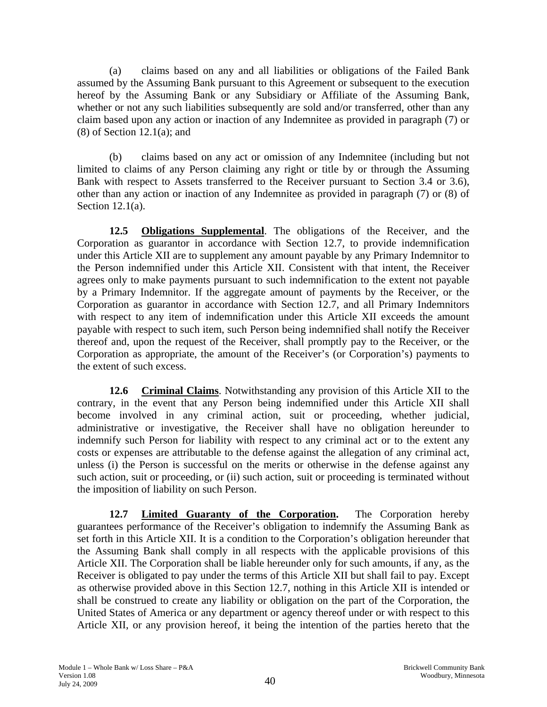(a) claims based on any and all liabilities or obligations of the Failed Bank assumed by the Assuming Bank pursuant to this Agreement or subsequent to the execution hereof by the Assuming Bank or any Subsidiary or Affiliate of the Assuming Bank, whether or not any such liabilities subsequently are sold and/or transferred, other than any claim based upon any action or inaction of any Indemnitee as provided in paragraph (7) or  $(8)$  of Section 12.1 $(a)$ ; and

(b) claims based on any act or omission of any Indemnitee (including but not limited to claims of any Person claiming any right or title by or through the Assuming Bank with respect to Assets transferred to the Receiver pursuant to Section 3.4 or 3.6), other than any action or inaction of any Indemnitee as provided in paragraph (7) or (8) of Section 12.1(a).

**12.5 Obligations Supplemental**. The obligations of the Receiver, and the Corporation as guarantor in accordance with Section 12.7, to provide indemnification under this Article XII are to supplement any amount payable by any Primary Indemnitor to the Person indemnified under this Article XII. Consistent with that intent, the Receiver agrees only to make payments pursuant to such indemnification to the extent not payable by a Primary Indemnitor. If the aggregate amount of payments by the Receiver, or the Corporation as guarantor in accordance with Section 12.7, and all Primary Indemnitors with respect to any item of indemnification under this Article XII exceeds the amount payable with respect to such item, such Person being indemnified shall notify the Receiver thereof and, upon the request of the Receiver, shall promptly pay to the Receiver, or the Corporation as appropriate, the amount of the Receiver's (or Corporation's) payments to the extent of such excess.

**12.6 Criminal Claims**. Notwithstanding any provision of this Article XII to the contrary, in the event that any Person being indemnified under this Article XII shall become involved in any criminal action, suit or proceeding, whether judicial, administrative or investigative, the Receiver shall have no obligation hereunder to indemnify such Person for liability with respect to any criminal act or to the extent any costs or expenses are attributable to the defense against the allegation of any criminal act, unless (i) the Person is successful on the merits or otherwise in the defense against any such action, suit or proceeding, or (ii) such action, suit or proceeding is terminated without the imposition of liability on such Person.

**12.7 Limited Guaranty of the Corporation.** The Corporation hereby guarantees performance of the Receiver's obligation to indemnify the Assuming Bank as set forth in this Article XII. It is a condition to the Corporation's obligation hereunder that the Assuming Bank shall comply in all respects with the applicable provisions of this Article XII. The Corporation shall be liable hereunder only for such amounts, if any, as the Receiver is obligated to pay under the terms of this Article XII but shall fail to pay. Except as otherwise provided above in this Section 12.7, nothing in this Article XII is intended or shall be construed to create any liability or obligation on the part of the Corporation, the United States of America or any department or agency thereof under or with respect to this Article XII, or any provision hereof, it being the intention of the parties hereto that the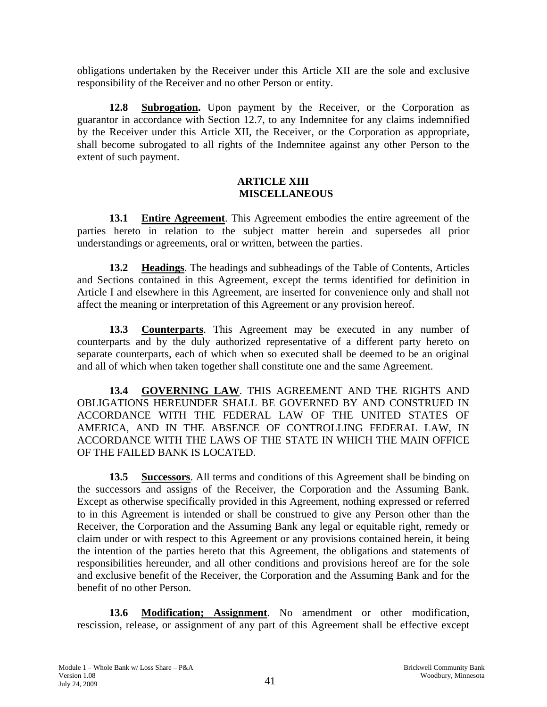obligations undertaken by the Receiver under this Article XII are the sole and exclusive responsibility of the Receiver and no other Person or entity.

**12.8 Subrogation.** Upon payment by the Receiver, or the Corporation as guarantor in accordance with Section 12.7, to any Indemnitee for any claims indemnified by the Receiver under this Article XII, the Receiver, or the Corporation as appropriate, shall become subrogated to all rights of the Indemnitee against any other Person to the extent of such payment.

### **ARTICLE XIII MISCELLANEOUS**

**13.1** Entire Agreement. This Agreement embodies the entire agreement of the parties hereto in relation to the subject matter herein and supersedes all prior understandings or agreements, oral or written, between the parties.

**13.2 Headings**. The headings and subheadings of the Table of Contents, Articles and Sections contained in this Agreement, except the terms identified for definition in Article I and elsewhere in this Agreement, are inserted for convenience only and shall not affect the meaning or interpretation of this Agreement or any provision hereof.

**13.3 Counterparts**. This Agreement may be executed in any number of counterparts and by the duly authorized representative of a different party hereto on separate counterparts, each of which when so executed shall be deemed to be an original and all of which when taken together shall constitute one and the same Agreement.

**13.4 GOVERNING LAW**. THIS AGREEMENT AND THE RIGHTS AND OBLIGATIONS HEREUNDER SHALL BE GOVERNED BY AND CONSTRUED IN ACCORDANCE WITH THE FEDERAL LAW OF THE UNITED STATES OF AMERICA, AND IN THE ABSENCE OF CONTROLLING FEDERAL LAW, IN ACCORDANCE WITH THE LAWS OF THE STATE IN WHICH THE MAIN OFFICE OF THE FAILED BANK IS LOCATED.

**13.5 Successors**. All terms and conditions of this Agreement shall be binding on the successors and assigns of the Receiver, the Corporation and the Assuming Bank. Except as otherwise specifically provided in this Agreement, nothing expressed or referred to in this Agreement is intended or shall be construed to give any Person other than the Receiver, the Corporation and the Assuming Bank any legal or equitable right, remedy or claim under or with respect to this Agreement or any provisions contained herein, it being the intention of the parties hereto that this Agreement, the obligations and statements of responsibilities hereunder, and all other conditions and provisions hereof are for the sole and exclusive benefit of the Receiver, the Corporation and the Assuming Bank and for the benefit of no other Person.

**13.6 Modification; Assignment**. No amendment or other modification, rescission, release, or assignment of any part of this Agreement shall be effective except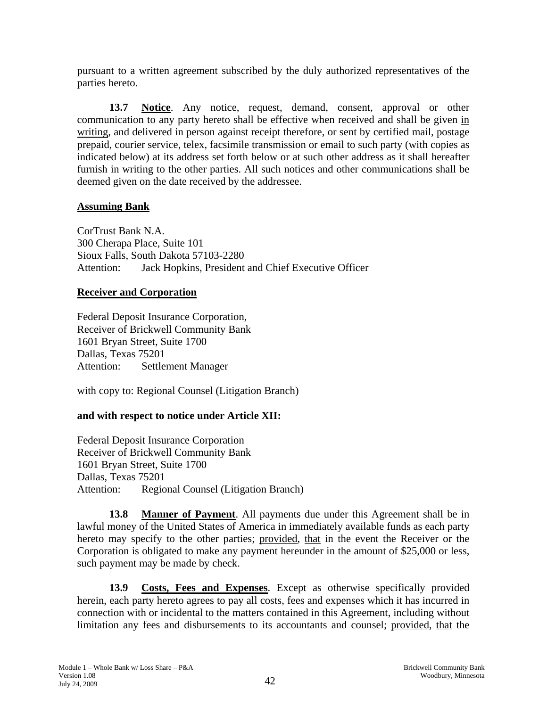pursuant to a written agreement subscribed by the duly authorized representatives of the parties hereto.

**13.7 Notice**. Any notice, request, demand, consent, approval or other communication to any party hereto shall be effective when received and shall be given in writing, and delivered in person against receipt therefore, or sent by certified mail, postage prepaid, courier service, telex, facsimile transmission or email to such party (with copies as indicated below) at its address set forth below or at such other address as it shall hereafter furnish in writing to the other parties. All such notices and other communications shall be deemed given on the date received by the addressee.

# **Assuming Bank**

CorTrust Bank N.A. 300 Cherapa Place, Suite 101 Sioux Falls, South Dakota 57103-2280 Attention: Jack Hopkins, President and Chief Executive Officer

# **Receiver and Corporation**

Federal Deposit Insurance Corporation, Receiver of Brickwell Community Bank 1601 Bryan Street, Suite 1700 Dallas, Texas 75201 Attention: Settlement Manager

with copy to: Regional Counsel (Litigation Branch)

# **and with respect to notice under Article XII:**

Federal Deposit Insurance Corporation Receiver of Brickwell Community Bank 1601 Bryan Street, Suite 1700 Dallas, Texas 75201 Attention: Regional Counsel (Litigation Branch)

**13.8 Manner of Payment**. All payments due under this Agreement shall be in lawful money of the United States of America in immediately available funds as each party hereto may specify to the other parties; provided, that in the event the Receiver or the Corporation is obligated to make any payment hereunder in the amount of \$25,000 or less, such payment may be made by check.

**13.9 Costs, Fees and Expenses**. Except as otherwise specifically provided herein, each party hereto agrees to pay all costs, fees and expenses which it has incurred in connection with or incidental to the matters contained in this Agreement, including without limitation any fees and disbursements to its accountants and counsel; provided, that the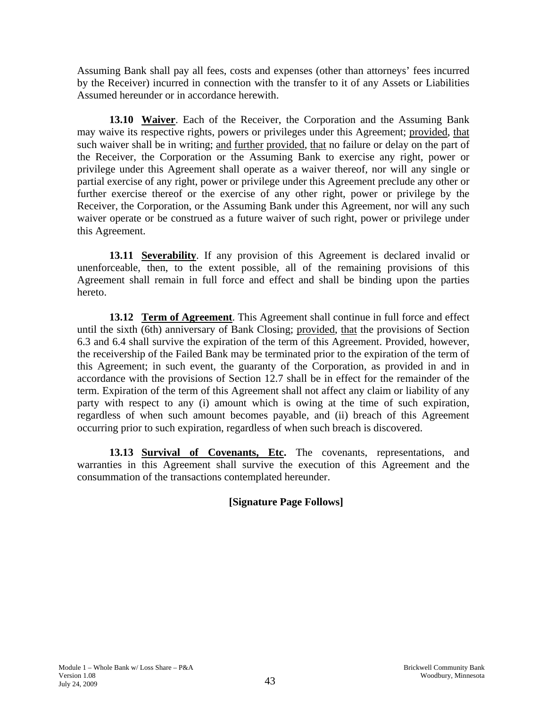Assuming Bank shall pay all fees, costs and expenses (other than attorneys' fees incurred by the Receiver) incurred in connection with the transfer to it of any Assets or Liabilities Assumed hereunder or in accordance herewith.

**13.10 Waiver**. Each of the Receiver, the Corporation and the Assuming Bank may waive its respective rights, powers or privileges under this Agreement; provided, that such waiver shall be in writing; and further provided, that no failure or delay on the part of the Receiver, the Corporation or the Assuming Bank to exercise any right, power or privilege under this Agreement shall operate as a waiver thereof, nor will any single or partial exercise of any right, power or privilege under this Agreement preclude any other or further exercise thereof or the exercise of any other right, power or privilege by the Receiver, the Corporation, or the Assuming Bank under this Agreement, nor will any such waiver operate or be construed as a future waiver of such right, power or privilege under this Agreement.

**13.11 Severability**. If any provision of this Agreement is declared invalid or unenforceable, then, to the extent possible, all of the remaining provisions of this Agreement shall remain in full force and effect and shall be binding upon the parties hereto.

**13.12 Term of Agreement**. This Agreement shall continue in full force and effect until the sixth (6th) anniversary of Bank Closing; provided, that the provisions of Section 6.3 and 6.4 shall survive the expiration of the term of this Agreement. Provided, however, the receivership of the Failed Bank may be terminated prior to the expiration of the term of this Agreement; in such event, the guaranty of the Corporation, as provided in and in accordance with the provisions of Section 12.7 shall be in effect for the remainder of the term. Expiration of the term of this Agreement shall not affect any claim or liability of any party with respect to any (i) amount which is owing at the time of such expiration, regardless of when such amount becomes payable, and (ii) breach of this Agreement occurring prior to such expiration, regardless of when such breach is discovered.

**13.13 Survival of Covenants, Etc.** The covenants, representations, and warranties in this Agreement shall survive the execution of this Agreement and the consummation of the transactions contemplated hereunder.

# **[Signature Page Follows]**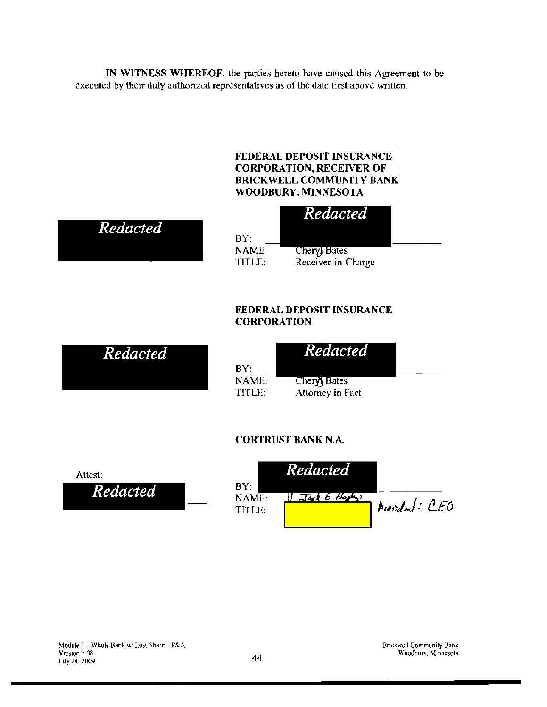IN WITNESS WHEREOF, the parties hereto have caused this Agreement to be executed by their duly authorized representatives as of the date first above written.

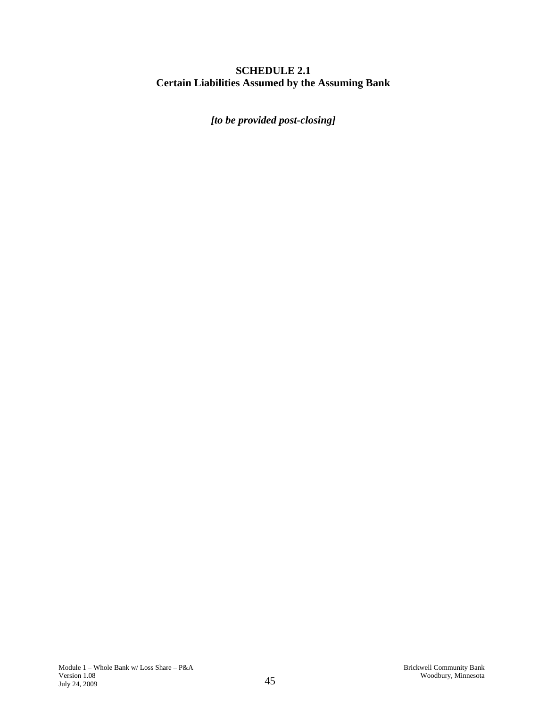# **SCHEDULE 2.1 Certain Liabilities Assumed by the Assuming Bank**

*[to be provided post-closing]*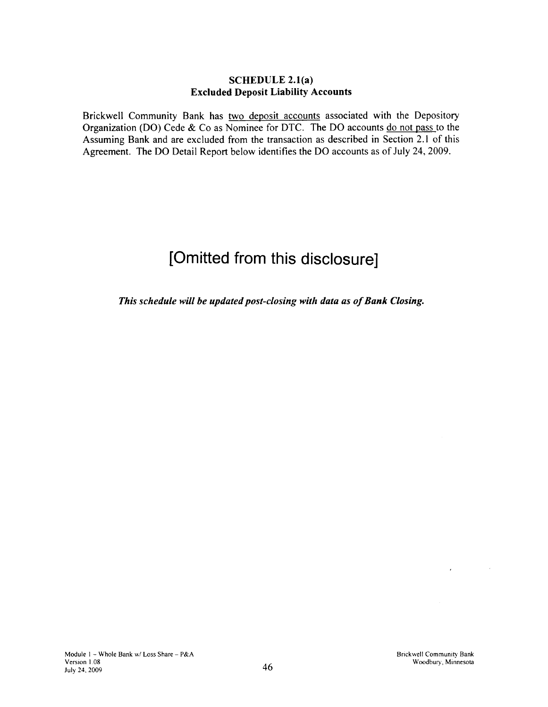### SCHEDULE 2.1(a) Excluded Deposit Liabilty Accounts

Brickwell Community Bank has two deposit accounts associated with the Depository Organization (DO) Cede & Co as Nominee for DTC. The DO accounts do not pass to the Assuming Bank and are excluded from the transaction as described in Section 2. I of this Agreement. The DO Detail Report below identifies the DO accounts as of July 24, 2009.

# (Omitted from this disclosure)

This schedule will be updated post-closing with data as of Bank Closing.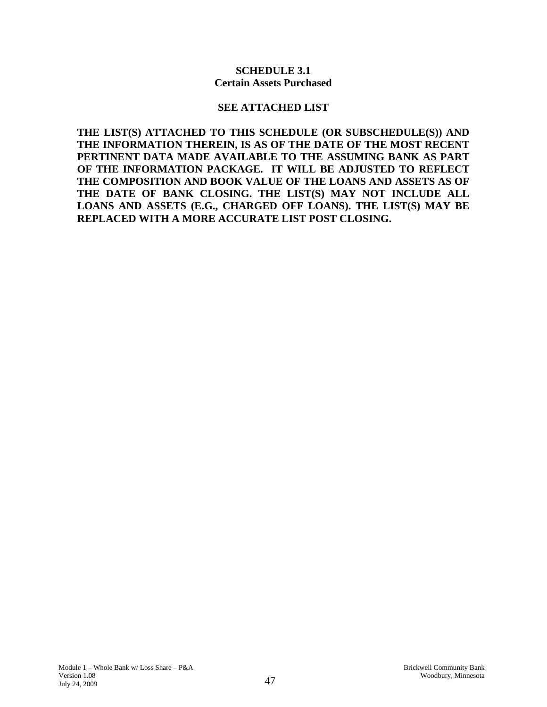### **SCHEDULE 3.1 Certain Assets Purchased**

### **SEE ATTACHED LIST**

**THE LIST(S) ATTACHED TO THIS SCHEDULE (OR SUBSCHEDULE(S)) AND THE INFORMATION THEREIN, IS AS OF THE DATE OF THE MOST RECENT PERTINENT DATA MADE AVAILABLE TO THE ASSUMING BANK AS PART OF THE INFORMATION PACKAGE. IT WILL BE ADJUSTED TO REFLECT THE COMPOSITION AND BOOK VALUE OF THE LOANS AND ASSETS AS OF THE DATE OF BANK CLOSING. THE LIST(S) MAY NOT INCLUDE ALL LOANS AND ASSETS (E.G., CHARGED OFF LOANS). THE LIST(S) MAY BE REPLACED WITH A MORE ACCURATE LIST POST CLOSING.**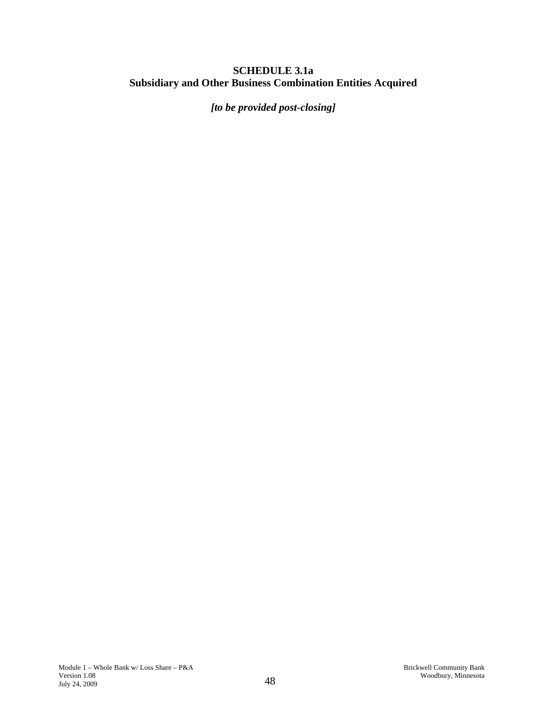### **SCHEDULE 3.1a Subsidiary and Other Business Combination Entities Acquired**

*[to be provided post-closing]*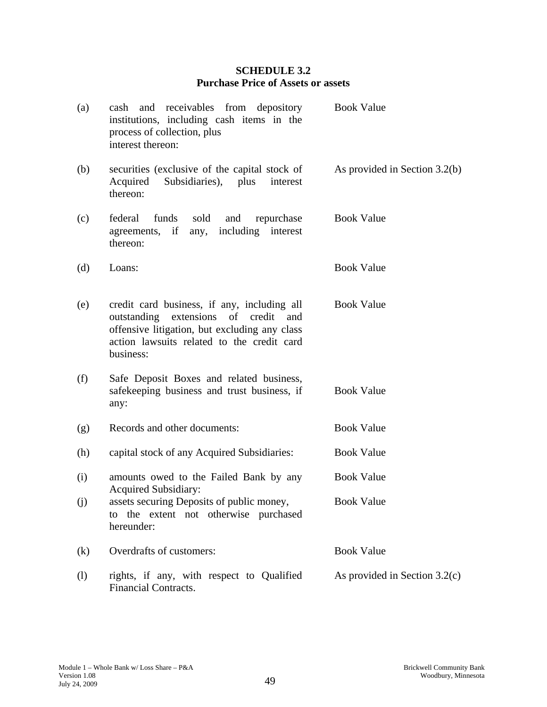# **SCHEDULE 3.2 Purchase Price of Assets or assets**

| (a) | cash and receivables from depository<br>institutions, including cash items in the<br>process of collection, plus<br>interest thereon:                                                           | <b>Book Value</b>               |
|-----|-------------------------------------------------------------------------------------------------------------------------------------------------------------------------------------------------|---------------------------------|
| (b) | securities (exclusive of the capital stock of<br>Subsidiaries), plus interest<br>Acquired<br>thereon:                                                                                           | As provided in Section $3.2(b)$ |
| (c) | federal<br>funds<br>sold<br>and<br>repurchase<br>any, including interest<br>agreements, if<br>thereon:                                                                                          | <b>Book Value</b>               |
| (d) | Loans:                                                                                                                                                                                          | <b>Book Value</b>               |
| (e) | credit card business, if any, including all<br>outstanding extensions of credit and<br>offensive litigation, but excluding any class<br>action lawsuits related to the credit card<br>business: | <b>Book Value</b>               |
| (f) | Safe Deposit Boxes and related business,<br>safekeeping business and trust business, if<br>any:                                                                                                 | <b>Book Value</b>               |
| (g) | Records and other documents:                                                                                                                                                                    | <b>Book Value</b>               |
| (h) | capital stock of any Acquired Subsidiaries:                                                                                                                                                     | <b>Book Value</b>               |
| (i) | amounts owed to the Failed Bank by any                                                                                                                                                          | <b>Book Value</b>               |
| (j) | <b>Acquired Subsidiary:</b><br>assets securing Deposits of public money,<br>to the extent not otherwise purchased<br>hereunder:                                                                 | <b>Book Value</b>               |
| (k) | Overdrafts of customers:                                                                                                                                                                        | <b>Book Value</b>               |
| (1) | rights, if any, with respect to Qualified<br>Financial Contracts.                                                                                                                               | As provided in Section $3.2(c)$ |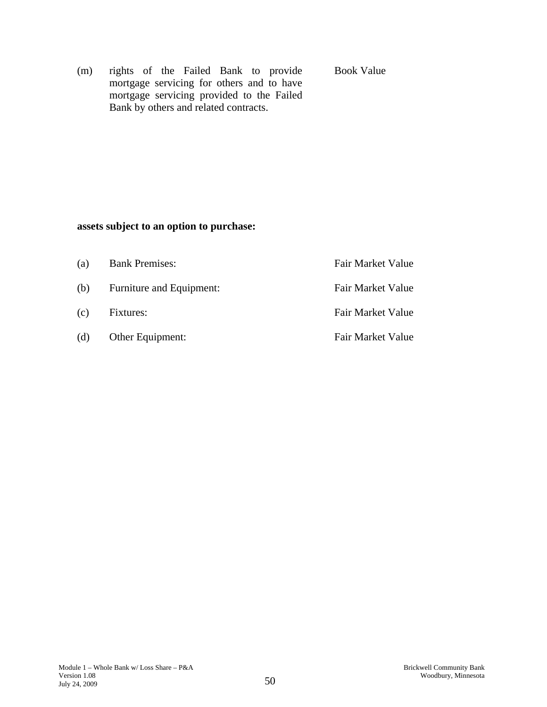(m) rights of the Failed Bank to provide Book Value mortgage servicing for others and to have mortgage servicing provided to the Failed Bank by others and related contracts.

#### **assets subject to an option to purchase:**

(a) Bank Premises: Fair Market Value (b) Furniture and Equipment: Fair Market Value (c) Fixtures: Fair Market Value (d) Other Equipment: Fair Market Value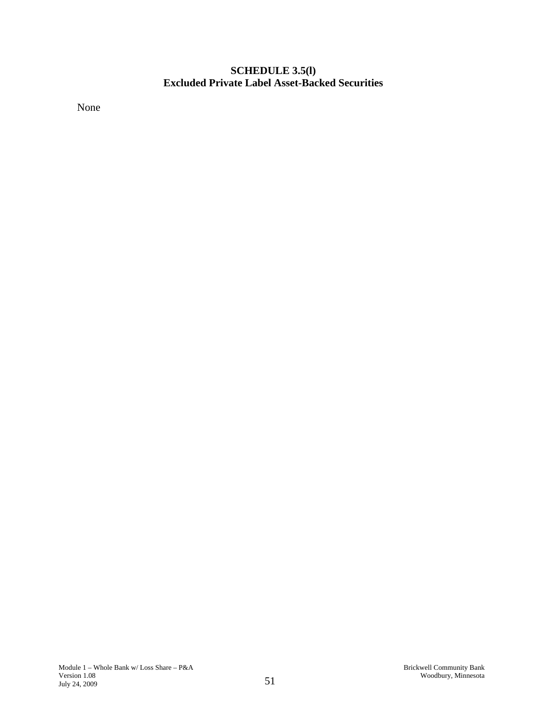# **SCHEDULE 3.5(l) Excluded Private Label Asset-Backed Securities**

None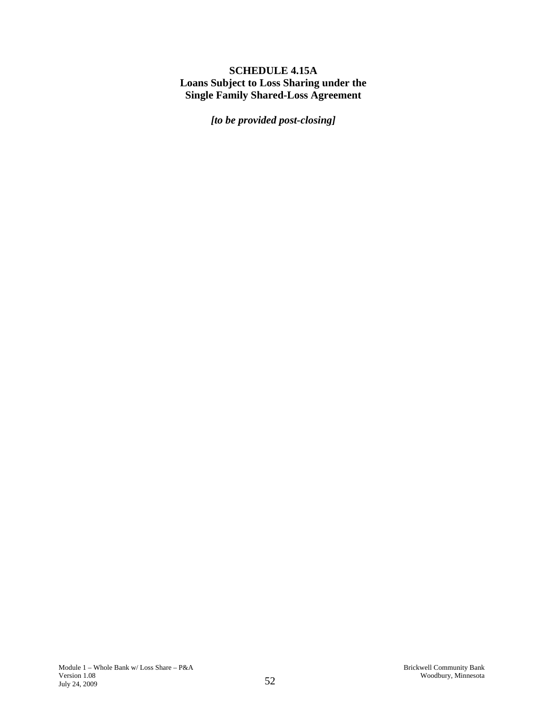# **SCHEDULE 4.15A Loans Subject to Loss Sharing under the Single Family Shared-Loss Agreement**

*[to be provided post-closing]*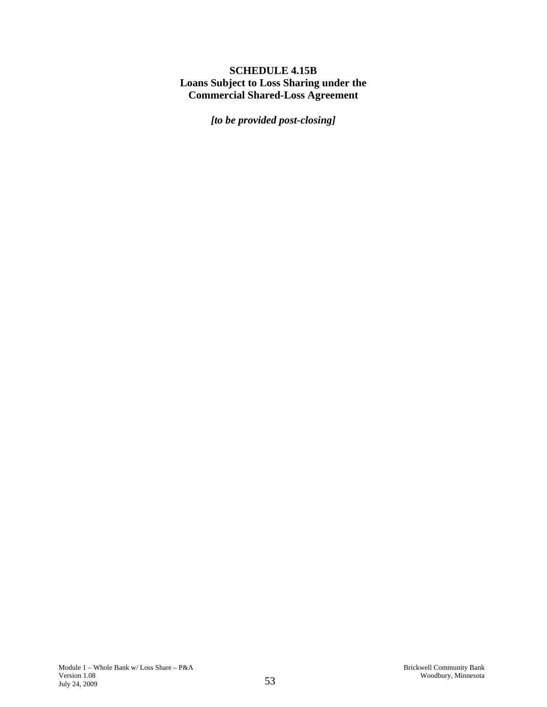# **SCHEDULE 4.15B Loans Subject to Loss Sharing under the Commercial Shared-Loss Agreement**

*[to be provided post-closing]*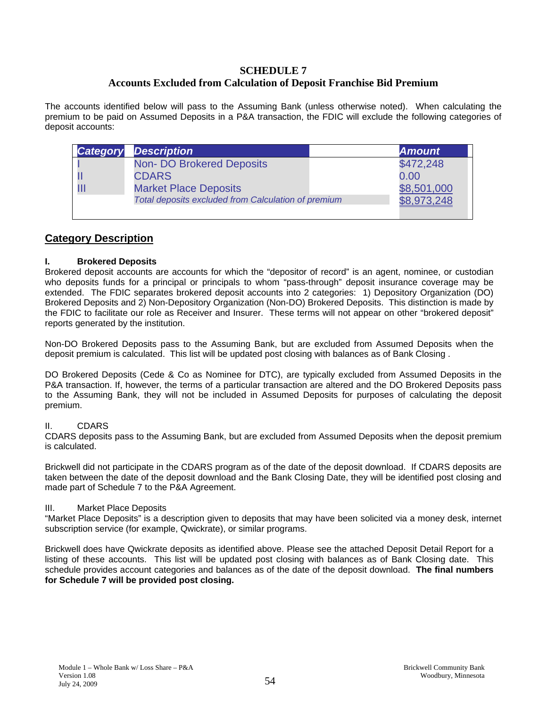### **SCHEDULE 7 Accounts Excluded from Calculation of Deposit Franchise Bid Premium**

The accounts identified below will pass to the Assuming Bank (unless otherwise noted). When calculating the premium to be paid on Assumed Deposits in a P&A transaction, the FDIC will exclude the following categories of deposit accounts:

| <b>Category</b> | <b>Description</b>                                  | <b>Amount</b> |
|-----------------|-----------------------------------------------------|---------------|
|                 | <b>Non-DO Brokered Deposits</b>                     | \$472,248     |
|                 | <b>CDARS</b>                                        | 0.00          |
|                 | <b>Market Place Deposits</b>                        | \$8,501,000   |
|                 | Total deposits excluded from Calculation of premium | \$8,973,248   |
|                 |                                                     |               |

# **Category Description**

#### **I. Brokered Deposits**

 Brokered deposit accounts are accounts for which the "depositor of record" is an agent, nominee, or custodian who deposits funds for a principal or principals to whom "pass-through" deposit insurance coverage may be extended. The FDIC separates brokered deposit accounts into 2 categories: 1) Depository Organization (DO) Brokered Deposits and 2) Non-Depository Organization (Non-DO) Brokered Deposits. This distinction is made by the FDIC to facilitate our role as Receiver and Insurer. These terms will not appear on other "brokered deposit" reports generated by the institution.

Non-DO Brokered Deposits pass to the Assuming Bank, but are excluded from Assumed Deposits when the deposit premium is calculated. This list will be updated post closing with balances as of Bank Closing .

DO Brokered Deposits (Cede & Co as Nominee for DTC), are typically excluded from Assumed Deposits in the P&A transaction. If, however, the terms of a particular transaction are altered and the DO Brokered Deposits pass to the Assuming Bank, they will not be included in Assumed Deposits for purposes of calculating the deposit premium.

#### II. CDARS

CDARS deposits pass to the Assuming Bank, but are excluded from Assumed Deposits when the deposit premium is calculated.

Brickwell did not participate in the CDARS program as of the date of the deposit download. If CDARS deposits are taken between the date of the deposit download and the Bank Closing Date, they will be identified post closing and made part of Schedule 7 to the P&A Agreement.

#### **Market Place Deposits**

III. Market Place Deposits<br>"Market Place Deposits" is a description given to deposits that may have been solicited via a money desk, internet subscription service (for example, Qwickrate), or similar programs.

 schedule provides account categories and balances as of the date of the deposit download. **The final numbers**  Brickwell does have Qwickrate deposits as identified above. Please see the attached Deposit Detail Report for a listing of these accounts. This list will be updated post closing with balances as of Bank Closing date. This **for Schedule 7 will be provided post closing.**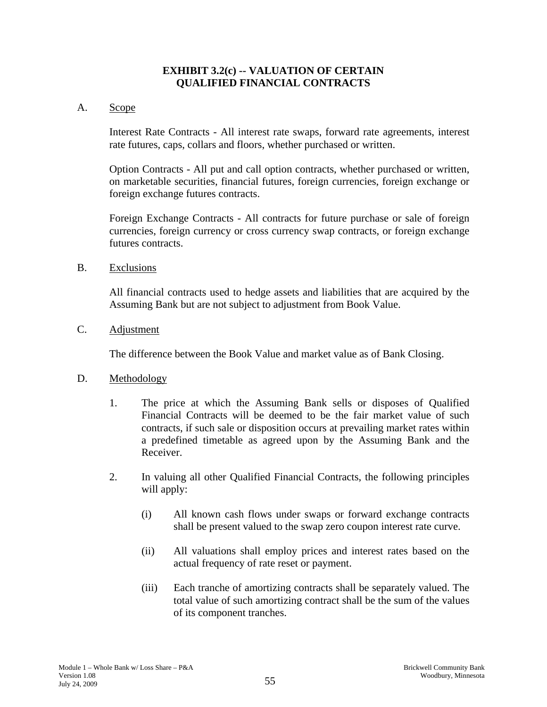### **EXHIBIT 3.2(c) -- VALUATION OF CERTAIN QUALIFIED FINANCIAL CONTRACTS**

### A. Scope

Interest Rate Contracts - All interest rate swaps, forward rate agreements, interest rate futures, caps, collars and floors, whether purchased or written.

Option Contracts - All put and call option contracts, whether purchased or written, on marketable securities, financial futures, foreign currencies, foreign exchange or foreign exchange futures contracts.

Foreign Exchange Contracts - All contracts for future purchase or sale of foreign currencies, foreign currency or cross currency swap contracts, or foreign exchange futures contracts.

B. Exclusions

All financial contracts used to hedge assets and liabilities that are acquired by the Assuming Bank but are not subject to adjustment from Book Value.

C. Adjustment

The difference between the Book Value and market value as of Bank Closing.

- D. Methodology
	- 1. The price at which the Assuming Bank sells or disposes of Qualified Financial Contracts will be deemed to be the fair market value of such contracts, if such sale or disposition occurs at prevailing market rates within a predefined timetable as agreed upon by the Assuming Bank and the Receiver.
	- 2. In valuing all other Qualified Financial Contracts, the following principles will apply:
		- (i) All known cash flows under swaps or forward exchange contracts shall be present valued to the swap zero coupon interest rate curve.
		- (ii) All valuations shall employ prices and interest rates based on the actual frequency of rate reset or payment.
		- (iii) Each tranche of amortizing contracts shall be separately valued. The total value of such amortizing contract shall be the sum of the values of its component tranches.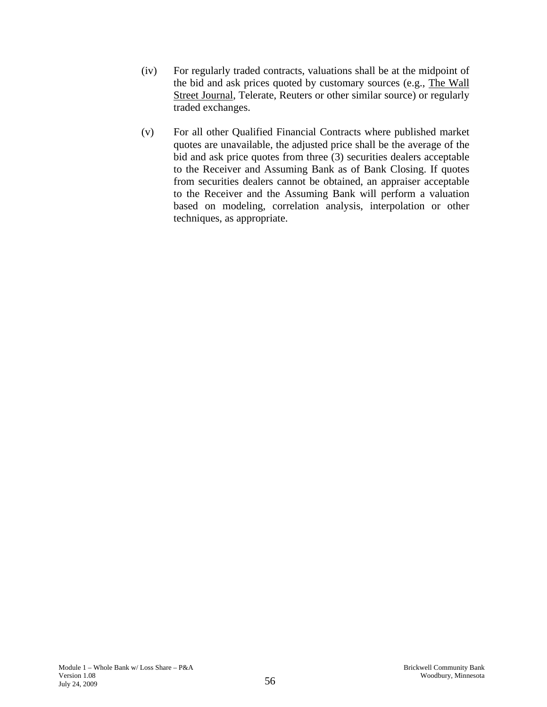- (iv) For regularly traded contracts, valuations shall be at the midpoint of the bid and ask prices quoted by customary sources (e.g., The Wall Street Journal, Telerate, Reuters or other similar source) or regularly traded exchanges.
- (v) For all other Qualified Financial Contracts where published market quotes are unavailable, the adjusted price shall be the average of the bid and ask price quotes from three (3) securities dealers acceptable to the Receiver and Assuming Bank as of Bank Closing. If quotes from securities dealers cannot be obtained, an appraiser acceptable to the Receiver and the Assuming Bank will perform a valuation based on modeling, correlation analysis, interpolation or other techniques, as appropriate.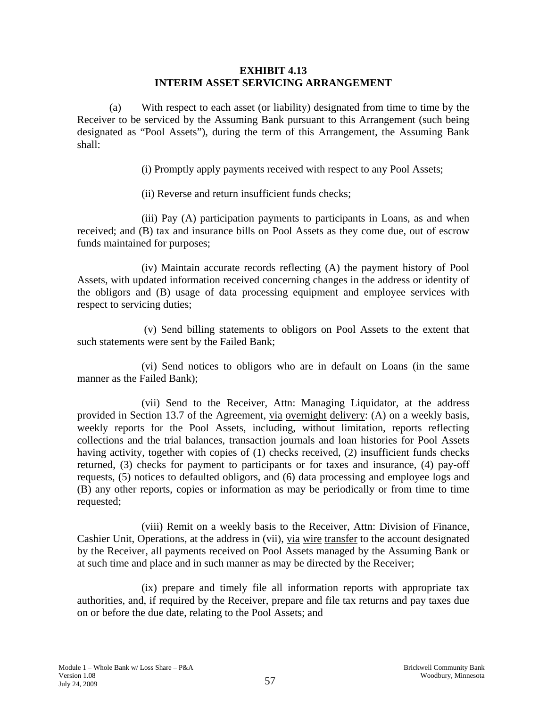### **EXHIBIT 4.13 INTERIM ASSET SERVICING ARRANGEMENT**

(a) With respect to each asset (or liability) designated from time to time by the Receiver to be serviced by the Assuming Bank pursuant to this Arrangement (such being designated as "Pool Assets"), during the term of this Arrangement, the Assuming Bank shall:

(i) Promptly apply payments received with respect to any Pool Assets;

(ii) Reverse and return insufficient funds checks;

(iii) Pay (A) participation payments to participants in Loans, as and when received; and (B) tax and insurance bills on Pool Assets as they come due, out of escrow funds maintained for purposes;

(iv) Maintain accurate records reflecting (A) the payment history of Pool Assets, with updated information received concerning changes in the address or identity of the obligors and (B) usage of data processing equipment and employee services with respect to servicing duties;

(v) Send billing statements to obligors on Pool Assets to the extent that such statements were sent by the Failed Bank;

(vi) Send notices to obligors who are in default on Loans (in the same manner as the Failed Bank);

(vii) Send to the Receiver, Attn: Managing Liquidator, at the address provided in Section 13.7 of the Agreement, via overnight delivery: (A) on a weekly basis, weekly reports for the Pool Assets, including, without limitation, reports reflecting collections and the trial balances, transaction journals and loan histories for Pool Assets having activity, together with copies of (1) checks received, (2) insufficient funds checks returned, (3) checks for payment to participants or for taxes and insurance, (4) pay-off requests, (5) notices to defaulted obligors, and (6) data processing and employee logs and (B) any other reports, copies or information as may be periodically or from time to time requested;

(viii) Remit on a weekly basis to the Receiver, Attn: Division of Finance, Cashier Unit, Operations, at the address in (vii), via wire transfer to the account designated by the Receiver, all payments received on Pool Assets managed by the Assuming Bank or at such time and place and in such manner as may be directed by the Receiver;

(ix) prepare and timely file all information reports with appropriate tax authorities, and, if required by the Receiver, prepare and file tax returns and pay taxes due on or before the due date, relating to the Pool Assets; and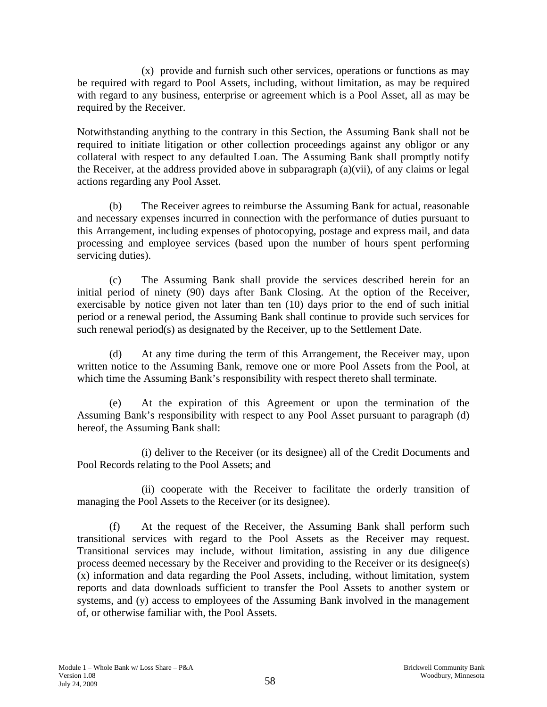(x) provide and furnish such other services, operations or functions as may be required with regard to Pool Assets, including, without limitation, as may be required with regard to any business, enterprise or agreement which is a Pool Asset, all as may be required by the Receiver.

Notwithstanding anything to the contrary in this Section, the Assuming Bank shall not be required to initiate litigation or other collection proceedings against any obligor or any collateral with respect to any defaulted Loan. The Assuming Bank shall promptly notify the Receiver, at the address provided above in subparagraph (a)(vii), of any claims or legal actions regarding any Pool Asset.

(b) The Receiver agrees to reimburse the Assuming Bank for actual, reasonable and necessary expenses incurred in connection with the performance of duties pursuant to this Arrangement, including expenses of photocopying, postage and express mail, and data processing and employee services (based upon the number of hours spent performing servicing duties).

(c) The Assuming Bank shall provide the services described herein for an initial period of ninety (90) days after Bank Closing. At the option of the Receiver, exercisable by notice given not later than ten (10) days prior to the end of such initial period or a renewal period, the Assuming Bank shall continue to provide such services for such renewal period(s) as designated by the Receiver, up to the Settlement Date.

(d) At any time during the term of this Arrangement, the Receiver may, upon written notice to the Assuming Bank, remove one or more Pool Assets from the Pool, at which time the Assuming Bank's responsibility with respect thereto shall terminate.

(e) At the expiration of this Agreement or upon the termination of the Assuming Bank's responsibility with respect to any Pool Asset pursuant to paragraph (d) hereof, the Assuming Bank shall:

(i) deliver to the Receiver (or its designee) all of the Credit Documents and Pool Records relating to the Pool Assets; and

(ii) cooperate with the Receiver to facilitate the orderly transition of managing the Pool Assets to the Receiver (or its designee).

(f) At the request of the Receiver, the Assuming Bank shall perform such transitional services with regard to the Pool Assets as the Receiver may request. Transitional services may include, without limitation, assisting in any due diligence process deemed necessary by the Receiver and providing to the Receiver or its designee(s) (x) information and data regarding the Pool Assets, including, without limitation, system reports and data downloads sufficient to transfer the Pool Assets to another system or systems, and (y) access to employees of the Assuming Bank involved in the management of, or otherwise familiar with, the Pool Assets.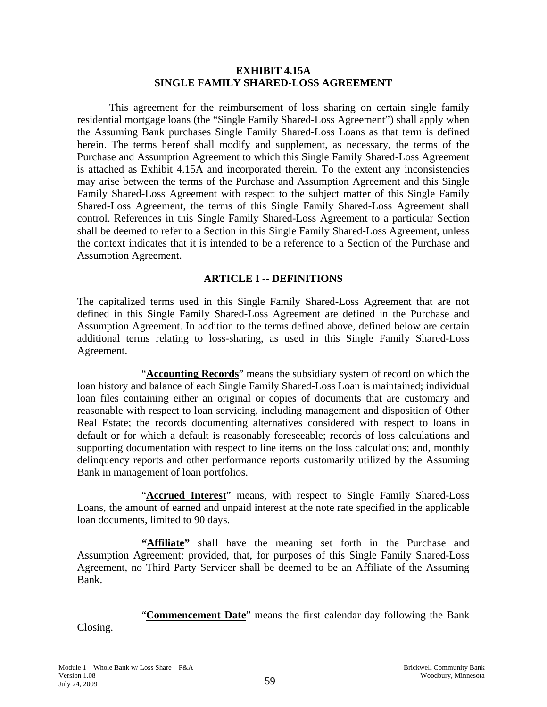#### **EXHIBIT 4.15A SINGLE FAMILY SHARED-LOSS AGREEMENT**

This agreement for the reimbursement of loss sharing on certain single family residential mortgage loans (the "Single Family Shared-Loss Agreement") shall apply when the Assuming Bank purchases Single Family Shared-Loss Loans as that term is defined herein. The terms hereof shall modify and supplement, as necessary, the terms of the Purchase and Assumption Agreement to which this Single Family Shared-Loss Agreement is attached as Exhibit 4.15A and incorporated therein. To the extent any inconsistencies may arise between the terms of the Purchase and Assumption Agreement and this Single Family Shared-Loss Agreement with respect to the subject matter of this Single Family Shared-Loss Agreement, the terms of this Single Family Shared-Loss Agreement shall control. References in this Single Family Shared-Loss Agreement to a particular Section shall be deemed to refer to a Section in this Single Family Shared-Loss Agreement, unless the context indicates that it is intended to be a reference to a Section of the Purchase and Assumption Agreement.

### **ARTICLE I -- DEFINITIONS**

The capitalized terms used in this Single Family Shared-Loss Agreement that are not defined in this Single Family Shared-Loss Agreement are defined in the Purchase and Assumption Agreement. In addition to the terms defined above, defined below are certain additional terms relating to loss-sharing, as used in this Single Family Shared-Loss Agreement.

"**Accounting Records**" means the subsidiary system of record on which the loan history and balance of each Single Family Shared-Loss Loan is maintained; individual loan files containing either an original or copies of documents that are customary and reasonable with respect to loan servicing, including management and disposition of Other Real Estate; the records documenting alternatives considered with respect to loans in default or for which a default is reasonably foreseeable; records of loss calculations and supporting documentation with respect to line items on the loss calculations; and, monthly delinquency reports and other performance reports customarily utilized by the Assuming Bank in management of loan portfolios.

"**Accrued Interest**" means, with respect to Single Family Shared-Loss Loans, the amount of earned and unpaid interest at the note rate specified in the applicable loan documents, limited to 90 days.

**"Affiliate"** shall have the meaning set forth in the Purchase and Assumption Agreement; provided, that, for purposes of this Single Family Shared-Loss Agreement, no Third Party Servicer shall be deemed to be an Affiliate of the Assuming Bank.

"**Commencement Date**" means the first calendar day following the Bank

Closing.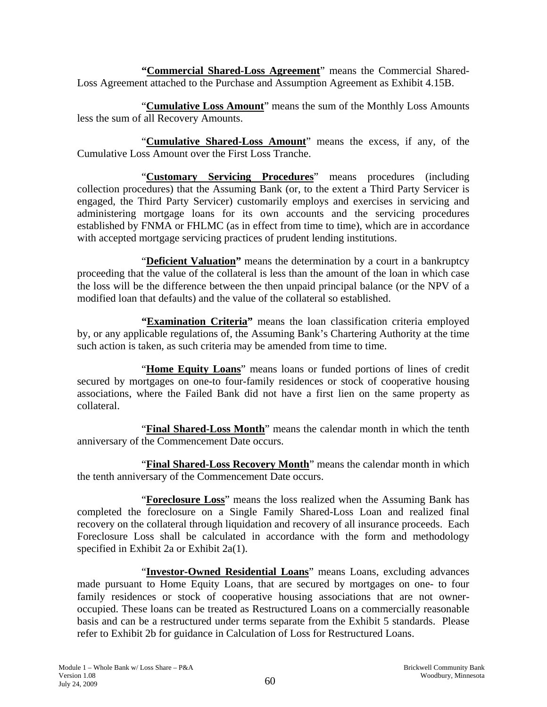**"Commercial Shared-Loss Agreement**" means the Commercial Shared-Loss Agreement attached to the Purchase and Assumption Agreement as Exhibit 4.15B.

"**Cumulative Loss Amount**" means the sum of the Monthly Loss Amounts less the sum of all Recovery Amounts.

"**Cumulative Shared-Loss Amount**" means the excess, if any, of the Cumulative Loss Amount over the First Loss Tranche.

"**Customary Servicing Procedures**" means procedures (including collection procedures) that the Assuming Bank (or, to the extent a Third Party Servicer is engaged, the Third Party Servicer) customarily employs and exercises in servicing and administering mortgage loans for its own accounts and the servicing procedures established by FNMA or FHLMC (as in effect from time to time), which are in accordance with accepted mortgage servicing practices of prudent lending institutions.

"**Deficient Valuation"** means the determination by a court in a bankruptcy proceeding that the value of the collateral is less than the amount of the loan in which case the loss will be the difference between the then unpaid principal balance (or the NPV of a modified loan that defaults) and the value of the collateral so established.

**"Examination Criteria"** means the loan classification criteria employed by, or any applicable regulations of, the Assuming Bank's Chartering Authority at the time such action is taken, as such criteria may be amended from time to time.

"**Home Equity Loans**" means loans or funded portions of lines of credit secured by mortgages on one-to four-family residences or stock of cooperative housing associations, where the Failed Bank did not have a first lien on the same property as collateral.

"**Final Shared-Loss Month**" means the calendar month in which the tenth anniversary of the Commencement Date occurs.

"**Final Shared-Loss Recovery Month**" means the calendar month in which the tenth anniversary of the Commencement Date occurs.

"**Foreclosure Loss**" means the loss realized when the Assuming Bank has completed the foreclosure on a Single Family Shared-Loss Loan and realized final recovery on the collateral through liquidation and recovery of all insurance proceeds. Each Foreclosure Loss shall be calculated in accordance with the form and methodology specified in Exhibit 2a or Exhibit 2a(1).

"**Investor-Owned Residential Loans**" means Loans, excluding advances made pursuant to Home Equity Loans, that are secured by mortgages on one- to four family residences or stock of cooperative housing associations that are not owneroccupied. These loans can be treated as Restructured Loans on a commercially reasonable basis and can be a restructured under terms separate from the Exhibit 5 standards. Please refer to Exhibit 2b for guidance in Calculation of Loss for Restructured Loans.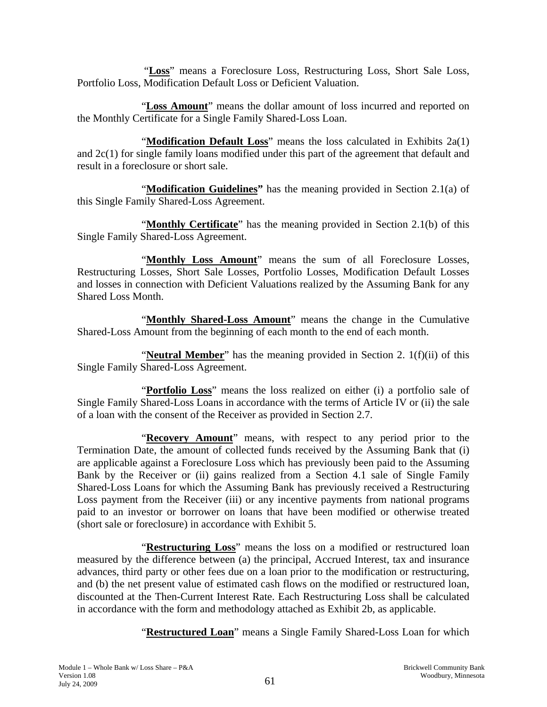"**Loss**" means a Foreclosure Loss, Restructuring Loss, Short Sale Loss, Portfolio Loss, Modification Default Loss or Deficient Valuation.

"**Loss Amount**" means the dollar amount of loss incurred and reported on the Monthly Certificate for a Single Family Shared-Loss Loan.

"**Modification Default Loss**" means the loss calculated in Exhibits 2a(1) and 2c(1) for single family loans modified under this part of the agreement that default and result in a foreclosure or short sale.

"**Modification Guidelines**" has the meaning provided in Section 2.1(a) of this Single Family Shared-Loss Agreement.

"**Monthly Certificate**" has the meaning provided in Section 2.1(b) of this Single Family Shared-Loss Agreement.

"**Monthly Loss Amount**" means the sum of all Foreclosure Losses, Restructuring Losses, Short Sale Losses, Portfolio Losses, Modification Default Losses and losses in connection with Deficient Valuations realized by the Assuming Bank for any Shared Loss Month.

"Monthly Shared-Loss Amount" means the change in the Cumulative Shared-Loss Amount from the beginning of each month to the end of each month.

"**Neutral Member**" has the meaning provided in Section 2. 1(f)(ii) of this Single Family Shared-Loss Agreement.

"**Portfolio Loss**" means the loss realized on either (i) a portfolio sale of Single Family Shared-Loss Loans in accordance with the terms of Article IV or (ii) the sale of a loan with the consent of the Receiver as provided in Section 2.7.

"Recovery Amount" means, with respect to any period prior to the Termination Date, the amount of collected funds received by the Assuming Bank that (i) are applicable against a Foreclosure Loss which has previously been paid to the Assuming Bank by the Receiver or (ii) gains realized from a Section 4.1 sale of Single Family Shared-Loss Loans for which the Assuming Bank has previously received a Restructuring Loss payment from the Receiver (iii) or any incentive payments from national programs paid to an investor or borrower on loans that have been modified or otherwise treated (short sale or foreclosure) in accordance with Exhibit 5.

"**Restructuring Loss**" means the loss on a modified or restructured loan measured by the difference between (a) the principal, Accrued Interest, tax and insurance advances, third party or other fees due on a loan prior to the modification or restructuring, and (b) the net present value of estimated cash flows on the modified or restructured loan, discounted at the Then-Current Interest Rate. Each Restructuring Loss shall be calculated in accordance with the form and methodology attached as Exhibit 2b, as applicable.

"**Restructured Loan**" means a Single Family Shared-Loss Loan for which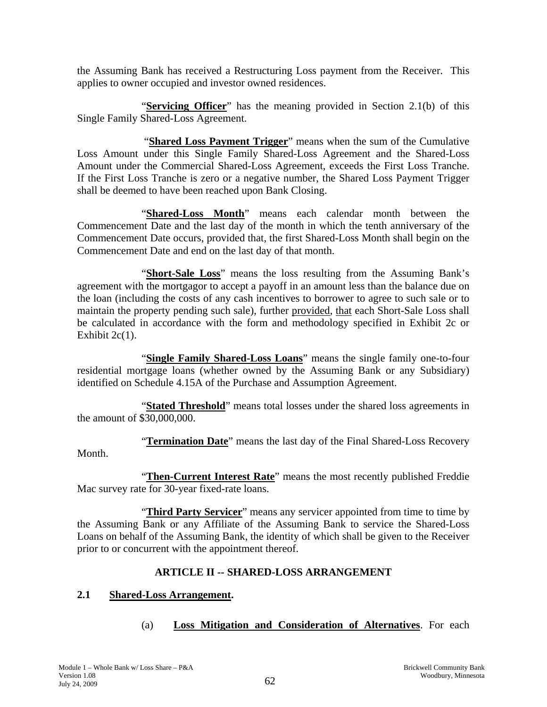the Assuming Bank has received a Restructuring Loss payment from the Receiver. This applies to owner occupied and investor owned residences.

"**Servicing Officer**" has the meaning provided in Section 2.1(b) of this Single Family Shared-Loss Agreement.

Amount under the Commercial Shared-Loss Agreement, exceeds the First Loss Tranche. "**Shared Loss Payment Trigger**" means when the sum of the Cumulative Loss Amount under this Single Family Shared-Loss Agreement and the Shared-Loss If the First Loss Tranche is zero or a negative number, the Shared Loss Payment Trigger shall be deemed to have been reached upon Bank Closing.

"**Shared-Loss Month**" means each calendar month between the Commencement Date and the last day of the month in which the tenth anniversary of the Commencement Date occurs, provided that, the first Shared-Loss Month shall begin on the Commencement Date and end on the last day of that month.

"**Short-Sale Loss**" means the loss resulting from the Assuming Bank's agreement with the mortgagor to accept a payoff in an amount less than the balance due on the loan (including the costs of any cash incentives to borrower to agree to such sale or to maintain the property pending such sale), further provided, that each Short-Sale Loss shall be calculated in accordance with the form and methodology specified in Exhibit 2c or Exhibit  $2c(1)$ .

"**Single Family Shared-Loss Loans**" means the single family one-to-four residential mortgage loans (whether owned by the Assuming Bank or any Subsidiary) identified on Schedule 4.15A of the Purchase and Assumption Agreement.

"**Stated Threshold**" means total losses under the shared loss agreements in the amount of \$30,000,000.

"**Termination Date**" means the last day of the Final Shared-Loss Recovery Month.

"Then-Current Interest Rate" means the most recently published Freddie Mac survey rate for 30-year fixed-rate loans.

"**Third Party Servicer**" means any servicer appointed from time to time by the Assuming Bank or any Affiliate of the Assuming Bank to service the Shared-Loss Loans on behalf of the Assuming Bank, the identity of which shall be given to the Receiver prior to or concurrent with the appointment thereof.

# **ARTICLE II -- SHARED-LOSS ARRANGEMENT**

# **2.1 Shared-Loss Arrangement.**

(a) **Loss Mitigation and Consideration of Alternatives**. For each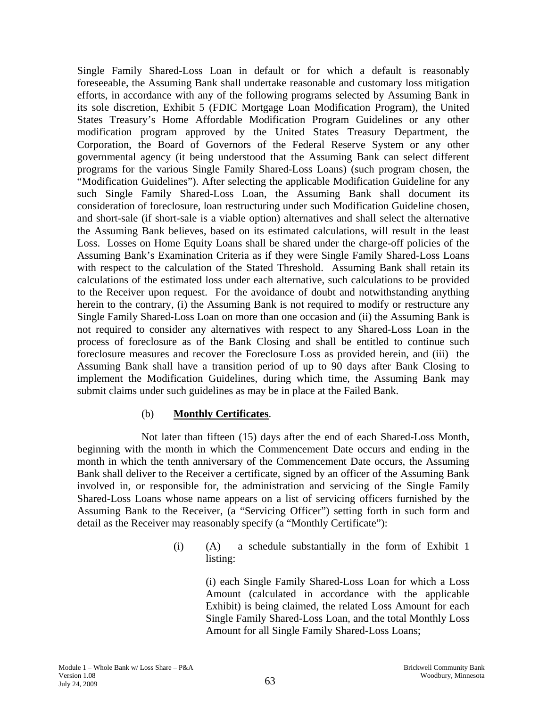Single Family Shared-Loss Loan in default or for which a default is reasonably foreseeable, the Assuming Bank shall undertake reasonable and customary loss mitigation efforts, in accordance with any of the following programs selected by Assuming Bank in its sole discretion, Exhibit 5 (FDIC Mortgage Loan Modification Program), the United States Treasury's Home Affordable Modification Program Guidelines or any other modification program approved by the United States Treasury Department, the Corporation, the Board of Governors of the Federal Reserve System or any other governmental agency (it being understood that the Assuming Bank can select different programs for the various Single Family Shared-Loss Loans) (such program chosen, the "Modification Guidelines"). After selecting the applicable Modification Guideline for any such Single Family Shared-Loss Loan, the Assuming Bank shall document its consideration of foreclosure, loan restructuring under such Modification Guideline chosen, and short-sale (if short-sale is a viable option) alternatives and shall select the alternative the Assuming Bank believes, based on its estimated calculations, will result in the least Loss. Losses on Home Equity Loans shall be shared under the charge-off policies of the Assuming Bank's Examination Criteria as if they were Single Family Shared-Loss Loans with respect to the calculation of the Stated Threshold. Assuming Bank shall retain its calculations of the estimated loss under each alternative, such calculations to be provided to the Receiver upon request. For the avoidance of doubt and notwithstanding anything herein to the contrary, (i) the Assuming Bank is not required to modify or restructure any Single Family Shared-Loss Loan on more than one occasion and (ii) the Assuming Bank is not required to consider any alternatives with respect to any Shared-Loss Loan in the process of foreclosure as of the Bank Closing and shall be entitled to continue such foreclosure measures and recover the Foreclosure Loss as provided herein, and (iii) the Assuming Bank shall have a transition period of up to 90 days after Bank Closing to implement the Modification Guidelines, during which time, the Assuming Bank may submit claims under such guidelines as may be in place at the Failed Bank.

### (b) **Monthly Certificates**.

Not later than fifteen (15) days after the end of each Shared-Loss Month, beginning with the month in which the Commencement Date occurs and ending in the month in which the tenth anniversary of the Commencement Date occurs, the Assuming Bank shall deliver to the Receiver a certificate, signed by an officer of the Assuming Bank involved in, or responsible for, the administration and servicing of the Single Family Shared-Loss Loans whose name appears on a list of servicing officers furnished by the Assuming Bank to the Receiver, (a "Servicing Officer") setting forth in such form and detail as the Receiver may reasonably specify (a "Monthly Certificate"):

> $(i)$  (A) a schedule substantially in the form of Exhibit 1 listing:

> > (i) each Single Family Shared-Loss Loan for which a Loss Amount (calculated in accordance with the applicable Exhibit) is being claimed, the related Loss Amount for each Single Family Shared-Loss Loan, and the total Monthly Loss Amount for all Single Family Shared-Loss Loans;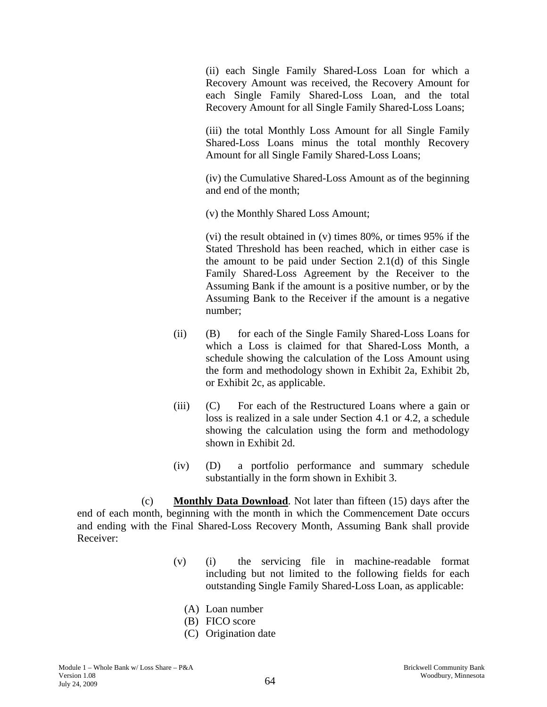(ii) each Single Family Shared-Loss Loan for which a Recovery Amount was received, the Recovery Amount for each Single Family Shared-Loss Loan, and the total Recovery Amount for all Single Family Shared-Loss Loans;

(iii) the total Monthly Loss Amount for all Single Family Shared-Loss Loans minus the total monthly Recovery Amount for all Single Family Shared-Loss Loans;

(iv) the Cumulative Shared-Loss Amount as of the beginning and end of the month;

(v) the Monthly Shared Loss Amount;

(vi) the result obtained in (v) times 80%, or times 95% if the Stated Threshold has been reached, which in either case is the amount to be paid under Section 2.1(d) of this Single Family Shared-Loss Agreement by the Receiver to the Assuming Bank if the amount is a positive number, or by the Assuming Bank to the Receiver if the amount is a negative number;

- (ii) (B) for each of the Single Family Shared-Loss Loans for which a Loss is claimed for that Shared-Loss Month, a schedule showing the calculation of the Loss Amount using the form and methodology shown in Exhibit 2a, Exhibit 2b, or Exhibit 2c, as applicable.
- (iii) (C) For each of the Restructured Loans where a gain or loss is realized in a sale under Section 4.1 or 4.2, a schedule showing the calculation using the form and methodology shown in Exhibit 2d.
- (iv) (D) a portfolio performance and summary schedule substantially in the form shown in Exhibit 3.

(c) **Monthly Data Download**. Not later than fifteen (15) days after the end of each month, beginning with the month in which the Commencement Date occurs and ending with the Final Shared-Loss Recovery Month, Assuming Bank shall provide Receiver:

- (v) (i) the servicing file in machine-readable format including but not limited to the following fields for each outstanding Single Family Shared-Loss Loan, as applicable:
	- (A) Loan number
	- (B) FICO score
	- (C) Origination date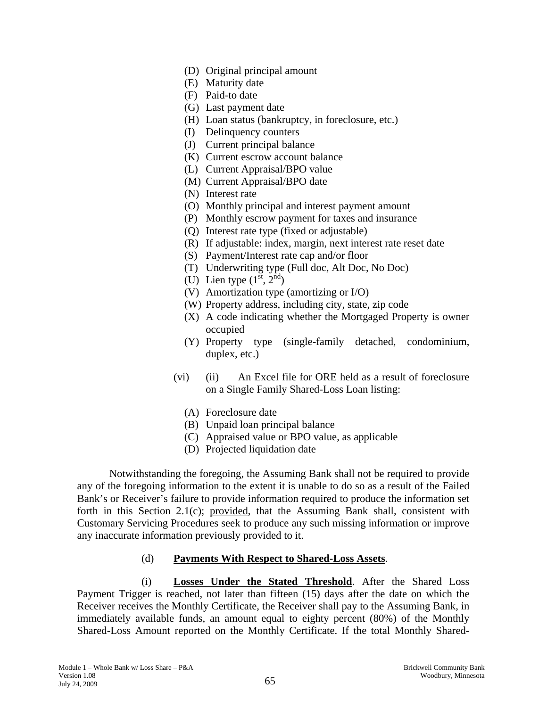- (D) Original principal amount
- (E) Maturity date
- (F) Paid-to date
- (G) Last payment date
- (H) Loan status (bankruptcy, in foreclosure, etc.)
- (I) Delinquency counters
- (J) Current principal balance
- (K) Current escrow account balance
- (L) Current Appraisal/BPO value
- (M) Current Appraisal/BPO date
- (N) Interest rate
- (O) Monthly principal and interest payment amount
- (P) Monthly escrow payment for taxes and insurance
- (Q) Interest rate type (fixed or adjustable)
- (R) If adjustable: index, margin, next interest rate reset date
- (S) Payment/Interest rate cap and/or floor
- (T) Underwriting type (Full doc, Alt Doc, No Doc)
- (U) Lien type  $(1^{\overline{st}}, 2^{\overline{nd}})$
- (V) Amortization type (amortizing or I/O)
- (W) Property address, including city, state, zip code
- (X) A code indicating whether the Mortgaged Property is owner occupied
- (Y) Property type (single-family detached, condominium, duplex, etc.)
- (vi) (ii) An Excel file for ORE held as a result of foreclosure on a Single Family Shared-Loss Loan listing:
	- (A) Foreclosure date
	- (B) Unpaid loan principal balance
	- (C) Appraised value or BPO value, as applicable
	- (D) Projected liquidation date

Notwithstanding the foregoing, the Assuming Bank shall not be required to provide any of the foregoing information to the extent it is unable to do so as a result of the Failed Bank's or Receiver's failure to provide information required to produce the information set forth in this Section 2.1(c); provided, that the Assuming Bank shall, consistent with Customary Servicing Procedures seek to produce any such missing information or improve any inaccurate information previously provided to it.

### (d) **Payments With Respect to Shared-Loss Assets**.

(i) **Losses Under the Stated Threshold**. After the Shared Loss Payment Trigger is reached, not later than fifteen (15) days after the date on which the Receiver receives the Monthly Certificate, the Receiver shall pay to the Assuming Bank, in immediately available funds, an amount equal to eighty percent (80%) of the Monthly Shared-Loss Amount reported on the Monthly Certificate. If the total Monthly Shared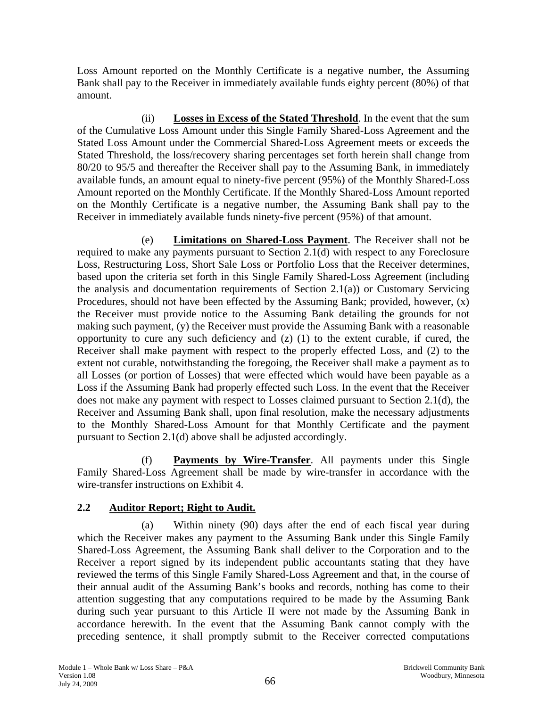Loss Amount reported on the Monthly Certificate is a negative number, the Assuming Bank shall pay to the Receiver in immediately available funds eighty percent (80%) of that amount.

(ii) **Losses in Excess of the Stated Threshold**. In the event that the sum of the Cumulative Loss Amount under this Single Family Shared-Loss Agreement and the Stated Loss Amount under the Commercial Shared-Loss Agreement meets or exceeds the Stated Threshold, the loss/recovery sharing percentages set forth herein shall change from 80/20 to 95/5 and thereafter the Receiver shall pay to the Assuming Bank, in immediately available funds, an amount equal to ninety-five percent (95%) of the Monthly Shared-Loss Amount reported on the Monthly Certificate. If the Monthly Shared-Loss Amount reported on the Monthly Certificate is a negative number, the Assuming Bank shall pay to the Receiver in immediately available funds ninety-five percent (95%) of that amount.

(e) **Limitations on Shared-Loss Payment**. The Receiver shall not be required to make any payments pursuant to Section 2.1(d) with respect to any Foreclosure Loss, Restructuring Loss, Short Sale Loss or Portfolio Loss that the Receiver determines, based upon the criteria set forth in this Single Family Shared-Loss Agreement (including the analysis and documentation requirements of Section 2.1(a)) or Customary Servicing Procedures, should not have been effected by the Assuming Bank; provided, however, (x) the Receiver must provide notice to the Assuming Bank detailing the grounds for not making such payment, (y) the Receiver must provide the Assuming Bank with a reasonable opportunity to cure any such deficiency and  $(z)$  (1) to the extent curable, if cured, the Receiver shall make payment with respect to the properly effected Loss, and (2) to the extent not curable, notwithstanding the foregoing, the Receiver shall make a payment as to all Losses (or portion of Losses) that were effected which would have been payable as a Loss if the Assuming Bank had properly effected such Loss. In the event that the Receiver does not make any payment with respect to Losses claimed pursuant to Section 2.1(d), the Receiver and Assuming Bank shall, upon final resolution, make the necessary adjustments to the Monthly Shared-Loss Amount for that Monthly Certificate and the payment pursuant to Section 2.1(d) above shall be adjusted accordingly.

(f) **Payments by Wire-Transfer**. All payments under this Single Family Shared-Loss Agreement shall be made by wire-transfer in accordance with the wire-transfer instructions on Exhibit 4.

# **2.2 Auditor Report; Right to Audit.**

(a) Within ninety (90) days after the end of each fiscal year during which the Receiver makes any payment to the Assuming Bank under this Single Family Shared-Loss Agreement, the Assuming Bank shall deliver to the Corporation and to the Receiver a report signed by its independent public accountants stating that they have reviewed the terms of this Single Family Shared-Loss Agreement and that, in the course of their annual audit of the Assuming Bank's books and records, nothing has come to their attention suggesting that any computations required to be made by the Assuming Bank during such year pursuant to this Article II were not made by the Assuming Bank in accordance herewith. In the event that the Assuming Bank cannot comply with the preceding sentence, it shall promptly submit to the Receiver corrected computations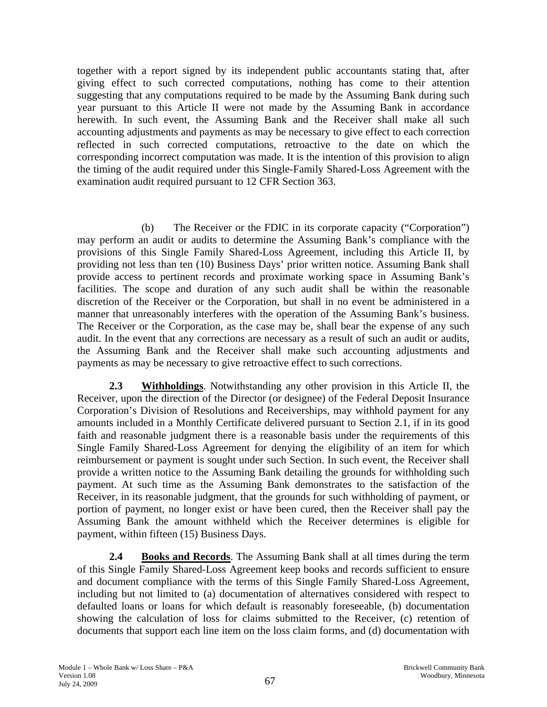together with a report signed by its independent public accountants stating that, after giving effect to such corrected computations, nothing has come to their attention suggesting that any computations required to be made by the Assuming Bank during such year pursuant to this Article II were not made by the Assuming Bank in accordance herewith. In such event, the Assuming Bank and the Receiver shall make all such accounting adjustments and payments as may be necessary to give effect to each correction reflected in such corrected computations, retroactive to the date on which the corresponding incorrect computation was made. It is the intention of this provision to align the timing of the audit required under this Single-Family Shared-Loss Agreement with the examination audit required pursuant to 12 CFR Section 363.

(b) The Receiver or the FDIC in its corporate capacity ("Corporation") may perform an audit or audits to determine the Assuming Bank's compliance with the provisions of this Single Family Shared-Loss Agreement, including this Article II, by providing not less than ten (10) Business Days' prior written notice. Assuming Bank shall provide access to pertinent records and proximate working space in Assuming Bank's facilities. The scope and duration of any such audit shall be within the reasonable discretion of the Receiver or the Corporation, but shall in no event be administered in a manner that unreasonably interferes with the operation of the Assuming Bank's business. The Receiver or the Corporation, as the case may be, shall bear the expense of any such audit. In the event that any corrections are necessary as a result of such an audit or audits, the Assuming Bank and the Receiver shall make such accounting adjustments and payments as may be necessary to give retroactive effect to such corrections.

**2.3 Withholdings**. Notwithstanding any other provision in this Article II, the Receiver, upon the direction of the Director (or designee) of the Federal Deposit Insurance Corporation's Division of Resolutions and Receiverships, may withhold payment for any amounts included in a Monthly Certificate delivered pursuant to Section 2.1, if in its good faith and reasonable judgment there is a reasonable basis under the requirements of this Single Family Shared-Loss Agreement for denying the eligibility of an item for which reimbursement or payment is sought under such Section. In such event, the Receiver shall provide a written notice to the Assuming Bank detailing the grounds for withholding such payment. At such time as the Assuming Bank demonstrates to the satisfaction of the Receiver, in its reasonable judgment, that the grounds for such withholding of payment, or portion of payment, no longer exist or have been cured, then the Receiver shall pay the Assuming Bank the amount withheld which the Receiver determines is eligible for payment, within fifteen (15) Business Days.

**2.4 Books and Records**. The Assuming Bank shall at all times during the term of this Single Family Shared-Loss Agreement keep books and records sufficient to ensure and document compliance with the terms of this Single Family Shared-Loss Agreement, including but not limited to (a) documentation of alternatives considered with respect to defaulted loans or loans for which default is reasonably foreseeable, (b) documentation showing the calculation of loss for claims submitted to the Receiver, (c) retention of documents that support each line item on the loss claim forms, and (d) documentation with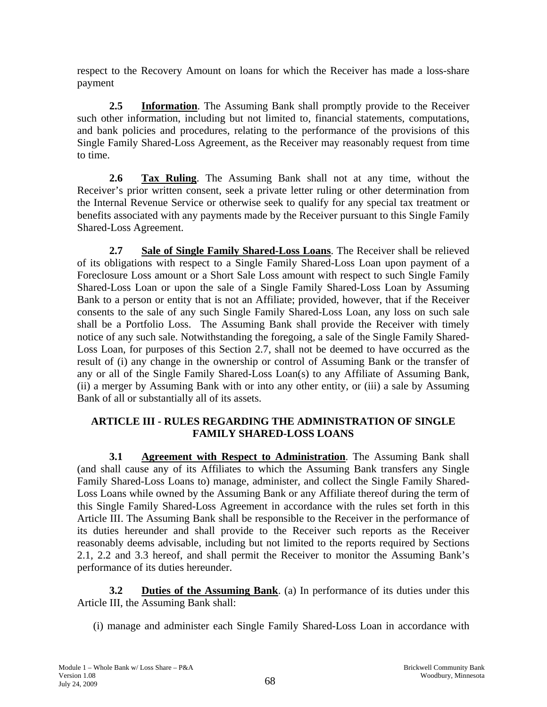respect to the Recovery Amount on loans for which the Receiver has made a loss-share payment

**2.5 Information**. The Assuming Bank shall promptly provide to the Receiver such other information, including but not limited to, financial statements, computations, and bank policies and procedures, relating to the performance of the provisions of this Single Family Shared-Loss Agreement, as the Receiver may reasonably request from time to time.

**2.6 Tax Ruling**. The Assuming Bank shall not at any time, without the Receiver's prior written consent, seek a private letter ruling or other determination from the Internal Revenue Service or otherwise seek to qualify for any special tax treatment or benefits associated with any payments made by the Receiver pursuant to this Single Family Shared-Loss Agreement.

**2.7 Sale of Single Family Shared-Loss Loans**. The Receiver shall be relieved of its obligations with respect to a Single Family Shared-Loss Loan upon payment of a Foreclosure Loss amount or a Short Sale Loss amount with respect to such Single Family Shared-Loss Loan or upon the sale of a Single Family Shared-Loss Loan by Assuming Bank to a person or entity that is not an Affiliate; provided, however, that if the Receiver consents to the sale of any such Single Family Shared-Loss Loan, any loss on such sale shall be a Portfolio Loss. The Assuming Bank shall provide the Receiver with timely notice of any such sale. Notwithstanding the foregoing, a sale of the Single Family Shared-Loss Loan, for purposes of this Section 2.7, shall not be deemed to have occurred as the result of (i) any change in the ownership or control of Assuming Bank or the transfer of any or all of the Single Family Shared-Loss Loan(s) to any Affiliate of Assuming Bank, (ii) a merger by Assuming Bank with or into any other entity, or (iii) a sale by Assuming Bank of all or substantially all of its assets.

### **ARTICLE III - RULES REGARDING THE ADMINISTRATION OF SINGLE FAMILY SHARED-LOSS LOANS**

**3.1 Agreement with Respect to Administration**. The Assuming Bank shall (and shall cause any of its Affiliates to which the Assuming Bank transfers any Single Family Shared-Loss Loans to) manage, administer, and collect the Single Family Shared-Loss Loans while owned by the Assuming Bank or any Affiliate thereof during the term of this Single Family Shared-Loss Agreement in accordance with the rules set forth in this Article III. The Assuming Bank shall be responsible to the Receiver in the performance of its duties hereunder and shall provide to the Receiver such reports as the Receiver reasonably deems advisable, including but not limited to the reports required by Sections 2.1, 2.2 and 3.3 hereof, and shall permit the Receiver to monitor the Assuming Bank's performance of its duties hereunder.

**3.2 Duties of the Assuming Bank**. (a) In performance of its duties under this Article III, the Assuming Bank shall:

(i) manage and administer each Single Family Shared-Loss Loan in accordance with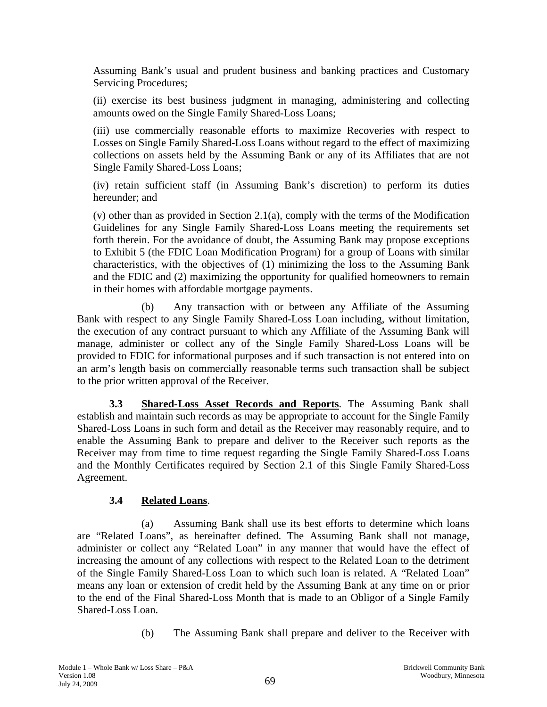Assuming Bank's usual and prudent business and banking practices and Customary Servicing Procedures;

(ii) exercise its best business judgment in managing, administering and collecting amounts owed on the Single Family Shared-Loss Loans;

(iii) use commercially reasonable efforts to maximize Recoveries with respect to Losses on Single Family Shared-Loss Loans without regard to the effect of maximizing collections on assets held by the Assuming Bank or any of its Affiliates that are not Single Family Shared-Loss Loans;

(iv) retain sufficient staff (in Assuming Bank's discretion) to perform its duties hereunder; and

(v) other than as provided in Section 2.1(a), comply with the terms of the Modification Guidelines for any Single Family Shared-Loss Loans meeting the requirements set forth therein. For the avoidance of doubt, the Assuming Bank may propose exceptions to Exhibit 5 (the FDIC Loan Modification Program) for a group of Loans with similar characteristics, with the objectives of (1) minimizing the loss to the Assuming Bank and the FDIC and (2) maximizing the opportunity for qualified homeowners to remain in their homes with affordable mortgage payments.

(b) Any transaction with or between any Affiliate of the Assuming Bank with respect to any Single Family Shared-Loss Loan including, without limitation, the execution of any contract pursuant to which any Affiliate of the Assuming Bank will manage, administer or collect any of the Single Family Shared-Loss Loans will be provided to FDIC for informational purposes and if such transaction is not entered into on an arm's length basis on commercially reasonable terms such transaction shall be subject to the prior written approval of the Receiver.

**3.3 Shared-Loss Asset Records and Reports**. The Assuming Bank shall establish and maintain such records as may be appropriate to account for the Single Family Shared-Loss Loans in such form and detail as the Receiver may reasonably require, and to enable the Assuming Bank to prepare and deliver to the Receiver such reports as the Receiver may from time to time request regarding the Single Family Shared-Loss Loans and the Monthly Certificates required by Section 2.1 of this Single Family Shared-Loss Agreement.

# **3.4 Related Loans**.

(a) Assuming Bank shall use its best efforts to determine which loans are "Related Loans", as hereinafter defined. The Assuming Bank shall not manage, administer or collect any "Related Loan" in any manner that would have the effect of increasing the amount of any collections with respect to the Related Loan to the detriment of the Single Family Shared-Loss Loan to which such loan is related. A "Related Loan" means any loan or extension of credit held by the Assuming Bank at any time on or prior to the end of the Final Shared-Loss Month that is made to an Obligor of a Single Family Shared-Loss Loan.

(b) The Assuming Bank shall prepare and deliver to the Receiver with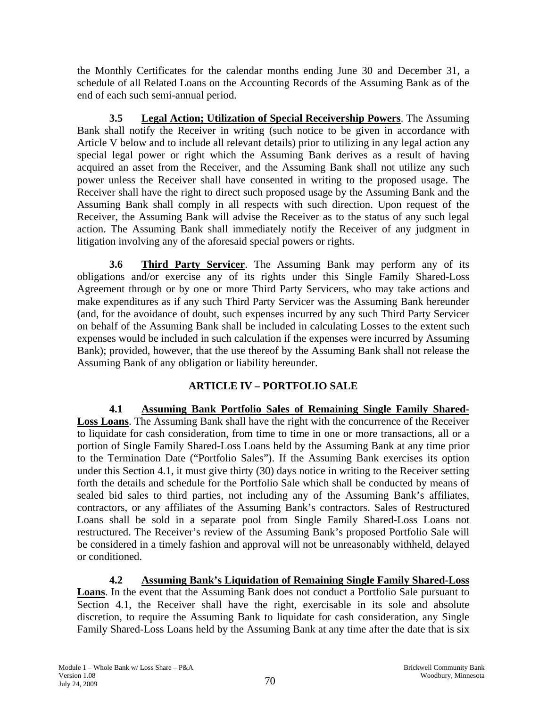the Monthly Certificates for the calendar months ending June 30 and December 31, a schedule of all Related Loans on the Accounting Records of the Assuming Bank as of the end of each such semi-annual period.

**3.5 Legal Action; Utilization of Special Receivership Powers**. The Assuming Bank shall notify the Receiver in writing (such notice to be given in accordance with Article V below and to include all relevant details) prior to utilizing in any legal action any special legal power or right which the Assuming Bank derives as a result of having acquired an asset from the Receiver, and the Assuming Bank shall not utilize any such power unless the Receiver shall have consented in writing to the proposed usage. The Receiver shall have the right to direct such proposed usage by the Assuming Bank and the Assuming Bank shall comply in all respects with such direction. Upon request of the Receiver, the Assuming Bank will advise the Receiver as to the status of any such legal action. The Assuming Bank shall immediately notify the Receiver of any judgment in litigation involving any of the aforesaid special powers or rights.

**3.6 Third Party Servicer**. The Assuming Bank may perform any of its obligations and/or exercise any of its rights under this Single Family Shared-Loss Agreement through or by one or more Third Party Servicers, who may take actions and make expenditures as if any such Third Party Servicer was the Assuming Bank hereunder (and, for the avoidance of doubt, such expenses incurred by any such Third Party Servicer on behalf of the Assuming Bank shall be included in calculating Losses to the extent such expenses would be included in such calculation if the expenses were incurred by Assuming Bank); provided, however, that the use thereof by the Assuming Bank shall not release the Assuming Bank of any obligation or liability hereunder.

# **ARTICLE IV – PORTFOLIO SALE**

**4.1 Assuming Bank Portfolio Sales of Remaining Single Family Shared-Loss Loans**. The Assuming Bank shall have the right with the concurrence of the Receiver to liquidate for cash consideration, from time to time in one or more transactions, all or a portion of Single Family Shared-Loss Loans held by the Assuming Bank at any time prior to the Termination Date ("Portfolio Sales"). If the Assuming Bank exercises its option under this Section 4.1, it must give thirty (30) days notice in writing to the Receiver setting forth the details and schedule for the Portfolio Sale which shall be conducted by means of sealed bid sales to third parties, not including any of the Assuming Bank's affiliates, contractors, or any affiliates of the Assuming Bank's contractors. Sales of Restructured Loans shall be sold in a separate pool from Single Family Shared-Loss Loans not restructured. The Receiver's review of the Assuming Bank's proposed Portfolio Sale will be considered in a timely fashion and approval will not be unreasonably withheld, delayed or conditioned.

**4.2 Assuming Bank's Liquidation of Remaining Single Family Shared-Loss Loans**. In the event that the Assuming Bank does not conduct a Portfolio Sale pursuant to Section 4.1, the Receiver shall have the right, exercisable in its sole and absolute discretion, to require the Assuming Bank to liquidate for cash consideration, any Single Family Shared-Loss Loans held by the Assuming Bank at any time after the date that is six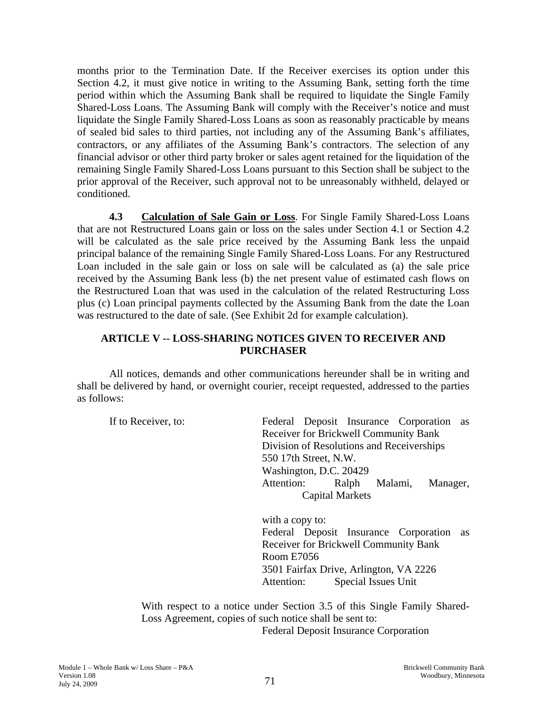months prior to the Termination Date. If the Receiver exercises its option under this Section 4.2, it must give notice in writing to the Assuming Bank, setting forth the time period within which the Assuming Bank shall be required to liquidate the Single Family Shared-Loss Loans. The Assuming Bank will comply with the Receiver's notice and must liquidate the Single Family Shared-Loss Loans as soon as reasonably practicable by means of sealed bid sales to third parties, not including any of the Assuming Bank's affiliates, contractors, or any affiliates of the Assuming Bank's contractors. The selection of any financial advisor or other third party broker or sales agent retained for the liquidation of the remaining Single Family Shared-Loss Loans pursuant to this Section shall be subject to the prior approval of the Receiver, such approval not to be unreasonably withheld, delayed or conditioned.

**4.3 Calculation of Sale Gain or Loss**. For Single Family Shared-Loss Loans that are not Restructured Loans gain or loss on the sales under Section 4.1 or Section 4.2 will be calculated as the sale price received by the Assuming Bank less the unpaid principal balance of the remaining Single Family Shared-Loss Loans. For any Restructured Loan included in the sale gain or loss on sale will be calculated as (a) the sale price received by the Assuming Bank less (b) the net present value of estimated cash flows on the Restructured Loan that was used in the calculation of the related Restructuring Loss plus (c) Loan principal payments collected by the Assuming Bank from the date the Loan was restructured to the date of sale. (See Exhibit 2d for example calculation).

### **ARTICLE V -- LOSS-SHARING NOTICES GIVEN TO RECEIVER AND PURCHASER**

All notices, demands and other communications hereunder shall be in writing and shall be delivered by hand, or overnight courier, receipt requested, addressed to the parties as follows:

If to Receiver, to: Federal Deposit Insurance Corporation as Receiver for Brickwell Community Bank Division of Resolutions and Receiverships 550 17th Street, N.W. Washington, D.C. 20429 Attention: Ralph Malami, Manager, Capital Markets

> with a copy to: Federal Deposit Insurance Corporation as Receiver for Brickwell Community Bank Room E7056 3501 Fairfax Drive, Arlington, VA 2226 Attention: Special Issues Unit

With respect to a notice under Section 3.5 of this Single Family Shared-Loss Agreement, copies of such notice shall be sent to: Federal Deposit Insurance Corporation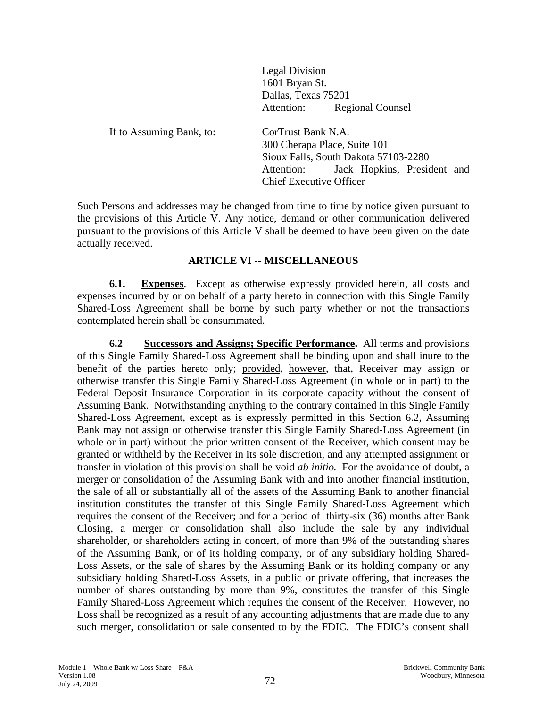|                          | Legal Division<br>1601 Bryan St.<br>Dallas, Texas 75201                                                                                                                |  |  |
|--------------------------|------------------------------------------------------------------------------------------------------------------------------------------------------------------------|--|--|
|                          | Attention: Regional Counsel                                                                                                                                            |  |  |
| If to Assuming Bank, to: | CorTrust Bank N.A.<br>300 Cherapa Place, Suite 101<br>Sioux Falls, South Dakota 57103-2280<br>Attention: Jack Hopkins, President and<br><b>Chief Executive Officer</b> |  |  |

Such Persons and addresses may be changed from time to time by notice given pursuant to the provisions of this Article V. Any notice, demand or other communication delivered pursuant to the provisions of this Article V shall be deemed to have been given on the date actually received.

### **ARTICLE VI -- MISCELLANEOUS**

**6.1. Expenses**. Except as otherwise expressly provided herein, all costs and expenses incurred by or on behalf of a party hereto in connection with this Single Family Shared-Loss Agreement shall be borne by such party whether or not the transactions contemplated herein shall be consummated.

**6.2 Successors and Assigns; Specific Performance.** All terms and provisions of this Single Family Shared-Loss Agreement shall be binding upon and shall inure to the benefit of the parties hereto only; provided, however, that, Receiver may assign or otherwise transfer this Single Family Shared-Loss Agreement (in whole or in part) to the Federal Deposit Insurance Corporation in its corporate capacity without the consent of Assuming Bank. Notwithstanding anything to the contrary contained in this Single Family Shared-Loss Agreement, except as is expressly permitted in this Section 6.2, Assuming Bank may not assign or otherwise transfer this Single Family Shared-Loss Agreement (in whole or in part) without the prior written consent of the Receiver, which consent may be granted or withheld by the Receiver in its sole discretion, and any attempted assignment or transfer in violation of this provision shall be void *ab initio.* For the avoidance of doubt, a merger or consolidation of the Assuming Bank with and into another financial institution, the sale of all or substantially all of the assets of the Assuming Bank to another financial institution constitutes the transfer of this Single Family Shared-Loss Agreement which requires the consent of the Receiver; and for a period of thirty-six (36) months after Bank Closing, a merger or consolidation shall also include the sale by any individual shareholder, or shareholders acting in concert, of more than 9% of the outstanding shares of the Assuming Bank, or of its holding company, or of any subsidiary holding Shared-Loss Assets, or the sale of shares by the Assuming Bank or its holding company or any subsidiary holding Shared-Loss Assets, in a public or private offering, that increases the number of shares outstanding by more than 9%, constitutes the transfer of this Single Family Shared-Loss Agreement which requires the consent of the Receiver. However, no Loss shall be recognized as a result of any accounting adjustments that are made due to any such merger, consolidation or sale consented to by the FDIC. The FDIC's consent shall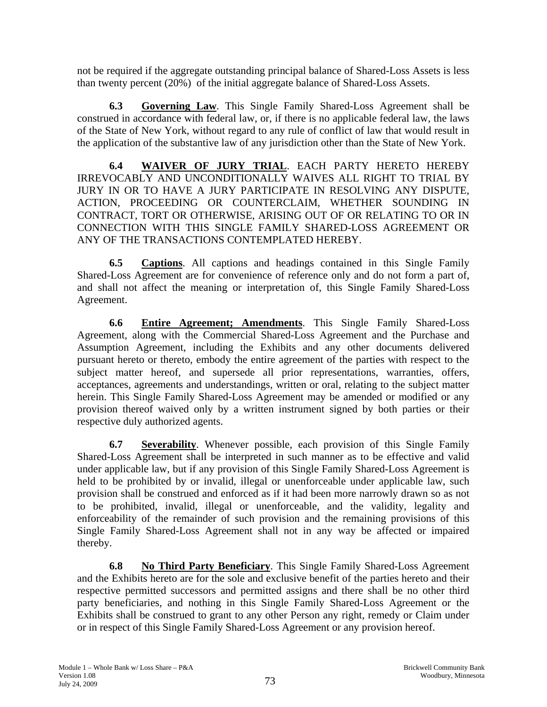not be required if the aggregate outstanding principal balance of Shared-Loss Assets is less than twenty percent (20%) of the initial aggregate balance of Shared-Loss Assets.

**6.3** Governing Law. This Single Family Shared-Loss Agreement shall be construed in accordance with federal law, or, if there is no applicable federal law, the laws of the State of New York, without regard to any rule of conflict of law that would result in the application of the substantive law of any jurisdiction other than the State of New York.

**6.4 WAIVER OF JURY TRIAL**. EACH PARTY HERETO HEREBY IRREVOCABLY AND UNCONDITIONALLY WAIVES ALL RIGHT TO TRIAL BY JURY IN OR TO HAVE A JURY PARTICIPATE IN RESOLVING ANY DISPUTE, ACTION, PROCEEDING OR COUNTERCLAIM, WHETHER SOUNDING IN CONTRACT, TORT OR OTHERWISE, ARISING OUT OF OR RELATING TO OR IN CONNECTION WITH THIS SINGLE FAMILY SHARED-LOSS AGREEMENT OR ANY OF THE TRANSACTIONS CONTEMPLATED HEREBY.

**6.5 Captions**. All captions and headings contained in this Single Family Shared-Loss Agreement are for convenience of reference only and do not form a part of, and shall not affect the meaning or interpretation of, this Single Family Shared-Loss Agreement.

**6.6 Entire Agreement; Amendments**. This Single Family Shared-Loss Agreement, along with the Commercial Shared-Loss Agreement and the Purchase and Assumption Agreement, including the Exhibits and any other documents delivered pursuant hereto or thereto, embody the entire agreement of the parties with respect to the subject matter hereof, and supersede all prior representations, warranties, offers, acceptances, agreements and understandings, written or oral, relating to the subject matter herein. This Single Family Shared-Loss Agreement may be amended or modified or any provision thereof waived only by a written instrument signed by both parties or their respective duly authorized agents.

**6.7 Severability**. Whenever possible, each provision of this Single Family Shared-Loss Agreement shall be interpreted in such manner as to be effective and valid under applicable law, but if any provision of this Single Family Shared-Loss Agreement is held to be prohibited by or invalid, illegal or unenforceable under applicable law, such provision shall be construed and enforced as if it had been more narrowly drawn so as not to be prohibited, invalid, illegal or unenforceable, and the validity, legality and enforceability of the remainder of such provision and the remaining provisions of this Single Family Shared-Loss Agreement shall not in any way be affected or impaired thereby.

**6.8 No Third Party Beneficiary**. This Single Family Shared-Loss Agreement and the Exhibits hereto are for the sole and exclusive benefit of the parties hereto and their respective permitted successors and permitted assigns and there shall be no other third party beneficiaries, and nothing in this Single Family Shared-Loss Agreement or the Exhibits shall be construed to grant to any other Person any right, remedy or Claim under or in respect of this Single Family Shared-Loss Agreement or any provision hereof.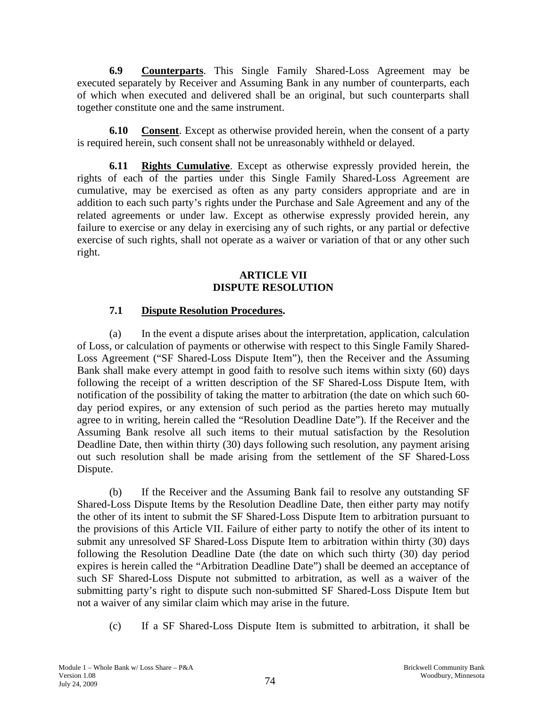**6.9 Counterparts**. This Single Family Shared-Loss Agreement may be executed separately by Receiver and Assuming Bank in any number of counterparts, each of which when executed and delivered shall be an original, but such counterparts shall together constitute one and the same instrument.

**6.10 Consent**. Except as otherwise provided herein, when the consent of a party is required herein, such consent shall not be unreasonably withheld or delayed.

**6.11 Rights Cumulative**. Except as otherwise expressly provided herein, the rights of each of the parties under this Single Family Shared-Loss Agreement are cumulative, may be exercised as often as any party considers appropriate and are in addition to each such party's rights under the Purchase and Sale Agreement and any of the related agreements or under law. Except as otherwise expressly provided herein, any failure to exercise or any delay in exercising any of such rights, or any partial or defective exercise of such rights, shall not operate as a waiver or variation of that or any other such right.

## **ARTICLE VII DISPUTE RESOLUTION**

# **7.1 Dispute Resolution Procedures.**

(a) In the event a dispute arises about the interpretation, application, calculation of Loss, or calculation of payments or otherwise with respect to this Single Family Shared-Loss Agreement ("SF Shared-Loss Dispute Item"), then the Receiver and the Assuming Bank shall make every attempt in good faith to resolve such items within sixty (60) days following the receipt of a written description of the SF Shared-Loss Dispute Item, with notification of the possibility of taking the matter to arbitration (the date on which such 60 day period expires, or any extension of such period as the parties hereto may mutually agree to in writing, herein called the "Resolution Deadline Date"). If the Receiver and the Assuming Bank resolve all such items to their mutual satisfaction by the Resolution Deadline Date, then within thirty (30) days following such resolution, any payment arising out such resolution shall be made arising from the settlement of the SF Shared-Loss Dispute.

(b) If the Receiver and the Assuming Bank fail to resolve any outstanding SF Shared-Loss Dispute Items by the Resolution Deadline Date, then either party may notify the other of its intent to submit the SF Shared-Loss Dispute Item to arbitration pursuant to the provisions of this Article VII. Failure of either party to notify the other of its intent to submit any unresolved SF Shared-Loss Dispute Item to arbitration within thirty (30) days following the Resolution Deadline Date (the date on which such thirty (30) day period expires is herein called the "Arbitration Deadline Date") shall be deemed an acceptance of such SF Shared-Loss Dispute not submitted to arbitration, as well as a waiver of the submitting party's right to dispute such non-submitted SF Shared-Loss Dispute Item but not a waiver of any similar claim which may arise in the future.

(c) If a SF Shared-Loss Dispute Item is submitted to arbitration, it shall be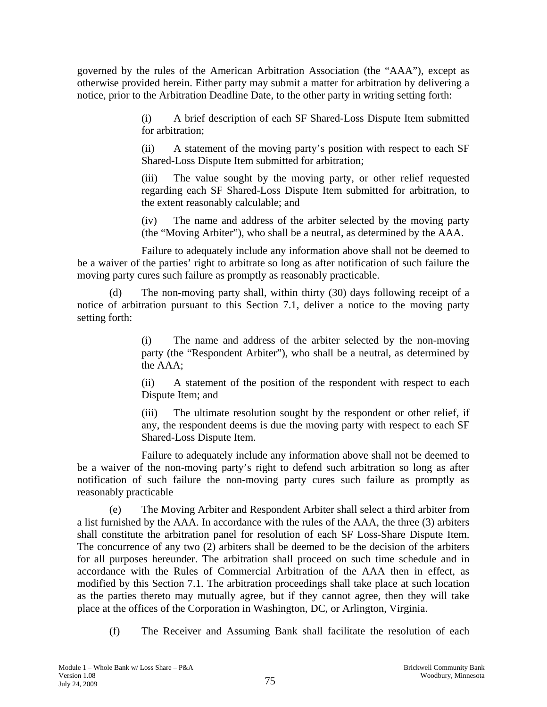governed by the rules of the American Arbitration Association (the "AAA"), except as otherwise provided herein. Either party may submit a matter for arbitration by delivering a notice, prior to the Arbitration Deadline Date, to the other party in writing setting forth:

> (i) A brief description of each SF Shared-Loss Dispute Item submitted for arbitration;

> (ii) A statement of the moving party's position with respect to each SF Shared-Loss Dispute Item submitted for arbitration;

> (iii) The value sought by the moving party, or other relief requested regarding each SF Shared-Loss Dispute Item submitted for arbitration, to the extent reasonably calculable; and

> (iv) The name and address of the arbiter selected by the moving party (the "Moving Arbiter"), who shall be a neutral, as determined by the AAA.

Failure to adequately include any information above shall not be deemed to be a waiver of the parties' right to arbitrate so long as after notification of such failure the moving party cures such failure as promptly as reasonably practicable.

(d) The non-moving party shall, within thirty (30) days following receipt of a notice of arbitration pursuant to this Section 7.1, deliver a notice to the moving party setting forth:

> (i) The name and address of the arbiter selected by the non-moving party (the "Respondent Arbiter"), who shall be a neutral, as determined by the AAA;

> (ii) A statement of the position of the respondent with respect to each Dispute Item; and

> (iii) The ultimate resolution sought by the respondent or other relief, if any, the respondent deems is due the moving party with respect to each SF Shared-Loss Dispute Item.

Failure to adequately include any information above shall not be deemed to be a waiver of the non-moving party's right to defend such arbitration so long as after notification of such failure the non-moving party cures such failure as promptly as reasonably practicable

(e) The Moving Arbiter and Respondent Arbiter shall select a third arbiter from a list furnished by the AAA. In accordance with the rules of the AAA, the three (3) arbiters shall constitute the arbitration panel for resolution of each SF Loss-Share Dispute Item. The concurrence of any two (2) arbiters shall be deemed to be the decision of the arbiters for all purposes hereunder. The arbitration shall proceed on such time schedule and in accordance with the Rules of Commercial Arbitration of the AAA then in effect, as modified by this Section 7.1. The arbitration proceedings shall take place at such location as the parties thereto may mutually agree, but if they cannot agree, then they will take place at the offices of the Corporation in Washington, DC, or Arlington, Virginia.

(f) The Receiver and Assuming Bank shall facilitate the resolution of each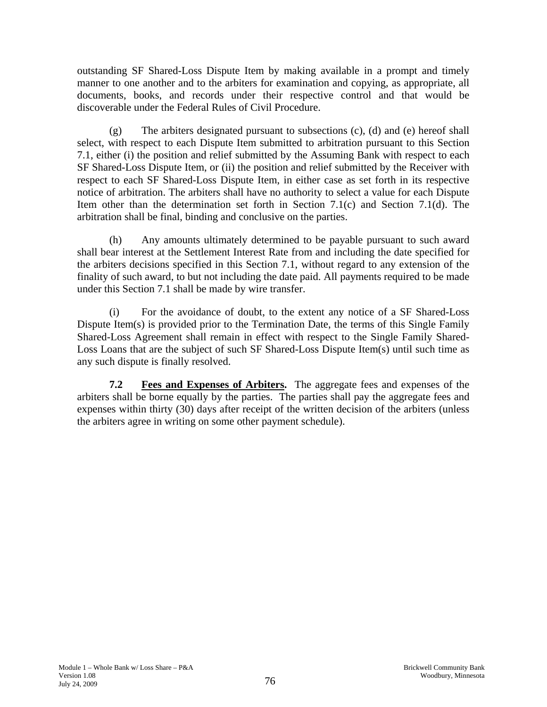outstanding SF Shared-Loss Dispute Item by making available in a prompt and timely manner to one another and to the arbiters for examination and copying, as appropriate, all documents, books, and records under their respective control and that would be discoverable under the Federal Rules of Civil Procedure.

(g) The arbiters designated pursuant to subsections (c), (d) and (e) hereof shall select, with respect to each Dispute Item submitted to arbitration pursuant to this Section 7.1, either (i) the position and relief submitted by the Assuming Bank with respect to each SF Shared-Loss Dispute Item, or (ii) the position and relief submitted by the Receiver with respect to each SF Shared-Loss Dispute Item, in either case as set forth in its respective notice of arbitration. The arbiters shall have no authority to select a value for each Dispute Item other than the determination set forth in Section 7.1(c) and Section 7.1(d). The arbitration shall be final, binding and conclusive on the parties.

(h) Any amounts ultimately determined to be payable pursuant to such award shall bear interest at the Settlement Interest Rate from and including the date specified for the arbiters decisions specified in this Section 7.1, without regard to any extension of the finality of such award, to but not including the date paid. All payments required to be made under this Section 7.1 shall be made by wire transfer.

(i) For the avoidance of doubt, to the extent any notice of a SF Shared-Loss Dispute Item(s) is provided prior to the Termination Date, the terms of this Single Family Shared-Loss Agreement shall remain in effect with respect to the Single Family Shared-Loss Loans that are the subject of such SF Shared-Loss Dispute Item(s) until such time as any such dispute is finally resolved.

**7.2 Fees and Expenses of Arbiters.** The aggregate fees and expenses of the arbiters shall be borne equally by the parties. The parties shall pay the aggregate fees and expenses within thirty (30) days after receipt of the written decision of the arbiters (unless the arbiters agree in writing on some other payment schedule).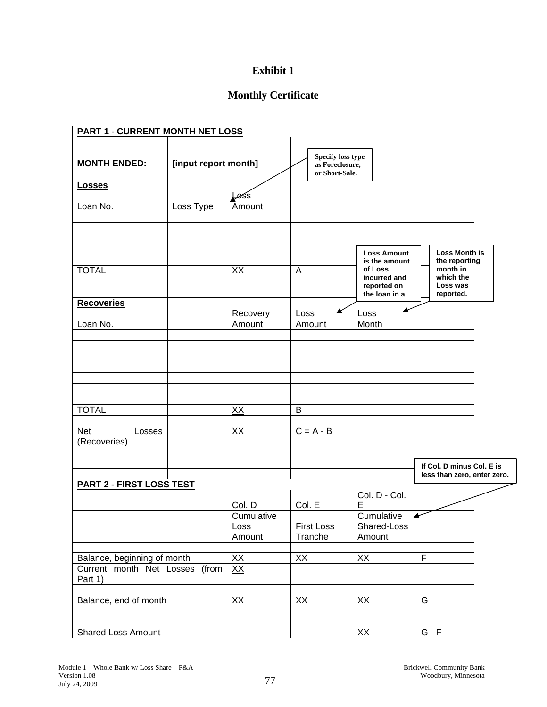# **Exhibit 1**

# **Monthly Certificate**

| <b>PART 1 - CURRENT MONTH NET LOSS</b> |                      |                                       |                                      |                              |                             |  |
|----------------------------------------|----------------------|---------------------------------------|--------------------------------------|------------------------------|-----------------------------|--|
|                                        |                      |                                       |                                      |                              |                             |  |
| <b>MONTH ENDED:</b>                    | [input report month] |                                       | Specify loss type<br>as Foreclosure, |                              |                             |  |
|                                        |                      |                                       | or Short-Sale.                       |                              |                             |  |
| <u>Losses</u>                          |                      |                                       |                                      |                              |                             |  |
|                                        |                      | $\textcolor{red}{\blacktriangleleft}$ |                                      |                              |                             |  |
| Loan No.                               | Loss Type            | Amount                                |                                      |                              |                             |  |
|                                        |                      |                                       |                                      |                              |                             |  |
|                                        |                      |                                       |                                      |                              |                             |  |
|                                        |                      |                                       |                                      |                              |                             |  |
|                                        |                      |                                       |                                      | <b>Loss Amount</b>           | <b>Loss Month is</b>        |  |
|                                        |                      |                                       |                                      | is the amount                | the reporting               |  |
| <b>TOTAL</b>                           |                      | XX                                    | A                                    | of Loss                      | month in                    |  |
|                                        |                      |                                       |                                      | incurred and                 | which the                   |  |
|                                        |                      |                                       |                                      | reported on<br>the loan in a | Loss was<br>reported.       |  |
| <b>Recoveries</b>                      |                      |                                       |                                      |                              |                             |  |
|                                        |                      | Recovery                              | Loss                                 | ×<br>Loss                    |                             |  |
| Loan No.                               |                      | Amount                                | Amount                               | Month                        |                             |  |
|                                        |                      |                                       |                                      |                              |                             |  |
|                                        |                      |                                       |                                      |                              |                             |  |
|                                        |                      |                                       |                                      |                              |                             |  |
|                                        |                      |                                       |                                      |                              |                             |  |
|                                        |                      |                                       |                                      |                              |                             |  |
|                                        |                      |                                       |                                      |                              |                             |  |
|                                        |                      |                                       |                                      |                              |                             |  |
| <b>TOTAL</b>                           |                      | XX                                    | B                                    |                              |                             |  |
|                                        |                      |                                       |                                      |                              |                             |  |
| <b>Net</b><br>Losses                   |                      | XX                                    | $C = A - B$                          |                              |                             |  |
| (Recoveries)                           |                      |                                       |                                      |                              |                             |  |
|                                        |                      |                                       |                                      |                              |                             |  |
|                                        |                      |                                       |                                      |                              | If Col. D minus Col. E is   |  |
|                                        |                      |                                       |                                      |                              | less than zero, enter zero. |  |
| <b>PART 2 - FIRST LOSS TEST</b>        |                      |                                       |                                      |                              |                             |  |
|                                        |                      |                                       |                                      | Col. D - Col.                |                             |  |
|                                        |                      | Col. D                                | Col. E                               | E                            |                             |  |
|                                        |                      | Cumulative                            |                                      | Cumulative                   |                             |  |
|                                        |                      | Loss                                  | <b>First Loss</b>                    | Shared-Loss                  |                             |  |
|                                        |                      | Amount                                | Tranche                              | Amount                       |                             |  |
|                                        |                      |                                       |                                      |                              |                             |  |
| Balance, beginning of month            |                      | $\overline{XX}$                       | $\overline{XX}$                      | $\overline{XX}$              | F                           |  |
| Current month Net Losses (from         |                      | XX                                    |                                      |                              |                             |  |
| Part 1)                                |                      |                                       |                                      |                              |                             |  |
|                                        |                      |                                       |                                      |                              |                             |  |
| Balance, end of month                  |                      | $\overline{XX}$                       | $\overline{XX}$                      | $\overline{XX}$              | $\overline{G}$              |  |
|                                        |                      |                                       |                                      |                              |                             |  |
|                                        |                      |                                       |                                      |                              |                             |  |
| <b>Shared Loss Amount</b>              |                      |                                       |                                      | $\overline{XX}$              | $G - F$                     |  |
|                                        |                      |                                       |                                      |                              |                             |  |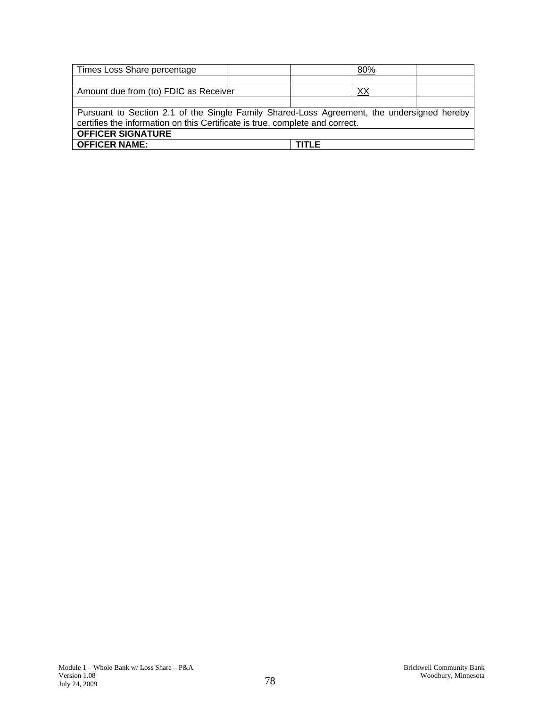| Times Loss Share percentage                                                                |  |              | 80% |  |  |
|--------------------------------------------------------------------------------------------|--|--------------|-----|--|--|
|                                                                                            |  |              |     |  |  |
| Amount due from (to) FDIC as Receiver                                                      |  |              | XХ  |  |  |
|                                                                                            |  |              |     |  |  |
| Pursuant to Section 2.1 of the Single Family Shared-Loss Agreement, the undersigned hereby |  |              |     |  |  |
| certifies the information on this Certificate is true, complete and correct.               |  |              |     |  |  |
| <b>OFFICER SIGNATURE</b>                                                                   |  |              |     |  |  |
| <b>OFFICER NAME:</b>                                                                       |  | <b>TITLE</b> |     |  |  |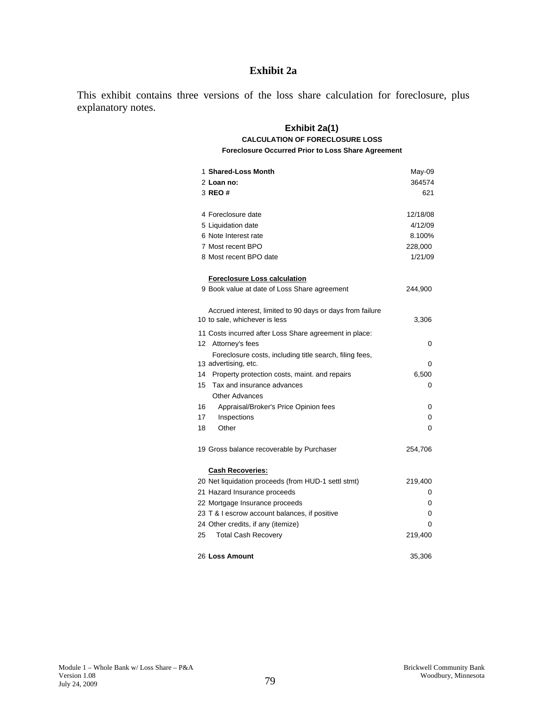### **Exhibit 2a**

This exhibit contains three versions of the loss share calculation for foreclosure, plus explanatory notes.

#### **Exhibit 2a(1) CALCULATION OF FORECLOSURE LOSS Foreclosure Occurred Prior to Loss Share Agreement**

|    | 1 Shared-Loss Month<br>2 Loan no:<br>3 REO #                                               | May-09<br>364574<br>621 |
|----|--------------------------------------------------------------------------------------------|-------------------------|
|    | 4 Foreclosure date                                                                         | 12/18/08                |
|    | 5 Liquidation date                                                                         | 4/12/09                 |
|    | 6 Note Interest rate                                                                       | 8.100%                  |
|    | 7 Most recent BPO                                                                          | 228,000                 |
|    | 8 Most recent BPO date                                                                     | 1/21/09                 |
|    | <b>Foreclosure Loss calculation</b>                                                        |                         |
|    | 9 Book value at date of Loss Share agreement                                               | 244,900                 |
|    | Accrued interest, limited to 90 days or days from failure<br>10 to sale, whichever is less |                         |
|    |                                                                                            | 3,306                   |
|    | 11 Costs incurred after Loss Share agreement in place:                                     |                         |
| 12 | Attorney's fees                                                                            | 0                       |
|    | Foreclosure costs, including title search, filing fees,                                    | 0                       |
| 14 | 13 advertising, etc.<br>Property protection costs, maint. and repairs                      | 6,500                   |
| 15 | Tax and insurance advances                                                                 | 0                       |
|    | <b>Other Advances</b>                                                                      |                         |
| 16 | Appraisal/Broker's Price Opinion fees                                                      | 0                       |
| 17 | Inspections                                                                                | 0                       |
| 18 | Other                                                                                      | 0                       |
|    |                                                                                            |                         |
|    | 19 Gross balance recoverable by Purchaser                                                  | 254,706                 |
|    | <b>Cash Recoveries:</b>                                                                    |                         |
|    | 20 Net liquidation proceeds (from HUD-1 settl stmt)                                        | 219,400                 |
|    | 21 Hazard Insurance proceeds                                                               | 0                       |
|    | 22 Mortgage Insurance proceeds                                                             | 0                       |
|    | 23 T & I escrow account balances, if positive                                              | 0                       |
|    | 24 Other credits, if any (itemize)                                                         | 0                       |
| 25 | <b>Total Cash Recovery</b>                                                                 | 219,400                 |
|    | 26 Loss Amount                                                                             | 35,306                  |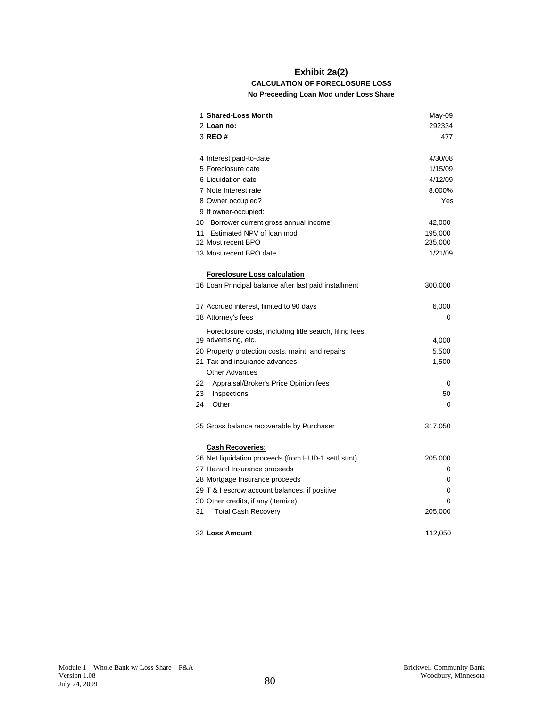#### **Exhibit 2a(2)**

# **CALCULATION OF FORECLOSURE LOSS**

#### **No Preceeding Loan Mod under Loss Share**

| 1 Shared-Loss Month                                     | May-09  |
|---------------------------------------------------------|---------|
| 2 Loan no:                                              | 292334  |
| 3 REO #                                                 | 477     |
| 4 Interest paid-to-date                                 | 4/30/08 |
| 5 Foreclosure date                                      | 1/15/09 |
| 6 Liquidation date                                      | 4/12/09 |
| 7 Note Interest rate                                    | 8.000%  |
| 8 Owner occupied?                                       | Yes     |
| 9 If owner-occupied:                                    |         |
| Borrower current gross annual income<br>10              | 42,000  |
| 11<br>Estimated NPV of loan mod                         | 195,000 |
| 12 Most recent BPO                                      | 235,000 |
| 13 Most recent BPO date                                 | 1/21/09 |
| <b>Foreclosure Loss calculation</b>                     |         |
| 16 Loan Principal balance after last paid installment   | 300,000 |
| 17 Accrued interest, limited to 90 days                 | 6,000   |
| 18 Attorney's fees                                      | 0       |
| Foreclosure costs, including title search, filing fees, |         |
| 19 advertising, etc.                                    | 4,000   |
| 20 Property protection costs, maint. and repairs        | 5,500   |
| 21 Tax and insurance advances                           | 1,500   |
| <b>Other Advances</b>                                   |         |
| 22<br>Appraisal/Broker's Price Opinion fees             | 0       |
| 23<br>Inspections                                       | 50      |
| 24<br>Other                                             | 0       |
| 25 Gross balance recoverable by Purchaser               | 317,050 |
| <b>Cash Recoveries:</b>                                 |         |
| 26 Net liquidation proceeds (from HUD-1 settl stmt)     | 205,000 |
| 27 Hazard Insurance proceeds                            | 0       |
| 28 Mortgage Insurance proceeds                          | 0       |
| 29 T & I escrow account balances, if positive           | 0       |
| 30 Other credits, if any (itemize)                      | 0       |
| 31<br><b>Total Cash Recovery</b>                        | 205,000 |
| 32 Loss Amount                                          | 112,050 |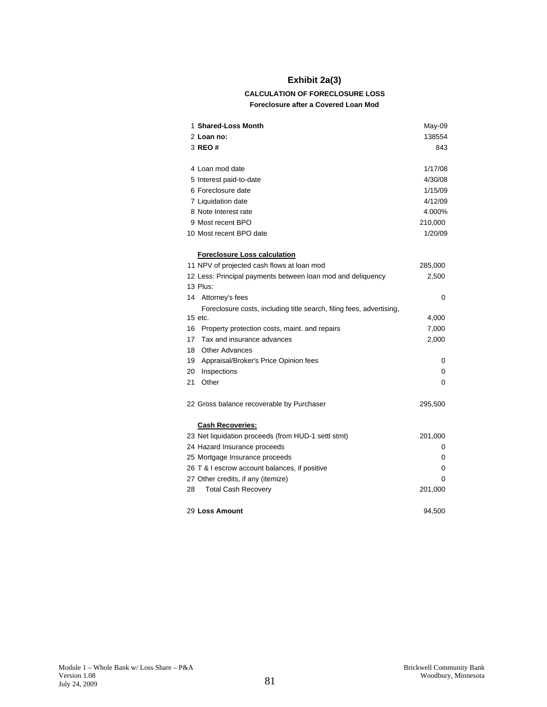## **Exhibit 2a(3)**

#### **CALCULATION OF FORECLOSURE LOSS Foreclosure after a Covered Loan Mod**

| 1 Shared-Loss Month                                                  | May-09  |
|----------------------------------------------------------------------|---------|
| 2 Loan no:                                                           | 138554  |
| 3 REO #                                                              | 843     |
|                                                                      |         |
| 4 Loan mod date                                                      | 1/17/08 |
| 5 Interest paid-to-date                                              | 4/30/08 |
| 6 Foreclosure date                                                   | 1/15/09 |
| 7 Liquidation date                                                   | 4/12/09 |
| 8 Note Interest rate                                                 | 4.000%  |
| 9 Most recent BPO                                                    | 210,000 |
| 10 Most recent BPO date                                              | 1/20/09 |
| <b>Foreclosure Loss calculation</b>                                  |         |
| 11 NPV of projected cash flows at loan mod                           | 285,000 |
| 12 Less: Principal payments between loan mod and deliquency          | 2,500   |
| 13 Plus:                                                             |         |
| Attorney's fees<br>14                                                | 0       |
| Foreclosure costs, including title search, filing fees, advertising, |         |
| 15 etc.                                                              | 4,000   |
| 16<br>Property protection costs, maint. and repairs                  | 7,000   |
| 17<br>Tax and insurance advances                                     | 2,000   |
| 18<br><b>Other Advances</b>                                          |         |
| 19<br>Appraisal/Broker's Price Opinion fees                          | 0       |
| 20<br>Inspections                                                    | 0       |
| 21<br>Other                                                          | 0       |
| 22 Gross balance recoverable by Purchaser                            | 295,500 |
| <b>Cash Recoveries:</b>                                              |         |
| 23 Net liquidation proceeds (from HUD-1 settl stmt)                  | 201,000 |
| 24 Hazard Insurance proceeds                                         | 0       |
| 25 Mortgage Insurance proceeds                                       | 0       |
| 26 T & I escrow account balances, if positive                        | 0       |
| 27 Other credits, if any (itemize)                                   | 0       |
| 28<br><b>Total Cash Recovery</b>                                     | 201,000 |
|                                                                      |         |
| <b>29 Loss Amount</b>                                                | 94,500  |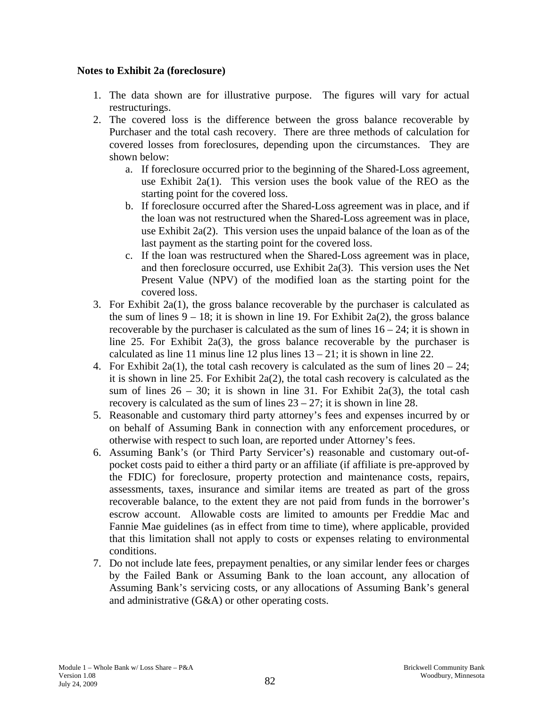### **Notes to Exhibit 2a (foreclosure)**

- 1. The data shown are for illustrative purpose. The figures will vary for actual restructurings.
- 2. The covered loss is the difference between the gross balance recoverable by Purchaser and the total cash recovery. There are three methods of calculation for covered losses from foreclosures, depending upon the circumstances. They are shown below:
	- a. If foreclosure occurred prior to the beginning of the Shared-Loss agreement, use Exhibit 2a(1). This version uses the book value of the REO as the starting point for the covered loss.
	- b. If foreclosure occurred after the Shared-Loss agreement was in place, and if the loan was not restructured when the Shared-Loss agreement was in place, use Exhibit 2a(2). This version uses the unpaid balance of the loan as of the last payment as the starting point for the covered loss.
	- c. If the loan was restructured when the Shared-Loss agreement was in place, and then foreclosure occurred, use Exhibit 2a(3). This version uses the Net Present Value (NPV) of the modified loan as the starting point for the covered loss.
- 3. For Exhibit 2a(1), the gross balance recoverable by the purchaser is calculated as the sum of lines  $9 - 18$ ; it is shown in line 19. For Exhibit 2a(2), the gross balance recoverable by the purchaser is calculated as the sum of lines  $16 - 24$ ; it is shown in line 25. For Exhibit 2a(3), the gross balance recoverable by the purchaser is calculated as line 11 minus line 12 plus lines  $13 - 21$ ; it is shown in line 22.
- 4. For Exhibit 2a(1), the total cash recovery is calculated as the sum of lines  $20 24$ ; it is shown in line 25. For Exhibit 2a(2), the total cash recovery is calculated as the sum of lines  $26 - 30$ ; it is shown in line 31. For Exhibit 2a(3), the total cash recovery is calculated as the sum of lines  $23 - 27$ ; it is shown in line 28.
- 5. Reasonable and customary third party attorney's fees and expenses incurred by or on behalf of Assuming Bank in connection with any enforcement procedures, or otherwise with respect to such loan, are reported under Attorney's fees.
- 6. Assuming Bank's (or Third Party Servicer's) reasonable and customary out-ofpocket costs paid to either a third party or an affiliate (if affiliate is pre-approved by the FDIC) for foreclosure, property protection and maintenance costs, repairs, assessments, taxes, insurance and similar items are treated as part of the gross recoverable balance, to the extent they are not paid from funds in the borrower's escrow account. Allowable costs are limited to amounts per Freddie Mac and Fannie Mae guidelines (as in effect from time to time), where applicable, provided that this limitation shall not apply to costs or expenses relating to environmental conditions.
- 7. Do not include late fees, prepayment penalties, or any similar lender fees or charges by the Failed Bank or Assuming Bank to the loan account, any allocation of Assuming Bank's servicing costs, or any allocations of Assuming Bank's general and administrative (G&A) or other operating costs.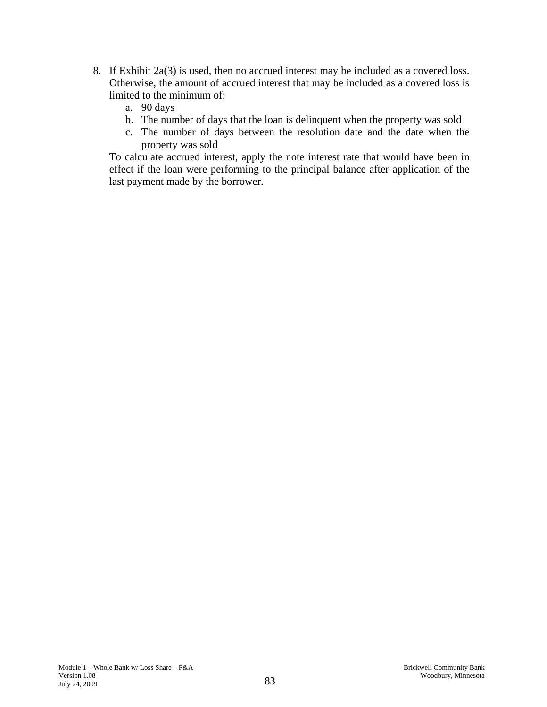- 8. If Exhibit  $2a(3)$  is used, then no accrued interest may be included as a covered loss. Otherwise, the amount of accrued interest that may be included as a covered loss is limited to the minimum of:
	- a. 90 days
	- b. The number of days that the loan is delinquent when the property was sold
	- c. The number of days between the resolution date and the date when the property was sold

To calculate accrued interest, apply the note interest rate that would have been in effect if the loan were performing to the principal balance after application of the last payment made by the borrower.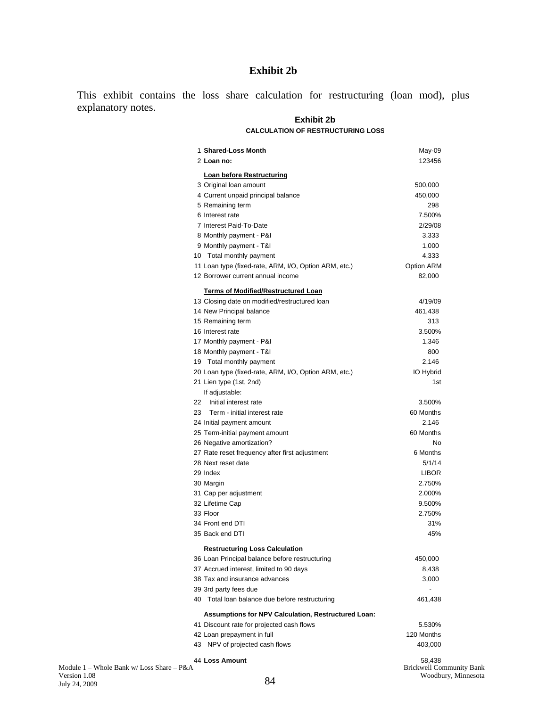### **Exhibit 2b**

This exhibit contains the loss share calculation for restructuring (loan mod), plus explanatory notes.

#### **Exhibit 2b CALCULATION OF RESTRUCTURING LOSS**

|    | 1 Shared-Loss Month                                        | May-09                                                           |  |
|----|------------------------------------------------------------|------------------------------------------------------------------|--|
|    | 2 Loan no:                                                 | 123456                                                           |  |
|    | <b>Loan before Restructuring</b>                           |                                                                  |  |
|    | 3 Original loan amount                                     | 500,000                                                          |  |
|    | 4 Current unpaid principal balance                         | 450,000                                                          |  |
|    | 5 Remaining term                                           | 298                                                              |  |
|    | 6 Interest rate                                            | 7.500%                                                           |  |
|    | 7 Interest Paid-To-Date                                    | 2/29/08                                                          |  |
|    | 8 Monthly payment - P&I                                    | 3,333                                                            |  |
|    | 9 Monthly payment - T&I                                    | 1,000                                                            |  |
| 10 | Total monthly payment                                      | 4,333                                                            |  |
|    | 11 Loan type (fixed-rate, ARM, I/O, Option ARM, etc.)      | Option ARM                                                       |  |
|    | 12 Borrower current annual income                          | 82,000                                                           |  |
|    | <b>Terms of Modified/Restructured Loan</b>                 |                                                                  |  |
|    | 13 Closing date on modified/restructured loan              | 4/19/09                                                          |  |
|    | 14 New Principal balance                                   | 461,438                                                          |  |
|    | 15 Remaining term                                          | 313                                                              |  |
|    | 16 Interest rate                                           | 3.500%                                                           |  |
|    | 17 Monthly payment - P&I                                   | 1,346                                                            |  |
|    | 18 Monthly payment - T&I                                   | 800                                                              |  |
| 19 | Total monthly payment                                      | 2,146                                                            |  |
|    | 20 Loan type (fixed-rate, ARM, I/O, Option ARM, etc.)      | IO Hybrid                                                        |  |
|    | 21 Lien type (1st, 2nd)                                    | 1st                                                              |  |
|    | If adjustable:                                             |                                                                  |  |
| 22 | Initial interest rate                                      | 3.500%                                                           |  |
| 23 | Term - initial interest rate                               | 60 Months                                                        |  |
|    | 24 Initial payment amount                                  | 2,146                                                            |  |
|    | 25 Term-initial payment amount                             | 60 Months                                                        |  |
|    | 26 Negative amortization?                                  | No                                                               |  |
|    | 27 Rate reset frequency after first adjustment             | 6 Months                                                         |  |
|    | 28 Next reset date                                         | 5/1/14                                                           |  |
|    | 29 Index                                                   | <b>LIBOR</b>                                                     |  |
|    | 30 Margin                                                  | 2.750%                                                           |  |
|    | 31 Cap per adjustment                                      | 2.000%                                                           |  |
|    | 32 Lifetime Cap                                            | 9.500%                                                           |  |
|    | 33 Floor                                                   | 2.750%                                                           |  |
|    | 34 Front end DTI                                           | 31%                                                              |  |
|    | 35 Back end DTI                                            | 45%                                                              |  |
|    | <b>Restructuring Loss Calculation</b>                      |                                                                  |  |
|    | 36 Loan Principal balance before restructuring             | 450,000                                                          |  |
|    | 37 Accrued interest, limited to 90 days                    | 8,438                                                            |  |
|    | 38 Tax and insurance advances                              | 3,000                                                            |  |
|    | 39 3rd party fees due                                      |                                                                  |  |
|    | 40 Total loan balance due before restructuring             | 461,438                                                          |  |
|    | <b>Assumptions for NPV Calculation, Restructured Loan:</b> |                                                                  |  |
|    | 41 Discount rate for projected cash flows                  | 5.530%                                                           |  |
|    | 42 Loan prepayment in full                                 | 120 Months                                                       |  |
|    | 43 NPV of projected cash flows                             | 403,000                                                          |  |
|    |                                                            |                                                                  |  |
| А  | 44 Loss Amount<br>$^{\circ}$                               | 58,438<br><b>Brickwell Community Bank</b><br>Woodbury, Minnesota |  |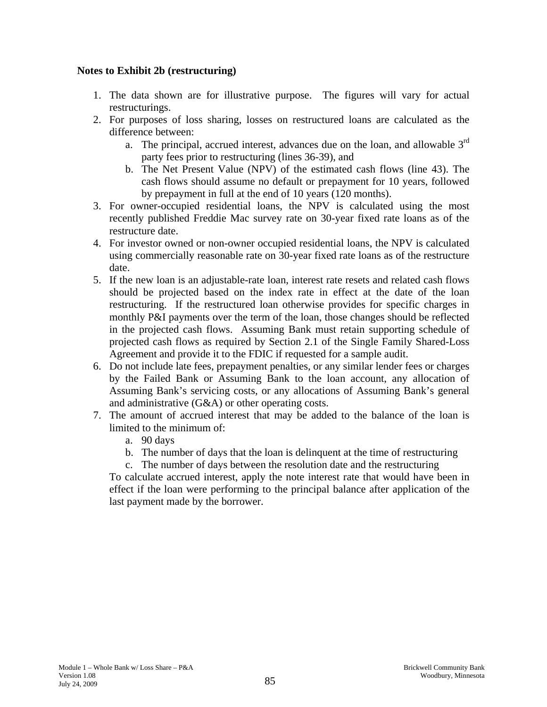### **Notes to Exhibit 2b (restructuring)**

- 1. The data shown are for illustrative purpose. The figures will vary for actual restructurings.
- 2. For purposes of loss sharing, losses on restructured loans are calculated as the difference between:
	- a. The principal, accrued interest, advances due on the loan, and allowable  $3<sup>rd</sup>$ party fees prior to restructuring (lines 36-39), and
	- b. The Net Present Value (NPV) of the estimated cash flows (line 43). The cash flows should assume no default or prepayment for 10 years, followed by prepayment in full at the end of 10 years (120 months).
- 3. For owner-occupied residential loans, the NPV is calculated using the most recently published Freddie Mac survey rate on 30-year fixed rate loans as of the restructure date.
- 4. For investor owned or non-owner occupied residential loans, the NPV is calculated using commercially reasonable rate on 30-year fixed rate loans as of the restructure date.
- 5. If the new loan is an adjustable-rate loan, interest rate resets and related cash flows should be projected based on the index rate in effect at the date of the loan restructuring. If the restructured loan otherwise provides for specific charges in monthly P&I payments over the term of the loan, those changes should be reflected in the projected cash flows. Assuming Bank must retain supporting schedule of projected cash flows as required by Section 2.1 of the Single Family Shared-Loss Agreement and provide it to the FDIC if requested for a sample audit.
- 6. Do not include late fees, prepayment penalties, or any similar lender fees or charges by the Failed Bank or Assuming Bank to the loan account, any allocation of Assuming Bank's servicing costs, or any allocations of Assuming Bank's general and administrative (G&A) or other operating costs.
- 7. The amount of accrued interest that may be added to the balance of the loan is limited to the minimum of:
	- a. 90 days
	- b. The number of days that the loan is delinquent at the time of restructuring
	- c. The number of days between the resolution date and the restructuring

To calculate accrued interest, apply the note interest rate that would have been in effect if the loan were performing to the principal balance after application of the last payment made by the borrower.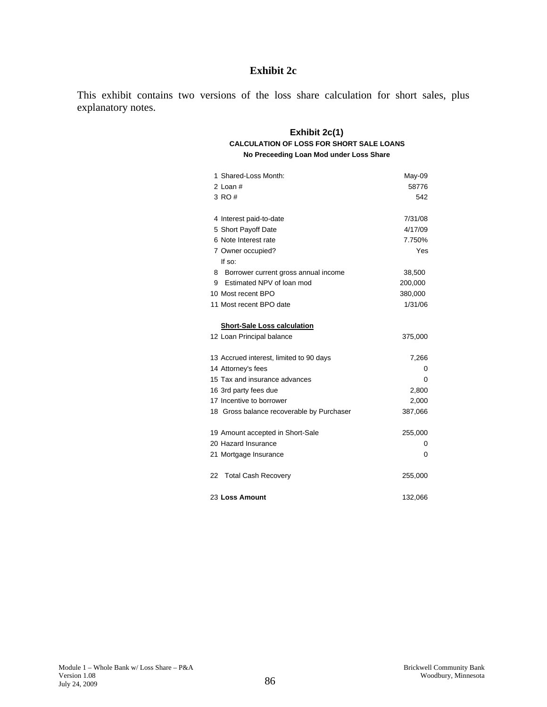### **Exhibit 2c**

This exhibit contains two versions of the loss share calculation for short sales, plus explanatory notes.

#### **Exhibit 2c(1) CALCULATION OF LOSS FOR SHORT SALE LOANS**

**No Preceeding Loan Mod under Loss Share** 

| 1 Shared-Loss Month:<br>2 Loan #<br>3 RO # | May-09<br>58776<br>542 |
|--------------------------------------------|------------------------|
| 4 Interest paid-to-date                    | 7/31/08                |
| 5 Short Payoff Date                        | 4/17/09                |
| 6 Note Interest rate                       | 7.750%                 |
| 7 Owner occupied?                          | Yes                    |
| If so:                                     |                        |
| Borrower current gross annual income<br>8  | 38,500                 |
| Estimated NPV of loan mod<br>q             | 200,000                |
| 10 Most recent BPO                         | 380,000                |
| 11 Most recent BPO date                    | 1/31/06                |
|                                            |                        |
| <b>Short-Sale Loss calculation</b>         |                        |
| 12 Loan Principal balance                  | 375,000                |
| 13 Accrued interest, limited to 90 days    | 7,266                  |
| 14 Attorney's fees                         | 0                      |
| 15 Tax and insurance advances              | 0                      |
| 16 3rd party fees due                      | 2,800                  |
| 17 Incentive to borrower                   | 2,000                  |
| 18 Gross balance recoverable by Purchaser  | 387,066                |
| 19 Amount accepted in Short-Sale           | 255,000                |
| 20 Hazard Insurance                        | 0                      |
| 21 Mortgage Insurance                      | 0                      |
| 22 Total Cash Recovery                     | 255,000                |
| 23 Loss Amount                             | 132,066                |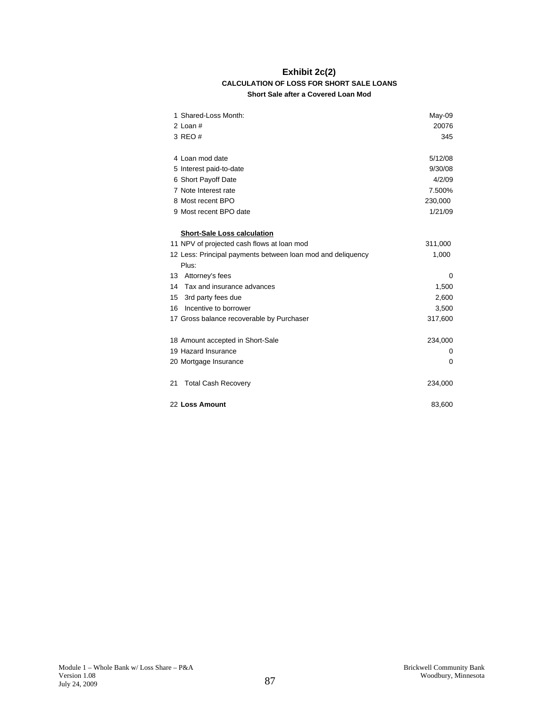#### **Exhibit 2c(2) CALCULATION OF LOSS FOR SHORT SALE LOANS Short Sale after a Covered Loan Mod**

| 1 Shared-Loss Month:                                        | May-09  |
|-------------------------------------------------------------|---------|
| 2 Loan $#$                                                  | 20076   |
| 3 REO #                                                     | 345     |
|                                                             |         |
| 4 Loan mod date                                             | 5/12/08 |
| 5 Interest paid-to-date                                     | 9/30/08 |
| 6 Short Payoff Date                                         | 4/2/09  |
| 7 Note Interest rate                                        | 7.500%  |
| 8 Most recent BPO                                           | 230,000 |
| 9 Most recent BPO date                                      | 1/21/09 |
|                                                             |         |
| <b>Short-Sale Loss calculation</b>                          |         |
| 11 NPV of projected cash flows at loan mod                  | 311,000 |
| 12 Less: Principal payments between loan mod and deliquency | 1,000   |
| Plus:                                                       |         |
| Attorney's fees<br>13                                       | 0       |
| Tax and insurance advances<br>14                            | 1,500   |
| 3rd party fees due<br>15                                    | 2,600   |
| Incentive to borrower<br>16                                 | 3,500   |
| 17 Gross balance recoverable by Purchaser                   | 317,600 |
|                                                             |         |
| 18 Amount accepted in Short-Sale                            | 234,000 |
| 19 Hazard Insurance                                         | 0       |
| 20 Mortgage Insurance                                       | 0       |
|                                                             |         |
| <b>Total Cash Recovery</b><br>21                            | 234,000 |
|                                                             |         |
| 22 Loss Amount                                              | 83,600  |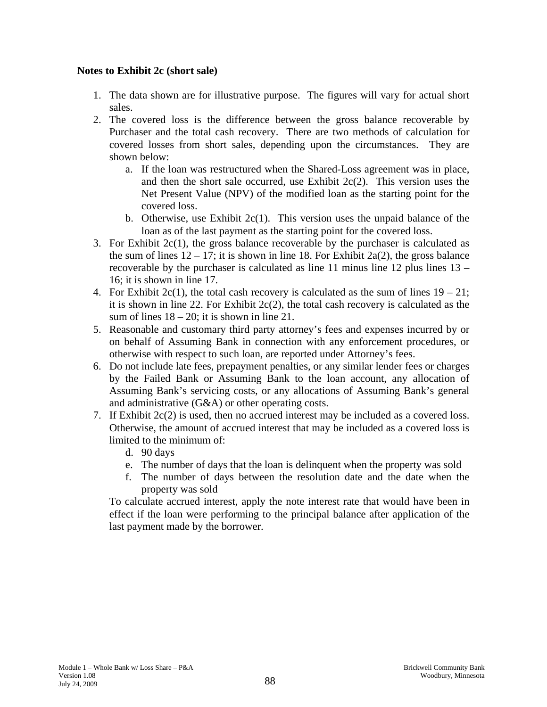### **Notes to Exhibit 2c (short sale)**

- 1. The data shown are for illustrative purpose. The figures will vary for actual short sales.
- 2. The covered loss is the difference between the gross balance recoverable by Purchaser and the total cash recovery. There are two methods of calculation for covered losses from short sales, depending upon the circumstances. They are shown below:
	- a. If the loan was restructured when the Shared-Loss agreement was in place, and then the short sale occurred, use Exhibit  $2c(2)$ . This version uses the Net Present Value (NPV) of the modified loan as the starting point for the covered loss.
	- b. Otherwise, use Exhibit  $2c(1)$ . This version uses the unpaid balance of the loan as of the last payment as the starting point for the covered loss.
- 3. For Exhibit  $2c(1)$ , the gross balance recoverable by the purchaser is calculated as the sum of lines  $12 - 17$ ; it is shown in line 18. For Exhibit 2a(2), the gross balance recoverable by the purchaser is calculated as line 11 minus line 12 plus lines 13 – 16; it is shown in line 17.
- 4. For Exhibit 2c(1), the total cash recovery is calculated as the sum of lines  $19 21$ ; it is shown in line 22. For Exhibit  $2c(2)$ , the total cash recovery is calculated as the sum of lines  $18 - 20$ ; it is shown in line 21.
- 5. Reasonable and customary third party attorney's fees and expenses incurred by or on behalf of Assuming Bank in connection with any enforcement procedures, or otherwise with respect to such loan, are reported under Attorney's fees.
- 6. Do not include late fees, prepayment penalties, or any similar lender fees or charges by the Failed Bank or Assuming Bank to the loan account, any allocation of Assuming Bank's servicing costs, or any allocations of Assuming Bank's general and administrative (G&A) or other operating costs.
- 7. If Exhibit  $2c(2)$  is used, then no accrued interest may be included as a covered loss. Otherwise, the amount of accrued interest that may be included as a covered loss is limited to the minimum of:
	- d. 90 days
	- e. The number of days that the loan is delinquent when the property was sold
	- f. The number of days between the resolution date and the date when the property was sold

To calculate accrued interest, apply the note interest rate that would have been in effect if the loan were performing to the principal balance after application of the last payment made by the borrower.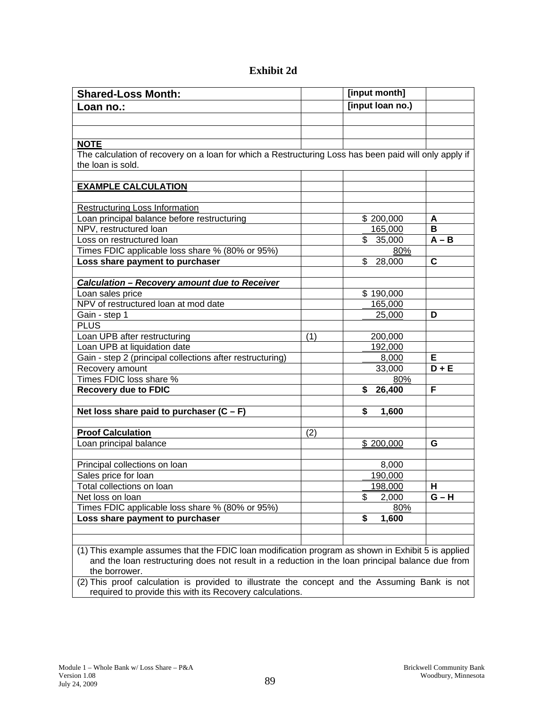# **Exhibit 2d**

| [input month]<br><b>Shared-Loss Month:</b>                                                            |     |                    |              |  |
|-------------------------------------------------------------------------------------------------------|-----|--------------------|--------------|--|
| Loan no.:                                                                                             |     | [input loan no.)   |              |  |
|                                                                                                       |     |                    |              |  |
|                                                                                                       |     |                    |              |  |
| <b>NOTE</b>                                                                                           |     |                    |              |  |
| The calculation of recovery on a loan for which a Restructuring Loss has been paid will only apply if |     |                    |              |  |
| the loan is sold.                                                                                     |     |                    |              |  |
|                                                                                                       |     |                    |              |  |
| <b>EXAMPLE CALCULATION</b>                                                                            |     |                    |              |  |
|                                                                                                       |     |                    |              |  |
| <b>Restructuring Loss Information</b>                                                                 |     |                    |              |  |
| Loan principal balance before restructuring                                                           |     | \$200,000          | A            |  |
| NPV, restructured loan                                                                                |     | 165,000            | B            |  |
| Loss on restructured loan                                                                             |     | \$35,000           | $A - B$      |  |
| Times FDIC applicable loss share % (80% or 95%)                                                       |     | 80%                |              |  |
| Loss share payment to purchaser                                                                       |     | \$28,000           | $\mathbf C$  |  |
|                                                                                                       |     |                    |              |  |
| Calculation - Recovery amount due to Receiver                                                         |     |                    |              |  |
| Loan sales price                                                                                      |     | \$190,000          |              |  |
| NPV of restructured loan at mod date                                                                  |     | 165,000            |              |  |
| Gain - step 1                                                                                         |     | 25,000             | D            |  |
| <b>PLUS</b>                                                                                           |     |                    |              |  |
| Loan UPB after restructuring                                                                          | (1) | 200,000            |              |  |
| Loan UPB at liquidation date                                                                          |     | 192,000            |              |  |
| Gain - step 2 (principal collections after restructuring)                                             |     | 8,000              | Е            |  |
| Recovery amount                                                                                       |     | 33,000             | $D + E$      |  |
| Times FDIC loss share %                                                                               |     | 80%                |              |  |
| <b>Recovery due to FDIC</b>                                                                           |     | 26,400<br>\$       | F            |  |
|                                                                                                       |     |                    |              |  |
| Net loss share paid to purchaser $(C - F)$                                                            |     | \$<br>1,600        |              |  |
|                                                                                                       |     |                    |              |  |
| <b>Proof Calculation</b>                                                                              | (2) |                    |              |  |
| Loan principal balance                                                                                |     | \$200,000          | G            |  |
|                                                                                                       |     |                    |              |  |
| Principal collections on loan                                                                         |     | 8,000              |              |  |
| Sales price for loan<br>Total collections on loan                                                     |     | 190,000            |              |  |
|                                                                                                       |     | 198,000<br>\$      | H<br>$G - H$ |  |
| Net loss on loan<br>Times FDIC applicable loss share % (80% or 95%)                                   |     | 2,000              |              |  |
| Loss share payment to purchaser                                                                       |     | 80%<br>1,600<br>\$ |              |  |
|                                                                                                       |     |                    |              |  |
|                                                                                                       |     |                    |              |  |
| (1) This example assumes that the FDIC loan modification program as shown in Exhibit 5 is applied     |     |                    |              |  |
| and the loan restructuring does not result in a reduction in the loan principal balance due from      |     |                    |              |  |
| the borrower.                                                                                         |     |                    |              |  |
| (2) This proof calculation is provided to illustrate the concept and the Assuming Bank is not         |     |                    |              |  |
| required to provide this with its Recovery calculations.                                              |     |                    |              |  |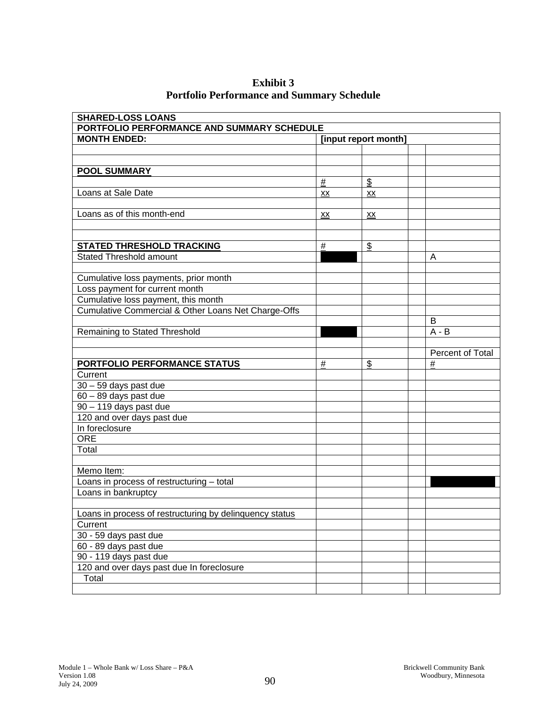| <b>SHARED-LOSS LOANS</b><br>PORTFOLIO PERFORMANCE AND SUMMARY SCHEDULE |      |                      |                  |
|------------------------------------------------------------------------|------|----------------------|------------------|
| <b>MONTH ENDED:</b>                                                    |      | [input report month] |                  |
|                                                                        |      |                      |                  |
|                                                                        |      |                      |                  |
| <b>POOL SUMMARY</b>                                                    |      |                      |                  |
|                                                                        | $\#$ | \$                   |                  |
| Loans at Sale Date                                                     | XХ   | XX                   |                  |
|                                                                        |      |                      |                  |
| Loans as of this month-end                                             | XX   | XX                   |                  |
|                                                                        |      |                      |                  |
| <b>STATED THRESHOLD TRACKING</b>                                       | $\#$ | $\frac{1}{2}$        |                  |
| <b>Stated Threshold amount</b>                                         |      |                      | A                |
|                                                                        |      |                      |                  |
| Cumulative loss payments, prior month                                  |      |                      |                  |
| Loss payment for current month                                         |      |                      |                  |
| Cumulative loss payment, this month                                    |      |                      |                  |
| Cumulative Commercial & Other Loans Net Charge-Offs                    |      |                      |                  |
|                                                                        |      |                      | B                |
| Remaining to Stated Threshold                                          |      |                      | $A - B$          |
|                                                                        |      |                      |                  |
|                                                                        |      |                      | Percent of Total |
| <b>PORTFOLIO PERFORMANCE STATUS</b>                                    | $\#$ | $\frac{1}{2}$        | $\#$             |
| Current                                                                |      |                      |                  |
| $30 - 59$ days past due                                                |      |                      |                  |
| $60 - 89$ days past due                                                |      |                      |                  |
| 90 - 119 days past due                                                 |      |                      |                  |
| 120 and over days past due                                             |      |                      |                  |
| In foreclosure                                                         |      |                      |                  |
| <b>ORE</b>                                                             |      |                      |                  |
| Total                                                                  |      |                      |                  |
|                                                                        |      |                      |                  |
| Memo Item:                                                             |      |                      |                  |
| Loans in process of restructuring - total                              |      |                      |                  |
| Loans in bankruptcy                                                    |      |                      |                  |
|                                                                        |      |                      |                  |
| Loans in process of restructuring by delinguency status                |      |                      |                  |
| Current                                                                |      |                      |                  |
| 30 - 59 days past due                                                  |      |                      |                  |
| 60 - 89 days past due                                                  |      |                      |                  |
| 90 - 119 days past due<br>120 and over days past due In foreclosure    |      |                      |                  |
| Total                                                                  |      |                      |                  |
|                                                                        |      |                      |                  |
|                                                                        |      |                      |                  |

# **Exhibit 3 Portfolio Performance and Summary Schedule**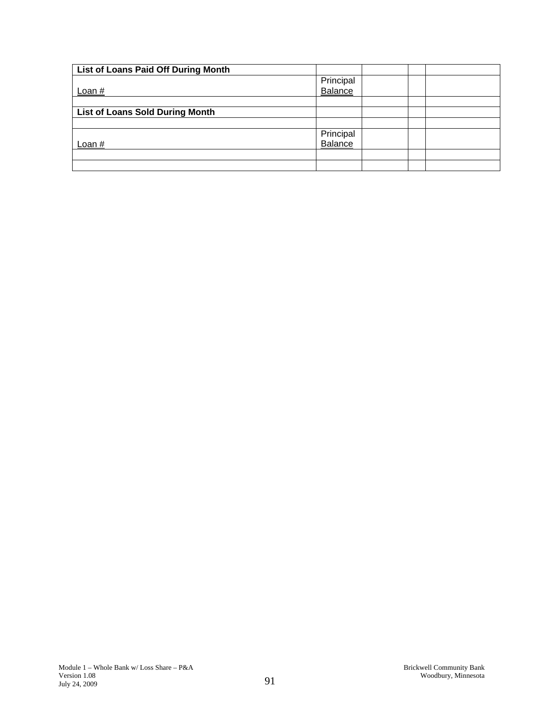| List of Loans Paid Off During Month    |           |  |  |
|----------------------------------------|-----------|--|--|
|                                        | Principal |  |  |
| Loan #                                 | Balance   |  |  |
|                                        |           |  |  |
| <b>List of Loans Sold During Month</b> |           |  |  |
|                                        |           |  |  |
|                                        | Principal |  |  |
| Loan #                                 | Balance   |  |  |
|                                        |           |  |  |
|                                        |           |  |  |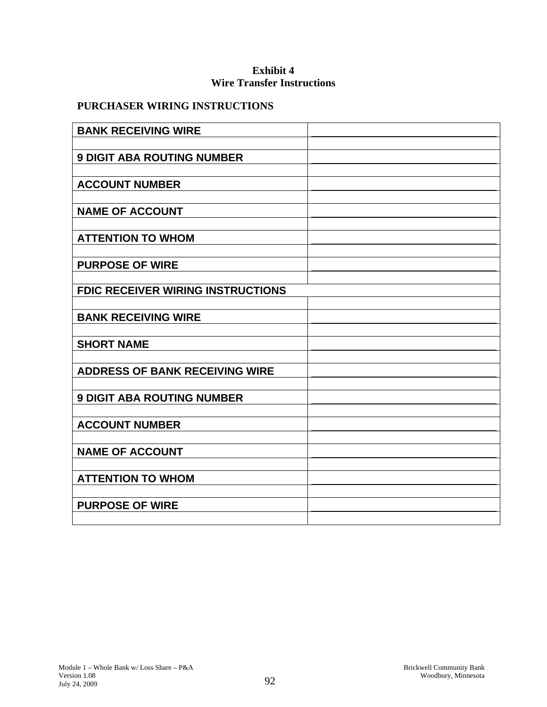## **Exhibit 4 Wire Transfer Instructions**

# **PURCHASER WIRING INSTRUCTIONS**

| <b>BANK RECEIVING WIRE</b>            |  |
|---------------------------------------|--|
|                                       |  |
| <b>9 DIGIT ABA ROUTING NUMBER</b>     |  |
|                                       |  |
| <b>ACCOUNT NUMBER</b>                 |  |
| <b>NAME OF ACCOUNT</b>                |  |
|                                       |  |
| <b>ATTENTION TO WHOM</b>              |  |
|                                       |  |
| <b>PURPOSE OF WIRE</b>                |  |
|                                       |  |
| FDIC RECEIVER WIRING INSTRUCTIONS     |  |
| <b>BANK RECEIVING WIRE</b>            |  |
|                                       |  |
| <b>SHORT NAME</b>                     |  |
|                                       |  |
| <b>ADDRESS OF BANK RECEIVING WIRE</b> |  |
|                                       |  |
| <b>9 DIGIT ABA ROUTING NUMBER</b>     |  |
|                                       |  |
| <b>ACCOUNT NUMBER</b>                 |  |
| <b>NAME OF ACCOUNT</b>                |  |
|                                       |  |
| <b>ATTENTION TO WHOM</b>              |  |
|                                       |  |
| <b>PURPOSE OF WIRE</b>                |  |
|                                       |  |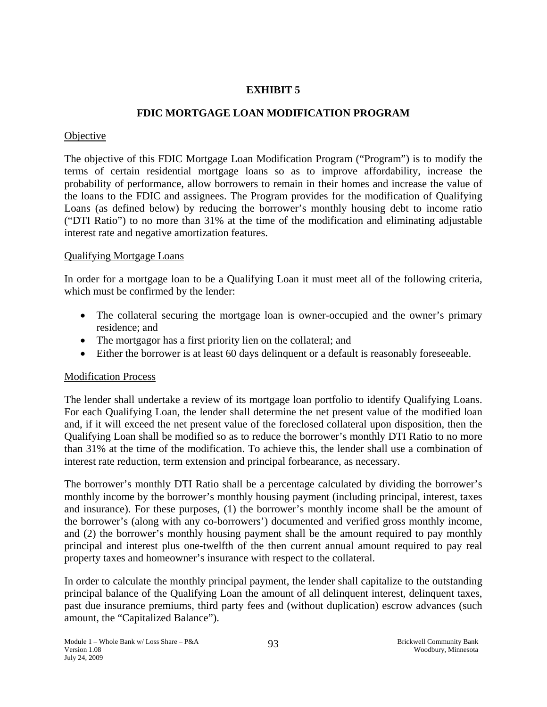# **EXHIBIT 5**

# **FDIC MORTGAGE LOAN MODIFICATION PROGRAM**

## **Objective**

The objective of this FDIC Mortgage Loan Modification Program ("Program") is to modify the terms of certain residential mortgage loans so as to improve affordability, increase the probability of performance, allow borrowers to remain in their homes and increase the value of the loans to the FDIC and assignees. The Program provides for the modification of Qualifying Loans (as defined below) by reducing the borrower's monthly housing debt to income ratio ("DTI Ratio") to no more than 31% at the time of the modification and eliminating adjustable interest rate and negative amortization features.

## Qualifying Mortgage Loans

In order for a mortgage loan to be a Qualifying Loan it must meet all of the following criteria, which must be confirmed by the lender:

- The collateral securing the mortgage loan is owner-occupied and the owner's primary residence; and
- The mortgagor has a first priority lien on the collateral; and
- Either the borrower is at least 60 days delinquent or a default is reasonably foreseeable.

### Modification Process

The lender shall undertake a review of its mortgage loan portfolio to identify Qualifying Loans. For each Qualifying Loan, the lender shall determine the net present value of the modified loan and, if it will exceed the net present value of the foreclosed collateral upon disposition, then the Qualifying Loan shall be modified so as to reduce the borrower's monthly DTI Ratio to no more than 31% at the time of the modification. To achieve this, the lender shall use a combination of interest rate reduction, term extension and principal forbearance, as necessary.

The borrower's monthly DTI Ratio shall be a percentage calculated by dividing the borrower's monthly income by the borrower's monthly housing payment (including principal, interest, taxes and insurance). For these purposes, (1) the borrower's monthly income shall be the amount of the borrower's (along with any co-borrowers') documented and verified gross monthly income, and (2) the borrower's monthly housing payment shall be the amount required to pay monthly principal and interest plus one-twelfth of the then current annual amount required to pay real property taxes and homeowner's insurance with respect to the collateral.

In order to calculate the monthly principal payment, the lender shall capitalize to the outstanding principal balance of the Qualifying Loan the amount of all delinquent interest, delinquent taxes, past due insurance premiums, third party fees and (without duplication) escrow advances (such amount, the "Capitalized Balance").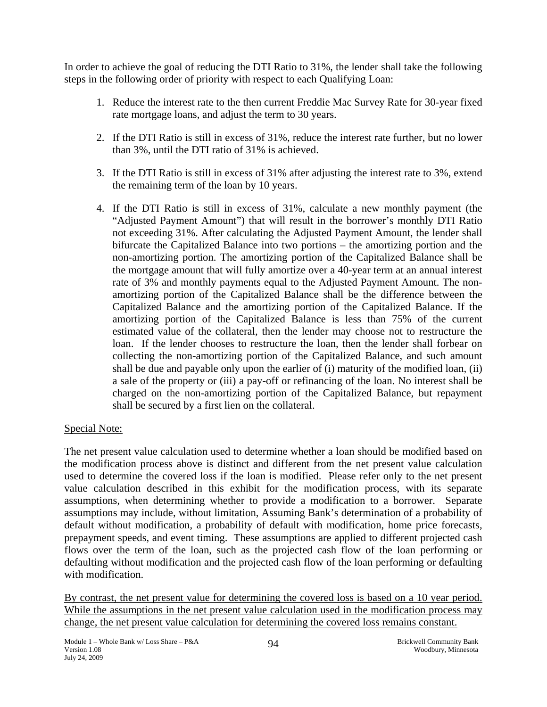In order to achieve the goal of reducing the DTI Ratio to 31%, the lender shall take the following steps in the following order of priority with respect to each Qualifying Loan:

- 1. Reduce the interest rate to the then current Freddie Mac Survey Rate for 30-year fixed rate mortgage loans, and adjust the term to 30 years.
- 2. If the DTI Ratio is still in excess of 31%, reduce the interest rate further, but no lower than 3%, until the DTI ratio of 31% is achieved.
- 3. If the DTI Ratio is still in excess of 31% after adjusting the interest rate to 3%, extend the remaining term of the loan by 10 years.
- 4. If the DTI Ratio is still in excess of 31%, calculate a new monthly payment (the "Adjusted Payment Amount") that will result in the borrower's monthly DTI Ratio not exceeding 31%. After calculating the Adjusted Payment Amount, the lender shall bifurcate the Capitalized Balance into two portions – the amortizing portion and the non-amortizing portion. The amortizing portion of the Capitalized Balance shall be the mortgage amount that will fully amortize over a 40-year term at an annual interest rate of 3% and monthly payments equal to the Adjusted Payment Amount. The nonamortizing portion of the Capitalized Balance shall be the difference between the Capitalized Balance and the amortizing portion of the Capitalized Balance. If the amortizing portion of the Capitalized Balance is less than 75% of the current estimated value of the collateral, then the lender may choose not to restructure the loan. If the lender chooses to restructure the loan, then the lender shall forbear on collecting the non-amortizing portion of the Capitalized Balance, and such amount shall be due and payable only upon the earlier of (i) maturity of the modified loan, (ii) a sale of the property or (iii) a pay-off or refinancing of the loan. No interest shall be charged on the non-amortizing portion of the Capitalized Balance, but repayment shall be secured by a first lien on the collateral.

### Special Note:

The net present value calculation used to determine whether a loan should be modified based on the modification process above is distinct and different from the net present value calculation used to determine the covered loss if the loan is modified. Please refer only to the net present value calculation described in this exhibit for the modification process, with its separate assumptions, when determining whether to provide a modification to a borrower. Separate assumptions may include, without limitation, Assuming Bank's determination of a probability of default without modification, a probability of default with modification, home price forecasts, prepayment speeds, and event timing. These assumptions are applied to different projected cash flows over the term of the loan, such as the projected cash flow of the loan performing or defaulting without modification and the projected cash flow of the loan performing or defaulting with modification.

change, the net present value calculation for determining the covered loss remains constant.<br>
Module 1 – Whole Bank w/ Loss Share – P&A 94 Brickwell Community Bank Woodbury, Minnesota<br>
Version 1.08 Woodbury, Minnesota By contrast, the net present value for determining the covered loss is based on a 10 year period. While the assumptions in the net present value calculation used in the modification process may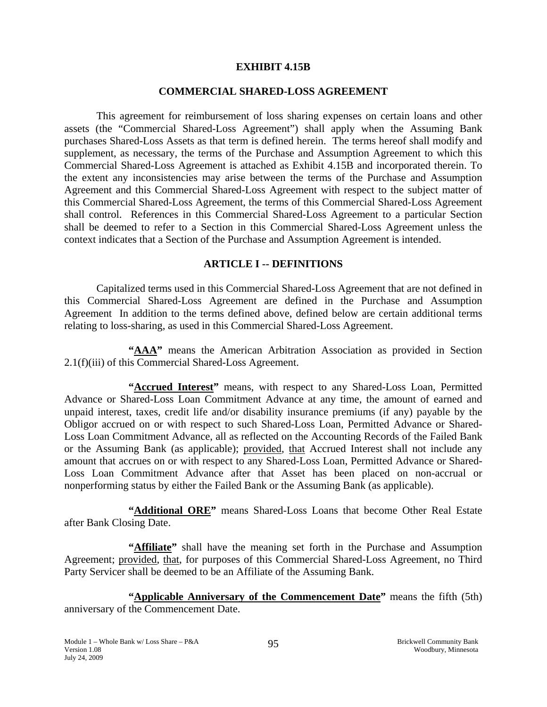#### **EXHIBIT 4.15B**

#### **COMMERCIAL SHARED-LOSS AGREEMENT**

This agreement for reimbursement of loss sharing expenses on certain loans and other assets (the "Commercial Shared-Loss Agreement") shall apply when the Assuming Bank purchases Shared-Loss Assets as that term is defined herein. The terms hereof shall modify and supplement, as necessary, the terms of the Purchase and Assumption Agreement to which this Commercial Shared-Loss Agreement is attached as Exhibit 4.15B and incorporated therein. To the extent any inconsistencies may arise between the terms of the Purchase and Assumption Agreement and this Commercial Shared-Loss Agreement with respect to the subject matter of this Commercial Shared-Loss Agreement, the terms of this Commercial Shared-Loss Agreement shall control. References in this Commercial Shared-Loss Agreement to a particular Section shall be deemed to refer to a Section in this Commercial Shared-Loss Agreement unless the context indicates that a Section of the Purchase and Assumption Agreement is intended.

#### **ARTICLE I -- DEFINITIONS**

Capitalized terms used in this Commercial Shared-Loss Agreement that are not defined in this Commercial Shared-Loss Agreement are defined in the Purchase and Assumption Agreement In addition to the terms defined above, defined below are certain additional terms relating to loss-sharing, as used in this Commercial Shared-Loss Agreement.

**"AAA"** means the American Arbitration Association as provided in Section 2.1(f)(iii) of this Commercial Shared-Loss Agreement.

**"Accrued Interest"** means, with respect to any Shared-Loss Loan, Permitted Advance or Shared-Loss Loan Commitment Advance at any time, the amount of earned and unpaid interest, taxes, credit life and/or disability insurance premiums (if any) payable by the Obligor accrued on or with respect to such Shared-Loss Loan, Permitted Advance or Shared-Loss Loan Commitment Advance, all as reflected on the Accounting Records of the Failed Bank or the Assuming Bank (as applicable); provided, that Accrued Interest shall not include any amount that accrues on or with respect to any Shared-Loss Loan, Permitted Advance or Shared-Loss Loan Commitment Advance after that Asset has been placed on non-accrual or nonperforming status by either the Failed Bank or the Assuming Bank (as applicable).

**"Additional ORE"** means Shared-Loss Loans that become Other Real Estate after Bank Closing Date.

**"Affiliate"** shall have the meaning set forth in the Purchase and Assumption Agreement; provided, that, for purposes of this Commercial Shared-Loss Agreement, no Third Party Servicer shall be deemed to be an Affiliate of the Assuming Bank.

**Examplicable Anniversary of the Commencement Date**" means the fifth (5th) anniversary of the Commencement Date.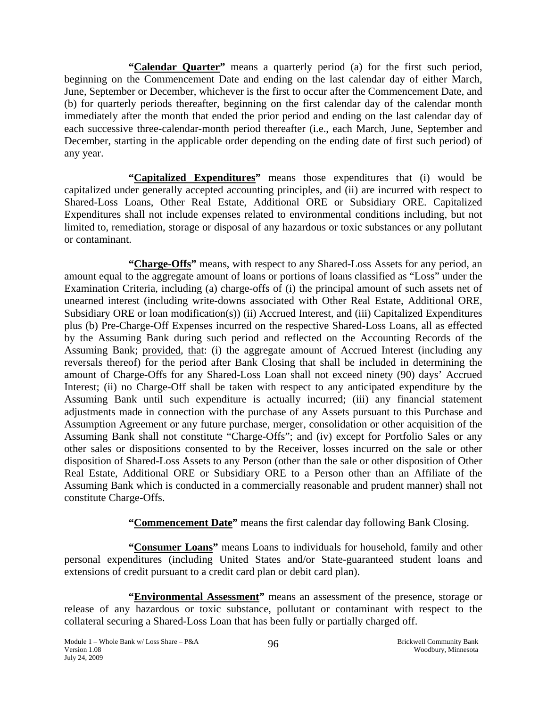**"Calendar Quarter"** means a quarterly period (a) for the first such period, beginning on the Commencement Date and ending on the last calendar day of either March, June, September or December, whichever is the first to occur after the Commencement Date, and (b) for quarterly periods thereafter, beginning on the first calendar day of the calendar month immediately after the month that ended the prior period and ending on the last calendar day of each successive three-calendar-month period thereafter (i.e., each March, June, September and December, starting in the applicable order depending on the ending date of first such period) of any year.

**"Capitalized Expenditures"** means those expenditures that (i) would be capitalized under generally accepted accounting principles, and (ii) are incurred with respect to Shared-Loss Loans, Other Real Estate, Additional ORE or Subsidiary ORE. Capitalized Expenditures shall not include expenses related to environmental conditions including, but not limited to, remediation, storage or disposal of any hazardous or toxic substances or any pollutant or contaminant.

**"Charge-Offs"** means, with respect to any Shared-Loss Assets for any period, an amount equal to the aggregate amount of loans or portions of loans classified as "Loss" under the Examination Criteria, including (a) charge-offs of (i) the principal amount of such assets net of unearned interest (including write-downs associated with Other Real Estate, Additional ORE, Subsidiary ORE or loan modification(s)) (ii) Accrued Interest, and (iii) Capitalized Expenditures plus (b) Pre-Charge-Off Expenses incurred on the respective Shared-Loss Loans, all as effected by the Assuming Bank during such period and reflected on the Accounting Records of the Assuming Bank; provided, that: (i) the aggregate amount of Accrued Interest (including any reversals thereof) for the period after Bank Closing that shall be included in determining the amount of Charge-Offs for any Shared-Loss Loan shall not exceed ninety (90) days' Accrued Interest; (ii) no Charge-Off shall be taken with respect to any anticipated expenditure by the Assuming Bank until such expenditure is actually incurred; (iii) any financial statement adjustments made in connection with the purchase of any Assets pursuant to this Purchase and Assumption Agreement or any future purchase, merger, consolidation or other acquisition of the Assuming Bank shall not constitute "Charge-Offs"; and (iv) except for Portfolio Sales or any other sales or dispositions consented to by the Receiver, losses incurred on the sale or other disposition of Shared-Loss Assets to any Person (other than the sale or other disposition of Other Real Estate, Additional ORE or Subsidiary ORE to a Person other than an Affiliate of the Assuming Bank which is conducted in a commercially reasonable and prudent manner) shall not constitute Charge-Offs.

**"Commencement Date"** means the first calendar day following Bank Closing.

**"Consumer Loans"** means Loans to individuals for household, family and other personal expenditures (including United States and/or State-guaranteed student loans and extensions of credit pursuant to a credit card plan or debit card plan).

**"Environmental Assessment"** means an assessment of the presence, storage or release of any hazardous or toxic substance, pollutant or contaminant with respect to the collateral securing a Shared-Loss Loan that has been fully or partially charged off.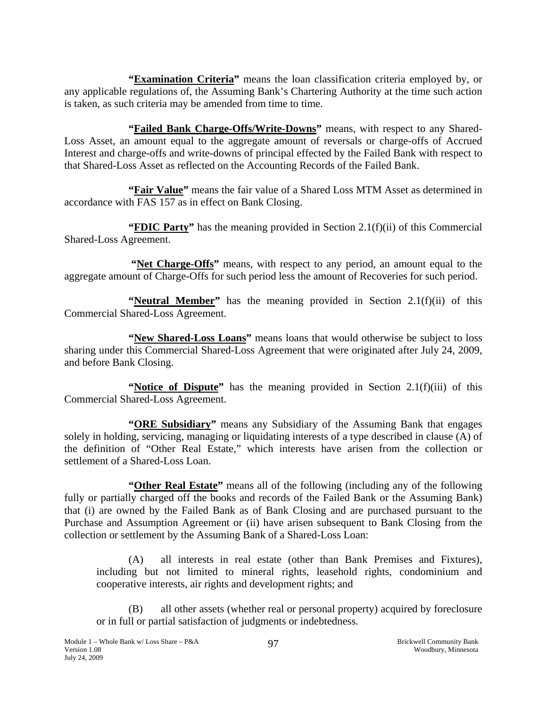**"Examination Criteria"** means the loan classification criteria employed by, or any applicable regulations of, the Assuming Bank's Chartering Authority at the time such action is taken, as such criteria may be amended from time to time.

**"Failed Bank Charge-Offs/Write-Downs"** means, with respect to any Shared-Loss Asset, an amount equal to the aggregate amount of reversals or charge-offs of Accrued Interest and charge-offs and write-downs of principal effected by the Failed Bank with respect to that Shared-Loss Asset as reflected on the Accounting Records of the Failed Bank.

**"Fair Value"** means the fair value of a Shared Loss MTM Asset as determined in accordance with FAS 157 as in effect on Bank Closing.

**"FDIC Party"** has the meaning provided in Section 2.1(f)(ii) of this Commercial Shared-Loss Agreement.

**"Net Charge-Offs"** means, with respect to any period, an amount equal to the aggregate amount of Charge-Offs for such period less the amount of Recoveries for such period.

 Commercial Shared-Loss Agreement. **"Neutral Member"** has the meaning provided in Section 2.1(f)(ii) of this

**"New Shared-Loss Loans"** means loans that would otherwise be subject to loss sharing under this Commercial Shared-Loss Agreement that were originated after July 24, 2009, and before Bank Closing.

**"Notice of Dispute"** has the meaning provided in Section 2.1(f)(iii) of this Commercial Shared-Loss Agreement.

**"ORE Subsidiary"** means any Subsidiary of the Assuming Bank that engages solely in holding, servicing, managing or liquidating interests of a type described in clause (A) of the definition of "Other Real Estate," which interests have arisen from the collection or settlement of a Shared-Loss Loan.

**"Other Real Estate"** means all of the following (including any of the following fully or partially charged off the books and records of the Failed Bank or the Assuming Bank) that (i) are owned by the Failed Bank as of Bank Closing and are purchased pursuant to the Purchase and Assumption Agreement or (ii) have arisen subsequent to Bank Closing from the collection or settlement by the Assuming Bank of a Shared-Loss Loan:

(A) all interests in real estate (other than Bank Premises and Fixtures), including but not limited to mineral rights, leasehold rights, condominium and cooperative interests, air rights and development rights; and

(B) all other assets (whether real or personal property) acquired by foreclosure or in full or partial satisfaction of judgments or indebtedness.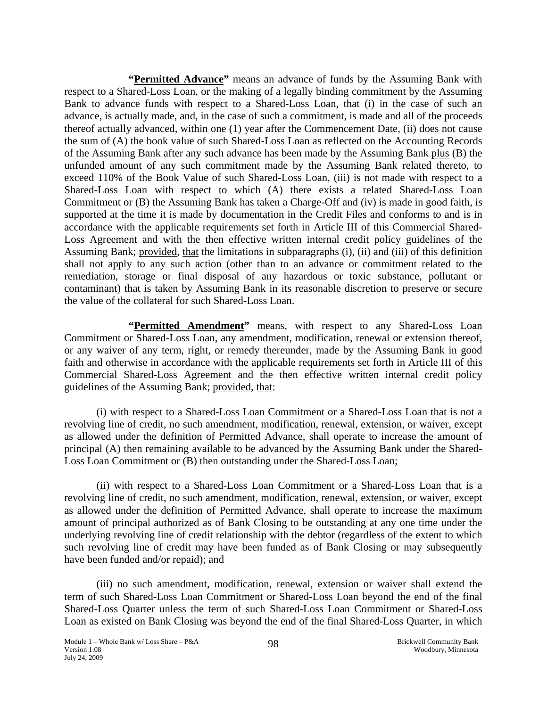"Permitted Advance" means an advance of funds by the Assuming Bank with respect to a Shared-Loss Loan, or the making of a legally binding commitment by the Assuming Bank to advance funds with respect to a Shared-Loss Loan, that (i) in the case of such an advance, is actually made, and, in the case of such a commitment, is made and all of the proceeds thereof actually advanced, within one (1) year after the Commencement Date, (ii) does not cause the sum of (A) the book value of such Shared-Loss Loan as reflected on the Accounting Records of the Assuming Bank after any such advance has been made by the Assuming Bank plus (B) the unfunded amount of any such commitment made by the Assuming Bank related thereto, to exceed 110% of the Book Value of such Shared-Loss Loan, (iii) is not made with respect to a Shared-Loss Loan with respect to which (A) there exists a related Shared-Loss Loan Commitment or (B) the Assuming Bank has taken a Charge-Off and (iv) is made in good faith, is supported at the time it is made by documentation in the Credit Files and conforms to and is in accordance with the applicable requirements set forth in Article III of this Commercial Shared-Loss Agreement and with the then effective written internal credit policy guidelines of the Assuming Bank; provided, that the limitations in subparagraphs (i), (ii) and (iii) of this definition shall not apply to any such action (other than to an advance or commitment related to the remediation, storage or final disposal of any hazardous or toxic substance, pollutant or contaminant) that is taken by Assuming Bank in its reasonable discretion to preserve or secure the value of the collateral for such Shared-Loss Loan.

**"Permitted Amendment"** means, with respect to any Shared-Loss Loan Commitment or Shared-Loss Loan, any amendment, modification, renewal or extension thereof, or any waiver of any term, right, or remedy thereunder, made by the Assuming Bank in good faith and otherwise in accordance with the applicable requirements set forth in Article III of this Commercial Shared-Loss Agreement and the then effective written internal credit policy guidelines of the Assuming Bank; provided, that:

(i) with respect to a Shared-Loss Loan Commitment or a Shared-Loss Loan that is not a revolving line of credit, no such amendment, modification, renewal, extension, or waiver, except as allowed under the definition of Permitted Advance, shall operate to increase the amount of principal (A) then remaining available to be advanced by the Assuming Bank under the Shared-Loss Loan Commitment or (B) then outstanding under the Shared-Loss Loan;

(ii) with respect to a Shared-Loss Loan Commitment or a Shared-Loss Loan that is a revolving line of credit, no such amendment, modification, renewal, extension, or waiver, except as allowed under the definition of Permitted Advance, shall operate to increase the maximum amount of principal authorized as of Bank Closing to be outstanding at any one time under the underlying revolving line of credit relationship with the debtor (regardless of the extent to which such revolving line of credit may have been funded as of Bank Closing or may subsequently have been funded and/or repaid); and

(iii) no such amendment, modification, renewal, extension or waiver shall extend the term of such Shared-Loss Loan Commitment or Shared-Loss Loan beyond the end of the final Shared-Loss Quarter unless the term of such Shared-Loss Loan Commitment or Shared-Loss Loan as existed on Bank Closing was beyond the end of the final Shared-Loss Quarter, in which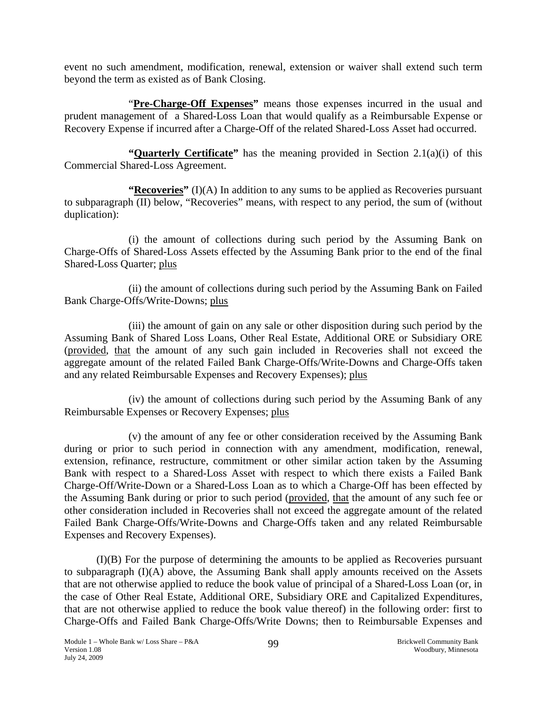event no such amendment, modification, renewal, extension or waiver shall extend such term beyond the term as existed as of Bank Closing.

"**Pre-Charge-Off Expenses"** means those expenses incurred in the usual and prudent management of a Shared-Loss Loan that would qualify as a Reimbursable Expense or Recovery Expense if incurred after a Charge-Off of the related Shared-Loss Asset had occurred.

**"Quarterly Certificate"** has the meaning provided in Section 2.1(a)(i) of this Commercial Shared-Loss Agreement.

**"Recoveries"** (I)(A) In addition to any sums to be applied as Recoveries pursuant to subparagraph (II) below, "Recoveries" means, with respect to any period, the sum of (without duplication):

Shared-Loss Quarter; plus (i) the amount of collections during such period by the Assuming Bank on Charge-Offs of Shared-Loss Assets effected by the Assuming Bank prior to the end of the final

(ii) the amount of collections during such period by the Assuming Bank on Failed Bank Charge-Offs/Write-Downs; plus

(iii) the amount of gain on any sale or other disposition during such period by the Assuming Bank of Shared Loss Loans, Other Real Estate, Additional ORE or Subsidiary ORE (provided, that the amount of any such gain included in Recoveries shall not exceed the aggregate amount of the related Failed Bank Charge-Offs/Write-Downs and Charge-Offs taken and any related Reimbursable Expenses and Recovery Expenses); plus

(iv) the amount of collections during such period by the Assuming Bank of any Reimbursable Expenses or Recovery Expenses; plus

(v) the amount of any fee or other consideration received by the Assuming Bank during or prior to such period in connection with any amendment, modification, renewal, extension, refinance, restructure, commitment or other similar action taken by the Assuming Bank with respect to a Shared-Loss Asset with respect to which there exists a Failed Bank Charge-Off/Write-Down or a Shared-Loss Loan as to which a Charge-Off has been effected by the Assuming Bank during or prior to such period (provided, that the amount of any such fee or other consideration included in Recoveries shall not exceed the aggregate amount of the related Failed Bank Charge-Offs/Write-Downs and Charge-Offs taken and any related Reimbursable Expenses and Recovery Expenses).

(I)(B) For the purpose of determining the amounts to be applied as Recoveries pursuant to subparagraph (I)(A) above, the Assuming Bank shall apply amounts received on the Assets that are not otherwise applied to reduce the book value of principal of a Shared-Loss Loan (or, in the case of Other Real Estate, Additional ORE, Subsidiary ORE and Capitalized Expenditures, that are not otherwise applied to reduce the book value thereof) in the following order: first to Charge-Offs and Failed Bank Charge-Offs/Write Downs; then to Reimbursable Expenses and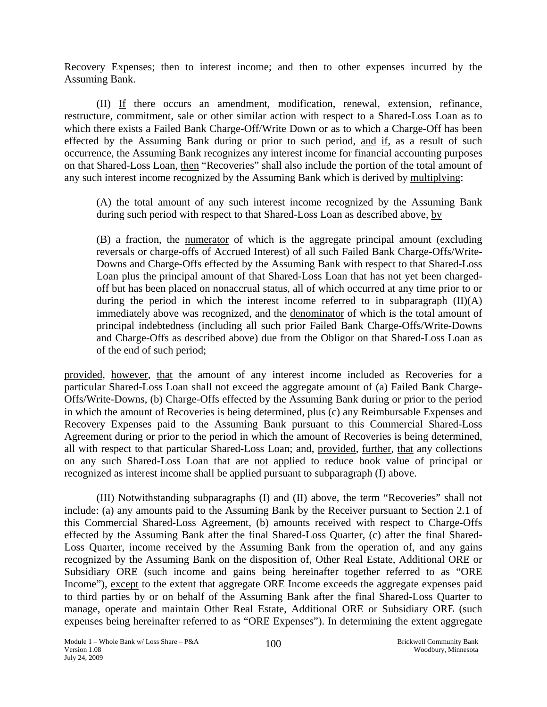Recovery Expenses; then to interest income; and then to other expenses incurred by the Assuming Bank.

(II) If there occurs an amendment, modification, renewal, extension, refinance, restructure, commitment, sale or other similar action with respect to a Shared-Loss Loan as to which there exists a Failed Bank Charge-Off/Write Down or as to which a Charge-Off has been effected by the Assuming Bank during or prior to such period, and if, as a result of such occurrence, the Assuming Bank recognizes any interest income for financial accounting purposes on that Shared-Loss Loan, then "Recoveries" shall also include the portion of the total amount of any such interest income recognized by the Assuming Bank which is derived by multiplying:

(A) the total amount of any such interest income recognized by the Assuming Bank during such period with respect to that Shared-Loss Loan as described above, by

(B) a fraction, the numerator of which is the aggregate principal amount (excluding reversals or charge-offs of Accrued Interest) of all such Failed Bank Charge-Offs/Write-Downs and Charge-Offs effected by the Assuming Bank with respect to that Shared-Loss Loan plus the principal amount of that Shared-Loss Loan that has not yet been chargedoff but has been placed on nonaccrual status, all of which occurred at any time prior to or during the period in which the interest income referred to in subparagraph (II)(A) immediately above was recognized, and the denominator of which is the total amount of principal indebtedness (including all such prior Failed Bank Charge-Offs/Write-Downs and Charge-Offs as described above) due from the Obligor on that Shared-Loss Loan as of the end of such period;

provided, however, that the amount of any interest income included as Recoveries for a particular Shared-Loss Loan shall not exceed the aggregate amount of (a) Failed Bank Charge-Offs/Write-Downs, (b) Charge-Offs effected by the Assuming Bank during or prior to the period in which the amount of Recoveries is being determined, plus (c) any Reimbursable Expenses and Recovery Expenses paid to the Assuming Bank pursuant to this Commercial Shared-Loss Agreement during or prior to the period in which the amount of Recoveries is being determined, all with respect to that particular Shared-Loss Loan; and, provided, further, that any collections on any such Shared-Loss Loan that are not applied to reduce book value of principal or recognized as interest income shall be applied pursuant to subparagraph (I) above.

(III) Notwithstanding subparagraphs (I) and (II) above, the term "Recoveries" shall not include: (a) any amounts paid to the Assuming Bank by the Receiver pursuant to Section 2.1 of this Commercial Shared-Loss Agreement, (b) amounts received with respect to Charge-Offs effected by the Assuming Bank after the final Shared-Loss Quarter, (c) after the final Shared-Loss Quarter, income received by the Assuming Bank from the operation of, and any gains recognized by the Assuming Bank on the disposition of, Other Real Estate, Additional ORE or Subsidiary ORE (such income and gains being hereinafter together referred to as "ORE Income"), except to the extent that aggregate ORE Income exceeds the aggregate expenses paid to third parties by or on behalf of the Assuming Bank after the final Shared-Loss Quarter to manage, operate and maintain Other Real Estate, Additional ORE or Subsidiary ORE (such expenses being hereinafter referred to as "ORE Expenses"). In determining the extent aggregate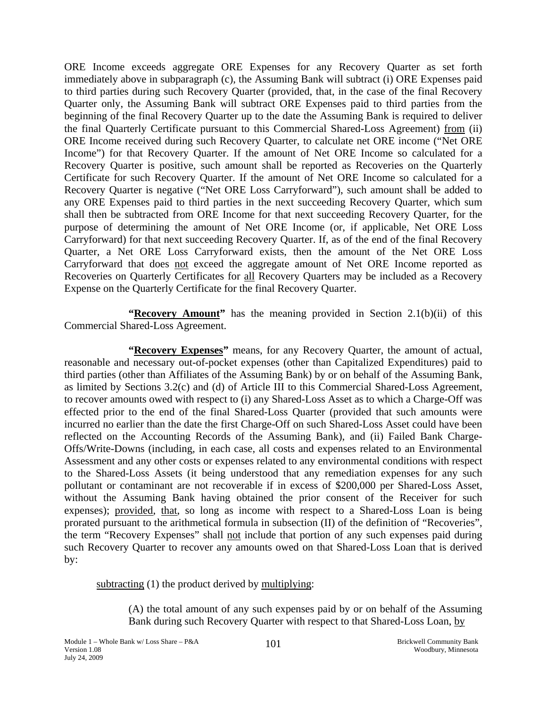ORE Income exceeds aggregate ORE Expenses for any Recovery Quarter as set forth immediately above in subparagraph (c), the Assuming Bank will subtract (i) ORE Expenses paid to third parties during such Recovery Quarter (provided, that, in the case of the final Recovery Quarter only, the Assuming Bank will subtract ORE Expenses paid to third parties from the beginning of the final Recovery Quarter up to the date the Assuming Bank is required to deliver the final Quarterly Certificate pursuant to this Commercial Shared-Loss Agreement) from (ii) ORE Income received during such Recovery Quarter, to calculate net ORE income ("Net ORE Income") for that Recovery Quarter. If the amount of Net ORE Income so calculated for a Recovery Quarter is positive, such amount shall be reported as Recoveries on the Quarterly Certificate for such Recovery Quarter. If the amount of Net ORE Income so calculated for a Recovery Quarter is negative ("Net ORE Loss Carryforward"), such amount shall be added to any ORE Expenses paid to third parties in the next succeeding Recovery Quarter, which sum shall then be subtracted from ORE Income for that next succeeding Recovery Quarter, for the purpose of determining the amount of Net ORE Income (or, if applicable, Net ORE Loss Carryforward) for that next succeeding Recovery Quarter. If, as of the end of the final Recovery Quarter, a Net ORE Loss Carryforward exists, then the amount of the Net ORE Loss Carryforward that does not exceed the aggregate amount of Net ORE Income reported as Recoveries on Quarterly Certificates for all Recovery Quarters may be included as a Recovery Expense on the Quarterly Certificate for the final Recovery Quarter.

**"Recovery Amount"** has the meaning provided in Section 2.1(b)(ii) of this Commercial Shared-Loss Agreement.

**"Recovery Expenses"** means, for any Recovery Quarter, the amount of actual, reasonable and necessary out-of-pocket expenses (other than Capitalized Expenditures) paid to third parties (other than Affiliates of the Assuming Bank) by or on behalf of the Assuming Bank, as limited by Sections 3.2(c) and (d) of Article III to this Commercial Shared-Loss Agreement, to recover amounts owed with respect to (i) any Shared-Loss Asset as to which a Charge-Off was effected prior to the end of the final Shared-Loss Quarter (provided that such amounts were incurred no earlier than the date the first Charge-Off on such Shared-Loss Asset could have been reflected on the Accounting Records of the Assuming Bank), and (ii) Failed Bank Charge-Offs/Write-Downs (including, in each case, all costs and expenses related to an Environmental Assessment and any other costs or expenses related to any environmental conditions with respect to the Shared-Loss Assets (it being understood that any remediation expenses for any such pollutant or contaminant are not recoverable if in excess of \$200,000 per Shared-Loss Asset, without the Assuming Bank having obtained the prior consent of the Receiver for such expenses); provided, that, so long as income with respect to a Shared-Loss Loan is being prorated pursuant to the arithmetical formula in subsection (II) of the definition of "Recoveries", the term "Recovery Expenses" shall not include that portion of any such expenses paid during such Recovery Quarter to recover any amounts owed on that Shared-Loss Loan that is derived by:

subtracting (1) the product derived by multiplying:

(A) the total amount of any such expenses paid by or on behalf of the Assuming Bank during such Recovery Quarter with respect to that Shared-Loss Loan, by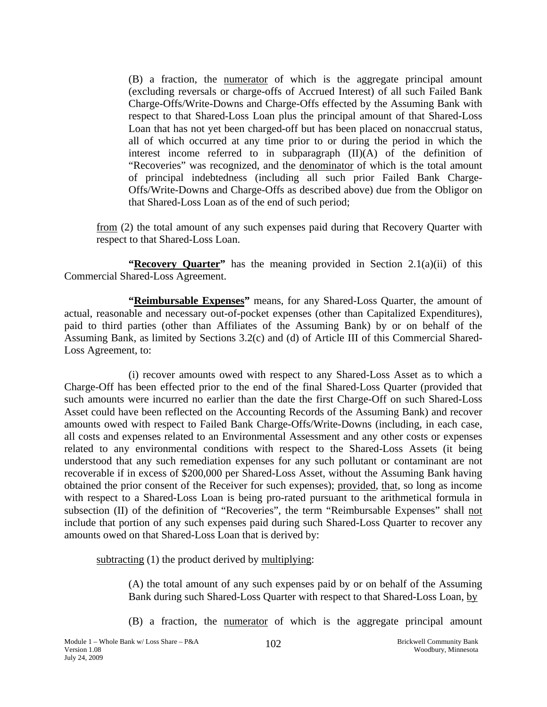(B) a fraction, the numerator of which is the aggregate principal amount (excluding reversals or charge-offs of Accrued Interest) of all such Failed Bank Charge-Offs/Write-Downs and Charge-Offs effected by the Assuming Bank with respect to that Shared-Loss Loan plus the principal amount of that Shared-Loss Loan that has not yet been charged-off but has been placed on nonaccrual status, all of which occurred at any time prior to or during the period in which the interest income referred to in subparagraph (II)(A) of the definition of "Recoveries" was recognized, and the denominator of which is the total amount of principal indebtedness (including all such prior Failed Bank Charge-Offs/Write-Downs and Charge-Offs as described above) due from the Obligor on that Shared-Loss Loan as of the end of such period;

from (2) the total amount of any such expenses paid during that Recovery Quarter with respect to that Shared-Loss Loan.

**"Recovery Quarter"** has the meaning provided in Section 2.1(a)(ii) of this Commercial Shared-Loss Agreement.

**"Reimbursable Expenses"** means, for any Shared-Loss Quarter, the amount of actual, reasonable and necessary out-of-pocket expenses (other than Capitalized Expenditures), paid to third parties (other than Affiliates of the Assuming Bank) by or on behalf of the Assuming Bank, as limited by Sections 3.2(c) and (d) of Article III of this Commercial Shared-Loss Agreement, to:

(i) recover amounts owed with respect to any Shared-Loss Asset as to which a Charge-Off has been effected prior to the end of the final Shared-Loss Quarter (provided that such amounts were incurred no earlier than the date the first Charge-Off on such Shared-Loss Asset could have been reflected on the Accounting Records of the Assuming Bank) and recover amounts owed with respect to Failed Bank Charge-Offs/Write-Downs (including, in each case, all costs and expenses related to an Environmental Assessment and any other costs or expenses related to any environmental conditions with respect to the Shared-Loss Assets (it being understood that any such remediation expenses for any such pollutant or contaminant are not recoverable if in excess of \$200,000 per Shared-Loss Asset, without the Assuming Bank having obtained the prior consent of the Receiver for such expenses); provided, that, so long as income with respect to a Shared-Loss Loan is being pro-rated pursuant to the arithmetical formula in subsection (II) of the definition of "Recoveries", the term "Reimbursable Expenses" shall not include that portion of any such expenses paid during such Shared-Loss Quarter to recover any amounts owed on that Shared-Loss Loan that is derived by:

subtracting (1) the product derived by multiplying:

(A) the total amount of any such expenses paid by or on behalf of the Assuming Bank during such Shared-Loss Quarter with respect to that Shared-Loss Loan, by

(B) a fraction, the numerator of which is the aggregate principal amount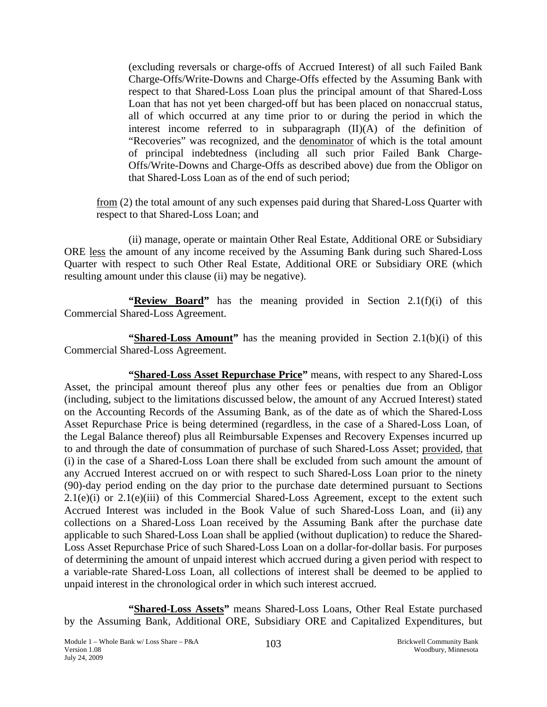(excluding reversals or charge-offs of Accrued Interest) of all such Failed Bank Charge-Offs/Write-Downs and Charge-Offs effected by the Assuming Bank with respect to that Shared-Loss Loan plus the principal amount of that Shared-Loss Loan that has not yet been charged-off but has been placed on nonaccrual status, all of which occurred at any time prior to or during the period in which the interest income referred to in subparagraph (II)(A) of the definition of "Recoveries" was recognized, and the denominator of which is the total amount of principal indebtedness (including all such prior Failed Bank Charge-Offs/Write-Downs and Charge-Offs as described above) due from the Obligor on that Shared-Loss Loan as of the end of such period;

from (2) the total amount of any such expenses paid during that Shared-Loss Quarter with respect to that Shared-Loss Loan; and

(ii) manage, operate or maintain Other Real Estate, Additional ORE or Subsidiary ORE less the amount of any income received by the Assuming Bank during such Shared-Loss Quarter with respect to such Other Real Estate, Additional ORE or Subsidiary ORE (which resulting amount under this clause (ii) may be negative).

**"Review Board"** has the meaning provided in Section 2.1(f)(i) of this Commercial Shared-Loss Agreement.

**"Shared-Loss Amount"** has the meaning provided in Section 2.1(b)(i) of this Commercial Shared-Loss Agreement.

**"Shared-Loss Asset Repurchase Price"** means, with respect to any Shared-Loss Asset, the principal amount thereof plus any other fees or penalties due from an Obligor (including, subject to the limitations discussed below, the amount of any Accrued Interest) stated on the Accounting Records of the Assuming Bank, as of the date as of which the Shared-Loss Asset Repurchase Price is being determined (regardless, in the case of a Shared-Loss Loan, of the Legal Balance thereof) plus all Reimbursable Expenses and Recovery Expenses incurred up to and through the date of consummation of purchase of such Shared-Loss Asset; provided, that (i) in the case of a Shared-Loss Loan there shall be excluded from such amount the amount of any Accrued Interest accrued on or with respect to such Shared-Loss Loan prior to the ninety (90)-day period ending on the day prior to the purchase date determined pursuant to Sections  $2.1(e)(i)$  or  $2.1(e)(iii)$  of this Commercial Shared-Loss Agreement, except to the extent such Accrued Interest was included in the Book Value of such Shared-Loss Loan, and (ii) any collections on a Shared-Loss Loan received by the Assuming Bank after the purchase date applicable to such Shared-Loss Loan shall be applied (without duplication) to reduce the Shared-Loss Asset Repurchase Price of such Shared-Loss Loan on a dollar-for-dollar basis. For purposes of determining the amount of unpaid interest which accrued during a given period with respect to a variable-rate Shared-Loss Loan, all collections of interest shall be deemed to be applied to unpaid interest in the chronological order in which such interest accrued.

**"Shared-Loss Assets"** means Shared-Loss Loans, Other Real Estate purchased by the Assuming Bank, Additional ORE, Subsidiary ORE and Capitalized Expenditures, but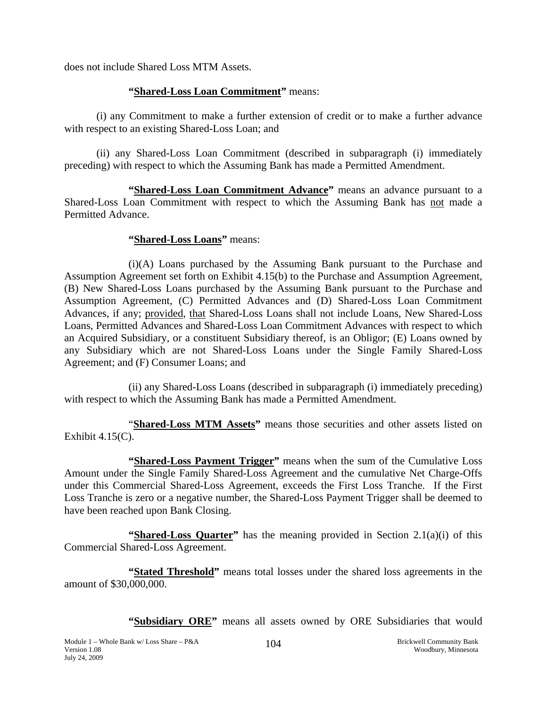does not include Shared Loss MTM Assets.

# **"Shared-Loss Loan Commitment"** means:

(i) any Commitment to make a further extension of credit or to make a further advance with respect to an existing Shared-Loss Loan; and

(ii) any Shared-Loss Loan Commitment (described in subparagraph (i) immediately preceding) with respect to which the Assuming Bank has made a Permitted Amendment.

"Shared-Loss Loan Commitment Advance" means an advance pursuant to a Shared-Loss Loan Commitment with respect to which the Assuming Bank has not made a Permitted Advance.

# **"Shared-Loss Loans"** means:

(i)(A) Loans purchased by the Assuming Bank pursuant to the Purchase and Assumption Agreement set forth on Exhibit 4.15(b) to the Purchase and Assumption Agreement, (B) New Shared-Loss Loans purchased by the Assuming Bank pursuant to the Purchase and Assumption Agreement, (C) Permitted Advances and (D) Shared-Loss Loan Commitment Advances, if any; provided, that Shared-Loss Loans shall not include Loans, New Shared-Loss Loans, Permitted Advances and Shared-Loss Loan Commitment Advances with respect to which an Acquired Subsidiary, or a constituent Subsidiary thereof, is an Obligor; (E) Loans owned by any Subsidiary which are not Shared-Loss Loans under the Single Family Shared-Loss Agreement; and (F) Consumer Loans; and

(ii) any Shared-Loss Loans (described in subparagraph (i) immediately preceding) with respect to which the Assuming Bank has made a Permitted Amendment.

"**Shared-Loss MTM Assets"** means those securities and other assets listed on Exhibit  $4.15(C)$ .

**"Shared-Loss Payment Trigger"** means when the sum of the Cumulative Loss Amount under the Single Family Shared-Loss Agreement and the cumulative Net Charge-Offs under this Commercial Shared-Loss Agreement, exceeds the First Loss Tranche. If the First Loss Tranche is zero or a negative number, the Shared-Loss Payment Trigger shall be deemed to have been reached upon Bank Closing.

**"Shared-Loss Quarter"** has the meaning provided in Section 2.1(a)(i) of this Commercial Shared-Loss Agreement.

**"Stated Threshold"** means total losses under the shared loss agreements in the amount of \$30,000,000.

**"Subsidiary ORE"** means all assets owned by ORE Subsidiaries that would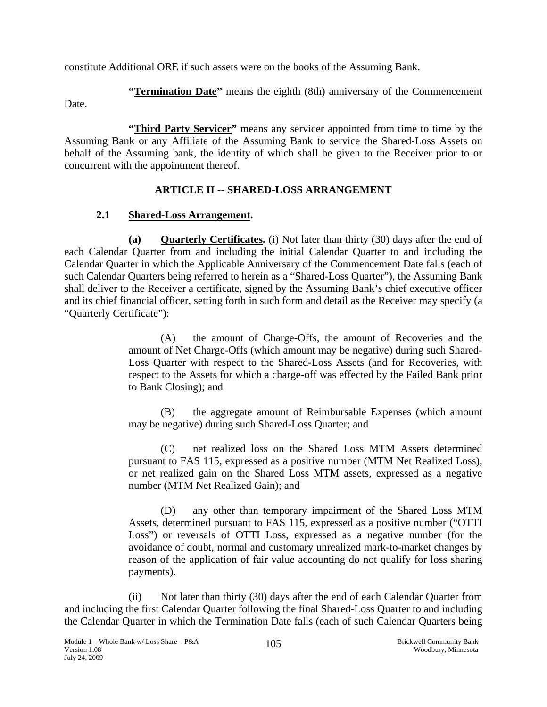constitute Additional ORE if such assets were on the books of the Assuming Bank.

**"Termination Date"** means the eighth (8th) anniversary of the Commencement Date.

**"Third Party Servicer"** means any servicer appointed from time to time by the Assuming Bank or any Affiliate of the Assuming Bank to service the Shared-Loss Assets on behalf of the Assuming bank, the identity of which shall be given to the Receiver prior to or concurrent with the appointment thereof.

## **ARTICLE II** -- **SHARED-LOSS ARRANGEMENT**

## **2.1 Shared-Loss Arrangement.**

**(a) Quarterly Certificates.** (i) Not later than thirty (30) days after the end of each Calendar Quarter from and including the initial Calendar Quarter to and including the Calendar Quarter in which the Applicable Anniversary of the Commencement Date falls (each of such Calendar Quarters being referred to herein as a "Shared-Loss Quarter"), the Assuming Bank shall deliver to the Receiver a certificate, signed by the Assuming Bank's chief executive officer and its chief financial officer, setting forth in such form and detail as the Receiver may specify (a "Quarterly Certificate"):

> (A) the amount of Charge-Offs, the amount of Recoveries and the amount of Net Charge-Offs (which amount may be negative) during such Shared-Loss Quarter with respect to the Shared-Loss Assets (and for Recoveries, with respect to the Assets for which a charge-off was effected by the Failed Bank prior to Bank Closing); and

> (B) the aggregate amount of Reimbursable Expenses (which amount may be negative) during such Shared-Loss Quarter; and

> (C) net realized loss on the Shared Loss MTM Assets determined pursuant to FAS 115, expressed as a positive number (MTM Net Realized Loss), or net realized gain on the Shared Loss MTM assets, expressed as a negative number (MTM Net Realized Gain); and

> (D) any other than temporary impairment of the Shared Loss MTM Assets, determined pursuant to FAS 115, expressed as a positive number ("OTTI Loss") or reversals of OTTI Loss, expressed as a negative number (for the avoidance of doubt, normal and customary unrealized mark-to-market changes by reason of the application of fair value accounting do not qualify for loss sharing payments).

(ii) Not later than thirty (30) days after the end of each Calendar Quarter from and including the first Calendar Quarter following the final Shared-Loss Quarter to and including the Calendar Quarter in which the Termination Date falls (each of such Calendar Quarters being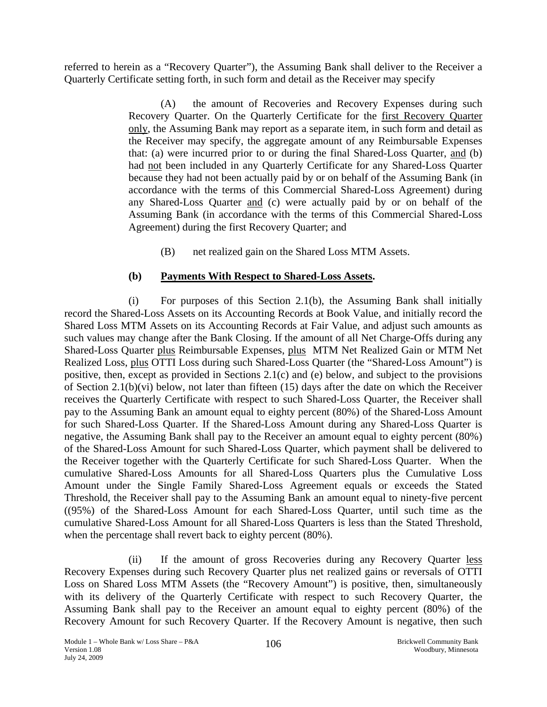referred to herein as a "Recovery Quarter"), the Assuming Bank shall deliver to the Receiver a Quarterly Certificate setting forth, in such form and detail as the Receiver may specify

> (A) the amount of Recoveries and Recovery Expenses during such Recovery Quarter. On the Quarterly Certificate for the first Recovery Quarter only, the Assuming Bank may report as a separate item, in such form and detail as the Receiver may specify, the aggregate amount of any Reimbursable Expenses that: (a) were incurred prior to or during the final Shared-Loss Quarter, and (b) had not been included in any Quarterly Certificate for any Shared-Loss Quarter because they had not been actually paid by or on behalf of the Assuming Bank (in accordance with the terms of this Commercial Shared-Loss Agreement) during any Shared-Loss Quarter and (c) were actually paid by or on behalf of the Assuming Bank (in accordance with the terms of this Commercial Shared-Loss Agreement) during the first Recovery Quarter; and

(B) net realized gain on the Shared Loss MTM Assets.

## **(b) Payments With Respect to Shared-Loss Assets.**

(i) For purposes of this Section 2.1(b), the Assuming Bank shall initially record the Shared-Loss Assets on its Accounting Records at Book Value, and initially record the Shared Loss MTM Assets on its Accounting Records at Fair Value, and adjust such amounts as such values may change after the Bank Closing. If the amount of all Net Charge-Offs during any Shared-Loss Quarter plus Reimbursable Expenses, plus MTM Net Realized Gain or MTM Net Realized Loss, plus OTTI Loss during such Shared-Loss Quarter (the "Shared-Loss Amount") is positive, then, except as provided in Sections 2.1(c) and (e) below, and subject to the provisions of Section 2.1(b)(vi) below, not later than fifteen (15) days after the date on which the Receiver receives the Quarterly Certificate with respect to such Shared-Loss Quarter, the Receiver shall pay to the Assuming Bank an amount equal to eighty percent (80%) of the Shared-Loss Amount for such Shared-Loss Quarter. If the Shared-Loss Amount during any Shared-Loss Quarter is negative, the Assuming Bank shall pay to the Receiver an amount equal to eighty percent (80%) of the Shared-Loss Amount for such Shared-Loss Quarter, which payment shall be delivered to the Receiver together with the Quarterly Certificate for such Shared-Loss Quarter. When the cumulative Shared-Loss Amounts for all Shared-Loss Quarters plus the Cumulative Loss Amount under the Single Family Shared-Loss Agreement equals or exceeds the Stated Threshold, the Receiver shall pay to the Assuming Bank an amount equal to ninety-five percent ((95%) of the Shared-Loss Amount for each Shared-Loss Quarter, until such time as the cumulative Shared-Loss Amount for all Shared-Loss Quarters is less than the Stated Threshold, when the percentage shall revert back to eighty percent (80%).

(ii) If the amount of gross Recoveries during any Recovery Quarter less Recovery Expenses during such Recovery Quarter plus net realized gains or reversals of OTTI Loss on Shared Loss MTM Assets (the "Recovery Amount") is positive, then, simultaneously with its delivery of the Quarterly Certificate with respect to such Recovery Quarter, the Assuming Bank shall pay to the Receiver an amount equal to eighty percent (80%) of the Recovery Amount for such Recovery Quarter. If the Recovery Amount is negative, then such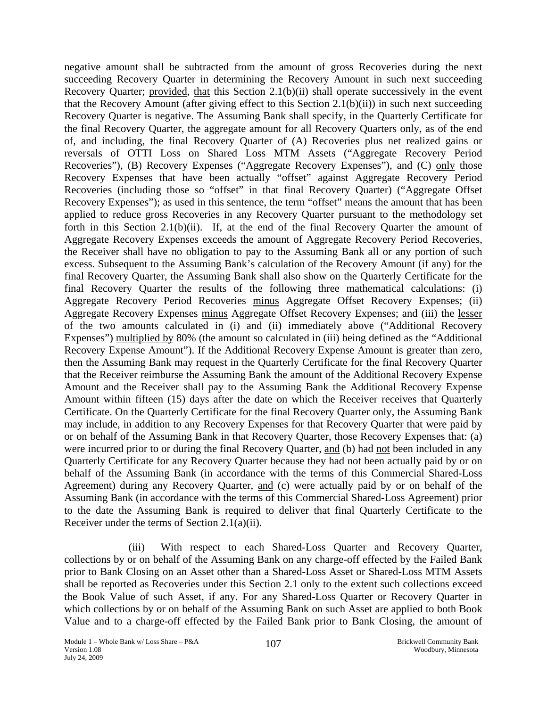negative amount shall be subtracted from the amount of gross Recoveries during the next succeeding Recovery Quarter in determining the Recovery Amount in such next succeeding Recovery Quarter; provided, that this Section 2.1(b)(ii) shall operate successively in the event that the Recovery Amount (after giving effect to this Section 2.1(b)(ii)) in such next succeeding Recovery Quarter is negative. The Assuming Bank shall specify, in the Quarterly Certificate for the final Recovery Quarter, the aggregate amount for all Recovery Quarters only, as of the end of, and including, the final Recovery Quarter of (A) Recoveries plus net realized gains or reversals of OTTI Loss on Shared Loss MTM Assets ("Aggregate Recovery Period Recoveries"), (B) Recovery Expenses ("Aggregate Recovery Expenses"), and (C) only those Recovery Expenses that have been actually "offset" against Aggregate Recovery Period Recoveries (including those so "offset" in that final Recovery Quarter) ("Aggregate Offset Recovery Expenses"); as used in this sentence, the term "offset" means the amount that has been applied to reduce gross Recoveries in any Recovery Quarter pursuant to the methodology set forth in this Section 2.1(b)(ii). If, at the end of the final Recovery Quarter the amount of Aggregate Recovery Expenses exceeds the amount of Aggregate Recovery Period Recoveries, the Receiver shall have no obligation to pay to the Assuming Bank all or any portion of such excess. Subsequent to the Assuming Bank's calculation of the Recovery Amount (if any) for the final Recovery Quarter, the Assuming Bank shall also show on the Quarterly Certificate for the final Recovery Quarter the results of the following three mathematical calculations: (i) Aggregate Recovery Period Recoveries minus Aggregate Offset Recovery Expenses; (ii) Aggregate Recovery Expenses minus Aggregate Offset Recovery Expenses; and (iii) the lesser of the two amounts calculated in (i) and (ii) immediately above ("Additional Recovery Expenses") multiplied by 80% (the amount so calculated in (iii) being defined as the "Additional Recovery Expense Amount"). If the Additional Recovery Expense Amount is greater than zero, then the Assuming Bank may request in the Quarterly Certificate for the final Recovery Quarter that the Receiver reimburse the Assuming Bank the amount of the Additional Recovery Expense Amount and the Receiver shall pay to the Assuming Bank the Additional Recovery Expense Amount within fifteen (15) days after the date on which the Receiver receives that Quarterly Certificate. On the Quarterly Certificate for the final Recovery Quarter only, the Assuming Bank may include, in addition to any Recovery Expenses for that Recovery Quarter that were paid by or on behalf of the Assuming Bank in that Recovery Quarter, those Recovery Expenses that: (a) were incurred prior to or during the final Recovery Quarter, and (b) had not been included in any Quarterly Certificate for any Recovery Quarter because they had not been actually paid by or on behalf of the Assuming Bank (in accordance with the terms of this Commercial Shared-Loss Agreement) during any Recovery Quarter, and (c) were actually paid by or on behalf of the Assuming Bank (in accordance with the terms of this Commercial Shared-Loss Agreement) prior to the date the Assuming Bank is required to deliver that final Quarterly Certificate to the Receiver under the terms of Section 2.1(a)(ii).

(iii) With respect to each Shared-Loss Quarter and Recovery Quarter, collections by or on behalf of the Assuming Bank on any charge-off effected by the Failed Bank prior to Bank Closing on an Asset other than a Shared-Loss Asset or Shared-Loss MTM Assets shall be reported as Recoveries under this Section 2.1 only to the extent such collections exceed the Book Value of such Asset, if any. For any Shared-Loss Quarter or Recovery Quarter in which collections by or on behalf of the Assuming Bank on such Asset are applied to both Book Value and to a charge-off effected by the Failed Bank prior to Bank Closing, the amount of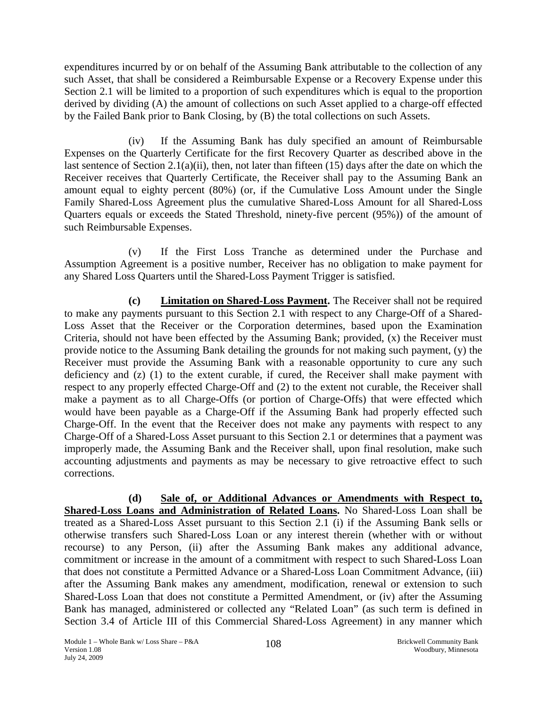expenditures incurred by or on behalf of the Assuming Bank attributable to the collection of any such Asset, that shall be considered a Reimbursable Expense or a Recovery Expense under this Section 2.1 will be limited to a proportion of such expenditures which is equal to the proportion derived by dividing (A) the amount of collections on such Asset applied to a charge-off effected by the Failed Bank prior to Bank Closing, by (B) the total collections on such Assets.

(iv) If the Assuming Bank has duly specified an amount of Reimbursable Expenses on the Quarterly Certificate for the first Recovery Quarter as described above in the last sentence of Section 2.1(a)(ii), then, not later than fifteen (15) days after the date on which the Receiver receives that Quarterly Certificate, the Receiver shall pay to the Assuming Bank an amount equal to eighty percent (80%) (or, if the Cumulative Loss Amount under the Single Family Shared-Loss Agreement plus the cumulative Shared-Loss Amount for all Shared-Loss Quarters equals or exceeds the Stated Threshold, ninety-five percent (95%)) of the amount of such Reimbursable Expenses.

(v) If the First Loss Tranche as determined under the Purchase and Assumption Agreement is a positive number, Receiver has no obligation to make payment for any Shared Loss Quarters until the Shared-Loss Payment Trigger is satisfied.

**(c) Limitation on Shared-Loss Payment.** The Receiver shall not be required to make any payments pursuant to this Section 2.1 with respect to any Charge-Off of a Shared-Loss Asset that the Receiver or the Corporation determines, based upon the Examination Criteria, should not have been effected by the Assuming Bank; provided, (x) the Receiver must provide notice to the Assuming Bank detailing the grounds for not making such payment, (y) the Receiver must provide the Assuming Bank with a reasonable opportunity to cure any such deficiency and (z) (1) to the extent curable, if cured, the Receiver shall make payment with respect to any properly effected Charge-Off and (2) to the extent not curable, the Receiver shall make a payment as to all Charge-Offs (or portion of Charge-Offs) that were effected which would have been payable as a Charge-Off if the Assuming Bank had properly effected such Charge-Off. In the event that the Receiver does not make any payments with respect to any Charge-Off of a Shared-Loss Asset pursuant to this Section 2.1 or determines that a payment was improperly made, the Assuming Bank and the Receiver shall, upon final resolution, make such accounting adjustments and payments as may be necessary to give retroactive effect to such corrections.

**(d) Sale of, or Additional Advances or Amendments with Respect to, Shared-Loss Loans and Administration of Related Loans.** No Shared-Loss Loan shall be treated as a Shared-Loss Asset pursuant to this Section 2.1 (i) if the Assuming Bank sells or otherwise transfers such Shared-Loss Loan or any interest therein (whether with or without recourse) to any Person, (ii) after the Assuming Bank makes any additional advance, commitment or increase in the amount of a commitment with respect to such Shared-Loss Loan that does not constitute a Permitted Advance or a Shared-Loss Loan Commitment Advance, (iii) after the Assuming Bank makes any amendment, modification, renewal or extension to such Shared-Loss Loan that does not constitute a Permitted Amendment, or (iv) after the Assuming Bank has managed, administered or collected any "Related Loan" (as such term is defined in Section 3.4 of Article III of this Commercial Shared-Loss Agreement) in any manner which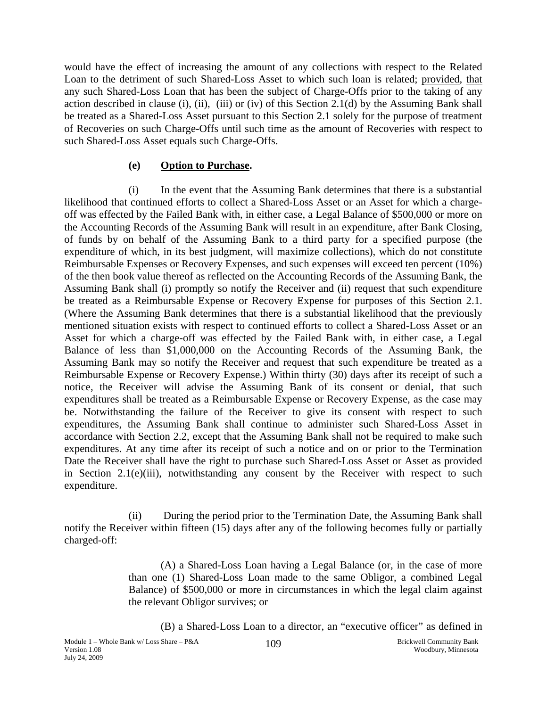Loan to the detriment of such Shared-Loss Asset to which such loan is related; provided, that would have the effect of increasing the amount of any collections with respect to the Related any such Shared-Loss Loan that has been the subject of Charge-Offs prior to the taking of any action described in clause (i), (ii), (iii) or (iv) of this Section 2.1(d) by the Assuming Bank shall be treated as a Shared-Loss Asset pursuant to this Section 2.1 solely for the purpose of treatment of Recoveries on such Charge-Offs until such time as the amount of Recoveries with respect to such Shared-Loss Asset equals such Charge-Offs.

#### **(e) Option to Purchase.**

(i) In the event that the Assuming Bank determines that there is a substantial likelihood that continued efforts to collect a Shared-Loss Asset or an Asset for which a chargeoff was effected by the Failed Bank with, in either case, a Legal Balance of \$500,000 or more on the Accounting Records of the Assuming Bank will result in an expenditure, after Bank Closing, of funds by on behalf of the Assuming Bank to a third party for a specified purpose (the expenditure of which, in its best judgment, will maximize collections), which do not constitute Reimbursable Expenses or Recovery Expenses, and such expenses will exceed ten percent (10%) of the then book value thereof as reflected on the Accounting Records of the Assuming Bank, the Assuming Bank shall (i) promptly so notify the Receiver and (ii) request that such expenditure be treated as a Reimbursable Expense or Recovery Expense for purposes of this Section 2.1. (Where the Assuming Bank determines that there is a substantial likelihood that the previously mentioned situation exists with respect to continued efforts to collect a Shared-Loss Asset or an Asset for which a charge-off was effected by the Failed Bank with, in either case, a Legal Balance of less than \$1,000,000 on the Accounting Records of the Assuming Bank, the Assuming Bank may so notify the Receiver and request that such expenditure be treated as a Reimbursable Expense or Recovery Expense.) Within thirty (30) days after its receipt of such a notice, the Receiver will advise the Assuming Bank of its consent or denial, that such expenditures shall be treated as a Reimbursable Expense or Recovery Expense, as the case may be. Notwithstanding the failure of the Receiver to give its consent with respect to such expenditures, the Assuming Bank shall continue to administer such Shared-Loss Asset in accordance with Section 2.2, except that the Assuming Bank shall not be required to make such expenditures. At any time after its receipt of such a notice and on or prior to the Termination Date the Receiver shall have the right to purchase such Shared-Loss Asset or Asset as provided in Section 2.1(e)(iii), notwithstanding any consent by the Receiver with respect to such expenditure.

(ii) During the period prior to the Termination Date, the Assuming Bank shall notify the Receiver within fifteen (15) days after any of the following becomes fully or partially charged-off:

> (A) a Shared-Loss Loan having a Legal Balance (or, in the case of more than one (1) Shared-Loss Loan made to the same Obligor, a combined Legal Balance) of \$500,000 or more in circumstances in which the legal claim against the relevant Obligor survives; or

(B) a Shared-Loss Loan to a director, an "executive officer" as defined in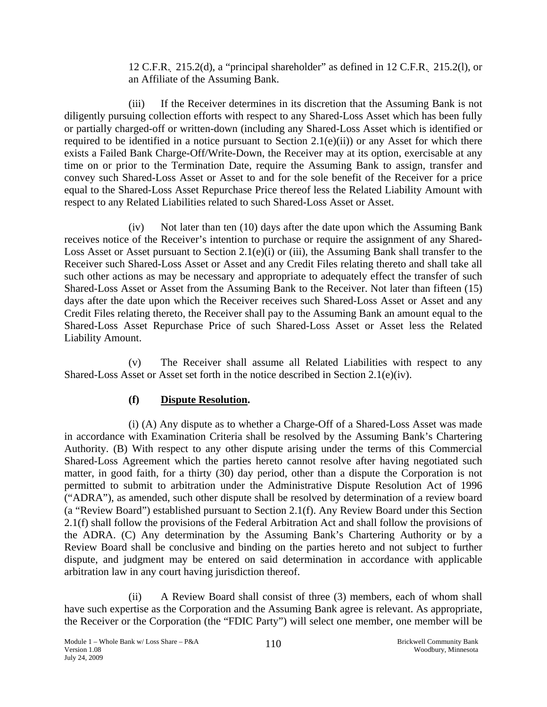12 C.F.R. 215.2(d), a "principal shareholder" as defined in 12 C.F.R. 215.2(l), or an Affiliate of the Assuming Bank.

(iii) If the Receiver determines in its discretion that the Assuming Bank is not diligently pursuing collection efforts with respect to any Shared-Loss Asset which has been fully or partially charged-off or written-down (including any Shared-Loss Asset which is identified or required to be identified in a notice pursuant to Section  $2.1(e)(ii)$  or any Asset for which there exists a Failed Bank Charge-Off/Write-Down, the Receiver may at its option, exercisable at any time on or prior to the Termination Date, require the Assuming Bank to assign, transfer and convey such Shared-Loss Asset or Asset to and for the sole benefit of the Receiver for a price equal to the Shared-Loss Asset Repurchase Price thereof less the Related Liability Amount with respect to any Related Liabilities related to such Shared-Loss Asset or Asset.

(iv) Not later than ten (10) days after the date upon which the Assuming Bank receives notice of the Receiver's intention to purchase or require the assignment of any Shared-Loss Asset or Asset pursuant to Section 2.1(e)(i) or (iii), the Assuming Bank shall transfer to the Receiver such Shared-Loss Asset or Asset and any Credit Files relating thereto and shall take all such other actions as may be necessary and appropriate to adequately effect the transfer of such Shared-Loss Asset or Asset from the Assuming Bank to the Receiver. Not later than fifteen (15) days after the date upon which the Receiver receives such Shared-Loss Asset or Asset and any Credit Files relating thereto, the Receiver shall pay to the Assuming Bank an amount equal to the Shared-Loss Asset Repurchase Price of such Shared-Loss Asset or Asset less the Related Liability Amount.

(v) The Receiver shall assume all Related Liabilities with respect to any Shared-Loss Asset or Asset set forth in the notice described in Section 2.1(e)(iv).

#### **(f) Dispute Resolution.**

(i) (A) Any dispute as to whether a Charge-Off of a Shared-Loss Asset was made in accordance with Examination Criteria shall be resolved by the Assuming Bank's Chartering Authority. (B) With respect to any other dispute arising under the terms of this Commercial Shared-Loss Agreement which the parties hereto cannot resolve after having negotiated such matter, in good faith, for a thirty (30) day period, other than a dispute the Corporation is not permitted to submit to arbitration under the Administrative Dispute Resolution Act of 1996 ("ADRA"), as amended, such other dispute shall be resolved by determination of a review board (a "Review Board") established pursuant to Section 2.1(f). Any Review Board under this Section 2.1(f) shall follow the provisions of the Federal Arbitration Act and shall follow the provisions of the ADRA. (C) Any determination by the Assuming Bank's Chartering Authority or by a Review Board shall be conclusive and binding on the parties hereto and not subject to further dispute, and judgment may be entered on said determination in accordance with applicable arbitration law in any court having jurisdiction thereof.

(ii) A Review Board shall consist of three (3) members, each of whom shall have such expertise as the Corporation and the Assuming Bank agree is relevant. As appropriate, the Receiver or the Corporation (the "FDIC Party") will select one member, one member will be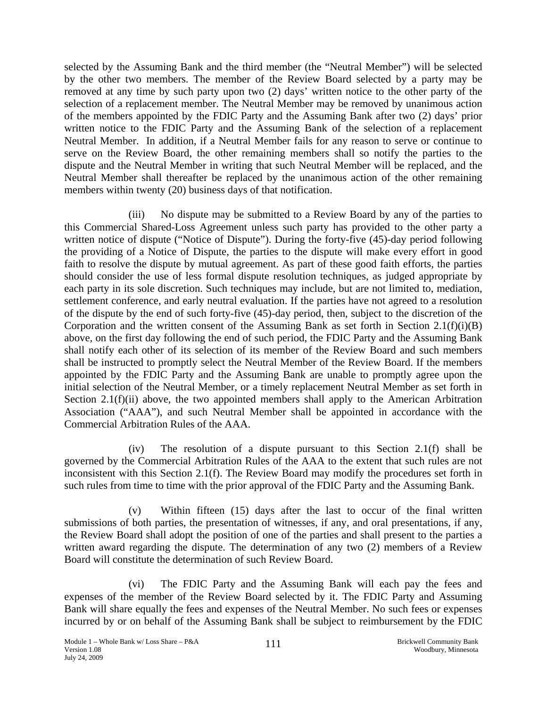selected by the Assuming Bank and the third member (the "Neutral Member") will be selected by the other two members. The member of the Review Board selected by a party may be removed at any time by such party upon two (2) days' written notice to the other party of the selection of a replacement member. The Neutral Member may be removed by unanimous action of the members appointed by the FDIC Party and the Assuming Bank after two (2) days' prior written notice to the FDIC Party and the Assuming Bank of the selection of a replacement Neutral Member. In addition, if a Neutral Member fails for any reason to serve or continue to serve on the Review Board, the other remaining members shall so notify the parties to the dispute and the Neutral Member in writing that such Neutral Member will be replaced, and the Neutral Member shall thereafter be replaced by the unanimous action of the other remaining members within twenty (20) business days of that notification.

(iii) No dispute may be submitted to a Review Board by any of the parties to this Commercial Shared-Loss Agreement unless such party has provided to the other party a written notice of dispute ("Notice of Dispute"). During the forty-five (45)-day period following the providing of a Notice of Dispute, the parties to the dispute will make every effort in good faith to resolve the dispute by mutual agreement. As part of these good faith efforts, the parties should consider the use of less formal dispute resolution techniques, as judged appropriate by each party in its sole discretion. Such techniques may include, but are not limited to, mediation, settlement conference, and early neutral evaluation. If the parties have not agreed to a resolution of the dispute by the end of such forty-five (45)-day period, then, subject to the discretion of the Corporation and the written consent of the Assuming Bank as set forth in Section  $2.1(f)(i)(B)$ above, on the first day following the end of such period, the FDIC Party and the Assuming Bank shall notify each other of its selection of its member of the Review Board and such members shall be instructed to promptly select the Neutral Member of the Review Board. If the members appointed by the FDIC Party and the Assuming Bank are unable to promptly agree upon the initial selection of the Neutral Member, or a timely replacement Neutral Member as set forth in Section 2.1(f)(ii) above, the two appointed members shall apply to the American Arbitration Association ("AAA"), and such Neutral Member shall be appointed in accordance with the Commercial Arbitration Rules of the AAA.

(iv) The resolution of a dispute pursuant to this Section 2.1(f) shall be governed by the Commercial Arbitration Rules of the AAA to the extent that such rules are not inconsistent with this Section 2.1(f). The Review Board may modify the procedures set forth in such rules from time to time with the prior approval of the FDIC Party and the Assuming Bank.

(v) Within fifteen (15) days after the last to occur of the final written submissions of both parties, the presentation of witnesses, if any, and oral presentations, if any, the Review Board shall adopt the position of one of the parties and shall present to the parties a written award regarding the dispute. The determination of any two (2) members of a Review Board will constitute the determination of such Review Board.

(vi) The FDIC Party and the Assuming Bank will each pay the fees and expenses of the member of the Review Board selected by it. The FDIC Party and Assuming Bank will share equally the fees and expenses of the Neutral Member. No such fees or expenses incurred by or on behalf of the Assuming Bank shall be subject to reimbursement by the FDIC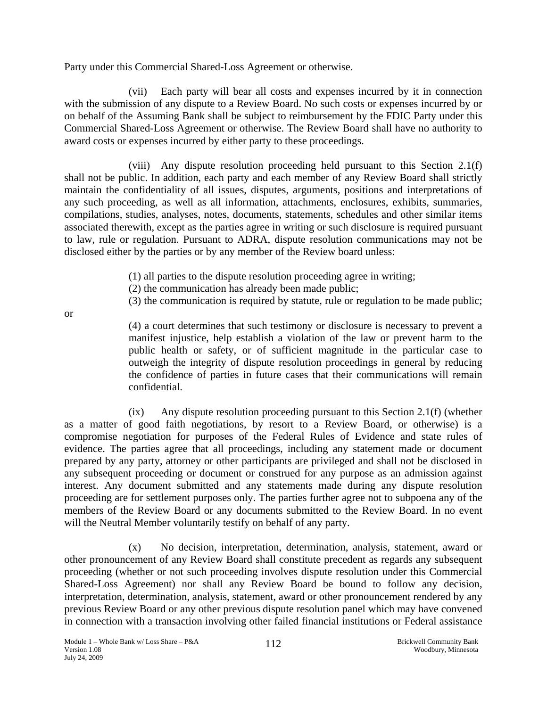Party under this Commercial Shared-Loss Agreement or otherwise.

(vii) Each party will bear all costs and expenses incurred by it in connection with the submission of any dispute to a Review Board. No such costs or expenses incurred by or on behalf of the Assuming Bank shall be subject to reimbursement by the FDIC Party under this Commercial Shared-Loss Agreement or otherwise. The Review Board shall have no authority to award costs or expenses incurred by either party to these proceedings.

(viii) Any dispute resolution proceeding held pursuant to this Section 2.1(f) shall not be public. In addition, each party and each member of any Review Board shall strictly maintain the confidentiality of all issues, disputes, arguments, positions and interpretations of any such proceeding, as well as all information, attachments, enclosures, exhibits, summaries, compilations, studies, analyses, notes, documents, statements, schedules and other similar items associated therewith, except as the parties agree in writing or such disclosure is required pursuant to law, rule or regulation. Pursuant to ADRA, dispute resolution communications may not be disclosed either by the parties or by any member of the Review board unless:

- (1) all parties to the dispute resolution proceeding agree in writing;
- (2) the communication has already been made public;
- (3) the communication is required by statute, rule or regulation to be made public;

(4) a court determines that such testimony or disclosure is necessary to prevent a manifest injustice, help establish a violation of the law or prevent harm to the public health or safety, or of sufficient magnitude in the particular case to outweigh the integrity of dispute resolution proceedings in general by reducing the confidence of parties in future cases that their communications will remain confidential.

(ix) Any dispute resolution proceeding pursuant to this Section 2.1(f) (whether as a matter of good faith negotiations, by resort to a Review Board, or otherwise) is a compromise negotiation for purposes of the Federal Rules of Evidence and state rules of evidence. The parties agree that all proceedings, including any statement made or document prepared by any party, attorney or other participants are privileged and shall not be disclosed in any subsequent proceeding or document or construed for any purpose as an admission against interest. Any document submitted and any statements made during any dispute resolution proceeding are for settlement purposes only. The parties further agree not to subpoena any of the members of the Review Board or any documents submitted to the Review Board. In no event will the Neutral Member voluntarily testify on behalf of any party.

(x) No decision, interpretation, determination, analysis, statement, award or other pronouncement of any Review Board shall constitute precedent as regards any subsequent proceeding (whether or not such proceeding involves dispute resolution under this Commercial Shared-Loss Agreement) nor shall any Review Board be bound to follow any decision, interpretation, determination, analysis, statement, award or other pronouncement rendered by any previous Review Board or any other previous dispute resolution panel which may have convened in connection with a transaction involving other failed financial institutions or Federal assistance

or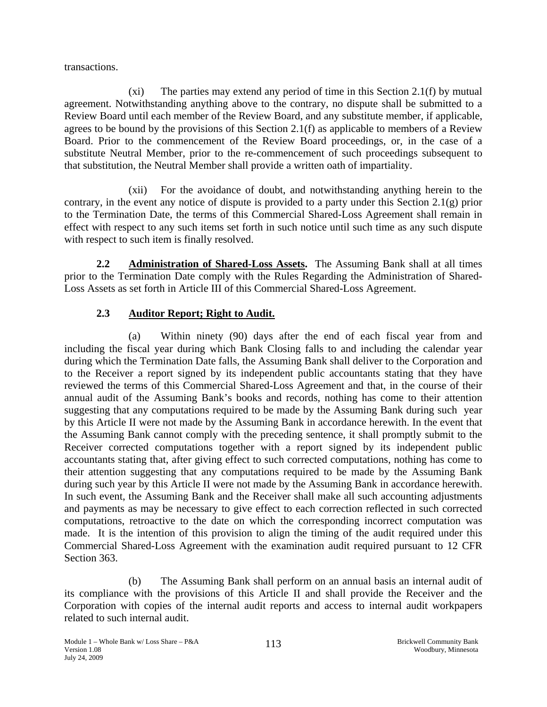transactions.

(xi) The parties may extend any period of time in this Section 2.1(f) by mutual agreement. Notwithstanding anything above to the contrary, no dispute shall be submitted to a Review Board until each member of the Review Board, and any substitute member, if applicable, agrees to be bound by the provisions of this Section 2.1(f) as applicable to members of a Review Board. Prior to the commencement of the Review Board proceedings, or, in the case of a substitute Neutral Member, prior to the re-commencement of such proceedings subsequent to that substitution, the Neutral Member shall provide a written oath of impartiality.

(xii) For the avoidance of doubt, and notwithstanding anything herein to the contrary, in the event any notice of dispute is provided to a party under this Section 2.1(g) prior to the Termination Date, the terms of this Commercial Shared-Loss Agreement shall remain in effect with respect to any such items set forth in such notice until such time as any such dispute with respect to such item is finally resolved.

**2.2 Administration of Shared-Loss Assets.** The Assuming Bank shall at all times prior to the Termination Date comply with the Rules Regarding the Administration of Shared-Loss Assets as set forth in Article III of this Commercial Shared-Loss Agreement.

## **2.3 Auditor Report; Right to Audit.**

(a) Within ninety (90) days after the end of each fiscal year from and including the fiscal year during which Bank Closing falls to and including the calendar year during which the Termination Date falls, the Assuming Bank shall deliver to the Corporation and to the Receiver a report signed by its independent public accountants stating that they have reviewed the terms of this Commercial Shared-Loss Agreement and that, in the course of their annual audit of the Assuming Bank's books and records, nothing has come to their attention suggesting that any computations required to be made by the Assuming Bank during such year by this Article II were not made by the Assuming Bank in accordance herewith. In the event that the Assuming Bank cannot comply with the preceding sentence, it shall promptly submit to the Receiver corrected computations together with a report signed by its independent public accountants stating that, after giving effect to such corrected computations, nothing has come to their attention suggesting that any computations required to be made by the Assuming Bank during such year by this Article II were not made by the Assuming Bank in accordance herewith. In such event, the Assuming Bank and the Receiver shall make all such accounting adjustments and payments as may be necessary to give effect to each correction reflected in such corrected computations, retroactive to the date on which the corresponding incorrect computation was made. It is the intention of this provision to align the timing of the audit required under this Commercial Shared-Loss Agreement with the examination audit required pursuant to 12 CFR Section 363.

(b) The Assuming Bank shall perform on an annual basis an internal audit of its compliance with the provisions of this Article II and shall provide the Receiver and the Corporation with copies of the internal audit reports and access to internal audit workpapers related to such internal audit.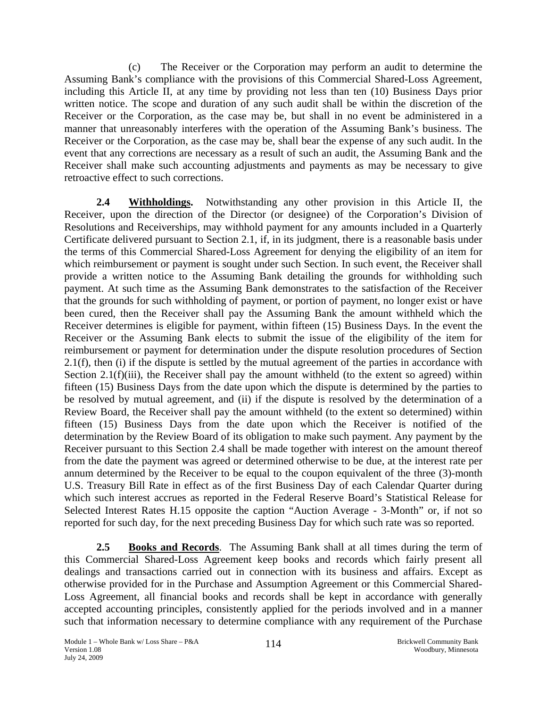(c) The Receiver or the Corporation may perform an audit to determine the Assuming Bank's compliance with the provisions of this Commercial Shared-Loss Agreement, including this Article II, at any time by providing not less than ten (10) Business Days prior written notice. The scope and duration of any such audit shall be within the discretion of the Receiver or the Corporation, as the case may be, but shall in no event be administered in a manner that unreasonably interferes with the operation of the Assuming Bank's business. The Receiver or the Corporation, as the case may be, shall bear the expense of any such audit. In the event that any corrections are necessary as a result of such an audit, the Assuming Bank and the Receiver shall make such accounting adjustments and payments as may be necessary to give retroactive effect to such corrections.

**2.4 Withholdings.** Notwithstanding any other provision in this Article II, the Receiver, upon the direction of the Director (or designee) of the Corporation's Division of Resolutions and Receiverships, may withhold payment for any amounts included in a Quarterly Certificate delivered pursuant to Section 2.1, if, in its judgment, there is a reasonable basis under the terms of this Commercial Shared-Loss Agreement for denying the eligibility of an item for which reimbursement or payment is sought under such Section. In such event, the Receiver shall provide a written notice to the Assuming Bank detailing the grounds for withholding such payment. At such time as the Assuming Bank demonstrates to the satisfaction of the Receiver that the grounds for such withholding of payment, or portion of payment, no longer exist or have been cured, then the Receiver shall pay the Assuming Bank the amount withheld which the Receiver determines is eligible for payment, within fifteen (15) Business Days. In the event the Receiver or the Assuming Bank elects to submit the issue of the eligibility of the item for reimbursement or payment for determination under the dispute resolution procedures of Section 2.1(f), then (i) if the dispute is settled by the mutual agreement of the parties in accordance with Section 2.1(f)(iii), the Receiver shall pay the amount withheld (to the extent so agreed) within fifteen (15) Business Days from the date upon which the dispute is determined by the parties to be resolved by mutual agreement, and (ii) if the dispute is resolved by the determination of a Review Board, the Receiver shall pay the amount withheld (to the extent so determined) within fifteen (15) Business Days from the date upon which the Receiver is notified of the determination by the Review Board of its obligation to make such payment. Any payment by the Receiver pursuant to this Section 2.4 shall be made together with interest on the amount thereof from the date the payment was agreed or determined otherwise to be due, at the interest rate per annum determined by the Receiver to be equal to the coupon equivalent of the three (3)-month U.S. Treasury Bill Rate in effect as of the first Business Day of each Calendar Quarter during which such interest accrues as reported in the Federal Reserve Board's Statistical Release for Selected Interest Rates H.15 opposite the caption "Auction Average - 3-Month" or, if not so reported for such day, for the next preceding Business Day for which such rate was so reported.

**2.5 Books and Records**. The Assuming Bank shall at all times during the term of this Commercial Shared-Loss Agreement keep books and records which fairly present all dealings and transactions carried out in connection with its business and affairs. Except as otherwise provided for in the Purchase and Assumption Agreement or this Commercial Shared-Loss Agreement, all financial books and records shall be kept in accordance with generally accepted accounting principles, consistently applied for the periods involved and in a manner such that information necessary to determine compliance with any requirement of the Purchase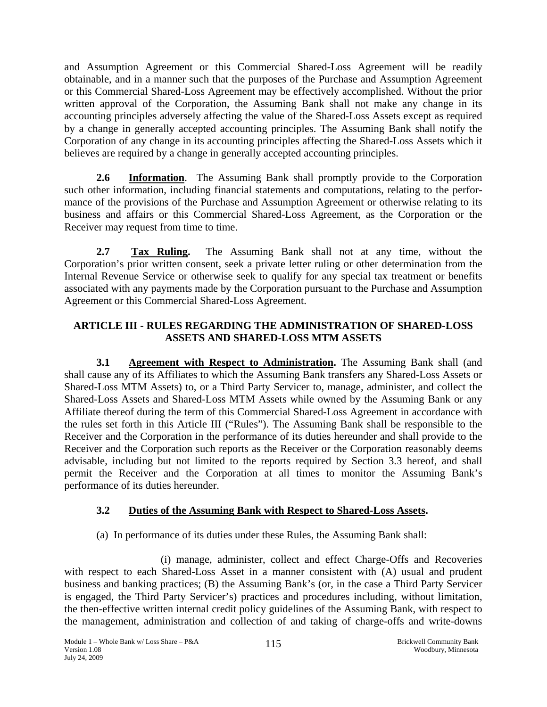and Assumption Agreement or this Commercial Shared-Loss Agreement will be readily obtainable, and in a manner such that the purposes of the Purchase and Assumption Agreement or this Commercial Shared-Loss Agreement may be effectively accomplished. Without the prior written approval of the Corporation, the Assuming Bank shall not make any change in its accounting principles adversely affecting the value of the Shared-Loss Assets except as required by a change in generally accepted accounting principles. The Assuming Bank shall notify the Corporation of any change in its accounting principles affecting the Shared-Loss Assets which it believes are required by a change in generally accepted accounting principles.

**2.6 Information**. The Assuming Bank shall promptly provide to the Corporation such other information, including financial statements and computations, relating to the performance of the provisions of the Purchase and Assumption Agreement or otherwise relating to its business and affairs or this Commercial Shared-Loss Agreement, as the Corporation or the Receiver may request from time to time.

**2.7 Tax Ruling.** The Assuming Bank shall not at any time, without the Corporation's prior written consent, seek a private letter ruling or other determination from the Internal Revenue Service or otherwise seek to qualify for any special tax treatment or benefits associated with any payments made by the Corporation pursuant to the Purchase and Assumption Agreement or this Commercial Shared-Loss Agreement.

## **ARTICLE III - RULES REGARDING THE ADMINISTRATION OF SHARED-LOSS ASSETS AND SHARED-LOSS MTM ASSETS**

**3.1 Agreement with Respect to Administration.** The Assuming Bank shall (and shall cause any of its Affiliates to which the Assuming Bank transfers any Shared-Loss Assets or Shared-Loss MTM Assets) to, or a Third Party Servicer to, manage, administer, and collect the Shared-Loss Assets and Shared-Loss MTM Assets while owned by the Assuming Bank or any Affiliate thereof during the term of this Commercial Shared-Loss Agreement in accordance with the rules set forth in this Article III ("Rules"). The Assuming Bank shall be responsible to the Receiver and the Corporation in the performance of its duties hereunder and shall provide to the Receiver and the Corporation such reports as the Receiver or the Corporation reasonably deems advisable, including but not limited to the reports required by Section 3.3 hereof, and shall permit the Receiver and the Corporation at all times to monitor the Assuming Bank's performance of its duties hereunder.

## **3.2 Duties of the Assuming Bank with Respect to Shared-Loss Assets.**

# (a) In performance of its duties under these Rules, the Assuming Bank shall:

(i) manage, administer, collect and effect Charge-Offs and Recoveries with respect to each Shared-Loss Asset in a manner consistent with (A) usual and prudent business and banking practices; (B) the Assuming Bank's (or, in the case a Third Party Servicer is engaged, the Third Party Servicer's) practices and procedures including, without limitation, the then-effective written internal credit policy guidelines of the Assuming Bank, with respect to the management, administration and collection of and taking of charge-offs and write-downs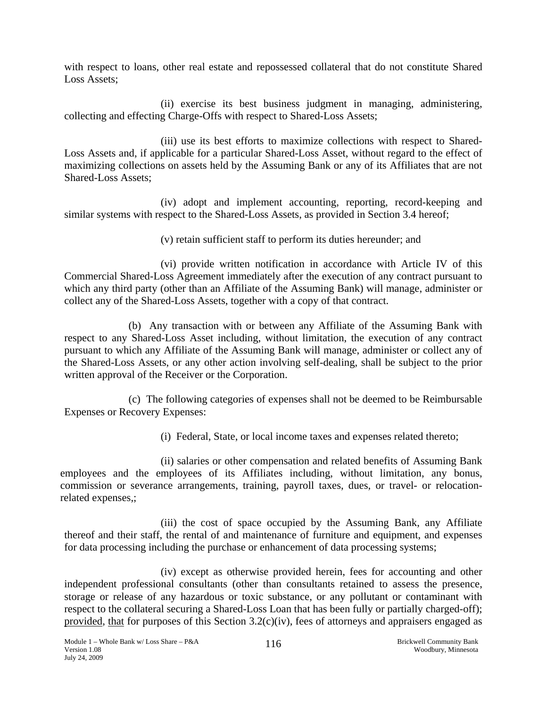with respect to loans, other real estate and repossessed collateral that do not constitute Shared Loss Assets;

(ii) exercise its best business judgment in managing, administering, collecting and effecting Charge-Offs with respect to Shared-Loss Assets;

(iii) use its best efforts to maximize collections with respect to Shared-Loss Assets and, if applicable for a particular Shared-Loss Asset, without regard to the effect of maximizing collections on assets held by the Assuming Bank or any of its Affiliates that are not Shared-Loss Assets;

(iv) adopt and implement accounting, reporting, record-keeping and similar systems with respect to the Shared-Loss Assets, as provided in Section 3.4 hereof;

(v) retain sufficient staff to perform its duties hereunder; and

(vi) provide written notification in accordance with Article IV of this Commercial Shared-Loss Agreement immediately after the execution of any contract pursuant to which any third party (other than an Affiliate of the Assuming Bank) will manage, administer or collect any of the Shared-Loss Assets, together with a copy of that contract.

(b) Any transaction with or between any Affiliate of the Assuming Bank with respect to any Shared-Loss Asset including, without limitation, the execution of any contract pursuant to which any Affiliate of the Assuming Bank will manage, administer or collect any of the Shared-Loss Assets, or any other action involving self-dealing, shall be subject to the prior written approval of the Receiver or the Corporation.

(c) The following categories of expenses shall not be deemed to be Reimbursable Expenses or Recovery Expenses:

(i) Federal, State, or local income taxes and expenses related thereto;

(ii) salaries or other compensation and related benefits of Assuming Bank employees and the employees of its Affiliates including, without limitation, any bonus, commission or severance arrangements, training, payroll taxes, dues, or travel- or relocationrelated expenses,;

(iii) the cost of space occupied by the Assuming Bank, any Affiliate thereof and their staff, the rental of and maintenance of furniture and equipment, and expenses for data processing including the purchase or enhancement of data processing systems;

(iv) except as otherwise provided herein, fees for accounting and other independent professional consultants (other than consultants retained to assess the presence, storage or release of any hazardous or toxic substance, or any pollutant or contaminant with respect to the collateral securing a Shared-Loss Loan that has been fully or partially charged-off); provided, that for purposes of this Section 3.2(c)(iv), fees of attorneys and appraisers engaged as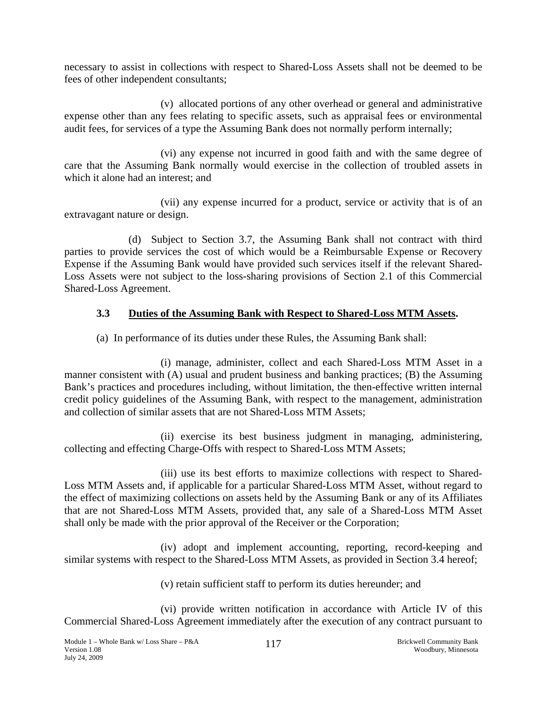necessary to assist in collections with respect to Shared-Loss Assets shall not be deemed to be fees of other independent consultants;

(v) allocated portions of any other overhead or general and administrative expense other than any fees relating to specific assets, such as appraisal fees or environmental audit fees, for services of a type the Assuming Bank does not normally perform internally;

(vi) any expense not incurred in good faith and with the same degree of care that the Assuming Bank normally would exercise in the collection of troubled assets in which it alone had an interest; and

(vii) any expense incurred for a product, service or activity that is of an extravagant nature or design.

(d) Subject to Section 3.7, the Assuming Bank shall not contract with third parties to provide services the cost of which would be a Reimbursable Expense or Recovery Expense if the Assuming Bank would have provided such services itself if the relevant Shared-Loss Assets were not subject to the loss-sharing provisions of Section 2.1 of this Commercial Shared-Loss Agreement.

#### **3.3 Duties of the Assuming Bank with Respect to Shared-Loss MTM Assets.**

(a) In performance of its duties under these Rules, the Assuming Bank shall:

(i) manage, administer, collect and each Shared-Loss MTM Asset in a manner consistent with (A) usual and prudent business and banking practices; (B) the Assuming Bank's practices and procedures including, without limitation, the then-effective written internal credit policy guidelines of the Assuming Bank, with respect to the management, administration and collection of similar assets that are not Shared-Loss MTM Assets;

(ii) exercise its best business judgment in managing, administering, collecting and effecting Charge-Offs with respect to Shared-Loss MTM Assets;

(iii) use its best efforts to maximize collections with respect to Shared-Loss MTM Assets and, if applicable for a particular Shared-Loss MTM Asset, without regard to the effect of maximizing collections on assets held by the Assuming Bank or any of its Affiliates that are not Shared-Loss MTM Assets, provided that, any sale of a Shared-Loss MTM Asset shall only be made with the prior approval of the Receiver or the Corporation;

(iv) adopt and implement accounting, reporting, record-keeping and similar systems with respect to the Shared-Loss MTM Assets, as provided in Section 3.4 hereof;

(v) retain sufficient staff to perform its duties hereunder; and

(vi) provide written notification in accordance with Article IV of this Commercial Shared-Loss Agreement immediately after the execution of any contract pursuant to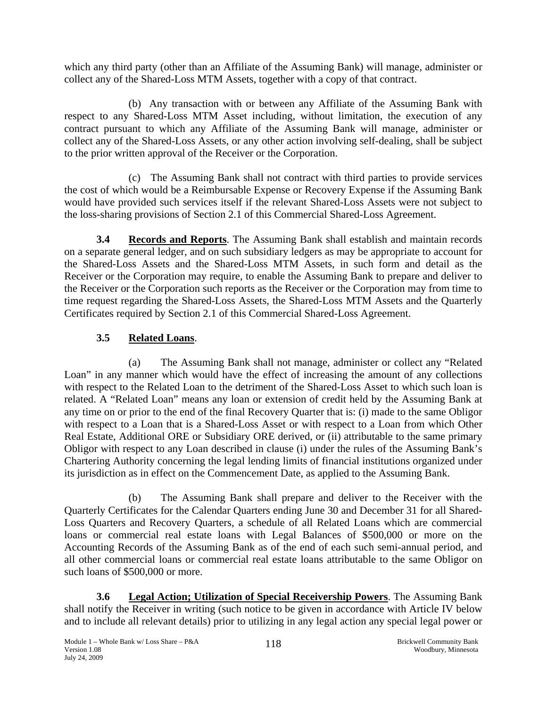which any third party (other than an Affiliate of the Assuming Bank) will manage, administer or collect any of the Shared-Loss MTM Assets, together with a copy of that contract.

(b) Any transaction with or between any Affiliate of the Assuming Bank with respect to any Shared-Loss MTM Asset including, without limitation, the execution of any contract pursuant to which any Affiliate of the Assuming Bank will manage, administer or collect any of the Shared-Loss Assets, or any other action involving self-dealing, shall be subject to the prior written approval of the Receiver or the Corporation.

(c) The Assuming Bank shall not contract with third parties to provide services the cost of which would be a Reimbursable Expense or Recovery Expense if the Assuming Bank would have provided such services itself if the relevant Shared-Loss Assets were not subject to the loss-sharing provisions of Section 2.1 of this Commercial Shared-Loss Agreement.

**3.4 Records and Reports**. The Assuming Bank shall establish and maintain records on a separate general ledger, and on such subsidiary ledgers as may be appropriate to account for the Shared-Loss Assets and the Shared-Loss MTM Assets, in such form and detail as the Receiver or the Corporation may require, to enable the Assuming Bank to prepare and deliver to the Receiver or the Corporation such reports as the Receiver or the Corporation may from time to time request regarding the Shared-Loss Assets, the Shared-Loss MTM Assets and the Quarterly Certificates required by Section 2.1 of this Commercial Shared-Loss Agreement.

# **3.5 Related Loans**.

(a) The Assuming Bank shall not manage, administer or collect any "Related Loan" in any manner which would have the effect of increasing the amount of any collections with respect to the Related Loan to the detriment of the Shared-Loss Asset to which such loan is related. A "Related Loan" means any loan or extension of credit held by the Assuming Bank at any time on or prior to the end of the final Recovery Quarter that is: (i) made to the same Obligor with respect to a Loan that is a Shared-Loss Asset or with respect to a Loan from which Other Real Estate, Additional ORE or Subsidiary ORE derived, or (ii) attributable to the same primary Obligor with respect to any Loan described in clause (i) under the rules of the Assuming Bank's Chartering Authority concerning the legal lending limits of financial institutions organized under its jurisdiction as in effect on the Commencement Date, as applied to the Assuming Bank.

(b) The Assuming Bank shall prepare and deliver to the Receiver with the Quarterly Certificates for the Calendar Quarters ending June 30 and December 31 for all Shared-Loss Quarters and Recovery Quarters, a schedule of all Related Loans which are commercial loans or commercial real estate loans with Legal Balances of \$500,000 or more on the Accounting Records of the Assuming Bank as of the end of each such semi-annual period, and all other commercial loans or commercial real estate loans attributable to the same Obligor on such loans of \$500,000 or more.

**3.6 Legal Action; Utilization of Special Receivership Powers**. The Assuming Bank shall notify the Receiver in writing (such notice to be given in accordance with Article IV below and to include all relevant details) prior to utilizing in any legal action any special legal power or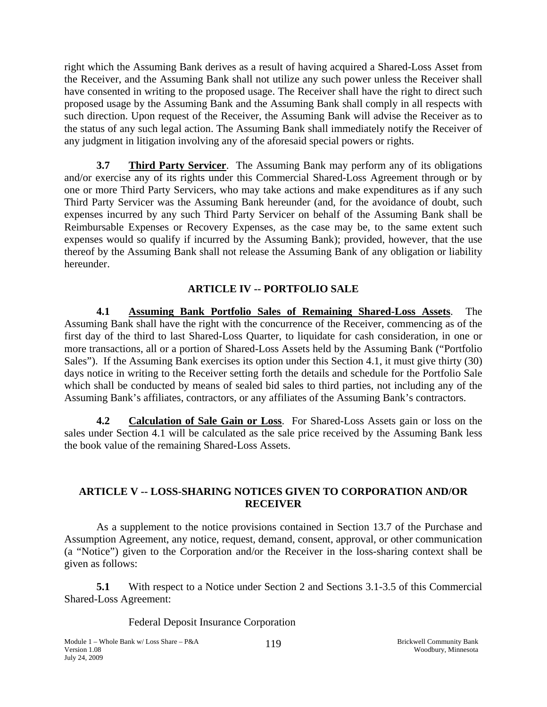right which the Assuming Bank derives as a result of having acquired a Shared-Loss Asset from the Receiver, and the Assuming Bank shall not utilize any such power unless the Receiver shall have consented in writing to the proposed usage. The Receiver shall have the right to direct such proposed usage by the Assuming Bank and the Assuming Bank shall comply in all respects with such direction. Upon request of the Receiver, the Assuming Bank will advise the Receiver as to the status of any such legal action. The Assuming Bank shall immediately notify the Receiver of any judgment in litigation involving any of the aforesaid special powers or rights.

**3.7 Third Party Servicer**. The Assuming Bank may perform any of its obligations and/or exercise any of its rights under this Commercial Shared-Loss Agreement through or by one or more Third Party Servicers, who may take actions and make expenditures as if any such Third Party Servicer was the Assuming Bank hereunder (and, for the avoidance of doubt, such expenses incurred by any such Third Party Servicer on behalf of the Assuming Bank shall be Reimbursable Expenses or Recovery Expenses, as the case may be, to the same extent such expenses would so qualify if incurred by the Assuming Bank); provided, however, that the use thereof by the Assuming Bank shall not release the Assuming Bank of any obligation or liability hereunder.

## **ARTICLE IV -- PORTFOLIO SALE**

**4.1 Assuming Bank Portfolio Sales of Remaining Shared-Loss Assets**. The Assuming Bank shall have the right with the concurrence of the Receiver, commencing as of the first day of the third to last Shared-Loss Quarter, to liquidate for cash consideration, in one or more transactions, all or a portion of Shared-Loss Assets held by the Assuming Bank ("Portfolio Sales"). If the Assuming Bank exercises its option under this Section 4.1, it must give thirty (30) days notice in writing to the Receiver setting forth the details and schedule for the Portfolio Sale which shall be conducted by means of sealed bid sales to third parties, not including any of the Assuming Bank's affiliates, contractors, or any affiliates of the Assuming Bank's contractors.

**4.2 Calculation of Sale Gain or Loss**. For Shared-Loss Assets gain or loss on the sales under Section 4.1 will be calculated as the sale price received by the Assuming Bank less the book value of the remaining Shared-Loss Assets.

#### **ARTICLE V -- LOSS-SHARING NOTICES GIVEN TO CORPORATION AND/OR RECEIVER**

As a supplement to the notice provisions contained in Section 13.7 of the Purchase and Assumption Agreement, any notice, request, demand, consent, approval, or other communication (a "Notice") given to the Corporation and/or the Receiver in the loss-sharing context shall be given as follows:

**5.1** With respect to a Notice under Section 2 and Sections 3.1-3.5 of this Commercial Shared-Loss Agreement:

Federal Deposit Insurance Corporation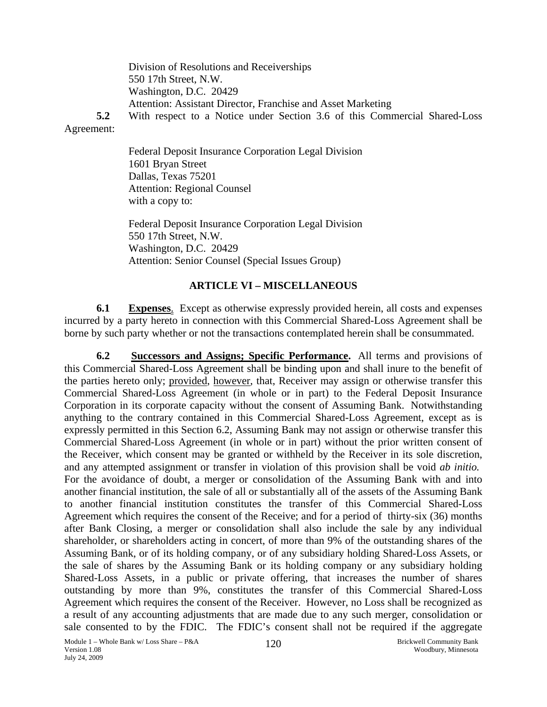Division of Resolutions and Receiverships 550 17th Street, N.W. Washington, D.C. 20429 Attention: Assistant Director, Franchise and Asset Marketing **5.2** With respect to a Notice under Section 3.6 of this Commercial Shared-Loss

Agreement:

Federal Deposit Insurance Corporation Legal Division 1601 Bryan Street Dallas, Texas 75201 Attention: Regional Counsel with a copy to:

Federal Deposit Insurance Corporation Legal Division 550 17th Street, N.W. Washington, D.C. 20429 Attention: Senior Counsel (Special Issues Group)

#### **ARTICLE VI – MISCELLANEOUS**

**6.1 Expenses**. Except as otherwise expressly provided herein, all costs and expenses incurred by a party hereto in connection with this Commercial Shared-Loss Agreement shall be borne by such party whether or not the transactions contemplated herein shall be consummated.

**6.2 Successors and Assigns; Specific Performance.** All terms and provisions of this Commercial Shared-Loss Agreement shall be binding upon and shall inure to the benefit of the parties hereto only; provided, however, that, Receiver may assign or otherwise transfer this Commercial Shared-Loss Agreement (in whole or in part) to the Federal Deposit Insurance Corporation in its corporate capacity without the consent of Assuming Bank. Notwithstanding anything to the contrary contained in this Commercial Shared-Loss Agreement, except as is expressly permitted in this Section 6.2, Assuming Bank may not assign or otherwise transfer this Commercial Shared-Loss Agreement (in whole or in part) without the prior written consent of the Receiver, which consent may be granted or withheld by the Receiver in its sole discretion, and any attempted assignment or transfer in violation of this provision shall be void *ab initio.*  For the avoidance of doubt, a merger or consolidation of the Assuming Bank with and into another financial institution, the sale of all or substantially all of the assets of the Assuming Bank to another financial institution constitutes the transfer of this Commercial Shared-Loss Agreement which requires the consent of the Receive; and for a period of thirty-six (36) months after Bank Closing, a merger or consolidation shall also include the sale by any individual shareholder, or shareholders acting in concert, of more than 9% of the outstanding shares of the Assuming Bank, or of its holding company, or of any subsidiary holding Shared-Loss Assets, or the sale of shares by the Assuming Bank or its holding company or any subsidiary holding Shared-Loss Assets, in a public or private offering, that increases the number of shares outstanding by more than 9%, constitutes the transfer of this Commercial Shared-Loss Agreement which requires the consent of the Receiver. However, no Loss shall be recognized as a result of any accounting adjustments that are made due to any such merger, consolidation or sale consented to by the FDIC. The FDIC's consent shall not be required if the aggregate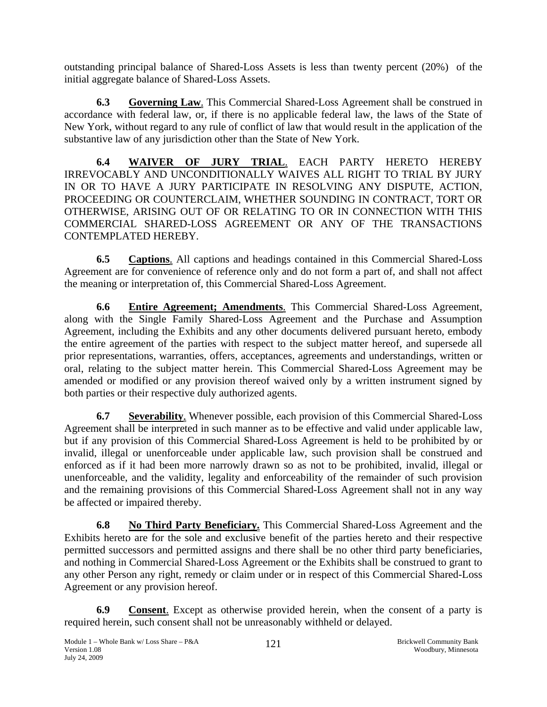outstanding principal balance of Shared-Loss Assets is less than twenty percent (20%) of the initial aggregate balance of Shared-Loss Assets.

**6.3** Governing Law. This Commercial Shared-Loss Agreement shall be construed in accordance with federal law, or, if there is no applicable federal law, the laws of the State of New York, without regard to any rule of conflict of law that would result in the application of the substantive law of any jurisdiction other than the State of New York.

**6.4 WAIVER OF JURY TRIAL**. EACH PARTY HERETO HEREBY IRREVOCABLY AND UNCONDITIONALLY WAIVES ALL RIGHT TO TRIAL BY JURY IN OR TO HAVE A JURY PARTICIPATE IN RESOLVING ANY DISPUTE, ACTION, PROCEEDING OR COUNTERCLAIM, WHETHER SOUNDING IN CONTRACT, TORT OR OTHERWISE, ARISING OUT OF OR RELATING TO OR IN CONNECTION WITH THIS COMMERCIAL SHARED-LOSS AGREEMENT OR ANY OF THE TRANSACTIONS CONTEMPLATED HEREBY.

**6.5 Captions**. All captions and headings contained in this Commercial Shared-Loss Agreement are for convenience of reference only and do not form a part of, and shall not affect the meaning or interpretation of, this Commercial Shared-Loss Agreement.

**6.6 Entire Agreement; Amendments**. This Commercial Shared-Loss Agreement, along with the Single Family Shared-Loss Agreement and the Purchase and Assumption Agreement, including the Exhibits and any other documents delivered pursuant hereto, embody the entire agreement of the parties with respect to the subject matter hereof, and supersede all prior representations, warranties, offers, acceptances, agreements and understandings, written or oral, relating to the subject matter herein. This Commercial Shared-Loss Agreement may be amended or modified or any provision thereof waived only by a written instrument signed by both parties or their respective duly authorized agents.

**6.7 Severability**. Whenever possible, each provision of this Commercial Shared-Loss Agreement shall be interpreted in such manner as to be effective and valid under applicable law, but if any provision of this Commercial Shared-Loss Agreement is held to be prohibited by or invalid, illegal or unenforceable under applicable law, such provision shall be construed and enforced as if it had been more narrowly drawn so as not to be prohibited, invalid, illegal or unenforceable, and the validity, legality and enforceability of the remainder of such provision and the remaining provisions of this Commercial Shared-Loss Agreement shall not in any way be affected or impaired thereby.

**6.8 No Third Party Beneficiary.** This Commercial Shared-Loss Agreement and the Exhibits hereto are for the sole and exclusive benefit of the parties hereto and their respective permitted successors and permitted assigns and there shall be no other third party beneficiaries, and nothing in Commercial Shared-Loss Agreement or the Exhibits shall be construed to grant to any other Person any right, remedy or claim under or in respect of this Commercial Shared-Loss Agreement or any provision hereof.

**6.9 Consent**. Except as otherwise provided herein, when the consent of a party is required herein, such consent shall not be unreasonably withheld or delayed.